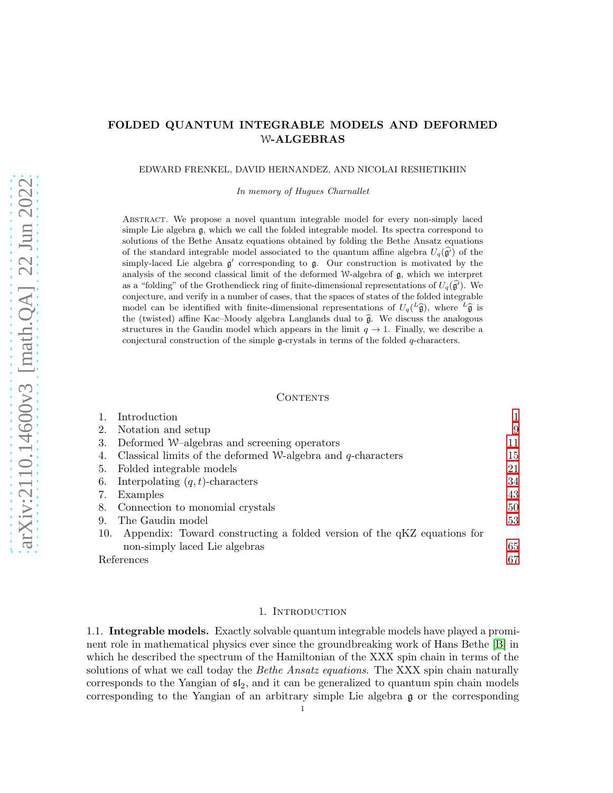# FOLDED QUANTUM INTEGRABLE MODELS AND DEFORMED W-ALGEBRAS

EDWARD FRENKEL, DAVID HERNANDEZ, AND NICOLAI RESHETIKHIN

In memory of Hugues Charnallet

Abstract. We propose a novel quantum integrable model for every non-simply laced simple Lie algebra g, which we call the folded integrable model. Its spectra correspond to solutions of the Bethe Ansatz equations obtained by folding the Bethe Ansatz equations of the standard integrable model associated to the quantum affine algebra  $U_q(\vec{g})$  of the simply-laced Lie algebra  $g'$  corresponding to  $g$ . Our construction is motivated by the analysis of the second classical limit of the deformed W-algebra of  $\mathfrak{g}$ , which we interpret as a "folding" of the Grothendieck ring of finite-dimensional representations of  $U_q(\vec{g})$ . We conjecture, and verify in a number of cases, that the spaces of states of the folded integrable model can be identified with finite-dimensional representations of  $U_q(\frac{L_{\widehat{\mathfrak{g}}}}{Q})$ , where  $L_{\widehat{\mathfrak{g}}}$  is the (twisted) affine Kac–Moody algebra Langlands dual to  $\hat{\mathfrak{g}}$ . We discuss the analogous structures in the Gaudin model which appears in the limit  $q \to 1$ . Finally, we describe a conjectural construction of the simple  $\mathfrak{g}$ -crystals in terms of the folded q-characters.

## CONTENTS

| Notation and setup<br>2.                                                       | 9  |
|--------------------------------------------------------------------------------|----|
|                                                                                |    |
| Deformed W-algebras and screening operators<br>3.                              | 11 |
| Classical limits of the deformed W-algebra and $q$ -characters<br>4.           | 15 |
| Folded integrable models<br>5.                                                 | 21 |
| Interpolating $(q, t)$ -characters<br>6.                                       | 34 |
| Examples<br>7.                                                                 | 43 |
| Connection to monomial crystals<br>8.                                          | 50 |
| The Gaudin model<br>9.                                                         | 53 |
| Appendix: Toward constructing a folded version of the qKZ equations for<br>10. |    |
| non-simply laced Lie algebras                                                  | 65 |
| References                                                                     | 67 |

## 1. Introduction

<span id="page-0-0"></span>1.1. Integrable models. Exactly solvable quantum integrable models have played a prominent role in mathematical physics ever since the groundbreaking work of Hans Bethe [\[B\]](#page-66-1) in which he described the spectrum of the Hamiltonian of the XXX spin chain in terms of the solutions of what we call today the *Bethe Ansatz equations*. The XXX spin chain naturally corresponds to the Yangian of  $\mathfrak{sl}_2$ , and it can be generalized to quantum spin chain models corresponding to the Yangian of an arbitrary simple Lie algebra g or the corresponding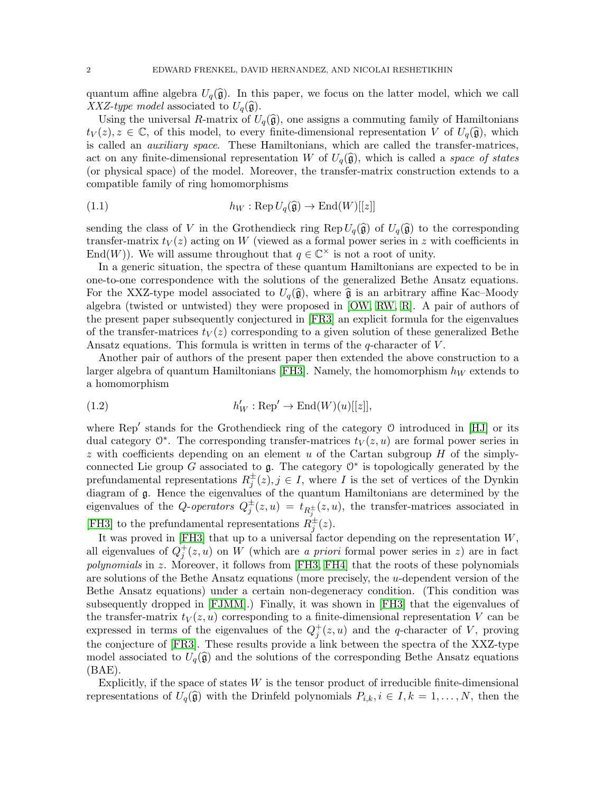quantum affine algebra  $U_q(\hat{\mathfrak{g}})$ . In this paper, we focus on the latter model, which we call XXZ-type model associated to  $U_q(\hat{\mathfrak{g}})$ .

Using the universal R-matrix of  $U_q(\hat{\mathfrak{g}})$ , one assigns a commuting family of Hamiltonians  $t_V(z), z \in \mathbb{C}$ , of this model, to every finite-dimensional representation V of  $U_q(\hat{\mathfrak{g}})$ , which is called an auxiliary space. These Hamiltonians, which are called the transfer-matrices, act on any finite-dimensional representation W of  $U_q(\hat{\mathfrak{g}})$ , which is called a *space of states* (or physical space) of the model. Moreover, the transfer-matrix construction extends to a compatible family of ring homomorphisms

<span id="page-1-1"></span>(1.1) 
$$
h_W : \operatorname{Rep} U_q(\widehat{\mathfrak{g}}) \to \operatorname{End}(W)[[z]]
$$

sending the class of V in the Grothendieck ring Rep  $U_q(\hat{\mathfrak{g}})$  of  $U_q(\hat{\mathfrak{g}})$  to the corresponding transfer-matrix  $t_V(z)$  acting on W (viewed as a formal power series in z with coefficients in End(W)). We will assume throughout that  $q \in \mathbb{C}^{\times}$  is not a root of unity.

In a generic situation, the spectra of these quantum Hamiltonians are expected to be in one-to-one correspondence with the solutions of the generalized Bethe Ansatz equations. For the XXZ-type model associated to  $U_q(\hat{\mathfrak{g}})$ , where  $\hat{\mathfrak{g}}$  is an arbitrary affine Kac–Moody algebra (twisted or untwisted) they were proposed in [\[OW,](#page-68-0) [RW,](#page-68-1) [R\]](#page-68-2). A pair of authors of the present paper subsequently conjectured in [\[FR3\]](#page-67-0) an explicit formula for the eigenvalues of the transfer-matrices  $t_V(z)$  corresponding to a given solution of these generalized Bethe Ansatz equations. This formula is written in terms of the  $q$ -character of  $V$ .

Another pair of authors of the present paper then extended the above construction to a larger algebra of quantum Hamiltonians [\[FH3\]](#page-67-1). Namely, the homomorphism  $h_W$  extends to a homomorphism

<span id="page-1-0"></span>(1.2) 
$$
h'_W : \text{Rep}' \to \text{End}(W)(u)[[z]],
$$

where Rep′ stands for the Grothendieck ring of the category O introduced in [\[HJ\]](#page-67-2) or its dual category  $\mathbb{O}^*$ . The corresponding transfer-matrices  $t_V(z, u)$  are formal power series in  $z$  with coefficients depending on an element  $u$  of the Cartan subgroup  $H$  of the simplyconnected Lie group G associated to  $\mathfrak g$ . The category  $\mathfrak O^*$  is topologically generated by the prefundamental representations  $R_j^{\pm}(z), j \in I$ , where I is the set of vertices of the Dynkin diagram of g. Hence the eigenvalues of the quantum Hamiltonians are determined by the eigenvalues of the Q-operators  $Q_j^{\pm}(z, u) = t_{R_j^{\pm}}(z, u)$ , the transfer-matrices associated in [\[FH3\]](#page-67-1) to the prefundamental representations  $R_j^{\pm}(z)$ .

It was proved in [\[FH3\]](#page-67-1) that up to a universal factor depending on the representation W, all eigenvalues of  $Q_j^+(z, u)$  on W (which are a priori formal power series in z) are in fact polynomials in z. Moreover, it follows from [\[FH3,](#page-67-1) [FH4\]](#page-67-3) that the roots of these polynomials are solutions of the Bethe Ansatz equations (more precisely, the u-dependent version of the Bethe Ansatz equations) under a certain non-degeneracy condition. (This condition was subsequently dropped in [\[FJMM\]](#page-67-4).) Finally, it was shown in [\[FH3\]](#page-67-1) that the eigenvalues of the transfer-matrix  $t_V(z, u)$  corresponding to a finite-dimensional representation V can be expressed in terms of the eigenvalues of the  $Q_j^+(z, u)$  and the q-character of V, proving the conjecture of [\[FR3\]](#page-67-0). These results provide a link between the spectra of the XXZ-type model associated to  $U_q(\hat{\mathfrak{g}})$  and the solutions of the corresponding Bethe Ansatz equations  $(BAE)$ .

Explicitly, if the space of states  $W$  is the tensor product of irreducible finite-dimensional representations of  $U_q(\hat{\mathfrak{g}})$  with the Drinfeld polynomials  $P_{i,k}, i \in I, k = 1, \ldots, N$ , then the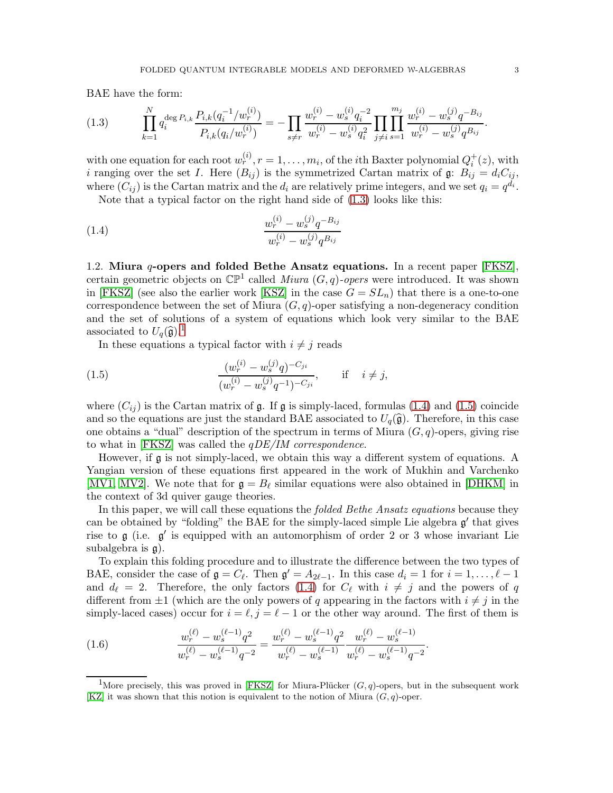BAE have the form:

<span id="page-2-0"></span>
$$
(1.3) \qquad \prod_{k=1}^{N} q_i^{\deg P_{i,k}} \frac{P_{i,k}(q_i^{-1}/w_r^{(i)})}{P_{i,k}(q_i/w_r^{(i)})} = -\prod_{s \neq r} \frac{w_r^{(i)} - w_s^{(i)} q_i^{-2}}{w_r^{(i)} - w_s^{(i)} q_i^2} \prod_{j \neq i} \prod_{s=1}^{m_j} \frac{w_r^{(i)} - w_s^{(j)} q^{-B_{ij}}}{w_r^{(i)} - w_s^{(j)} q^{B_{ij}}}
$$

with one equation for each root  $w_r^{(i)}$ ,  $r = 1, \ldots, m_i$ , of the *i*th Baxter polynomial  $Q_i^+(z)$ , with i ranging over the set I. Here  $(B_{ij})$  is the symmetrized Cartan matrix of  $\mathfrak{g}: B_{ij} = d_i C_{ij}$ , where  $(C_{ij})$  is the Cartan matrix and the  $d_i$  are relatively prime integers, and we set  $q_i = q^{d_i}$ .

 $\lambda$ 

Note that a typical factor on the right hand side of [\(1.3\)](#page-2-0) looks like this:

<span id="page-2-2"></span> $\mathcal{L}$ 

(1.4) 
$$
\frac{w_r^{(i)} - w_s^{(j)} q^{-B_{ij}}}{w_r^{(i)} - w_s^{(j)} q^{B_{ij}}}
$$

<span id="page-2-5"></span>1.2. Miura  $q$ -opers and folded Bethe Ansatz equations. In a recent paper [\[FKSZ\]](#page-67-5), certain geometric objects on  $\mathbb{CP}^1$  called *Miura*  $(G, q)$ -opers were introduced. It was shown in [\[FKSZ\]](#page-67-5) (see also the earlier work [\[KSZ\]](#page-68-3) in the case  $G = SL_n$ ) that there is a one-to-one correspondence between the set of Miura  $(G, q)$ -oper satisfying a non-degeneracy condition and the set of solutions of a system of equations which look very similar to the BAE associated to  $U_q(\widehat{\mathfrak{g}})$ .<sup>[1](#page-2-1)</sup>

<span id="page-2-3"></span>In these equations a typical factor with  $i \neq j$  reads

(1.5) 
$$
\frac{(w_r^{(i)} - w_s^{(j)}q)^{-C_{ji}}}{(w_r^{(i)} - w_s^{(j)}q^{-1})^{-C_{ji}}}, \quad \text{if} \quad i \neq j,
$$

where  $(C_{ij})$  is the Cartan matrix of g. If g is simply-laced, formulas [\(1.4\)](#page-2-2) and [\(1.5\)](#page-2-3) coincide and so the equations are just the standard BAE associated to  $U_q(\hat{\mathfrak{g}})$ . Therefore, in this case one obtains a "dual" description of the spectrum in terms of Miura  $(G, q)$ -opers, giving rise to what in [\[FKSZ\]](#page-67-5) was called the qDE/IM correspondence.

However, if  $\mathfrak g$  is not simply-laced, we obtain this way a different system of equations. A Yangian version of these equations first appeared in the work of Mukhin and Varchenko [\[MV1,](#page-68-4) [MV2\]](#page-68-5). We note that for  $\mathfrak{g} = B_{\ell}$  similar equations were also obtained in [\[DHKM\]](#page-67-6) in the context of 3d quiver gauge theories.

In this paper, we will call these equations the folded Bethe Ansatz equations because they can be obtained by "folding" the BAE for the simply-laced simple Lie algebra  $\mathfrak{g}'$  that gives rise to  $\mathfrak g$  (i.e.  $\mathfrak g'$  is equipped with an automorphism of order 2 or 3 whose invariant Lie subalgebra is g).

To explain this folding procedure and to illustrate the difference between the two types of BAE, consider the case of  $\mathfrak{g} = C_{\ell}$ . Then  $\mathfrak{g}' = A_{2\ell-1}$ . In this case  $d_i = 1$  for  $i = 1, ..., \ell - 1$ and  $d_{\ell} = 2$ . Therefore, the only factors [\(1.4\)](#page-2-2) for  $C_{\ell}$  with  $i \neq j$  and the powers of q different from  $\pm 1$  (which are the only powers of q appearing in the factors with  $i \neq j$  in the simply-laced cases) occur for  $i = \ell, j = \ell - 1$  or the other way around. The first of them is

<span id="page-2-4"></span>(1.6) 
$$
\frac{w_r^{(\ell)} - w_s^{(\ell-1)}q^2}{w_r^{(\ell)} - w_s^{(\ell-1)}q^{-2}} = \frac{w_r^{(\ell)} - w_s^{(\ell-1)}q^2}{w_r^{(\ell)} - w_s^{(\ell-1)}} \frac{w_r^{(\ell)} - w_s^{(\ell-1)}}{w_r^{(\ell)} - w_s^{(\ell-1)}q^{-2}}.
$$

.

<span id="page-2-1"></span><sup>&</sup>lt;sup>1</sup>More precisely, this was proved in [\[FKSZ\]](#page-67-5) for Miura-Plücker  $(G, q)$ -opers, but in the subsequent work  $|KZ|$  it was shown that this notion is equivalent to the notion of Miura  $(G, q)$ -oper.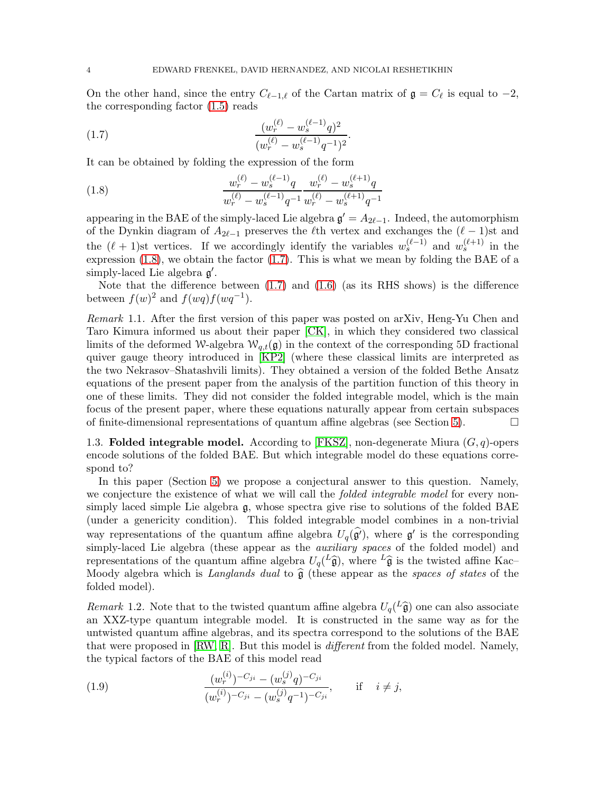On the other hand, since the entry  $C_{\ell-1,\ell}$  of the Cartan matrix of  $\mathfrak{g} = C_{\ell}$  is equal to  $-2$ , the corresponding factor [\(1.5\)](#page-2-3) reads

<span id="page-3-1"></span>(1.7) 
$$
\frac{(w_r^{(\ell)} - w_s^{(\ell-1)}q)^2}{(w_r^{(\ell)} - w_s^{(\ell-1)}q^{-1})^2}.
$$

It can be obtained by folding the expression of the form

<span id="page-3-0"></span>(1.8) 
$$
\frac{w_r^{(\ell)} - w_s^{(\ell-1)}q}{w_r^{(\ell)} - w_s^{(\ell-1)}q^{-1}} \frac{w_r^{(\ell)} - w_s^{(\ell+1)}q}{w_r^{(\ell)} - w_s^{(\ell+1)}q^{-1}}
$$

appearing in the BAE of the simply-laced Lie algebra  $\mathfrak{g}' = A_{2\ell-1}$ . Indeed, the automorphism of the Dynkin diagram of  $A_{2\ell-1}$  preserves the  $\ell$ th vertex and exchanges the  $(\ell-1)$ st and the  $(\ell + 1)$ st vertices. If we accordingly identify the variables  $w_s^{(\ell-1)}$  and  $w_s^{(\ell+1)}$  in the expression [\(1.8\)](#page-3-0), we obtain the factor  $(1.7)$ . This is what we mean by folding the BAE of a simply-laced Lie algebra  $\mathfrak{g}'$ .

Note that the difference between  $(1.7)$  and  $(1.6)$  (as its RHS shows) is the difference between  $f(w)^2$  and  $f(wq)f(wq^{-1})$ .

Remark 1.1. After the first version of this paper was posted on arXiv, Heng-Yu Chen and Taro Kimura informed us about their paper [\[CK\]](#page-67-7), in which they considered two classical limits of the deformed W-algebra  $W_{q,t}(\mathfrak{g})$  in the context of the corresponding 5D fractional quiver gauge theory introduced in [\[KP2\]](#page-68-7) (where these classical limits are interpreted as the two Nekrasov–Shatashvili limits). They obtained a version of the folded Bethe Ansatz equations of the present paper from the analysis of the partition function of this theory in one of these limits. They did not consider the folded integrable model, which is the main focus of the present paper, where these equations naturally appear from certain subspaces of finite-dimensional representations of quantum affine algebras (see Section [5\)](#page-20-0).  $\Box$ 

1.3. Folded integrable model. According to [\[FKSZ\]](#page-67-5), non-degenerate Miura  $(G, q)$ -opers encode solutions of the folded BAE. But which integrable model do these equations correspond to?

In this paper (Section [5\)](#page-20-0) we propose a conjectural answer to this question. Namely, we conjecture the existence of what we will call the *folded integrable model* for every nonsimply laced simple Lie algebra g, whose spectra give rise to solutions of the folded BAE (under a genericity condition). This folded integrable model combines in a non-trivial way representations of the quantum affine algebra  $U_q(\widehat{g}')$ , where  $g'$  is the corresponding simply-laced Lie algebra (these appear as the *auxiliary spaces* of the folded model) and representations of the quantum affine algebra  $U_q^{\dagger}(\hat{\theta})$ , where  $^L\hat{\theta}$  is the twisted affine Kac– Moody algebra which is Langlands dual to  $\hat{\mathfrak{g}}$  (these appear as the spaces of states of the folded model).

Remark 1.2. Note that to the twisted quantum affine algebra  $U_q(\frac{L}{\mathfrak{g}})$  one can also associate an XXZ-type quantum integrable model. It is constructed in the same way as for the untwisted quantum affine algebras, and its spectra correspond to the solutions of the BAE that were proposed in [\[RW,](#page-68-1) [R\]](#page-68-2). But this model is different from the folded model. Namely, the typical factors of the BAE of this model read

(1.9) 
$$
\frac{(w_r^{(i)})^{-C_{ji}} - (w_s^{(j)}q)^{-C_{ji}}}{(w_r^{(i)})^{-C_{ji}} - (w_s^{(j)}q^{-1})^{-C_{ji}}}, \quad \text{if} \quad i \neq j,
$$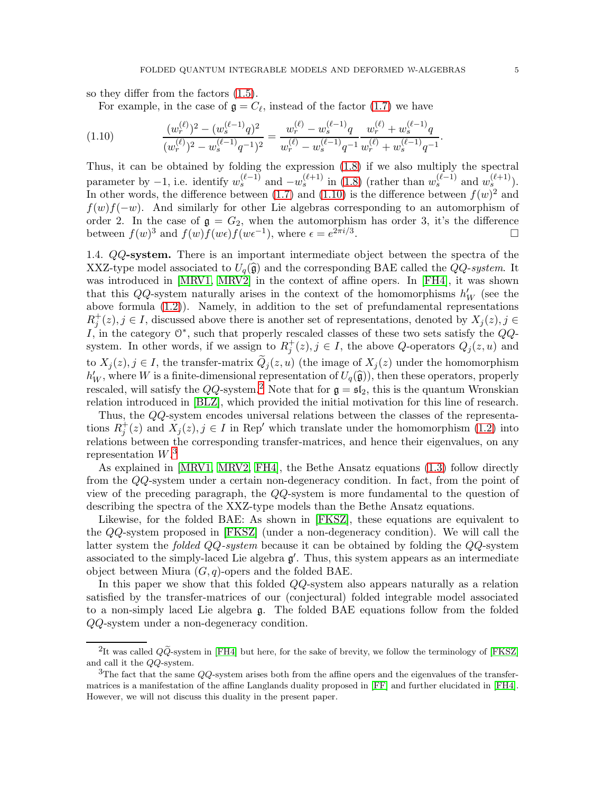so they differ from the factors [\(1.5\)](#page-2-3).

<span id="page-4-0"></span>For example, in the case of  $\mathfrak{g} = C_{\ell}$ , instead of the factor [\(1.7\)](#page-3-1) we have

$$
(1.10) \qquad \frac{(w_r^{(\ell)})^2 - (w_s^{(\ell-1)}q)^2}{(w_r^{(\ell)})^2 - w_s^{(\ell-1)}q^{-1})^2} = \frac{w_r^{(\ell)} - w_s^{(\ell-1)}q}{w_r^{(\ell)} - w_s^{(\ell-1)}q^{-1}} \frac{w_r^{(\ell)} + w_s^{(\ell-1)}q}{w_r^{(\ell)} + w_s^{(\ell-1)}q^{-1}}.
$$

Thus, it can be obtained by folding the expression [\(1.8\)](#page-3-0) if we also multiply the spectral parameter by  $-1$ , i.e. identify  $w_s^{(\ell-1)}$  and  $-w_s^{(\ell+1)}$  in [\(1.8\)](#page-3-0) (rather than  $w_s^{(\ell-1)}$  and  $w_s^{(\ell+1)}$ ). In other words, the difference between [\(1.7\)](#page-3-1) and [\(1.10\)](#page-4-0) is the difference between  $f(w)^2$  and  $f(w)f(-w)$ . And similarly for other Lie algebras corresponding to an automorphism of order 2. In the case of  $g = G_2$ , when the automorphism has order 3, it's the difference between  $f(w)^3$  and  $f(w)f(w\epsilon) f(w\epsilon^{-1})$ , where  $\epsilon = e^{2\pi i/3}$ .

1.4. QQ-system. There is an important intermediate object between the spectra of the XXZ-type model associated to  $U_q(\hat{\mathfrak{g}})$  and the corresponding BAE called the QQ-system. It was introduced in [\[MRV1,](#page-68-8) [MRV2\]](#page-68-9) in the context of affine opers. In [\[FH4\]](#page-67-3), it was shown that this  $QQ$ -system naturally arises in the context of the homomorphisms  $h'_W$  (see the above formula [\(1.2\)](#page-1-0)). Namely, in addition to the set of prefundamental representations  $R_j^+(z), j \in I$ , discussed above there is another set of representations, denoted by  $X_j(z), j \in$ I, in the category  $\mathbb{O}^*$ , such that properly rescaled classes of these two sets satisfy the  $QQ$ system. In other words, if we assign to  $R_j^+(z)$ ,  $j \in I$ , the above Q-operators  $Q_j(z, u)$  and to  $X_j(z)$ ,  $j \in I$ , the transfer-matrix  $\tilde{Q}_j(z, u)$  (the image of  $X_j(z)$  under the homomorphism  $h'_W$ , where W is a finite-dimensional representation of  $U_q(\hat{\mathfrak{g}})$ , then these operators, properly rescaled, will satisfy the  $QQ$ -system.<sup>[2](#page-4-1)</sup> Note that for  $\mathfrak{g} = \mathfrak{sl}_2$ , this is the quantum Wronskian relation introduced in [\[BLZ\]](#page-66-2), which provided the initial motivation for this line of research.

Thus, the QQ-system encodes universal relations between the classes of the representations  $R_j^+(z)$  and  $X_j(z)$ ,  $j \in I$  in Rep' which translate under the homomorphism [\(1.2\)](#page-1-0) into relations between the corresponding transfer-matrices, and hence their eigenvalues, on any representation  $W^3$  $W^3$ 

As explained in [\[MRV1,](#page-68-8) [MRV2,](#page-68-9) [FH4\]](#page-67-3), the Bethe Ansatz equations [\(1.3\)](#page-2-0) follow directly from the QQ-system under a certain non-degeneracy condition. In fact, from the point of view of the preceding paragraph, the QQ-system is more fundamental to the question of describing the spectra of the XXZ-type models than the Bethe Ansatz equations.

Likewise, for the folded BAE: As shown in [\[FKSZ\]](#page-67-5), these equations are equivalent to the QQ-system proposed in [\[FKSZ\]](#page-67-5) (under a non-degeneracy condition). We will call the latter system the *folded QQ-system* because it can be obtained by folding the  $QQ$ -system associated to the simply-laced Lie algebra  $g'$ . Thus, this system appears as an intermediate object between Miura  $(G, q)$ -opers and the folded BAE.

In this paper we show that this folded QQ-system also appears naturally as a relation satisfied by the transfer-matrices of our (conjectural) folded integrable model associated to a non-simply laced Lie algebra g. The folded BAE equations follow from the folded QQ-system under a non-degeneracy condition.

<span id="page-4-1"></span><sup>&</sup>lt;sup>2</sup>It was called  $Q\widetilde{Q}$ -system in [\[FH4\]](#page-67-3) but here, for the sake of brevity, we follow the terminology of [\[FKSZ\]](#page-67-5) and call it the QQ-system.

<span id="page-4-2"></span><sup>&</sup>lt;sup>3</sup>The fact that the same  $QQ$ -system arises both from the affine opers and the eigenvalues of the transfermatrices is a manifestation of the affine Langlands duality proposed in [\[FF\]](#page-67-8) and further elucidated in [\[FH4\]](#page-67-3). However, we will not discuss this duality in the present paper.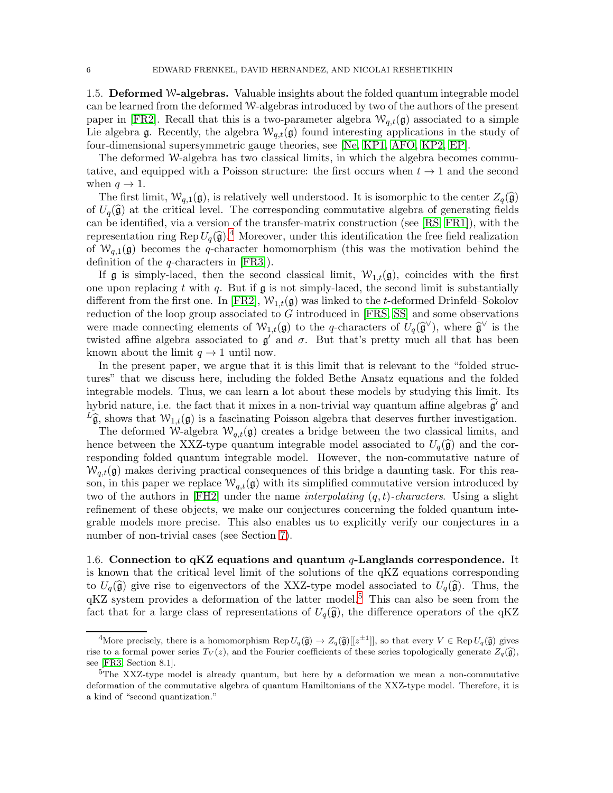1.5. Deformed W-algebras. Valuable insights about the folded quantum integrable model can be learned from the deformed W-algebras introduced by two of the authors of the present paper in [\[FR2\]](#page-67-9). Recall that this is a two-parameter algebra  $W_{q,t}(\mathfrak{g})$  associated to a simple Lie algebra g. Recently, the algebra  $W_{q,t}(g)$  found interesting applications in the study of four-dimensional supersymmetric gauge theories, see [\[Ne,](#page-68-10) [KP1,](#page-68-11) [AFO,](#page-66-3) [KP2,](#page-68-7) [EP\]](#page-67-10).

The deformed W-algebra has two classical limits, in which the algebra becomes commutative, and equipped with a Poisson structure: the first occurs when  $t \to 1$  and the second when  $q \rightarrow 1$ .

The first limit,  $W_{q,1}(\mathfrak{g})$ , is relatively well understood. It is isomorphic to the center  $Z_q(\widehat{\mathfrak{g}})$ of  $U_q(\hat{\mathfrak{g}})$  at the critical level. The corresponding commutative algebra of generating fields can be identified, via a version of the transfer-matrix construction (see [\[RS,](#page-68-12) [FR1\]](#page-67-11)), with the representation ring Rep  $U_q(\hat{\mathfrak{g}})$ .<sup>[4](#page-5-0)</sup> Moreover, under this identification the free field realization of  $W_{q,1}(\mathfrak{g})$  becomes the q-character homomorphism (this was the motivation behind the definition of the q-characters in [\[FR3\]](#page-67-0)).

If g is simply-laced, then the second classical limit,  $W_{1,t}(\mathfrak{g})$ , coincides with the first one upon replacing t with q. But if  $\mathfrak g$  is not simply-laced, the second limit is substantially different from the first one. In [\[FR2\]](#page-67-9),  $\mathcal{W}_{1,t}(\mathfrak{g})$  was linked to the t-deformed Drinfeld–Sokolov reduction of the loop group associated to G introduced in [\[FRS,](#page-67-12) [SS\]](#page-68-13) and some observations were made connecting elements of  $W_{1,t}(\mathfrak{g})$  to the q-characters of  $U_q(\widehat{\mathfrak{g}}^{\vee})$ , where  $\widehat{\mathfrak{g}}^{\vee}$  is the twisted affine algebra associated to  $\mathfrak{g}'$  and  $\sigma$ . But that's pretty much all that has been known about the limit  $q \to 1$  until now.

In the present paper, we argue that it is this limit that is relevant to the "folded structures" that we discuss here, including the folded Bethe Ansatz equations and the folded integrable models. Thus, we can learn a lot about these models by studying this limit. Its hybrid nature, i.e. the fact that it mixes in a non-trivial way quantum affine algebras  $g'$  and  $L_{\hat{\mathbf{g}}}$ , shows that  $W_{1,t}(\mathbf{g})$  is a fascinating Poisson algebra that deserves further investigation.

The deformed W-algebra  $W_{a,t}(\mathfrak{g})$  creates a bridge between the two classical limits, and hence between the XXZ-type quantum integrable model associated to  $U_q(\hat{\mathfrak{g}})$  and the corresponding folded quantum integrable model. However, the non-commutative nature of  $W_{q,t}(\mathfrak{g})$  makes deriving practical consequences of this bridge a daunting task. For this reason, in this paper we replace  $W_{q,t}(\mathfrak{g})$  with its simplified commutative version introduced by two of the authors in  $[FH2]$  under the name *interpolating*  $(q, t)$ -*characters*. Using a slight refinement of these objects, we make our conjectures concerning the folded quantum integrable models more precise. This also enables us to explicitly verify our conjectures in a number of non-trivial cases (see Section [7\)](#page-42-0).

1.6. Connection to qKZ equations and quantum  $q$ -Langlands correspondence. It is known that the critical level limit of the solutions of the qKZ equations corresponding to  $U_q(\hat{\mathfrak{g}})$  give rise to eigenvectors of the XXZ-type model associated to  $U_q(\hat{\mathfrak{g}})$ . Thus, the  $qKZ$  system provides a deformation of the latter model.<sup>[5](#page-5-1)</sup> This can also be seen from the fact that for a large class of representations of  $U_q(\hat{g})$ , the difference operators of the qKZ

<span id="page-5-0"></span><sup>&</sup>lt;sup>4</sup>More precisely, there is a homomorphism Rep  $U_q(\widehat{\mathfrak{g}}) \to Z_q(\widehat{\mathfrak{g}})[[z^{\pm 1}]]$ , so that every  $V \in \text{Rep } U_q(\widehat{\mathfrak{g}})$  gives rise to a formal power series  $T_V(z)$ , and the Fourier coefficients of these series topologically generate  $Z_q(\hat{\mathfrak{g}})$ , see [\[FR3,](#page-67-0) Section 8.1].

<span id="page-5-1"></span><sup>&</sup>lt;sup>5</sup>The XXZ-type model is already quantum, but here by a deformation we mean a non-commutative deformation of the commutative algebra of quantum Hamiltonians of the XXZ-type model. Therefore, it is a kind of "second quantization."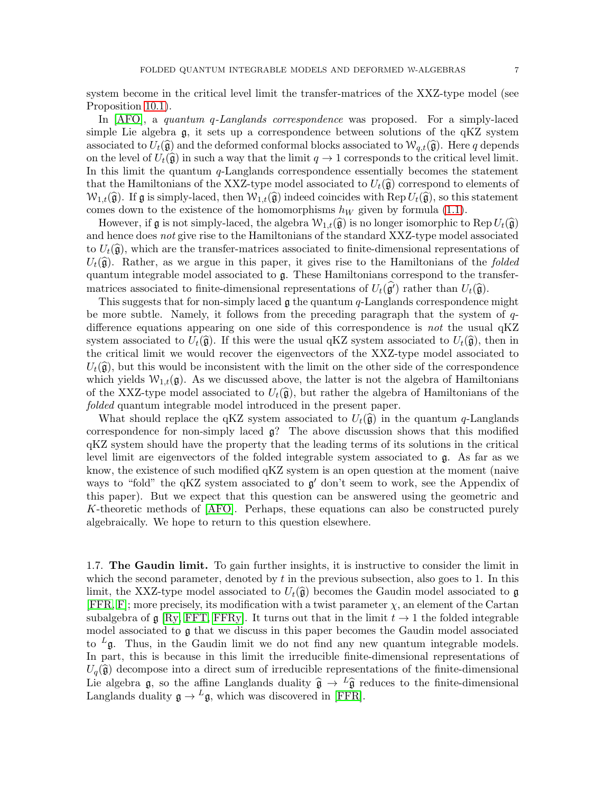system become in the critical level limit the transfer-matrices of the XXZ-type model (see Proposition [10.1\)](#page-65-0).

In [\[AFO\]](#page-66-3), a quantum q-Langlands correspondence was proposed. For a simply-laced simple Lie algebra g, it sets up a correspondence between solutions of the qKZ system associated to  $U_t(\widehat{\mathfrak{g}})$  and the deformed conformal blocks associated to  $\mathcal{W}_{q,t}(\widehat{\mathfrak{g}})$ . Here q depends on the level of  $U_t(\hat{\mathfrak{g}})$  in such a way that the limit  $q \to 1$  corresponds to the critical level limit. In this limit the quantum  $q$ -Langlands correspondence essentially becomes the statement that the Hamiltonians of the XXZ-type model associated to  $U_t(\widehat{\mathfrak{g}})$  correspond to elements of  $W_{1,t}(\hat{\mathfrak{g}})$ . If  $\mathfrak g$  is simply-laced, then  $W_{1,t}(\hat{\mathfrak g})$  indeed coincides with Rep  $U_t(\hat{\mathfrak g})$ , so this statement comes down to the existence of the homomorphisms  $h_W$  given by formula [\(1.1\)](#page-1-1).

However, if g is not simply-laced, the algebra  $W_{1,t}(\hat{\mathfrak{g}})$  is no longer isomorphic to Rep  $U_t(\hat{\mathfrak{g}})$ and hence does not give rise to the Hamiltonians of the standard XXZ-type model associated to  $U_t(\hat{\mathfrak{g}})$ , which are the transfer-matrices associated to finite-dimensional representations of  $U_t(\hat{\mathfrak{g}})$ . Rather, as we argue in this paper, it gives rise to the Hamiltonians of the folded quantum integrable model associated to g. These Hamiltonians correspond to the transfermatrices associated to finite-dimensional representations of  $U_t(\mathfrak{g}')$  rather than  $U_t(\hat{\mathfrak{g}})$ .

This suggests that for non-simply laced  $\mathfrak g$  the quantum q-Langlands correspondence might be more subtle. Namely, it follows from the preceding paragraph that the system of qdifference equations appearing on one side of this correspondence is not the usual qKZ system associated to  $U_t(\hat{\mathfrak{g}})$ . If this were the usual qKZ system associated to  $U_t(\hat{\mathfrak{g}})$ , then in the critical limit we would recover the eigenvectors of the XXZ-type model associated to  $U_t(\widehat{\mathfrak{g}})$ , but this would be inconsistent with the limit on the other side of the correspondence which yields  $W_{1,t}(\mathfrak{g})$ . As we discussed above, the latter is not the algebra of Hamiltonians of the XXZ-type model associated to  $U_t(\widehat{\mathfrak{g}})$ , but rather the algebra of Hamiltonians of the folded quantum integrable model introduced in the present paper.

What should replace the qKZ system associated to  $U_t(\hat{\mathfrak{g}})$  in the quantum q-Langlands correspondence for non-simply laced g? The above discussion shows that this modified qKZ system should have the property that the leading terms of its solutions in the critical level limit are eigenvectors of the folded integrable system associated to g. As far as we know, the existence of such modified qKZ system is an open question at the moment (naive ways to "fold" the qKZ system associated to  $g'$  don't seem to work, see the Appendix of this paper). But we expect that this question can be answered using the geometric and K-theoretic methods of [\[AFO\]](#page-66-3). Perhaps, these equations can also be constructed purely algebraically. We hope to return to this question elsewhere.

1.7. The Gaudin limit. To gain further insights, it is instructive to consider the limit in which the second parameter, denoted by  $t$  in the previous subsection, also goes to 1. In this limit, the XXZ-type model associated to  $U_t(\hat{\mathfrak{g}})$  becomes the Gaudin model associated to g  $[FFR, F]$  $[FFR, F]$ ; more precisely, its modification with a twist parameter  $\chi$ , an element of the Cartan subalgebra of g [\[Ry,](#page-68-14) [FFT,](#page-67-16) [FFRy\]](#page-67-17). It turns out that in the limit  $t \to 1$  the folded integrable model associated to g that we discuss in this paper becomes the Gaudin model associated to  $L_{\mathfrak{g}}$ . Thus, in the Gaudin limit we do not find any new quantum integrable models. In part, this is because in this limit the irreducible finite-dimensional representations of  $U_q(\hat{\mathfrak{g}})$  decompose into a direct sum of irreducible representations of the finite-dimensional Lie algebra g, so the affine Langlands duality  $\hat{g} \rightarrow L\hat{g}$  reduces to the finite-dimensional Langlands duality  $\mathfrak{g} \to L \mathfrak{g}$ , which was discovered in [\[FFR\]](#page-67-14).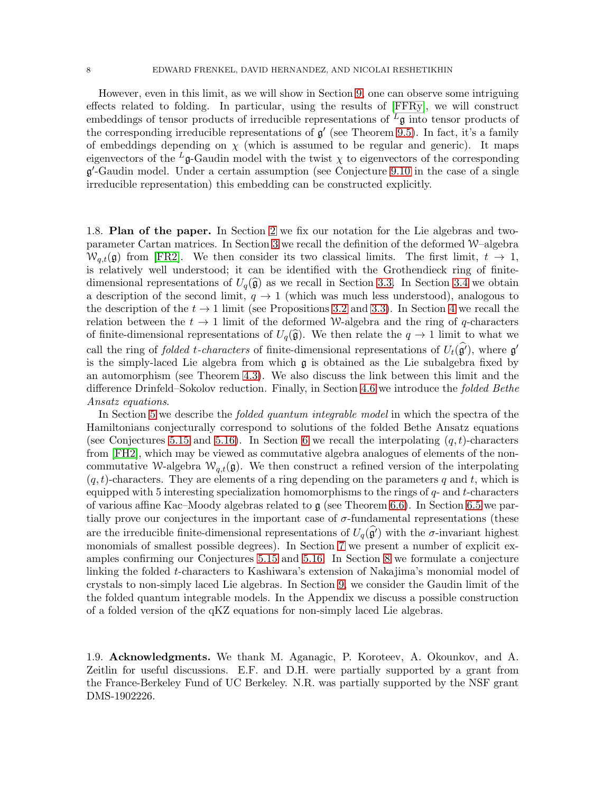However, even in this limit, as we will show in Section [9,](#page-52-0) one can observe some intriguing effects related to folding. In particular, using the results of [\[FFRy\]](#page-67-17), we will construct embeddings of tensor products of irreducible representations of  $L_g$  into tensor products of the corresponding irreducible representations of  $g'$  (see Theorem [9.5\)](#page-57-0). In fact, it's a family of embeddings depending on  $\chi$  (which is assumed to be regular and generic). It maps eigenvectors of the <sup>L</sup>g-Gaudin model with the twist  $\chi$  to eigenvectors of the corresponding g ′ -Gaudin model. Under a certain assumption (see Conjecture [9.10](#page-61-0) in the case of a single irreducible representation) this embedding can be constructed explicitly.

1.8. Plan of the paper. In Section [2](#page-8-0) we fix our notation for the Lie algebras and twoparameter Cartan matrices. In Section [3](#page-10-0) we recall the definition of the deformed W–algebra  $W_{q,t}(\mathfrak{g})$  from [\[FR2\]](#page-67-9). We then consider its two classical limits. The first limit,  $t \to 1$ , is relatively well understood; it can be identified with the Grothendieck ring of finitedimensional representations of  $U_q(\hat{\mathfrak{g}})$  as we recall in Section [3.3.](#page-12-0) In Section [3.4](#page-13-0) we obtain a description of the second limit,  $q \to 1$  (which was much less understood), analogous to the description of the  $t \to 1$  limit (see Propositions [3.2](#page-13-1) and [3.3\)](#page-13-2). In Section [4](#page-14-0) we recall the relation between the  $t \to 1$  limit of the deformed W-algebra and the ring of q-characters of finite-dimensional representations of  $U_q(\hat{\mathfrak{g}})$ . We then relate the  $q \to 1$  limit to what we call the ring of *folded t-characters* of finite-dimensional representations of  $U_t(\hat{\mathfrak{g}}')$ , where  $\mathfrak{g}'$ is the simply-laced Lie algebra from which g is obtained as the Lie subalgebra fixed by an automorphism (see Theorem [4.3\)](#page-18-0). We also discuss the link between this limit and the difference Drinfeld–Sokolov reduction. Finally, in Section [4.6](#page-19-0) we introduce the folded Bethe Ansatz equations.

In Section [5](#page-20-0) we describe the *folded quantum integrable model* in which the spectra of the Hamiltonians conjecturally correspond to solutions of the folded Bethe Ansatz equations (see Conjectures [5.15](#page-26-0) and [5.16\)](#page-27-0). In Section [6](#page-33-0) we recall the interpolating  $(q, t)$ -characters from [\[FH2\]](#page-67-13), which may be viewed as commutative algebra analogues of elements of the noncommutative W-algebra  $W_{q,t}(\mathfrak{g})$ . We then construct a refined version of the interpolating  $(q, t)$ -characters. They are elements of a ring depending on the parameters q and t, which is equipped with 5 interesting specialization homomorphisms to the rings of  $q$ - and t-characters of various affine Kac–Moody algebras related to  $\mathfrak g$  (see Theorem [6.6\)](#page-37-0). In Section [6.5](#page-40-0) we partially prove our conjectures in the important case of  $\sigma$ -fundamental representations (these are the irreducible finite-dimensional representations of  $U_q(\hat{g}')$  with the  $\sigma$ -invariant highest monomials of smallest possible degrees). In Section [7](#page-42-0) we present a number of explicit examples confirming our Conjectures [5.15](#page-26-0) and [5.16.](#page-27-0) In Section [8](#page-49-0) we formulate a conjecture linking the folded t-characters to Kashiwara's extension of Nakajima's monomial model of crystals to non-simply laced Lie algebras. In Section [9,](#page-52-0) we consider the Gaudin limit of the the folded quantum integrable models. In the Appendix we discuss a possible construction of a folded version of the qKZ equations for non-simply laced Lie algebras.

1.9. Acknowledgments. We thank M. Aganagic, P. Koroteev, A. Okounkov, and A. Zeitlin for useful discussions. E.F. and D.H. were partially supported by a grant from the France-Berkeley Fund of UC Berkeley. N.R. was partially supported by the NSF grant DMS-1902226.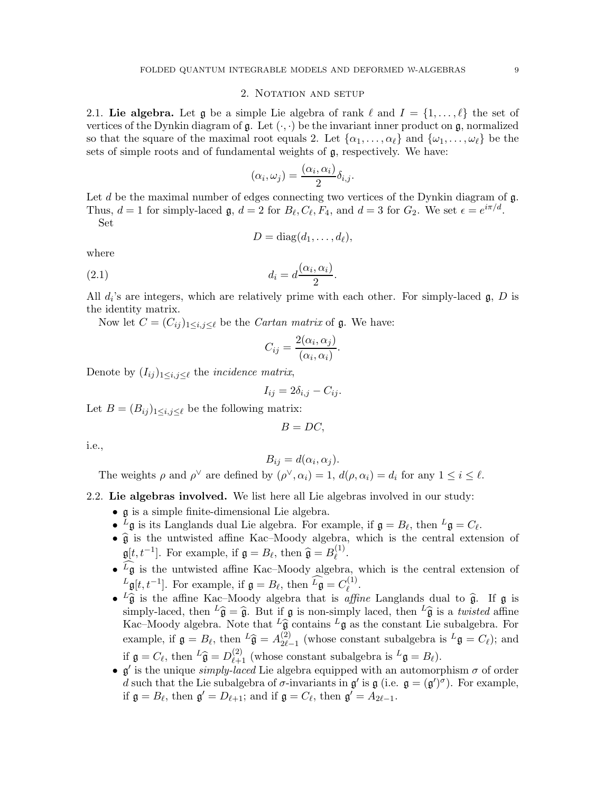## 2. NOTATION AND SETUP

<span id="page-8-0"></span>2.1. Lie algebra. Let g be a simple Lie algebra of rank  $\ell$  and  $I = \{1, \ldots, \ell\}$  the set of vertices of the Dynkin diagram of  $\mathfrak{g}$ . Let  $(\cdot, \cdot)$  be the invariant inner product on  $\mathfrak{g}$ , normalized so that the square of the maximal root equals 2. Let  $\{\alpha_1, \ldots, \alpha_\ell\}$  and  $\{\omega_1, \ldots, \omega_\ell\}$  be the sets of simple roots and of fundamental weights of g, respectively. We have:

$$
(\alpha_i, \omega_j) = \frac{(\alpha_i, \alpha_i)}{2} \delta_{i,j}.
$$

Let d be the maximal number of edges connecting two vertices of the Dynkin diagram of  $\mathfrak{g}$ . Thus,  $d = 1$  for simply-laced  $\mathfrak{g}, d = 2$  for  $B_{\ell}, C_{\ell}, F_4$ , and  $d = 3$  for  $G_2$ . We set  $\epsilon = e^{i\pi/d}$ .

Set

$$
D = \text{diag}(d_1, \ldots, d_\ell),
$$

where

$$
(2.1) \t\t d_i = d \frac{(\alpha_i, \alpha_i)}{2}.
$$

All  $d_i$ 's are integers, which are relatively prime with each other. For simply-laced  $\mathfrak{g}, D$  is the identity matrix.

Now let  $C = (C_{ij})_{1 \le i,j \le \ell}$  be the *Cartan matrix* of **g**. We have:

$$
C_{ij} = \frac{2(\alpha_i, \alpha_j)}{(\alpha_i, \alpha_i)}.
$$

Denote by  $(I_{ij})_{1\leq i,j\leq\ell}$  the *incidence matrix*,

$$
I_{ij} = 2\delta_{i,j} - C_{ij}.
$$

Let  $B = (B_{ij})_{1 \leq i,j \leq \ell}$  be the following matrix:

 $B = DC$ .

i.e.,

$$
B_{ij} = d(\alpha_i, \alpha_j).
$$

The weights  $\rho$  and  $\rho^{\vee}$  are defined by  $(\rho^{\vee}, \alpha_i) = 1$ ,  $d(\rho, \alpha_i) = d_i$  for any  $1 \leq i \leq \ell$ .

### <span id="page-8-1"></span>2.2. Lie algebras involved. We list here all Lie algebras involved in our study:

- g is a simple finite-dimensional Lie algebra.
- $^L$ **g** is its Langlands dual Lie algebra. For example, if  $\mathfrak{g} = B_{\ell}$ , then  $^L$ **g** =  $C_{\ell}$ .
- $\bullet$   $\hat{g}$  is the untwisted affine Kac–Moody algebra, which is the central extension of  $\mathfrak{g}[t, t^{-1}]$ . For example, if  $\mathfrak{g} = B_{\ell}$ , then  $\widehat{\mathfrak{g}} = B_{\ell}^{(1)}$  $\stackrel{(1)}{\ell}$ .
- $\bullet$   $^L$ g is the untwisted affine Kac–Moody algebra, which is the central extension of  $L_{\mathfrak{g}}[t, t^{-1}]$ . For example, if  $\mathfrak{g} = B_{\ell}$ , then  $\widehat{L_{\mathfrak{g}}} = C_{\ell}^{(1)}$  $\stackrel{\scriptscriptstyle(1)}{\ell}$ .
- ${}^{L}\hat{\mathfrak{g}}$  is the affine Kac–Moody algebra that is *affine* Langlands dual to  $\hat{\mathfrak{g}}$ . If  $\mathfrak{g}$  is simply-laced, then  $L\hat{\mathfrak{g}} = \hat{\mathfrak{g}}$ . But if  $\mathfrak{g}$  is non-simply laced, then  $L\hat{\mathfrak{g}}$  is a twisted affine Kac–Moody algebra. Note that  $L\hat{\mathfrak{g}}$  contains  $L\mathfrak{g}$  as the constant Lie subalgebra. For example, if  $\mathfrak{g} = B_{\ell}$ , then  ${}^{L}\widehat{\mathfrak{g}} = A_{2\ell}^{(2)}$ .  $2^{(2)}_{2\ell-1}$  (whose constant subalgebra is  $^L\mathfrak{g} = C_{\ell}$ ); and if  $\mathfrak{g} = C_{\ell}$ , then  ${}^{L}\widehat{\mathfrak{g}} = D_{\ell+1}^{(2)}$  (whose constant subalgebra is  ${}^{L}\mathfrak{g} = B_{\ell}$ ).
- $\mathfrak{g}'$  is the unique *simply-laced* Lie algebra equipped with an automorphism  $\sigma$  of order d such that the Lie subalgebra of  $\sigma$ -invariants in  $\mathfrak{g}'$  is  $\mathfrak{g}$  (i.e.  $\mathfrak{g} = (\mathfrak{g}')^{\sigma}$ ). For example, if  $\mathfrak{g} = B_{\ell}$ , then  $\mathfrak{g}' = D_{\ell+1}$ ; and if  $\mathfrak{g} = C_{\ell}$ , then  $\mathfrak{g}' = A_{2\ell-1}$ .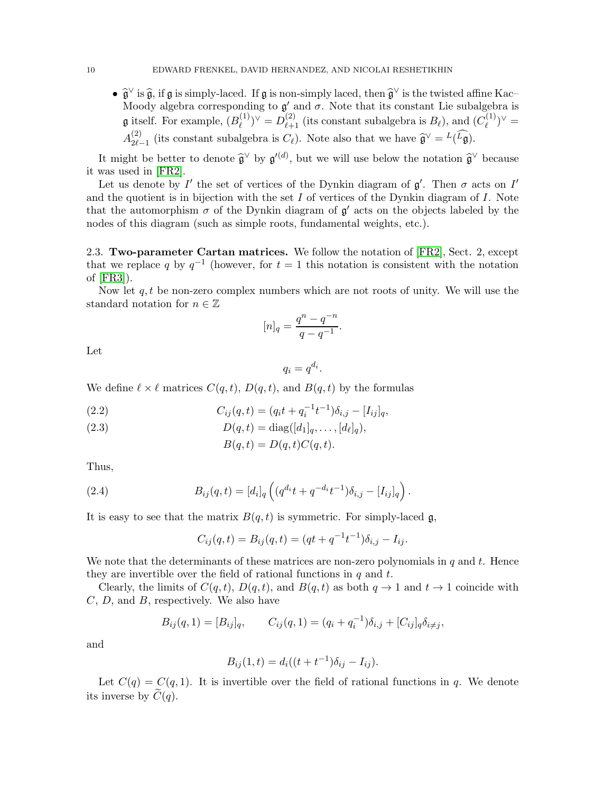•  $\hat{\mathfrak{g}}^{\vee}$  is  $\hat{\mathfrak{g}}$ , if  $\mathfrak{g}$  is simply-laced. If  $\mathfrak{g}$  is non-simply laced, then  $\hat{\mathfrak{g}}^{\vee}$  is the twisted affine Kac– Moody algebra corresponding to  $\mathfrak{g}'$  and  $\sigma$ . Note that its constant Lie subalgebra is **g** itself. For example,  $(B_{\ell}^{(1)})$  $(D_{\ell}^{(1)})^{\vee} = D_{\ell+1}^{(2)}$  (its constant subalgebra is  $B_{\ell}$ ), and  $(C_{\ell}^{(1)})$  $\binom{1}{\ell}^{\vee}$  =  $A_{2\ell}^{(2)}$  $2l_{2\ell-1}$  (its constant subalgebra is  $C_{\ell}$ ). Note also that we have  $\hat{\mathfrak{g}}^{\vee} = L(L\mathfrak{g})$ .

It might be better to denote  $\widehat{\mathfrak{g}}^{\vee}$  by  $\mathfrak{g}'^{(d)}$ , but we will use below the notation  $\widehat{\mathfrak{g}}^{\vee}$  because it was used in [\[FR2\]](#page-67-9).

Let us denote by  $I'$  the set of vertices of the Dynkin diagram of  $\mathfrak{g}'$ . Then  $\sigma$  acts on  $I'$ and the quotient is in bijection with the set  $I$  of vertices of the Dynkin diagram of  $I$ . Note that the automorphism  $\sigma$  of the Dynkin diagram of  $\mathfrak{g}'$  acts on the objects labeled by the nodes of this diagram (such as simple roots, fundamental weights, etc.).

2.3. Two-parameter Cartan matrices. We follow the notation of [\[FR2\]](#page-67-9), Sect. 2, except that we replace q by  $q^{-1}$  (however, for  $t = 1$  this notation is consistent with the notation of [\[FR3\]](#page-67-0)).

Now let  $q, t$  be non-zero complex numbers which are not roots of unity. We will use the standard notation for  $n \in \mathbb{Z}$ 

$$
[n]_q = \frac{q^n - q^{-n}}{q - q^{-1}}.
$$

Let

$$
q_i = q^{d_i}.
$$

We define  $\ell \times \ell$  matrices  $C(q,t)$ ,  $D(q,t)$ , and  $B(q,t)$  by the formulas

(2.2) 
$$
C_{ij}(q,t) = (q_i t + q_i^{-1} t^{-1}) \delta_{i,j} - [I_{ij}]_q,
$$

(2.3) 
$$
D(q,t) = \text{diag}([d_1]_q, \dots, [d_\ell]_q),
$$

$$
B(q, t) = D(q, t)C(q, t).
$$

Thus,

(2.4) 
$$
B_{ij}(q,t) = [d_i]_q \left( (q^{d_i}t + q^{-d_i}t^{-1}) \delta_{i,j} - [I_{ij}]_q \right).
$$

It is easy to see that the matrix  $B(q, t)$  is symmetric. For simply-laced  $\mathfrak{g}$ ,

$$
C_{ij}(q,t) = B_{ij}(q,t) = (qt + q^{-1}t^{-1})\delta_{i,j} - I_{ij}.
$$

We note that the determinants of these matrices are non-zero polynomials in  $q$  and  $t$ . Hence they are invertible over the field of rational functions in  $q$  and  $t$ .

Clearly, the limits of  $C(q, t)$ ,  $D(q, t)$ , and  $B(q, t)$  as both  $q \to 1$  and  $t \to 1$  coincide with  $C, D, \text{ and } B,$  respectively. We also have

$$
B_{ij}(q,1) = [B_{ij}]_q, \qquad C_{ij}(q,1) = (q_i + q_i^{-1})\delta_{i,j} + [C_{ij}]_q \delta_{i \neq j},
$$

and

$$
B_{ij}(1,t) = d_i((t + t^{-1})\delta_{ij} - I_{ij}).
$$

Let  $C(q) = C(q, 1)$ . It is invertible over the field of rational functions in q. We denote its inverse by  $C(q)$ .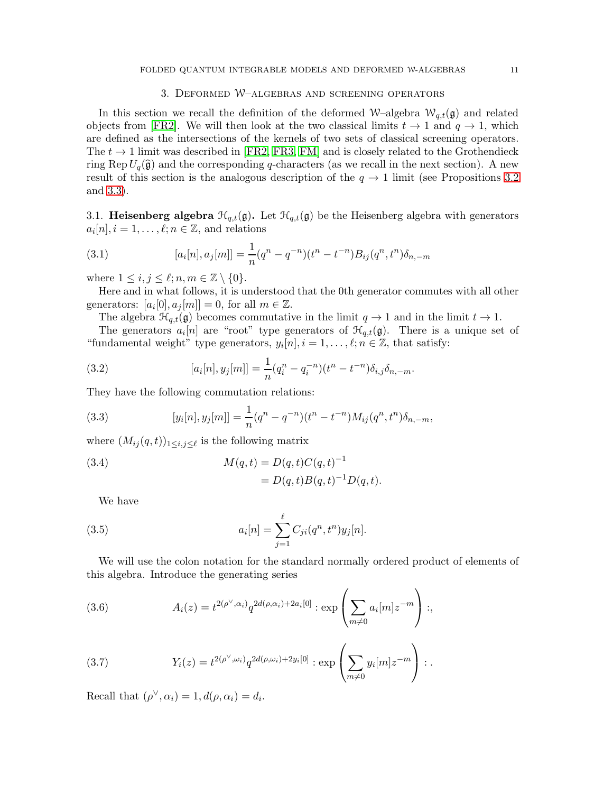# 3. Deformed W–algebras and screening operators

<span id="page-10-0"></span>In this section we recall the definition of the deformed W–algebra  $W_{q,t}(\mathfrak{g})$  and related objects from [\[FR2\]](#page-67-9). We will then look at the two classical limits  $t \to 1$  and  $q \to 1$ , which are defined as the intersections of the kernels of two sets of classical screening operators. The  $t \to 1$  limit was described in [\[FR2,](#page-67-9) [FR3,](#page-67-0) [FM\]](#page-67-18) and is closely related to the Grothendieck ring Rep  $U_q(\hat{\mathfrak{g}})$  and the corresponding q-characters (as we recall in the next section). A new result of this section is the analogous description of the  $q \to 1$  limit (see Propositions [3.2](#page-13-1)) and [3.3\)](#page-13-2).

3.1. **Heisenberg algebra**  $\mathcal{H}_{q,t}(\mathfrak{g})$ . Let  $\mathcal{H}_{q,t}(\mathfrak{g})$  be the Heisenberg algebra with generators  $a_i[n], i = 1, \ldots, \ell; n \in \mathbb{Z}$ , and relations

(3.1) 
$$
[a_i[n], a_j[m]] = \frac{1}{n}(q^n - q^{-n})(t^n - t^{-n})B_{ij}(q^n, t^n)\delta_{n,-m}
$$

where  $1 \leq i, j \leq \ell; n, m \in \mathbb{Z} \setminus \{0\}.$ 

Here and in what follows, it is understood that the 0th generator commutes with all other generators:  $[a_i[0], a_j[m]] = 0$ , for all  $m \in \mathbb{Z}$ .

The algebra  $\mathcal{H}_{q,t}(\mathfrak{g})$  becomes commutative in the limit  $q \to 1$  and in the limit  $t \to 1$ .

The generators  $a_i[n]$  are "root" type generators of  $\mathcal{H}_{q,t}(\mathfrak{g})$ . There is a unique set of "fundamental weight" type generators,  $y_i[n], i = 1, \ldots, \ell; n \in \mathbb{Z}$ , that satisfy:

(3.2) 
$$
[a_i[n], y_j[m]] = \frac{1}{n}(q_i^n - q_i^{-n})(t^n - t^{-n})\delta_{i,j}\delta_{n,-m}.
$$

They have the following commutation relations:

(3.3) 
$$
[y_i[n], y_j[m]] = \frac{1}{n}(q^n - q^{-n})(t^n - t^{-n})M_{ij}(q^n, t^n)\delta_{n,-m},
$$

where  $(M_{ij}(q,t))_{1\leq i,j\leq\ell}$  is the following matrix

(3.4) 
$$
M(q,t) = D(q,t)C(q,t)^{-1}
$$

$$
= D(q,t)B(q,t)^{-1}D(q,t).
$$

<span id="page-10-1"></span>We have

(3.5) 
$$
a_i[n] = \sum_{j=1}^{\ell} C_{ji}(q^n, t^n) y_j[n].
$$

We will use the colon notation for the standard normally ordered product of elements of this algebra. Introduce the generating series

<span id="page-10-2"></span>(3.6) 
$$
A_i(z) = t^{2(\rho^{\vee}, \alpha_i)} q^{2d(\rho, \alpha_i) + 2a_i[0]} : \exp \left( \sum_{m \neq 0} a_i[m] z^{-m} \right) ;
$$

(3.7) 
$$
Y_i(z) = t^{2(\rho^{\vee}, \omega_i)} q^{2d(\rho, \omega_i) + 2y_i[0]} : \exp\left(\sum_{m \neq 0} y_i[m] z^{-m}\right) :
$$

Recall that  $(\rho^{\vee}, \alpha_i) = 1, d(\rho, \alpha_i) = d_i$ .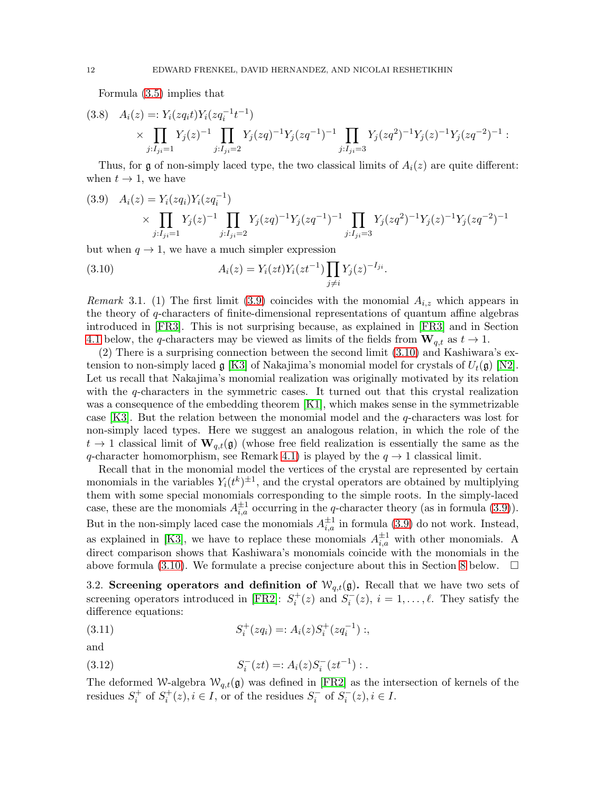Formula [\(3.5\)](#page-10-1) implies that

$$
(3.8) \quad A_i(z) =: Y_i(zq_i t) Y_i(zq_i^{-1} t^{-1})
$$
  
\$\times \prod\_{j:I\_{ji}=1} Y\_j(z)^{-1} \prod\_{j:I\_{ji}=2} Y\_j(zq)^{-1} Y\_j(zq^{-1})^{-1} \prod\_{j:I\_{ji}=3} Y\_j(zq^2)^{-1} Y\_j(z)^{-1} Y\_j(zq^{-2})^{-1}\$.

Thus, for g of non-simply laced type, the two classical limits of  $A_i(z)$  are quite different: when  $t \to 1$ , we have

<span id="page-11-0"></span>
$$
(3.9) \quad A_i(z) = Y_i(zq_i)Y_i(zq_i^{-1})
$$
  
\$\times \prod\_{j:I\_{ji}=1} Y\_j(z)^{-1} \prod\_{j:I\_{ji}=2} Y\_j(zq)^{-1}Y\_j(zq^{-1})^{-1} \prod\_{j:I\_{ji}=3} Y\_j(zq^2)^{-1}Y\_j(z)^{-1}Y\_j(zq^{-2})^{-1}\$

but when  $q \to 1$ , we have a much simpler expression

<span id="page-11-1"></span>(3.10) 
$$
A_i(z) = Y_i(zt)Y_i(zt^{-1}) \prod_{j \neq i} Y_j(z)^{-I_{ji}}.
$$

<span id="page-11-3"></span>*Remark* 3.1. (1) The first limit [\(3.9\)](#page-11-0) coincides with the monomial  $A_{i,z}$  which appears in the theory of q-characters of finite-dimensional representations of quantum affine algebras introduced in [\[FR3\]](#page-67-0). This is not surprising because, as explained in [\[FR3\]](#page-67-0) and in Section [4.1](#page-15-0) below, the q-characters may be viewed as limits of the fields from  $\mathbf{W}_{q,t}$  as  $t \to 1$ .

(2) There is a surprising connection between the second limit [\(3.10\)](#page-11-1) and Kashiwara's extension to non-simply laced  $\mathfrak{g}$  [\[K3\]](#page-68-15) of Nakajima's monomial model for crystals of  $U_t(\mathfrak{g})$  [\[N2\]](#page-68-16). Let us recall that Nakajima's monomial realization was originally motivated by its relation with the q-characters in the symmetric cases. It turned out that this crystal realization was a consequence of the embedding theorem [\[K1\]](#page-68-17), which makes sense in the symmetrizable case [\[K3\]](#page-68-15). But the relation between the monomial model and the q-characters was lost for non-simply laced types. Here we suggest an analogous relation, in which the role of the  $t \to 1$  classical limit of  $\mathbf{W}_{q,t}(\mathfrak{g})$  (whose free field realization is essentially the same as the q-character homomorphism, see Remark [4.1\)](#page-15-1) is played by the  $q \to 1$  classical limit.

Recall that in the monomial model the vertices of the crystal are represented by certain monomials in the variables  $Y_i(t^k)^{\pm 1}$ , and the crystal operators are obtained by multiplying them with some special monomials corresponding to the simple roots. In the simply-laced case, these are the monomials  $A_{i,a}^{\pm 1}$  occurring in the q-character theory (as in formula [\(3.9\)](#page-11-0)). But in the non-simply laced case the monomials  $A_{i,a}^{\pm 1}$  in formula [\(3.9\)](#page-11-0) do not work. Instead, as explained in [\[K3\]](#page-68-15), we have to replace these monomials  $A_{i,a}^{\pm 1}$  with other monomials. A direct comparison shows that Kashiwara's monomials coincide with the monomials in the above formula [\(3.10\)](#page-11-1). We formulate a precise conjecture about this in Section [8](#page-49-0) below.  $\Box$ 

<span id="page-11-2"></span>3.2. Screening operators and definition of  $W_{q,t}(\mathfrak{g})$ . Recall that we have two sets of screening operators introduced in [\[FR2\]](#page-67-9):  $S_i^+(z)$  and  $S_i^-(z)$ ,  $i = 1, \ldots, \ell$ . They satisfy the difference equations:

(3.11) 
$$
S_i^+(zq_i) =: A_i(z)S_i^+(zq_i^{-1}) ;
$$

and

(3.12) 
$$
S_i^-(zt) =: A_i(z)S_i^-(zt^{-1}):.
$$

The deformed W-algebra  $W_{q,t}(\mathfrak{g})$  was defined in [\[FR2\]](#page-67-9) as the intersection of kernels of the residues  $S_i^+$  of  $S_i^+(z), i \in I$ , or of the residues  $S_i^-$  of  $S_i^-(z), i \in I$ .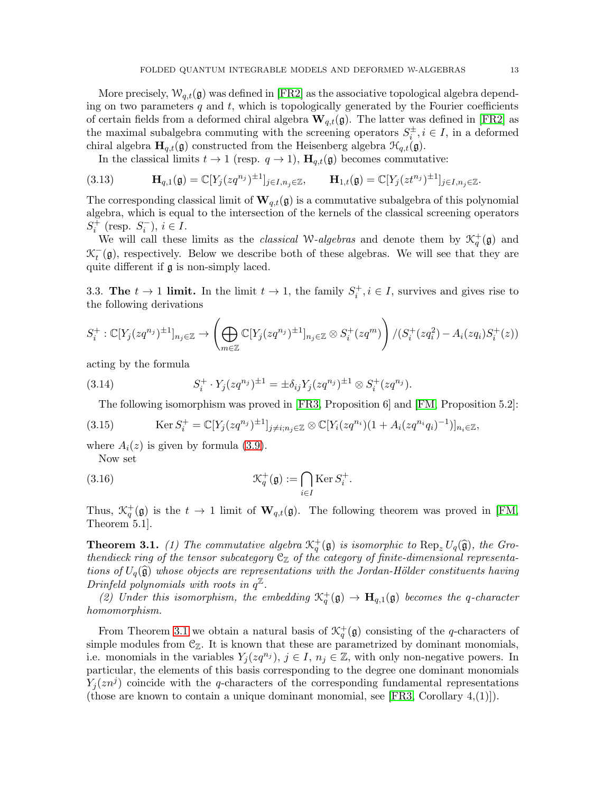More precisely,  $W_{q,t}(\mathfrak{g})$  was defined in [\[FR2\]](#page-67-9) as the associative topological algebra depending on two parameters q and t, which is topologically generated by the Fourier coefficients of certain fields from a deformed chiral algebra  $\mathbf{W}_{q,t}(\mathfrak{g})$ . The latter was defined in [\[FR2\]](#page-67-9) as the maximal subalgebra commuting with the screening operators  $S_i^{\pm}, i \in I$ , in a deformed chiral algebra  $\mathbf{H}_{q,t}(\mathfrak{g})$  constructed from the Heisenberg algebra  $\mathcal{H}_{q,t}(\mathfrak{g})$ .

In the classical limits  $t \to 1$  (resp.  $q \to 1$ ),  $\mathbf{H}_{q,t}(\mathfrak{g})$  becomes commutative:

(3.13) 
$$
\mathbf{H}_{q,1}(\mathfrak{g})=\mathbb{C}[Y_j(zq^{n_j})^{\pm 1}]_{j\in I,n_j\in\mathbb{Z}},\qquad \mathbf{H}_{1,t}(\mathfrak{g})=\mathbb{C}[Y_j(zt^{n_j})^{\pm 1}]_{j\in I,n_j\in\mathbb{Z}}.
$$

The corresponding classical limit of  $\mathbf{W}_{q,t}(\mathfrak{g})$  is a commutative subalgebra of this polynomial algebra, which is equal to the intersection of the kernels of the classical screening operators  $S_i^+$  (resp.  $S_i^-$ ),  $i \in I$ .

We will call these limits as the *classical* W-*algebras* and denote them by  $\mathcal{K}_q^+(\mathfrak{g})$  and  $\mathcal{K}_t^-(\mathfrak{g})$ , respectively. Below we describe both of these algebras. We will see that they are quite different if g is non-simply laced.

<span id="page-12-0"></span>3.3. The  $t \to 1$  limit. In the limit  $t \to 1$ , the family  $S_i^+, i \in I$ , survives and gives rise to the following derivations

$$
S_i^+:\mathbb{C}[Y_j(zq^{n_j})^{\pm 1}]_{n_j\in\mathbb{Z}}\to \left(\bigoplus_{m\in\mathbb{Z}}\mathbb{C}[Y_j(zq^{n_j})^{\pm 1}]_{n_j\in\mathbb{Z}}\otimes S_i^+(zq^m)\right)/(S_i^+(zq_i^2)-A_i(zq_i)S_i^+(z))
$$

acting by the formula

(3.14) 
$$
S_i^+ \cdot Y_j (zq^{n_j})^{\pm 1} = \pm \delta_{ij} Y_j (zq^{n_j})^{\pm 1} \otimes S_i^+ (zq^{n_j}).
$$

<span id="page-12-2"></span>The following isomorphism was proved in [\[FR3,](#page-67-0) Proposition 6] and [\[FM,](#page-67-18) Proposition 5.2]:

(3.15) 
$$
\operatorname{Ker} S_i^+ = \mathbb{C}[Y_j( zq^{n_j})^{\pm 1}]_{j \neq i; n_j \in \mathbb{Z}} \otimes \mathbb{C}[Y_i( zq^{n_i}) (1 + A_i (zq^{n_i} q_i)^{-1})]_{n_i \in \mathbb{Z}},
$$

where  $A_i(z)$  is given by formula [\(3.9\)](#page-11-0). Now set

<span id="page-12-3"></span>(3.16) 
$$
\mathcal{K}_q^+(\mathfrak{g}) := \bigcap_{i \in I} \text{Ker } S_i^+.
$$

Thus,  $\mathcal{K}_q^+(\mathfrak{g})$  is the  $t \to 1$  limit of  $\mathbf{W}_{q,t}(\mathfrak{g})$ . The following theorem was proved in [\[FM,](#page-67-18) Theorem 5.1].

<span id="page-12-1"></span>**Theorem 3.1.** (1) The commutative algebra  $\mathcal{K}_q^+(\mathfrak{g})$  is isomorphic to  $\text{Rep}_z U_q(\widehat{\mathfrak{g}})$ , the Grothendieck ring of the tensor subcategory  $\mathfrak{C}_{\mathbb{Z}}$  of the category of finite-dimensional representations of  $U_q(\hat{\mathfrak{g}})$  whose objects are representations with the Jordan-Hölder constituents having Drinfeld polynomials with roots in  $q^{\mathbb{Z}}$ .

(2) Under this isomorphism, the embedding  $\mathcal{K}_q^+(\mathfrak{g}) \to \mathbf{H}_{q,1}(\mathfrak{g})$  becomes the q-character homomorphism.

From Theorem [3.1](#page-12-1) we obtain a natural basis of  $\mathcal{K}_q^+(\mathfrak{g})$  consisting of the q-characters of simple modules from  $\mathcal{C}_{\mathbb{Z}}$ . It is known that these are parametrized by dominant monomials, i.e. monomials in the variables  $Y_j( zq^{n_j}), j \in I, n_j \in \mathbb{Z}$ , with only non-negative powers. In particular, the elements of this basis corresponding to the degree one dominant monomials  $Y_j(zn^j)$  coincide with the q-characters of the corresponding fundamental representations (those are known to contain a unique dominant monomial, see  $[FR3, Corollary 4,1]$ ).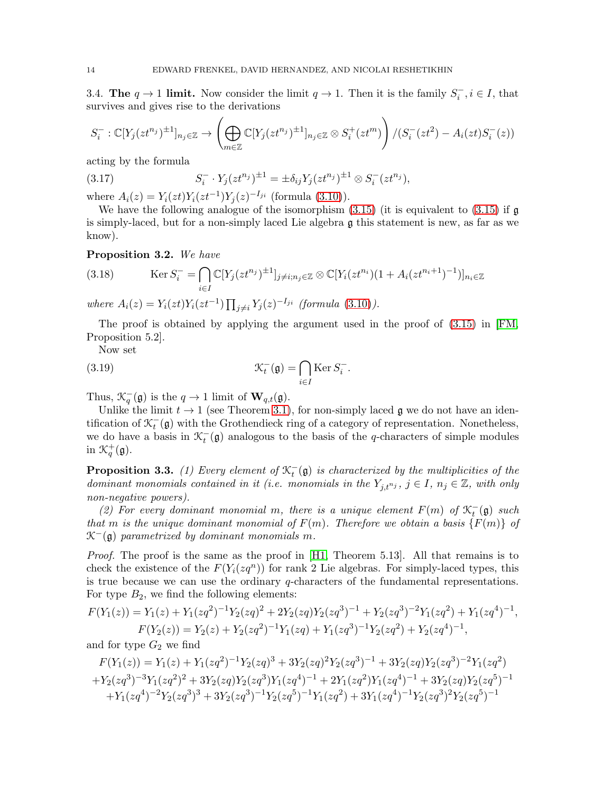<span id="page-13-0"></span>3.4. The  $q \to 1$  limit. Now consider the limit  $q \to 1$ . Then it is the family  $S_i^-, i \in I$ , that survives and gives rise to the derivations

$$
S_i^-: \mathbb{C}[Y_j(zt^{n_j})^{\pm 1}]_{n_j \in \mathbb{Z}} \to \left(\bigoplus_{m \in \mathbb{Z}} \mathbb{C}[Y_j(zt^{n_j})^{\pm 1}]_{n_j \in \mathbb{Z}} \otimes S_i^+(zt^m)\right) / (S_i^-(zt^2) - A_i(zt)S_i^-(z))
$$

acting by the formula

(3.17) 
$$
S_i^- \cdot Y_j(zt^{n_j})^{\pm 1} = \pm \delta_{ij} Y_j(zt^{n_j})^{\pm 1} \otimes S_i^- (zt^{n_j}),
$$

where  $A_i(z) = Y_i(zt)Y_i(zt^{-1})Y_j(z)^{-I_{ji}}$  (formula [\(3.10\)](#page-11-1)).

We have the following analogue of the isomorphism  $(3.15)$  (it is equivalent to  $(3.15)$ ) if g is simply-laced, but for a non-simply laced Lie algebra g this statement is new, as far as we know).

<span id="page-13-1"></span>Proposition 3.2. We have

(3.18) 
$$
\operatorname{Ker} S_i^- = \bigcap_{i \in I} \mathbb{C}[Y_j(zt^{n_j})^{\pm 1}]_{j \neq i; n_j \in \mathbb{Z}} \otimes \mathbb{C}[Y_i(zt^{n_i})(1 + A_i(zt^{n_i+1})^{-1})]_{n_i \in \mathbb{Z}}
$$

where  $A_i(z) = Y_i(zt)Y_i(zt^{-1}) \prod_{j \neq i} Y_j(z)^{-I_{ji}}$  (formula [\(3.10\)](#page-11-1)).

The proof is obtained by applying the argument used in the proof of [\(3.15\)](#page-12-2) in [\[FM,](#page-67-18) Proposition 5.2].

<span id="page-13-3"></span>Now set

(3.19) 
$$
\mathcal{K}_t^-(\mathfrak{g}) = \bigcap_{i \in I} \text{Ker } S_i^-.
$$

Thus,  $\mathcal{K}_q^-(\mathfrak{g})$  is the  $q \to 1$  limit of  $\mathbf{W}_{q,t}(\mathfrak{g})$ .

Unlike the limit  $t \to 1$  (see Theorem [3.1\)](#page-12-1), for non-simply laced g we do not have an identification of  $\mathcal{K}_t^-(\mathfrak{g})$  with the Grothendieck ring of a category of representation. Nonetheless, we do have a basis in  $\mathcal{K}_t^-(\mathfrak{g})$  analogous to the basis of the *q*-characters of simple modules in  $\mathcal{K}_q^+(\mathfrak{g})$ .

<span id="page-13-2"></span>**Proposition 3.3.** (1) Every element of  $\mathcal{K}_t^-(\mathfrak{g})$  is characterized by the multiplicities of the dominant monomials contained in it (i.e. monomials in the  $Y_{i,t^{n_j}}$ ,  $j \in I$ ,  $n_j \in \mathbb{Z}$ , with only non-negative powers).

(2) For every dominant monomial m, there is a unique element  $F(m)$  of  $\mathcal{K}_t^-(\mathfrak{g})$  such that m is the unique dominant monomial of  $F(m)$ . Therefore we obtain a basis  $\{F(m)\}\$  of  $\mathcal{K}^-(\mathfrak{g})$  parametrized by dominant monomials m.

Proof. The proof is the same as the proof in [\[H1,](#page-67-19) Theorem 5.13]. All that remains is to check the existence of the  $F(Y_i(zq^n))$  for rank 2 Lie algebras. For simply-laced types, this is true because we can use the ordinary  $q$ -characters of the fundamental representations. For type  $B_2$ , we find the following elements:

$$
F(Y_1(z)) = Y_1(z) + Y_1(zq^2)^{-1}Y_2(zq)^2 + 2Y_2(zq)Y_2(zq^3)^{-1} + Y_2(zq^3)^{-2}Y_1(zq^2) + Y_1(zq^4)^{-1},
$$
  
\n
$$
F(Y_2(z)) = Y_2(z) + Y_2(zq^2)^{-1}Y_1(zq) + Y_1(zq^3)^{-1}Y_2(zq^2) + Y_2(zq^4)^{-1},
$$

and for type  $G_2$  we find

$$
F(Y_1(z)) = Y_1(z) + Y_1(zq^2)^{-1}Y_2(zq)^3 + 3Y_2(zq)^2Y_2(zq^3)^{-1} + 3Y_2(zq)Y_2(zq^3)^{-2}Y_1(zq^2) + Y_2(zq^3)^{-3}Y_1(zq^2)^2 + 3Y_2(zq)Y_2(zq^3)Y_1(zq^4)^{-1} + 2Y_1(zq^2)Y_1(zq^4)^{-1} + 3Y_2(zq)Y_2(zq^5)^{-1} + Y_1(zq^4)^{-2}Y_2(zq^3)^3 + 3Y_2(zq^3)^{-1}Y_2(zq^5)^{-1}Y_1(zq^2) + 3Y_1(zq^4)^{-1}Y_2(zq^3)^2Y_2(zq^5)^{-1}
$$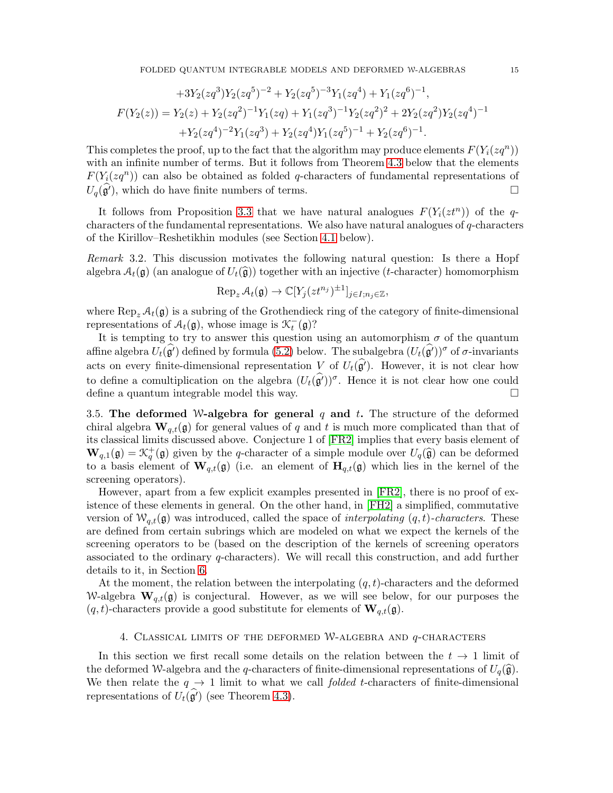FOLDED QUANTUM INTEGRABLE MODELS AND DEFORMED W-ALGEBRAS 15

$$
+3Y_2(zq^3)Y_2(zq^5)^{-2} + Y_2(zq^5)^{-3}Y_1(zq^4) + Y_1(zq^6)^{-1},
$$
  

$$
F(Y_2(z)) = Y_2(z) + Y_2(zq^2)^{-1}Y_1(zq) + Y_1(zq^3)^{-1}Y_2(zq^2)^2 + 2Y_2(zq^2)Y_2(zq^4)^{-1}
$$
  

$$
+Y_2(zq^4)^{-2}Y_1(zq^3) + Y_2(zq^4)Y_1(zq^5)^{-1} + Y_2(zq^6)^{-1}.
$$

This completes the proof, up to the fact that the algorithm may produce elements  $F(Y_i(zq^n))$ with an infinite number of terms. But it follows from Theorem [4.3](#page-18-0) below that the elements  $F(Y_i(zq^n))$  can also be obtained as folded q-characters of fundamental representations of  $U_q(\mathfrak{g}')$ , which do have finite numbers of terms.

It follows from Proposition [3.3](#page-13-2) that we have natural analogues  $F(Y_i(zt^n))$  of the qcharacters of the fundamental representations. We also have natural analogues of q-characters of the Kirillov–Reshetikhin modules (see Section [4.1](#page-15-0) below).

<span id="page-14-1"></span>Remark 3.2. This discussion motivates the following natural question: Is there a Hopf algebra  $\mathcal{A}_t(\mathfrak{g})$  (an analogue of  $U_t(\widehat{\mathfrak{g}})$ ) together with an injective (t-character) homomorphism

$$
\operatorname{Rep}_z \mathcal{A}_t(\mathfrak{g}) \to \mathbb{C}[Y_j(zt^{n_j})^{\pm 1}]_{j \in I; n_j \in \mathbb{Z}},
$$

where  $\text{Rep}_{z} \mathcal{A}_{t}(\mathfrak{g})$  is a subring of the Grothendieck ring of the category of finite-dimensional representations of  $A_t(\mathfrak{g})$ , whose image is  $\mathcal{K}_t^-(\mathfrak{g})$ ?

It is tempting to try to answer this question using an automorphism  $\sigma$  of the quantum affine algebra  $U_t(\widehat{\mathfrak{g}'})$  defined by formula [\(5.2\)](#page-20-1) below. The subalgebra  $(U_t(\widehat{\mathfrak{g}'}))^{\sigma}$  of  $\sigma$ -invariants acts on every finite-dimensional representation V of  $U_t(\hat{g}')$ . However, it is not clear how to define a comultiplication on the algebra  $(U_t(\widehat{\mathfrak{g}}))^\sigma$ . Hence it is not clear how one could define a quantum integrable model this way.  $\Box$ 

3.5. The deformed W-algebra for general q and t. The structure of the deformed chiral algebra  $\mathbf{W}_{q,t}(\mathfrak{g})$  for general values of q and t is much more complicated than that of its classical limits discussed above. Conjecture 1 of [\[FR2\]](#page-67-9) implies that every basis element of  $\mathbf{W}_{q,1}(\mathfrak{g}) = \mathcal{K}_q^+(\mathfrak{g})$  given by the q-character of a simple module over  $U_q(\widehat{\mathfrak{g}})$  can be deformed to a basis element of  $\mathbf{W}_{q,t}(\mathfrak{g})$  (i.e. an element of  $\mathbf{H}_{q,t}(\mathfrak{g})$  which lies in the kernel of the screening operators).

However, apart from a few explicit examples presented in [\[FR2\]](#page-67-9), there is no proof of existence of these elements in general. On the other hand, in [\[FH2\]](#page-67-13) a simplified, commutative version of  $\mathcal{W}_{q,t}(\mathfrak{g})$  was introduced, called the space of *interpolating*  $(q, t)$ -characters. These are defined from certain subrings which are modeled on what we expect the kernels of the screening operators to be (based on the description of the kernels of screening operators associated to the ordinary q-characters). We will recall this construction, and add further details to it, in Section [6.](#page-33-0)

At the moment, the relation between the interpolating  $(q, t)$ -characters and the deformed W-algebra  $\mathbf{W}_{q,t}(\mathfrak{g})$  is conjectural. However, as we will see below, for our purposes the  $(q, t)$ -characters provide a good substitute for elements of  $\mathbf{W}_{q,t}(\mathfrak{g})$ .

#### 4. CLASSICAL LIMITS OF THE DEFORMED W-ALGEBRA AND  $q$ -CHARACTERS

<span id="page-14-0"></span>In this section we first recall some details on the relation between the  $t \to 1$  limit of the deformed W-algebra and the q-characters of finite-dimensional representations of  $U_q(\hat{\mathfrak{g}})$ . We then relate the  $q \rightarrow 1$  limit to what we call *folded t*-characters of finite-dimensional representations of  $U_t(\hat{\mathfrak{g}}')$  (see Theorem [4.3\)](#page-18-0).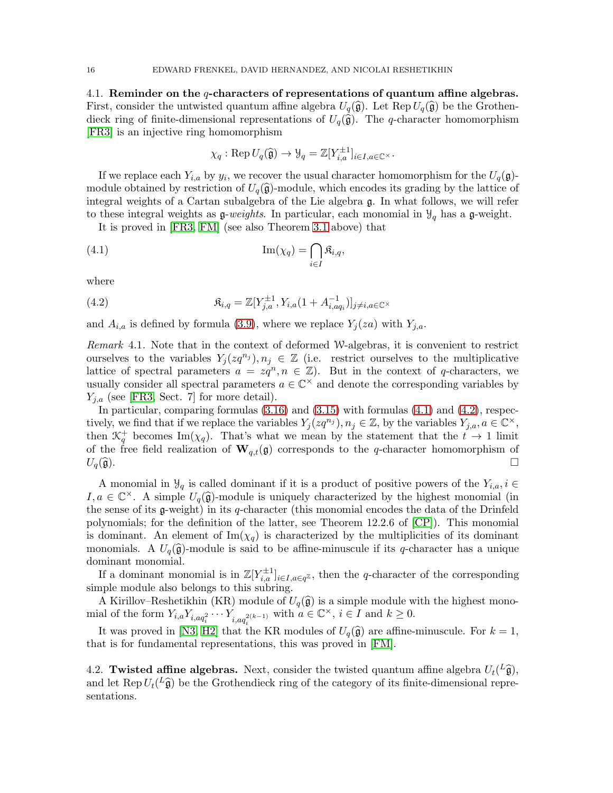<span id="page-15-0"></span>4.1. Reminder on the  $q$ -characters of representations of quantum affine algebras. First, consider the untwisted quantum affine algebra  $U_q(\hat{\mathfrak{g}})$ . Let Rep  $U_q(\hat{\mathfrak{g}})$  be the Grothendieck ring of finite-dimensional representations of  $U_q(\hat{\mathfrak{g}})$ . The q-character homomorphism [\[FR3\]](#page-67-0) is an injective ring homomorphism

<span id="page-15-2"></span>
$$
\chi_q: \operatorname{Rep} U_q(\widehat{\mathfrak{g}}) \to \mathcal{Y}_q = \mathbb{Z}[Y_{i,a}^{\pm 1}]_{i \in I, a \in \mathbb{C}^{\times}}.
$$

If we replace each  $Y_{i,a}$  by  $y_i$ , we recover the usual character homomorphism for the  $U_q(\mathfrak{g})$ module obtained by restriction of  $U_q(\hat{\mathfrak{g}})$ -module, which encodes its grading by the lattice of integral weights of a Cartan subalgebra of the Lie algebra g. In what follows, we will refer to these integral weights as  $g$ -weights. In particular, each monomial in  $\mathcal{Y}_q$  has a g-weight.

It is proved in [\[FR3,](#page-67-0) [FM\]](#page-67-18) (see also Theorem [3.1](#page-12-1) above) that

(4.1) 
$$
\operatorname{Im}(\chi_q) = \bigcap_{i \in I} \mathfrak{K}_{i,q},
$$

where

<span id="page-15-3"></span>(4.2) 
$$
\mathfrak{K}_{i,q} = \mathbb{Z}[Y_{j,a}^{\pm 1}, Y_{i,a}(1+A_{i,aq_i}^{-1})]_{j\neq i,a\in\mathbb{C}^{\times}}
$$

and  $A_{i,a}$  is defined by formula [\(3.9\)](#page-11-0), where we replace  $Y_i(za)$  with  $Y_{i,a}$ .

<span id="page-15-1"></span>Remark 4.1. Note that in the context of deformed W-algebras, it is convenient to restrict ourselves to the variables  $Y_j(zq^{n_j}), n_j \in \mathbb{Z}$  (i.e. restrict ourselves to the multiplicative lattice of spectral parameters  $a = zq^n, n \in \mathbb{Z}$ . But in the context of q-characters, we usually consider all spectral parameters  $a \in \mathbb{C}^{\times}$  and denote the corresponding variables by  $Y_{i,a}$  (see [\[FR3,](#page-67-0) Sect. 7] for more detail).

In particular, comparing formulas  $(3.16)$  and  $(3.15)$  with formulas  $(4.1)$  and  $(4.2)$ , respectively, we find that if we replace the variables  $Y_j( zq^{n_j}), n_j \in \mathbb{Z}$ , by the variables  $Y_{j,a}, a \in \mathbb{C}^{\times}$ , then  $\mathcal{K}_q^+$  becomes Im( $\chi_q$ ). That's what we mean by the statement that the  $t \to 1$  limit of the free field realization of  $\mathbf{W}_{q,t}(\mathfrak{g})$  corresponds to the q-character homomorphism of  $U_q(\widehat{\mathfrak{g}}).$ 

A monomial in  $\mathcal{Y}_q$  is called dominant if it is a product of positive powers of the  $Y_{i,a}, i \in$  $I, a \in \mathbb{C}^{\times}$ . A simple  $U_q(\hat{\mathfrak{g}})$ -module is uniquely characterized by the highest monomial (in the sense of its  $g$ -weight) in its q-character (this monomial encodes the data of the Drinfeld polynomials; for the definition of the latter, see Theorem 12.2.6 of [\[CP\]](#page-67-20)). This monomial is dominant. An element of  $\text{Im}(\chi_q)$  is characterized by the multiplicities of its dominant monomials. A  $U_q(\hat{\mathfrak{g}})$ -module is said to be affine-minuscule if its q-character has a unique dominant monomial.

If a dominant monomial is in  $\mathbb{Z}[Y_{i,a}^{\pm 1}]_{i \in I, a \in q^{\mathbb{Z}}}$ , then the q-character of the corresponding simple module also belongs to this subring.

A Kirillov–Reshetikhin (KR) module of  $U_q(\hat{\mathfrak{g}})$  is a simple module with the highest monomial of the form  $Y_{i,a}Y_{i,aq_i^2}\cdots Y_{i,aq_i^{2(k-1)}}$  with  $a \in \mathbb{C}^\times$ ,  $i \in I$  and  $k \geq 0$ .

It was proved in [\[N3,](#page-68-18) [H2\]](#page-67-21) that the KR modules of  $U_q(\hat{\mathfrak{g}})$  are affine-minuscule. For  $k = 1$ , that is for fundamental representations, this was proved in [\[FM\]](#page-67-18).

4.2. Twisted affine algebras. Next, consider the twisted quantum affine algebra  $U_t({}^L\hat{\mathfrak{g}})$ , and let Rep  $U_t({}^L\hat{\mathfrak{g}})$  be the Grothendieck ring of the category of its finite-dimensional representations.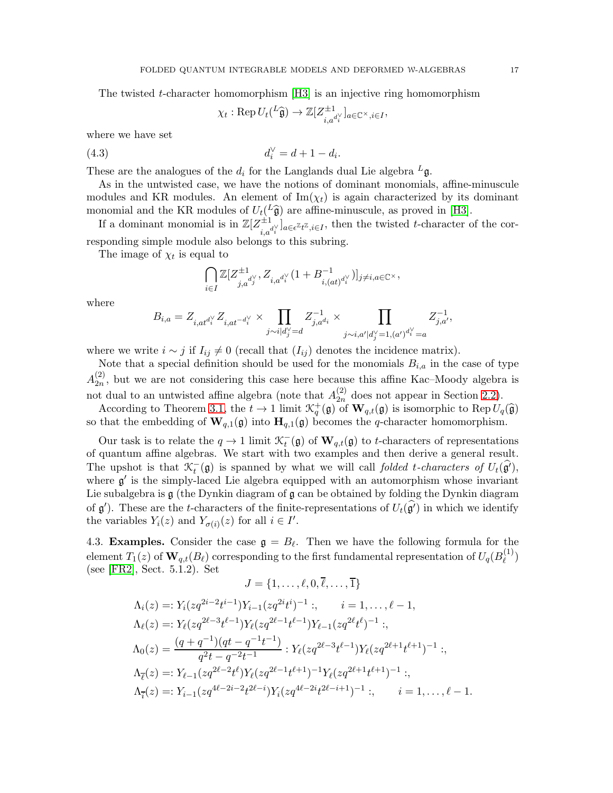The twisted t-character homomorphism [\[H3\]](#page-67-22) is an injective ring homomorphism

<span id="page-16-1"></span>
$$
\chi_t: \operatorname{Rep} U_t({}^L\widehat{\mathfrak{g}})\to \mathbb{Z}[Z^{\pm 1}_{i,a}{}^{\mathrm{d}\vee}_{i}]_{a\in\mathbb{C}^\times, i\in I},
$$

where we have set

(4.3) 
$$
d_i^{\vee} = d + 1 - d_i.
$$

These are the analogues of the  $d_i$  for the Langlands dual Lie algebra  ${}^L\mathfrak{g}$ .

As in the untwisted case, we have the notions of dominant monomials, affine-minuscule modules and KR modules. An element of  $\text{Im}(\chi_t)$  is again characterized by its dominant monomial and the KR modules of  $U_t({}^L\hat{\mathfrak{g}})$  are affine-minuscule, as proved in [\[H3\]](#page-67-22).

If a dominant monomial is in  $\mathbb{Z}[Z_{i,a}^{\pm 1}]_{a \in \epsilon^{\mathbb{Z}} t^{\mathbb{Z}}, i \in I}$ , then the twisted t-character of the corresponding simple module also belongs to this subring.

The image of  $\chi_t$  is equal to

$$
\bigcap_{i\in I} \mathbb{Z}[Z^{\pm 1}_{j,a^{d^\vee_j}}, Z_{i,a^{d^\vee_i}}(1+B^{-1}_{i,(at)^{d^\vee_i}})]_{j\neq i, a\in \mathbb{C}^\times},
$$

where

$$
B_{i,a} = Z_{i,at^{d_i^\vee}} Z_{i,at^{-d_i^\vee}} \times \prod_{j \sim i | d_j^\vee = d} Z_{j,a^{d_i}}^{-1} \times \prod_{j \sim i, a' | d_j^\vee = 1, (a')^{d_i^\vee} = a} Z_{j,a'}^{-1},
$$

where we write  $i \sim j$  if  $I_{ij} \neq 0$  (recall that  $(I_{ij})$  denotes the incidence matrix).

Note that a special definition should be used for the monomials  $B_{i,a}$  in the case of type  $A_{2n}^{(2)}$  $\binom{2}{2n}$ , but we are not considering this case here because this affine Kac–Moody algebra is not dual to an untwisted affine algebra (note that  $A_{2n}^{(2)}$ )  $_{2n}^{(2)}$  does not appear in Section [2.2\)](#page-8-1).

According to Theorem [3.1,](#page-12-1) the  $t \to 1$  limit  $\mathcal{K}_q^+(\mathfrak{g})$  of  $\mathbf{W}_{q,t}(\mathfrak{g})$  is isomorphic to Rep  $U_q(\widehat{\mathfrak{g}})$ so that the embedding of  $\mathbf{W}_{q,1}(\mathfrak{g})$  into  $\mathbf{H}_{q,1}(\mathfrak{g})$  becomes the q-character homomorphism.

Our task is to relate the  $q \to 1$  limit  $\mathcal{K}_t^-(\mathfrak{g})$  of  $\mathbf{W}_{q,t}(\mathfrak{g})$  to t-characters of representations of quantum affine algebras. We start with two examples and then derive a general result. The upshot is that  $\mathcal{K}_t^-(\mathfrak{g})$  is spanned by what we will call folded t-characters of  $U_t(\widehat{\mathfrak{g}'})$ , where  $g'$  is the simply-laced Lie algebra equipped with an automorphism whose invariant Lie subalgebra is  $\mathfrak g$  (the Dynkin diagram of  $\mathfrak g$  can be obtained by folding the Dynkin diagram of  $\mathfrak{g}'$ ). These are the t-characters of the finite-representations of  $U_t(\hat{\mathfrak{g}'})$  in which we identify the variables  $Y_i(z)$  and  $Y_{\sigma(i)}(z)$  for all  $i \in I'$ .

<span id="page-16-0"></span>4.3. **Examples.** Consider the case  $\mathfrak{g} = B_{\ell}$ . Then we have the following formula for the element  $T_1(z)$  of  $\mathbf{W}_{q,t}(B_\ell)$  corresponding to the first fundamental representation of  $U_q(B_\ell^{(1)}$  $\binom{1}{\ell}$ (see [\[FR2\]](#page-67-9), Sect. 5.1.2). Set

$$
J = \{1, ..., \ell, 0, \bar{\ell}, ..., \bar{1}\}
$$
  
\n
$$
\Lambda_i(z) =: Y_i( zq^{2i-2}t^{i-1}) Y_{i-1}(zq^{2i}t^i)^{-1} : , \qquad i = 1, ..., \ell - 1,
$$
  
\n
$$
\Lambda_{\ell}(z) =: Y_{\ell}(zq^{2\ell-3}t^{\ell-1}) Y_{\ell}(zq^{2\ell-1}t^{\ell-1}) Y_{\ell-1}(zq^{2\ell}t^{\ell})^{-1} : ,
$$
  
\n
$$
\Lambda_0(z) = \frac{(q+q^{-1})(qt-q^{-1}t^{-1})}{q^2t-q^{-2}t^{-1}} : Y_{\ell}(zq^{2\ell-3}t^{\ell-1}) Y_{\ell}(zq^{2\ell+1}t^{\ell+1})^{-1} : ,
$$
  
\n
$$
\Lambda_{\bar{\ell}}(z) =: Y_{\ell-1}(zq^{2\ell-2}t^{\ell}) Y_{\ell}(zq^{2\ell-1}t^{\ell+1})^{-1} Y_{\ell}(zq^{2\ell+1}t^{\ell+1})^{-1} : ,
$$
  
\n
$$
\Lambda_{\bar{\ell}}(z) =: Y_{i-1}(zq^{4\ell-2i-2}t^{2\ell-i}) Y_i(zq^{4\ell-2i}t^{2\ell-i+1})^{-1} : , \qquad i = 1, ..., \ell - 1.
$$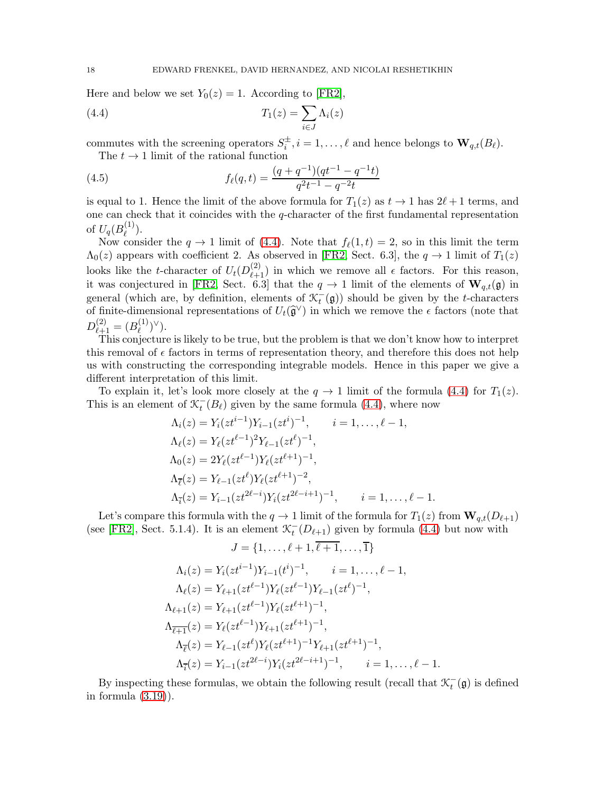Here and below we set  $Y_0(z) = 1$ . According to [\[FR2\]](#page-67-9),

(4.4) 
$$
T_1(z) = \sum_{i \in J} \Lambda_i(z)
$$

commutes with the screening operators  $S_i^{\pm}$ ,  $i = 1, ..., \ell$  and hence belongs to  $\mathbf{W}_{q,t}(B_{\ell})$ .

<span id="page-17-1"></span><span id="page-17-0"></span>The  $t \to 1$  limit of the rational function

(4.5) 
$$
f_{\ell}(q,t) = \frac{(q+q^{-1})(qt^{-1}-q^{-1}t)}{q^2t^{-1}-q^{-2}t}
$$

is equal to 1. Hence the limit of the above formula for  $T_1(z)$  as  $t \to 1$  has  $2\ell + 1$  terms, and one can check that it coincides with the  $q$ -character of the first fundamental representation of  $U_q(B_\ell^{(1)}$  $\binom{1}{\ell}$ .

Now consider the  $q \to 1$  limit of [\(4.4\)](#page-17-0). Note that  $f_{\ell}(1,t) = 2$ , so in this limit the term  $\Lambda_0(z)$  appears with coefficient 2. As observed in [\[FR2,](#page-67-9) Sect. 6.3], the  $q \to 1$  limit of  $T_1(z)$ looks like the t-character of  $U_t(D_{\ell+1}^{(2)})$  in which we remove all  $\epsilon$  factors. For this reason, it was conjectured in [\[FR2,](#page-67-9) Sect. 6.3] that the  $q \to 1$  limit of the elements of  $\mathbf{W}_{q,t}(\mathfrak{g})$  in general (which are, by definition, elements of  $\mathcal{K}_t^-(\mathfrak{g})$ ) should be given by the t-characters of finite-dimensional representations of  $U_t(\hat{\mathfrak{g}}^{\vee})$  in which we remove the  $\epsilon$  factors (note that  $D_{\ell+1}^{(2)} = (B_{\ell}^{(1)}$  $\binom{(1)}{\ell}^{\vee}.$ 

This conjecture is likely to be true, but the problem is that we don't know how to interpret this removal of  $\epsilon$  factors in terms of representation theory, and therefore this does not help us with constructing the corresponding integrable models. Hence in this paper we give a different interpretation of this limit.

To explain it, let's look more closely at the  $q \to 1$  limit of the formula [\(4.4\)](#page-17-0) for  $T_1(z)$ . This is an element of  $\mathcal{K}_t^{-}(B_\ell)$  given by the same formula [\(4.4\)](#page-17-0), where now

$$
\Lambda_i(z) = Y_i(zt^{i-1})Y_{i-1}(zt^i)^{-1}, \qquad i = 1, \dots, \ell - 1,
$$
  
\n
$$
\Lambda_\ell(z) = Y_\ell(zt^{\ell-1})^2 Y_{\ell-1}(zt^{\ell})^{-1},
$$
  
\n
$$
\Lambda_0(z) = 2Y_\ell(zt^{\ell-1})Y_\ell(zt^{\ell+1})^{-1},
$$
  
\n
$$
\Lambda_{\overline{\ell}}(z) = Y_{\ell-1}(zt^{\ell})Y_\ell(zt^{\ell+1})^{-2},
$$
  
\n
$$
\Lambda_{\overline{\ell}}(z) = Y_{i-1}(zt^{2\ell-i})Y_i(zt^{2\ell-i+1})^{-1}, \qquad i = 1, \dots, \ell - 1.
$$

Let's compare this formula with the  $q \to 1$  limit of the formula for  $T_1(z)$  from  $\mathbf{W}_{q,t}(D_{\ell+1})$ (see [\[FR2\]](#page-67-9), Sect. 5.1.4). It is an element  $\mathcal{K}_t^{-}(D_{\ell+1})$  given by formula [\(4.4\)](#page-17-0) but now with

$$
J = \{1, \ldots, \ell+1, \overline{\ell+1}, \ldots, \overline{1}\}
$$

$$
\Lambda_i(z) = Y_i(zt^{i-1})Y_{i-1}(t^i)^{-1}, \qquad i = 1, \dots, \ell - 1,
$$
  
\n
$$
\Lambda_\ell(z) = Y_{\ell+1}(zt^{\ell-1})Y_\ell(zt^{\ell-1})Y_{\ell-1}(zt^{\ell})^{-1},
$$
  
\n
$$
\Lambda_{\ell+1}(z) = Y_{\ell+1}(zt^{\ell-1})Y_\ell(zt^{\ell+1})^{-1},
$$
  
\n
$$
\Lambda_{\ell+1}(z) = Y_\ell(zt^{\ell-1})Y_{\ell+1}(zt^{\ell+1})^{-1},
$$
  
\n
$$
\Lambda_{\ell}(z) = Y_{\ell-1}(zt^{\ell})Y_\ell(zt^{\ell+1})^{-1}Y_{\ell+1}(zt^{\ell+1})^{-1}, \qquad i = 1, \dots, \ell - 1.
$$

By inspecting these formulas, we obtain the following result (recall that  $\mathcal{K}_t^-(\mathfrak{g})$  is defined in formula [\(3.19\)](#page-13-3)).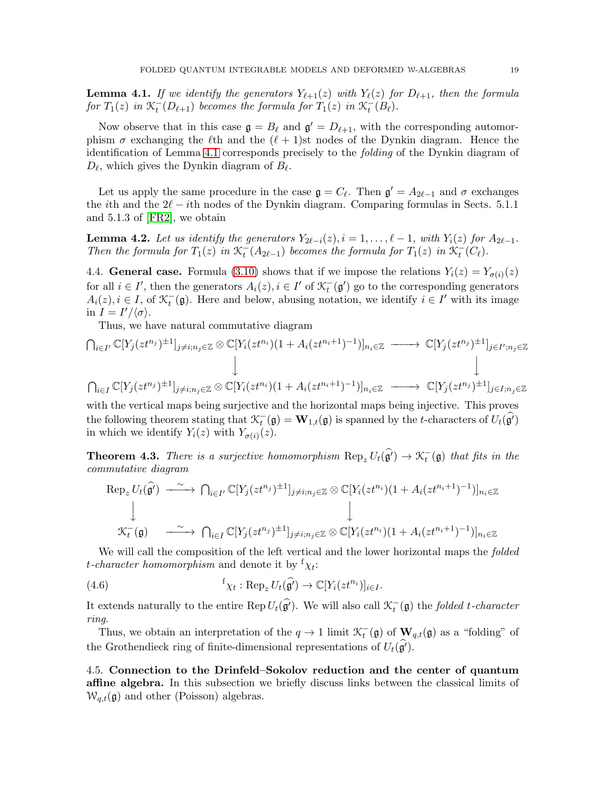<span id="page-18-1"></span>**Lemma 4.1.** If we identify the generators  $Y_{\ell+1}(z)$  with  $Y_{\ell}(z)$  for  $D_{\ell+1}$ , then the formula for  $T_1(z)$  in  $\mathcal{K}_t^-(D_{\ell+1})$  becomes the formula for  $T_1(z)$  in  $\mathcal{K}_t^-(B_{\ell})$ .

Now observe that in this case  $\mathfrak{g} = B_{\ell}$  and  $\mathfrak{g}' = D_{\ell+1}$ , with the corresponding automorphism  $\sigma$  exchanging the  $\ell$ th and the  $(\ell + 1)$ st nodes of the Dynkin diagram. Hence the identification of Lemma [4.1](#page-18-1) corresponds precisely to the folding of the Dynkin diagram of  $D_{\ell}$ , which gives the Dynkin diagram of  $B_{\ell}$ .

Let us apply the same procedure in the case  $\mathfrak{g} = C_{\ell}$ . Then  $\mathfrak{g}' = A_{2\ell-1}$  and  $\sigma$  exchanges the *i*th and the  $2\ell - i$ th nodes of the Dynkin diagram. Comparing formulas in Sects. 5.1.1 and 5.1.3 of [\[FR2\]](#page-67-9), we obtain

**Lemma 4.2.** Let us identify the generators  $Y_{2l-i}(z)$ ,  $i = 1, \ldots, l-1$ , with  $Y_i(z)$  for  $A_{2l-1}$ . Then the formula for  $T_1(z)$  in  $\mathcal{K}_t^-(A_{2\ell-1})$  becomes the formula for  $T_1(z)$  in  $\mathcal{K}_t^-(C_{\ell})$ .

<span id="page-18-2"></span>4.4. General case. Formula [\(3.10\)](#page-11-1) shows that if we impose the relations  $Y_i(z) = Y_{\sigma(i)}(z)$ for all  $i \in I'$ , then the generators  $A_i(z), i \in I'$  of  $\mathcal{K}_t^-(\mathfrak{g}')$  go to the corresponding generators  $A_i(z)$ ,  $i \in I$ , of  $\mathcal{K}_t^-(\mathfrak{g})$ . Here and below, abusing notation, we identify  $i \in I'$  with its image in  $I = I'/\langle \sigma \rangle$ .

Thus, we have natural commutative diagram

$$
\bigcap_{i\in I'} \mathbb{C}[Y_j(zt^{n_j})^{\pm 1}]_{j\neq i; n_j\in \mathbb{Z}} \otimes \mathbb{C}[Y_i(zt^{n_i})(1+A_i(zt^{n_i+1})^{-1})]_{n_i\in \mathbb{Z}} \longrightarrow \mathbb{C}[Y_j(zt^{n_j})^{\pm 1}]_{j\in I'; n_j\in \mathbb{Z}}
$$
\n
$$
\downarrow \qquad \qquad \downarrow
$$
\n
$$
\bigcap_{i\in I} \mathbb{C}[Y_j(zt^{n_j})^{\pm 1}]_{j\neq i; n_j\in \mathbb{Z}} \otimes \mathbb{C}[Y_i(zt^{n_i})(1+A_i(zt^{n_i+1})^{-1})]_{n_i\in \mathbb{Z}} \longrightarrow \mathbb{C}[Y_j(zt^{n_j})^{\pm 1}]_{j\in I; n_j\in \mathbb{Z}}
$$

with the vertical maps being surjective and the horizontal maps being injective. This proves the following theorem stating that  $\mathcal{K}_t^-(\mathfrak{g}) = \mathbf{W}_{1,t}(\mathfrak{g})$  is spanned by the t-characters of  $U_t(\widehat{\mathfrak{g}'})$ in which we identify  $Y_i(z)$  with  $Y_{\sigma(i)}(z)$ .

<span id="page-18-0"></span>**Theorem 4.3.** There is a surjective homomorphism  $\text{Rep}_z U_t(\hat{\mathfrak{g}'}) \to \mathfrak{K}_t^-(\mathfrak{g})$  that fits in the commutative diagram

$$
\begin{array}{ccc}\n\text{Rep}_{z} U_{t}(\widehat{\mathfrak{g}'}) & \xrightarrow{\sim} \bigcap_{i \in I'} \mathbb{C}[Y_{j}(zt^{n_{j}})^{\pm 1}]_{j \neq i; n_{j} \in \mathbb{Z}} \otimes \mathbb{C}[Y_{i}(zt^{n_{i}})(1 + A_{i}(zt^{n_{i}+1})^{-1})]_{n_{i} \in \mathbb{Z}} \\
& \downarrow & \downarrow & \downarrow & \downarrow & \downarrow \\
\mathcal{K}_{t}^{-}(\mathfrak{g}) & \xrightarrow{\sim} \bigcap_{i \in I} \mathbb{C}[Y_{j}(zt^{n_{j}})^{\pm 1}]_{j \neq i; n_{j} \in \mathbb{Z}} \otimes \mathbb{C}[Y_{i}(zt^{n_{i}})(1 + A_{i}(zt^{n_{i}+1})^{-1})]_{n_{i} \in \mathbb{Z}}\n\end{array}
$$

We will call the composition of the left vertical and the lower horizontal maps the *folded t*-character homomorphism and denote it by  $f_{\chi_t}$ :

(4.6) 
$$
{}^{f} \chi_t : \operatorname{Rep}_z U_t(\widehat{\mathfrak{g}'}) \to \mathbb{C}[Y_i(zt^{n_i})]_{i \in I}.
$$

It extends naturally to the entire Rep  $U_t(\hat{\mathfrak{g}'})$ . We will also call  $\mathcal{K}_t^-(\mathfrak{g})$  the folded t-character ring.

Thus, we obtain an interpretation of the  $q \to 1$  limit  $\mathcal{K}_t^-(\mathfrak{g})$  of  $\mathbf{W}_{q,t}(\mathfrak{g})$  as a "folding" of the Grothendieck ring of finite-dimensional representations of  $U_t(\mathfrak{g}')$ .

4.5. Connection to the Drinfeld–Sokolov reduction and the center of quantum affine algebra. In this subsection we briefly discuss links between the classical limits of  $W_{q,t}(\mathfrak{g})$  and other (Poisson) algebras.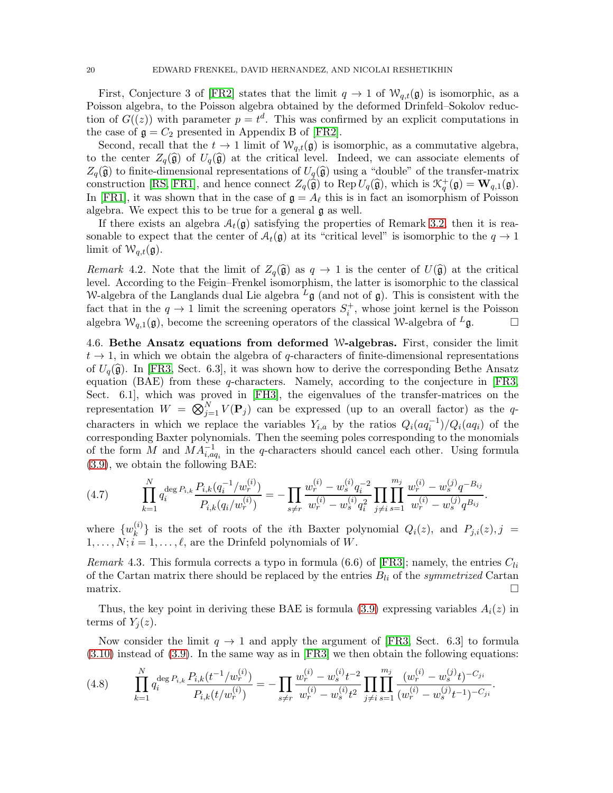First, Conjecture 3 of [\[FR2\]](#page-67-9) states that the limit  $q \to 1$  of  $\mathcal{W}_{q,t}(\mathfrak{g})$  is isomorphic, as a Poisson algebra, to the Poisson algebra obtained by the deformed Drinfeld–Sokolov reduction of  $G((z))$  with parameter  $p = t^d$ . This was confirmed by an explicit computations in the case of  $\mathfrak{g} = C_2$  presented in Appendix B of [\[FR2\]](#page-67-9).

Second, recall that the  $t \to 1$  limit of  $\mathcal{W}_{q,t}(\mathfrak{g})$  is isomorphic, as a commutative algebra, to the center  $Z_q(\hat{\mathfrak{g}})$  of  $U_q(\hat{\mathfrak{g}})$  at the critical level. Indeed, we can associate elements of  $Z_q(\widehat{\mathfrak{g}})$  to finite-dimensional representations of  $U_q(\widehat{\mathfrak{g}})$  using a "double" of the transfer-matrix construction [\[RS,](#page-68-12) [FR1\]](#page-67-11), and hence connect  $Z_q(\hat{\mathfrak{g}})$  to Rep  $U_q(\hat{\mathfrak{g}})$ , which is  $\mathcal{K}_q^+(\mathfrak{g}) = \mathbf{W}_{q,1}(\mathfrak{g})$ . In [\[FR1\]](#page-67-11), it was shown that in the case of  $\mathfrak{g} = A_{\ell}$  this is in fact an isomorphism of Poisson algebra. We expect this to be true for a general g as well.

If there exists an algebra  $A_t(\mathfrak{g})$  satisfying the properties of Remark [3.2,](#page-14-1) then it is reasonable to expect that the center of  $A_t(\mathfrak{g})$  at its "critical level" is isomorphic to the  $q \to 1$ limit of  $W_{q,t}(\mathfrak{g})$ .

Remark 4.2. Note that the limit of  $Z_q(\hat{\mathfrak{g}})$  as  $q \to 1$  is the center of  $U(\hat{\mathfrak{g}})$  at the critical level. According to the Feigin–Frenkel isomorphism, the latter is isomorphic to the classical W-algebra of the Langlands dual Lie algebra  $L_{\mathfrak{g}}$  (and not of  $\mathfrak{g}$ ). This is consistent with the fact that in the  $q \to 1$  limit the screening operators  $S_i^+$ , whose joint kernel is the Poisson algebra  $W_{q,1}(\mathfrak{g})$ , become the screening operators of the classical W-algebra of  $^L\mathfrak{g}$ .

<span id="page-19-0"></span>4.6. Bethe Ansatz equations from deformed W-algebras. First, consider the limit  $t \to 1$ , in which we obtain the algebra of q-characters of finite-dimensional representations of  $U_q(\hat{\mathfrak{g}})$ . In [\[FR3,](#page-67-0) Sect. 6.3], it was shown how to derive the corresponding Bethe Ansatz equation (BAE) from these q-characters. Namely, according to the conjecture in [\[FR3,](#page-67-0) Sect. 6.1], which was proved in [\[FH3\]](#page-67-1), the eigenvalues of the transfer-matrices on the representation  $W = \bigotimes_{j=1}^{N} V(\mathbf{P}_j)$  can be expressed (up to an overall factor) as the qcharacters in which we replace the variables  $Y_{i,a}$  by the ratios  $Q_i(aq_i^{-1})/Q_i(aq_i)$  of the corresponding Baxter polynomials. Then the seeming poles corresponding to the monomials of the form M and  $MA_{i,aq_i}^{-1}$  in the q-characters should cancel each other. Using formula [\(3.9\)](#page-11-0), we obtain the following BAE:

<span id="page-19-2"></span>
$$
(4.7) \qquad \prod_{k=1}^{N} q_i^{\deg P_{i,k}} \frac{P_{i,k}(q_i^{-1}/w_r^{(i)})}{P_{i,k}(q_i/w_r^{(i)})} = -\prod_{s \neq r} \frac{w_r^{(i)} - w_s^{(i)} q_i^{-2}}{w_r^{(i)} - w_s^{(i)} q_i^2} \prod_{j \neq i} \prod_{s=1}^{m_j} \frac{w_r^{(i)} - w_s^{(j)} q^{-B_{ij}}}{w_r^{(i)} - w_s^{(j)} q^{B_{ij}}}.
$$

where  $\{w_k^{(i)}\}$  ${k \choose k}$  is the set of roots of the *i*th Baxter polynomial  $Q_i(z)$ , and  $P_{j,i}(z)$ , j =  $1, \ldots, N; i = 1, \ldots, \ell$ , are the Drinfeld polynomials of W.

*Remark* 4.3. This formula corrects a typo in formula (6.6) of [\[FR3\]](#page-67-0); namely, the entries  $C_{li}$ of the Cartan matrix there should be replaced by the entries  $B_{li}$  of the *symmetrized* Cartan  $\Box$ 

Thus, the key point in deriving these BAE is formula [\(3.9\)](#page-11-0) expressing variables  $A_i(z)$  in terms of  $Y_i(z)$ .

Now consider the limit  $q \to 1$  and apply the argument of [\[FR3,](#page-67-0) Sect. 6.3] to formula [\(3.10\)](#page-11-1) instead of [\(3.9\)](#page-11-0). In the same way as in [\[FR3\]](#page-67-0) we then obtain the following equations:

<span id="page-19-1"></span>
$$
(4.8) \qquad \prod_{k=1}^{N} q_i^{\deg P_{i,k}} \frac{P_{i,k}(t^{-1}/w_r^{(i)})}{P_{i,k}(t/w_r^{(i)})} = -\prod_{s \neq r} \frac{w_r^{(i)} - w_s^{(i)} t^{-2}}{w_r^{(i)} - w_s^{(i)} t^2} \prod_{j \neq i} \prod_{s=1}^{m_j} \frac{(w_r^{(i)} - w_s^{(j)} t)^{-C_{ji}}}{(w_r^{(i)} - w_s^{(j)} t^{-1})^{-C_{ji}}}.
$$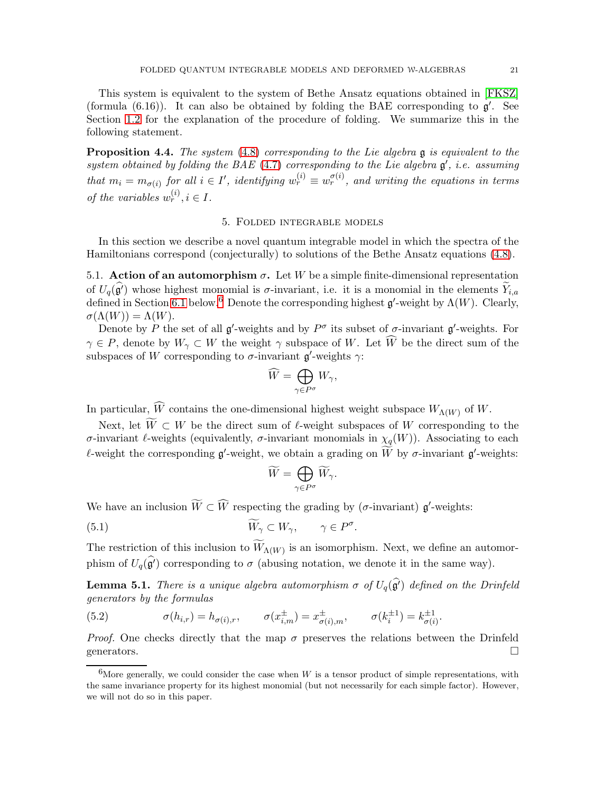This system is equivalent to the system of Bethe Ansatz equations obtained in [\[FKSZ\]](#page-67-5) (formula  $(6.16)$ ). It can also be obtained by folding the BAE corresponding to  $\mathfrak{g}'$ . See Section [1.2](#page-2-5) for the explanation of the procedure of folding. We summarize this in the following statement.

<span id="page-20-4"></span>**Proposition 4.4.** The system  $(4.8)$  corresponding to the Lie algebra  $\mathfrak{g}$  is equivalent to the system obtained by folding the BAE  $(4.7)$  corresponding to the Lie algebra  $\mathfrak{g}'$ , i.e. assuming that  $m_i = m_{\sigma(i)}$  for all  $i \in I'$ , identifying  $w_r^{(i)} \equiv w_r^{\sigma(i)}$ , and writing the equations in terms of the variables  $w_r^{(i)}$ ,  $i \in I$ .

### 5. Folded integrable models

<span id="page-20-0"></span>In this section we describe a novel quantum integrable model in which the spectra of the Hamiltonians correspond (conjecturally) to solutions of the Bethe Ansatz equations [\(4.8\)](#page-19-1).

<span id="page-20-3"></span>5.1. Action of an automorphism  $\sigma$ . Let W be a simple finite-dimensional representation of  $U_q(\hat{g}')$  whose highest monomial is  $\sigma$ -invariant, i.e. it is a monomial in the elements  $Y_{i,a}$ defined in Section [6.1](#page-33-1) below.<sup>[6](#page-20-2)</sup> Denote the corresponding highest  $\mathfrak{g}'$ -weight by  $\Lambda(W)$ . Clearly,  $\sigma(\Lambda(W)) = \Lambda(W).$ 

Denote by P the set of all  $\mathfrak{g}'$ -weights and by  $P^{\sigma}$  its subset of  $\sigma$ -invariant  $\mathfrak{g}'$ -weights. For  $\gamma \in P$ , denote by  $W_{\gamma} \subset W$  the weight  $\gamma$  subspace of W. Let  $\widehat{W}$  be the direct sum of the subspaces of W corresponding to  $\sigma$ -invariant  $\mathfrak{g}'$ -weights  $\gamma$ :

$$
\widehat{W} = \bigoplus_{\gamma \in P^{\sigma}} W_{\gamma},
$$

In particular,  $\widehat{W}$  contains the one-dimensional highest weight subspace  $W_{\Lambda(W)}$  of  $W$ .

Next, let  $\widetilde{W} \subset W$  be the direct sum of  $\ell$ -weight subspaces of W corresponding to the σ-invariant  $\ell$ -weights (equivalently, σ-invariant monomials in  $\chi_q(W)$ ). Associating to each  $\ell$ -weight the corresponding  $\mathfrak{g}'$ -weight, we obtain a grading on  $\widetilde{W}$  by  $\sigma$ -invariant  $\mathfrak{g}'$ -weights:

$$
\widetilde{W}=\bigoplus_{\gamma\in P^{\sigma}}\widetilde{W}_{\gamma}.
$$

We have an inclusion  $\widetilde{W} \subset \widehat{W}$  respecting the grading by ( $\sigma$ -invariant)  $\mathfrak{g}'$ -weights:

(5.1) 
$$
\widetilde{W}_{\gamma} \subset W_{\gamma}, \qquad \gamma \in P^{\sigma}.
$$

The restriction of this inclusion to  $W_{\Lambda(W)}$  is an isomorphism. Next, we define an automorphism of  $U_q(\mathfrak{g}^{\prime})$  corresponding to  $\sigma$  (abusing notation, we denote it in the same way).

**Lemma 5.1.** There is a unique algebra automorphism  $\sigma$  of  $U_q(\hat{g}')$  defined on the Drinfeld generators by the formulas

<span id="page-20-1"></span>(5.2) 
$$
\sigma(h_{i,r}) = h_{\sigma(i),r}, \qquad \sigma(x_{i,m}^{\pm}) = x_{\sigma(i),m}^{\pm}, \qquad \sigma(k_i^{\pm 1}) = k_{\sigma(i)}^{\pm 1}.
$$

*Proof.* One checks directly that the map  $\sigma$  preserves the relations between the Drinfeld generators.  $\Box$ 

<span id="page-20-2"></span><sup>&</sup>lt;sup>6</sup>More generally, we could consider the case when W is a tensor product of simple representations, with the same invariance property for its highest monomial (but not necessarily for each simple factor). However, we will not do so in this paper.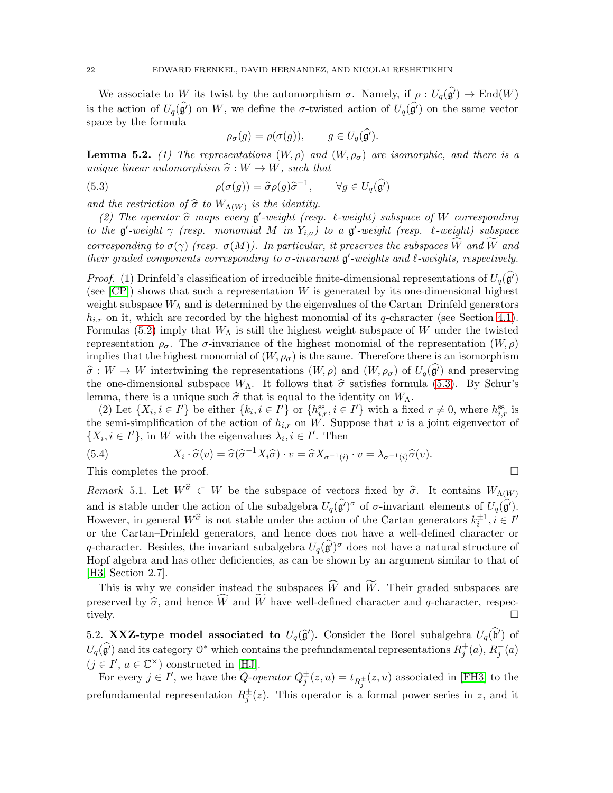We associate to W its twist by the automorphism  $\sigma$ . Namely, if  $\rho: U_q(\hat{\mathfrak{g}}') \to \text{End}(W)$ is the action of  $U_q(\hat{\mathfrak{g}}')$  on W, we define the  $\sigma$ -twisted action of  $U_q(\hat{\mathfrak{g}}')$  on the same vector space by the formula

<span id="page-21-0"></span>
$$
\rho_{\sigma}(g) = \rho(\sigma(g)), \qquad g \in U_q(\mathfrak{g}').
$$

<span id="page-21-1"></span>**Lemma 5.2.** (1) The representations  $(W, \rho)$  and  $(W, \rho_{\sigma})$  are isomorphic, and there is a unique linear automorphism  $\hat{\sigma} : W \to W$ , such that

(5.3) 
$$
\rho(\sigma(g)) = \hat{\sigma}\rho(g)\hat{\sigma}^{-1}, \qquad \forall g \in U_q(\hat{\mathfrak{g}'})
$$

and the restriction of  $\widehat{\sigma}$  to  $W_{\Lambda(W)}$  is the identity.

(2) The operator  $\hat{\sigma}$  maps every  $g'$ -weight (resp.  $\ell$ -weight) subspace of W corresponding to the  $\mathfrak{g}'$ -weight  $\gamma$  (resp. monomial M in  $Y_{i,a}$ ) to a  $\mathfrak{g}'$ -weight (resp.  $\ell$ -weight) subspace corresponding to  $\sigma(\gamma)$  (resp.  $\sigma(M)$ ). In particular, it preserves the subspaces  $\widehat{W}$  and  $\widetilde{W}$  and their graded components corresponding to  $\sigma$ -invariant  $\mathfrak{g}'$ -weights and  $\ell$ -weights, respectively.

*Proof.* (1) Drinfeld's classification of irreducible finite-dimensional representations of  $U_q(\mathfrak{g}')$ (see  $[CP]$ ) shows that such a representation W is generated by its one-dimensional highest weight subspace  $W_{\Lambda}$  and is determined by the eigenvalues of the Cartan–Drinfeld generators  $h_{i,r}$  on it, which are recorded by the highest monomial of its q-character (see Section [4.1\)](#page-15-0). Formulas [\(5.2\)](#page-20-1) imply that  $W_{\Lambda}$  is still the highest weight subspace of W under the twisted representation  $\rho_{\sigma}$ . The  $\sigma$ -invariance of the highest monomial of the representation  $(W, \rho)$ implies that the highest monomial of  $(W, \rho_{\sigma})$  is the same. Therefore there is an isomorphism  $\hat{\sigma}: W \to W$  intertwining the representations  $(W, \rho)$  and  $(W, \rho_{\sigma})$  of  $U_q(\mathfrak{g}')$  and preserving the one-dimensional subspace  $W_{\Lambda}$ . It follows that  $\hat{\sigma}$  satisfies formula [\(5.3\)](#page-21-0). By Schur's lemma, there is a unique such  $\hat{\sigma}$  that is equal to the identity on  $W_{\Lambda}$ .

(2) Let  $\{X_i, i \in I'\}$  be either  $\{k_i, i \in I'\}$  or  $\{h_{i,r}^{\text{ss}}, i \in I'\}$  with a fixed  $r \neq 0$ , where  $h_{i,r}^{\text{ss}}$  is the semi-simplification of the action of  $h_{i,r}$  on W. Suppose that v is a joint eigenvector of  $\{X_i, i \in I'\}$ , in W with the eigenvalues  $\lambda_i, i \in I'$ . Then

<span id="page-21-3"></span>(5.4) 
$$
X_i \cdot \widehat{\sigma}(v) = \widehat{\sigma}(\widehat{\sigma}^{-1}X_i\widehat{\sigma}) \cdot v = \widehat{\sigma}X_{\sigma^{-1}(i)} \cdot v = \lambda_{\sigma^{-1}(i)}\widehat{\sigma}(v).
$$

This completes the proof.  $\Box$ 

Remark 5.1. Let  $W^{\hat{\sigma}} \subset W$  be the subspace of vectors fixed by  $\hat{\sigma}$ . It contains  $W_{\Lambda(W)}$ and is stable under the action of the subalgebra  $U_q(\hat{g}')^{\sigma}$  of  $\sigma$ -invariant elements of  $U_q(\hat{g}')$ . However, in general  $W^{\hat{\sigma}}$  is not stable under the action of the Cartan generators  $k_i^{\pm 1}$ ,  $i \in I'$ or the Cartan–Drinfeld generators, and hence does not have a well-defined character or q-character. Besides, the invariant subalgebra  $U_q(\hat{g}')^{\sigma}$  does not have a natural structure of Hopf algebra and has other deficiencies, as can be shown by an argument similar to that of [\[H3,](#page-67-22) Section 2.7].

This is why we consider instead the subspaces  $\widehat{W}$  and  $\widetilde{W}$ . Their graded subspaces are preserved by  $\hat{\sigma}$ , and hence  $\widehat{W}$  and  $\widehat{W}$  have well-defined character and q-character, respectively. tively.  $\Box$ 

<span id="page-21-2"></span>5.2. XXZ-type model associated to  $U_q(\hat{\mathfrak{g}}')$ . Consider the Borel subalgebra  $U_q(\hat{\mathfrak{b}}')$  of  $U_q(\widehat{\mathfrak{g}'})$  and its category  $\mathbb{O}^*$  which contains the prefundamental representations  $R_j^+(a), R_j^-(a)$  $(j \in I', a \in \mathbb{C}^{\times})$  constructed in [\[HJ\]](#page-67-2).

For every  $j \in I'$ , we have the Q-operator  $Q_j^{\pm}(z, u) = t_{R_j^{\pm}}(z, u)$  associated in [\[FH3\]](#page-67-1) to the prefundamental representation  $R_j^{\pm}(z)$ . This operator is a formal power series in z, and it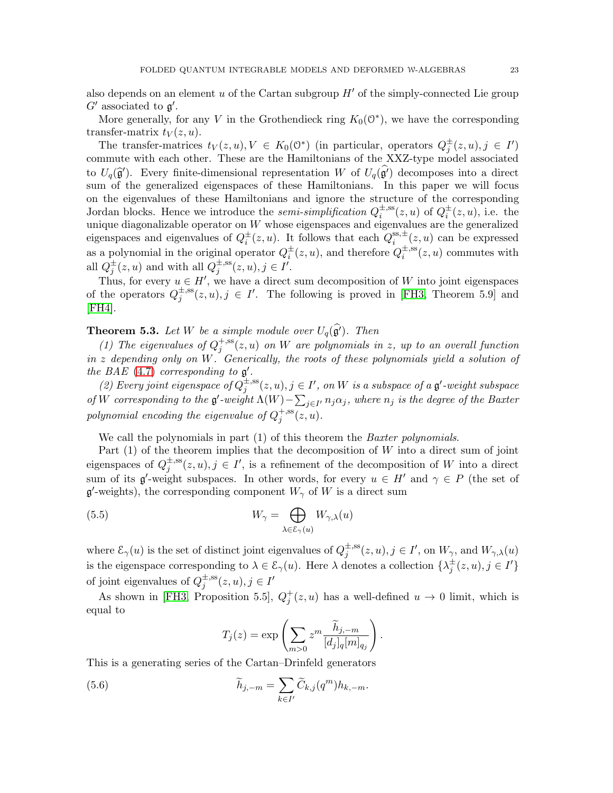More generally, for any V in the Grothendieck ring  $K_0(\mathbb{O}^*)$ , we have the corresponding transfer-matrix  $t_V(z, u)$ .

The transfer-matrices  $t_V(z, u), V \in K_0(\mathbb{O}^*)$  (in particular, operators  $Q_j^{\pm}(z, u), j \in I'$ ) commute with each other. These are the Hamiltonians of the XXZ-type model associated to  $U_q(\hat{g}')$ . Every finite-dimensional representation W of  $U_q(\hat{g}')$  decomposes into a direct sum of the generalized eigenspaces of these Hamiltonians. In this paper we will focus on the eigenvalues of these Hamiltonians and ignore the structure of the corresponding Jordan blocks. Hence we introduce the *semi-simplification*  $Q_i^{\pm,ss}$  $i^{\pm,ss}(z,u)$  of  $Q_i^{\pm}(z,u)$ , i.e. the unique diagonalizable operator on  $W$  whose eigenspaces and eigenvalues are the generalized eigenspaces and eigenvalues of  $Q_i^{\pm}(z, u)$ . It follows that each  $Q_i^{\text{ss}, \pm}$  $e_i^{\operatorname{ss},\pm}(z,u)$  can be expressed as a polynomial in the original operator  $Q_i^{\pm}(z, u)$ , and therefore  $Q_i^{\pm, ss}$  $\sum_{i=1}^{\infty}$  (*z*, *u*) commutes with all  $Q_j^{\pm}(z, u)$  and with all  $Q_j^{\pm, ss}$  $j^{\pm,ss}(z,u), j \in I'.$ 

Thus, for every  $u \in H'$ , we have a direct sum decomposition of W into joint eigenspaces of the operators  $Q_i^{\pm,ss}$  $j_j^{\pm,ss}(z,u), j \in I'$ . The following is proved in [\[FH3,](#page-67-1) Theorem 5.9] and [\[FH4\]](#page-67-3).

# <span id="page-22-0"></span>**Theorem 5.3.** Let W be a simple module over  $U_q(\hat{g}')$ . Then

(1) The eigenvalues of  $Q_i^{+,\text{ss}}$  $j^{\rm +, ss}(z,u)$  on  $W$  are polynomials in  $z,$  up to an overall function in z depending only on W. Generically, the roots of these polynomials yield a solution of the BAE  $(4.7)$  corresponding to  $\mathfrak{g}'$ .

(2) Every joint eigenspace of  $Q_i^{\pm,ss}$  $_{j}^{\pm, \rm ss}(z,u), j\in I', \ on\ W\ is\ a\ subspace\ of\ a\ \mathfrak{g}'\text{-weight subspace}$ of W corresponding to the  $\mathfrak{g}'$ -weight  $\Lambda(W) - \sum_{j\in I'} n_j \alpha_j$ , where  $n_j$  is the degree of the Baxter polynomial encoding the eigenvalue of  $Q_i^{+,\text{ss}}$  $j^{+,\text{ss}}(z,u).$ 

We call the polynomials in part (1) of this theorem the *Baxter polynomials*.

Part  $(1)$  of the theorem implies that the decomposition of W into a direct sum of joint eigenspaces of  $Q_i^{\pm,ss}$  $j^{\pm,ss}(z,u), j \in I'$ , is a refinement of the decomposition of W into a direct sum of its  $\mathfrak{g}'$ -weight subspaces. In other words, for every  $u \in H'$  and  $\gamma \in P$  (the set of  $\mathfrak{g}'$ -weights), the corresponding component  $W_{\gamma}$  of W is a direct sum

(5.5) 
$$
W_{\gamma} = \bigoplus_{\lambda \in \mathcal{E}_{\gamma}(u)} W_{\gamma,\lambda}(u)
$$

where  $\mathcal{E}_{\gamma}(u)$  is the set of distinct joint eigenvalues of  $Q_i^{\pm,ss}$  $j_j^{\pm, ss}(z, u), j \in I', \text{ on } W_\gamma, \text{ and } W_{\gamma, \lambda}(u)$ is the eigenspace corresponding to  $\lambda \in \mathcal{E}_{\gamma}(u)$ . Here  $\lambda$  denotes a collection  $\{\lambda_j^{\pm}(z, u), j \in I'\}$ of joint eigenvalues of  $Q_i^{\pm,ss}$  $j^{\pm,ss}(z,u), j \in I'$ 

As shown in [\[FH3,](#page-67-1) Proposition 5.5],  $Q_j^+(z, u)$  has a well-defined  $u \to 0$  limit, which is equal to

<span id="page-22-2"></span><span id="page-22-1"></span>
$$
T_j(z) = \exp\left(\sum_{m>0} z^m \frac{\widetilde{h}_{j,-m}}{[d_j]_q[m]_{q_j}}\right).
$$

This is a generating series of the Cartan–Drinfeld generators

(5.6) 
$$
\widetilde{h}_{j,-m} = \sum_{k \in I'} \widetilde{C}_{k,j}(q^m) h_{k,-m}.
$$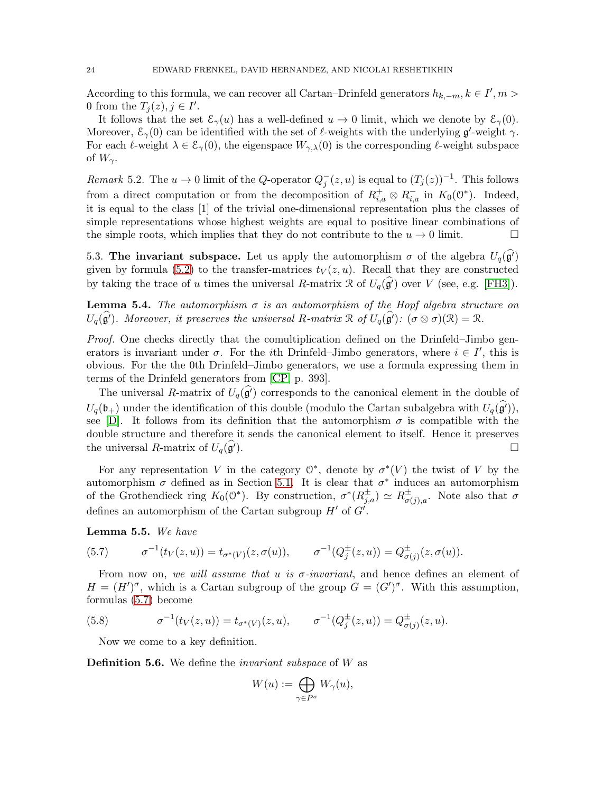According to this formula, we can recover all Cartan–Drinfeld generators  $h_{k,-m}$ ,  $k \in I', m >$ 0 from the  $T_j(z), j \in I'$ .

It follows that the set  $\mathcal{E}_{\gamma}(u)$  has a well-defined  $u \to 0$  limit, which we denote by  $\mathcal{E}_{\gamma}(0)$ . Moreover,  $\mathcal{E}_{\gamma}(0)$  can be identified with the set of  $\ell$ -weights with the underlying  $\mathfrak{g}'$ -weight  $\gamma$ . For each  $\ell$ -weight  $\lambda \in \mathcal{E}_{\gamma}(0)$ , the eigenspace  $W_{\gamma,\lambda}(0)$  is the corresponding  $\ell$ -weight subspace of  $W_{\gamma}$ .

Remark 5.2. The  $u \to 0$  limit of the Q-operator  $Q_j^-(z, u)$  is equal to  $(T_j(z))^{-1}$ . This follows from a direct computation or from the decomposition of  $R_{i,a}^+ \otimes R_{i,a}^-$  in  $K_0(0^*)$ . Indeed, it is equal to the class [1] of the trivial one-dimensional representation plus the classes of simple representations whose highest weights are equal to positive linear combinations of the simple roots, which implies that they do not contribute to the  $u \to 0$  limit.

<span id="page-23-2"></span>5.3. The invariant subspace. Let us apply the automorphism  $\sigma$  of the algebra  $U_q(\hat{g}$ <sup>'</sup>) given by formula [\(5.2\)](#page-20-1) to the transfer-matrices  $t_V(z, u)$ . Recall that they are constructed by taking the trace of u times the universal R-matrix R of  $U_q(\hat{g}')$  over V (see, e.g. [\[FH3\]](#page-67-1)).

**Lemma 5.4.** The automorphism  $\sigma$  is an automorphism of the Hopf algebra structure on  $U_q(\mathfrak{g}')$ . Moreover, it preserves the universal R-matrix  $\mathfrak{R}$  of  $U_q(\mathfrak{g}')$ :  $(\sigma \otimes \sigma)(\mathfrak{R}) = \mathfrak{R}$ .

Proof. One checks directly that the comultiplication defined on the Drinfeld–Jimbo generators is invariant under  $\sigma$ . For the *i*th Drinfeld–Jimbo generators, where  $i \in I'$ , this is obvious. For the the 0th Drinfeld–Jimbo generators, we use a formula expressing them in terms of the Drinfeld generators from [\[CP,](#page-67-20) p. 393].

The universal R-matrix of  $U_q(\hat{g}$  corresponds to the canonical element in the double of  $U_q(\mathfrak{b}_+)$  under the identification of this double (modulo the Cartan subalgebra with  $U_q(\mathfrak{g}'),$ see [\[D\]](#page-67-23). It follows from its definition that the automorphism  $\sigma$  is compatible with the double structure and therefore it sends the canonical element to itself. Hence it preserves the universal R-matrix of  $U_q(\mathfrak{g}')$ .

For any representation V in the category  $\mathcal{O}^*$ , denote by  $\sigma^*(V)$  the twist of V by the automorphism  $\sigma$  defined as in Section [5.1.](#page-20-3) It is clear that  $\sigma^*$  induces an automorphism of the Grothendieck ring  $K_0(\mathbb{O}^*)$ . By construction,  $\sigma^*(R_{j,a}^{\pm}) \simeq R_{\sigma(j)}^{\pm}$  $\sigma(j)$ <sub>,a</sub>. Note also that  $\sigma$ defines an automorphism of the Cartan subgroup  $H'$  of  $G'$ .

### Lemma 5.5. We have

<span id="page-23-0"></span>(5.7) 
$$
\sigma^{-1}(t_V(z, u)) = t_{\sigma^*(V)}(z, \sigma(u)), \qquad \sigma^{-1}(Q_j^{\pm}(z, u)) = Q_{\sigma(j)}^{\pm}(z, \sigma(u)).
$$

From now on, we will assume that u is  $\sigma$ -invariant, and hence defines an element of  $H = (H')^{\sigma}$ , which is a Cartan subgroup of the group  $G = (G')^{\sigma}$ . With this assumption, formulas [\(5.7\)](#page-23-0) become

(5.8) 
$$
\sigma^{-1}(t_V(z, u)) = t_{\sigma^*(V)}(z, u), \qquad \sigma^{-1}(Q_j^{\pm}(z, u)) = Q_{\sigma(j)}^{\pm}(z, u).
$$

<span id="page-23-1"></span>Now we come to a key definition.

**Definition 5.6.** We define the *invariant subspace* of W as

$$
W(u):=\bigoplus_{\gamma\in P^{\sigma}}W_{\gamma}(u),
$$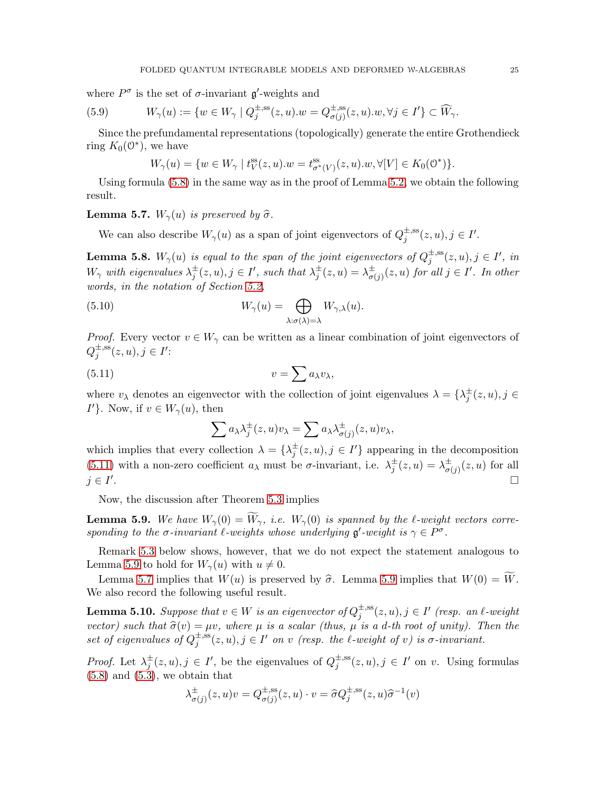where  $P^{\sigma}$  is the set of  $\sigma$ -invariant  $\mathfrak{g}'$ -weights and

(5.9) 
$$
W_{\gamma}(u) := \{ w \in W_{\gamma} \mid Q_j^{\pm, \text{ss}}(z, u). w = Q_{\sigma(j)}^{\pm, \text{ss}}(z, u). w, \forall j \in I' \} \subset \widehat{W}_{\gamma}.
$$

Since the prefundamental representations (topologically) generate the entire Grothendieck ring  $K_0(\mathbb{O}^*)$ , we have

<span id="page-24-3"></span>
$$
W_\gamma(u)=\{w\in W_\gamma\mid t^{\mathrm{ss}}_V(z,u).w=t^{\mathrm{ss}}_{\sigma^*(V)}(z,u).w,\forall [V]\in K_0(\mathbf{0}^*)\}.
$$

Using formula [\(5.8\)](#page-23-1) in the same way as in the proof of Lemma [5.2,](#page-21-1) we obtain the following result.

<span id="page-24-2"></span>**Lemma 5.7.**  $W_{\gamma}(u)$  is preserved by  $\hat{\sigma}$ .

We can also describe  $W_{\gamma}(u)$  as a span of joint eigenvectors of  $Q_i^{\pm,ss}$  $j^{\pm,ss}(z,u), j \in I'.$ 

**Lemma 5.8.**  $W_{\gamma}(u)$  is equal to the span of the joint eigenvectors of  $Q_{j}^{\pm,ss}$  $j^{\pm,ss}(z,u), j \in I', in$  $W_{\gamma}$  with eigenvalues  $\lambda_j^{\pm}(z, u), j \in I'$ , such that  $\lambda_j^{\pm}(z, u) = \lambda_{\sigma}^{\pm}$  $^{\pm}_{\sigma(j)}(z,u)$  for all  $j\in I'.$  In other words, in the notation of Section [5.2,](#page-21-2)

(5.10) 
$$
W_{\gamma}(u) = \bigoplus_{\lambda: \sigma(\lambda) = \lambda} W_{\gamma,\lambda}(u).
$$

*Proof.* Every vector  $v \in W_\gamma$  can be written as a linear combination of joint eigenvectors of  $Q_i^{\pm,\mathrm{ss}}$  $j^{\pm,ss}(z,u), j \in I'$ :

$$
(5.11) \t\t v = \sum a_{\lambda} v_{\lambda},
$$

where  $v_{\lambda}$  denotes an eigenvector with the collection of joint eigenvalues  $\lambda = \{\lambda_j^{\pm}(z, u), j \in$ I'}. Now, if  $v \in W_{\gamma}(u)$ , then

<span id="page-24-5"></span><span id="page-24-0"></span>
$$
\sum a_{\lambda} \lambda_j^{\pm}(z, u)v_{\lambda} = \sum a_{\lambda} \lambda_{\sigma(j)}^{\pm}(z, u)v_{\lambda},
$$

which implies that every collection  $\lambda = {\lambda_j^{\pm}(z, u), j \in I'}$  appearing in the decomposition [\(5.11\)](#page-24-0) with a non-zero coefficient  $a_{\lambda}$  must be  $\sigma$ -invariant, i.e.  $\lambda_j^{\pm}(z, u) = \lambda_{\sigma}^{\pm}$  $^{\pm}_{\sigma(j)}(z,u)$  for all  $j \in I'$ .

Now, the discussion after Theorem [5.3](#page-22-0) implies

<span id="page-24-1"></span>**Lemma 5.9.** We have  $W_{\gamma}(0) = \widetilde{W}_{\gamma}$ , i.e.  $W_{\gamma}(0)$  is spanned by the  $\ell$ -weight vectors corresponding to the  $\sigma$ -invariant  $\ell$ -weights whose underlying  $\mathfrak{g}'$ -weight is  $\gamma \in P^{\sigma}$ .

Remark [5.3](#page-25-0) below shows, however, that we do not expect the statement analogous to Lemma [5.9](#page-24-1) to hold for  $W_{\gamma}(u)$  with  $u \neq 0$ .

Lemma [5.7](#page-24-2) implies that  $W(u)$  is preserved by  $\hat{\sigma}$ . Lemma [5.9](#page-24-1) implies that  $W(0) = \widetilde{W}$ . We also record the following useful result.

<span id="page-24-4"></span>**Lemma 5.10.** Suppose that  $v \in W$  is an eigenvector of  $Q_i^{\pm,ss}$  $j^{\pm,\operatorname{ss}}(z,u), j\in I'$  (resp. an  $\ell\text{-weight}$ vector) such that  $\hat{\sigma}(v) = \mu v$ , where  $\mu$  is a scalar (thus,  $\mu$  is a d-th root of unity). Then the set of eigenvalues of  $Q_i^{\pm,ss}$  $j^{\pm,ss}(z,u), j \in I'$  on v (resp. the  $\ell$ -weight of v) is  $\sigma$ -invariant.

*Proof.* Let  $\lambda_j^{\pm}(z, u), j \in I'$ , be the eigenvalues of  $Q_j^{\pm, ss}$  $j^{\pm,ss}(z,u), j \in I'$  on v. Using formulas  $(5.8)$  and  $(5.3)$ , we obtain that

$$
\lambda^{\pm}_{\sigma(j)}(z,u)v = Q^{\pm, \text{ss}}_{\sigma(j)}(z,u) \cdot v = \hat{\sigma} Q^{\pm, \text{ss}}_j(z,u)\hat{\sigma}^{-1}(v)
$$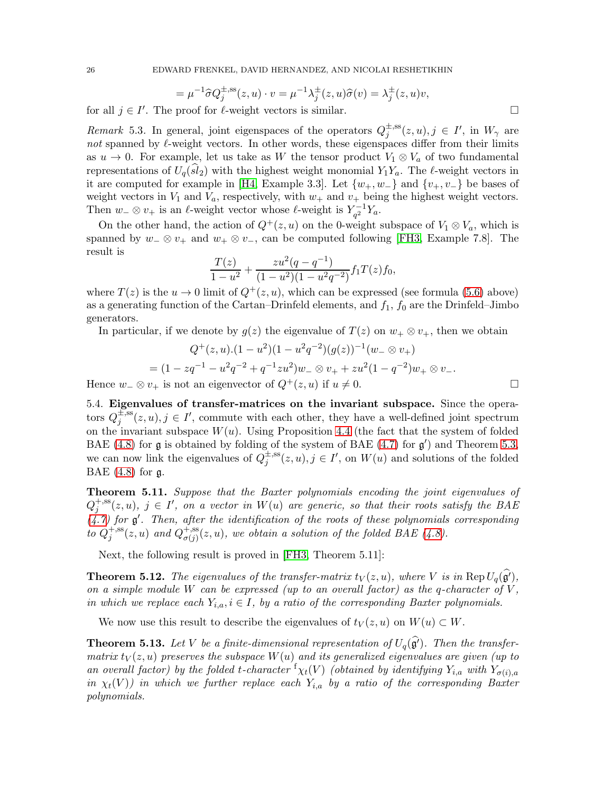$$
= \mu^{-1}\widehat{\sigma}Q_j^{\pm,ss}(z,u) \cdot v = \mu^{-1}\lambda_j^{\pm}(z,u)\widehat{\sigma}(v) = \lambda_j^{\pm}(z,u)v,
$$

for all  $j \in I'$ . The proof for  $\ell$ -weight vectors is similar.

<span id="page-25-0"></span>Remark 5.3. In general, joint eigenspaces of the operators  $Q_i^{\pm,ss}$  $j^{\pm, ss}(z, u), j \in I', \text{ in } W_{\gamma} \text{ are}$ not spanned by  $\ell$ -weight vectors. In other words, these eigenspaces differ from their limits as  $u \to 0$ . For example, let us take as W the tensor product  $V_1 \otimes V_a$  of two fundamental representations of  $U_q(sl_2)$  with the highest weight monomial  $Y_1Y_a$ . The  $\ell$ -weight vectors in it are computed for example in [\[H4,](#page-67-24) Example 3.3]. Let  $\{w_+, w_-\}$  and  $\{v_+, v_-\}$  be bases of weight vectors in  $V_1$  and  $V_a$ , respectively, with  $w_+$  and  $v_+$  being the highest weight vectors. Then  $w_-\otimes v_+$  is an  $\ell$ -weight vector whose  $\ell$ -weight is  $Y_{a^2}^{-1}$  $q^{2-1}Y_a$ .

On the other hand, the action of  $Q^+(z, u)$  on the 0-weight subspace of  $V_1 \otimes V_a$ , which is spanned by  $w_-\otimes v_+$  and  $w_+\otimes v_-,$  can be computed following [\[FH3,](#page-67-1) Example 7.8]. The result is

$$
\frac{T(z)}{1-u^2} + \frac{zu^2(q-q^{-1})}{(1-u^2)(1-u^2q^{-2})}f_1T(z)f_0,
$$

where  $T(z)$  is the  $u \to 0$  limit of  $Q^+(z, u)$ , which can be expressed (see formula [\(5.6\)](#page-22-1) above) as a generating function of the Cartan–Drinfeld elements, and  $f_1$ ,  $f_0$  are the Drinfeld–Jimbo generators.

In particular, if we denote by  $g(z)$  the eigenvalue of  $T(z)$  on  $w_+ \otimes v_+$ , then we obtain

$$
Q^+(z, u) \cdot (1 - u^2)(1 - u^2 q^{-2})(g(z))^{-1}(w_- \otimes v_+)
$$
  
=  $(1 - zq^{-1} - u^2 q^{-2} + q^{-1} z u^2) w_- \otimes v_+ + z u^2 (1 - q^{-2}) w_+ \otimes v_-.$ 

<span id="page-25-3"></span>Hence  $w_-\otimes v_+$  is not an eigenvector of  $Q^+(z, u)$  if  $u \neq 0$ .

5.4. Eigenvalues of transfer-matrices on the invariant subspace. Since the operators  $Q_i^{\pm,ss}$  $j_j^{\pm,ss}(z,u), j \in I'$ , commute with each other, they have a well-defined joint spectrum on the invariant subspace  $W(u)$ . Using Proposition [4.4](#page-20-4) (the fact that the system of folded BAE [\(4.8\)](#page-19-1) for  $\mathfrak g$  is obtained by folding of the system of BAE [\(4.7\)](#page-19-2) for  $\mathfrak g'$ ) and Theorem [5.3,](#page-22-0) we can now link the eigenvalues of  $Q_i^{\pm,ss}$  $j_j^{\pm,ss}(z,u), j \in I',$  on  $W(u)$  and solutions of the folded BAE  $(4.8)$  for  $\mathfrak{g}$ .

<span id="page-25-2"></span>Theorem 5.11. Suppose that the Baxter polynomials encoding the joint eigenvalues of  $Q_i^{+,ss}(z,u)$ ,  $j \in I'$ , on a vector in  $W(u)$  are generic, so that their roots satisfy the BAE j  $(4.7)$  for  $\mathfrak{g}'$ . Then, after the identification of the roots of these polynomials corresponding to  $Q_i^{+,ss}$  $j^{\text{+,ss}}(z,u)$  and  $Q_{\sigma(j)}^{\text{+,ss}}$  $\sigma_{\sigma(j)}^{+,\text{ss}}(z,u)$ , we obtain a solution of the folded BAE [\(4.8\)](#page-19-1).

Next, the following result is proved in [\[FH3,](#page-67-1) Theorem 5.11]:

**Theorem 5.12.** The eigenvalues of the transfer-matrix  $t_V(z, u)$ , where V is in Rep  $U_q(\hat{g}')$ , on a simple module W can be expressed (up to an overall factor) as the q-character of  $V$ , in which we replace each  $Y_{i,a}, i \in I$ , by a ratio of the corresponding Baxter polynomials.

We now use this result to describe the eigenvalues of  $t_V(z, u)$  on  $W(u) \subset W$ .

<span id="page-25-1"></span>**Theorem 5.13.** Let V be a finite-dimensional representation of  $U_q(\hat{\mathfrak{g}}')$ . Then the transfermatrix  $t_V(z, u)$  preserves the subspace  $W(u)$  and its generalized eigenvalues are given (up to an overall factor) by the folded t-character  $f_{\chi_t}(V)$  (obtained by identifying  $Y_{i,a}$  with  $Y_{\sigma(i),a}$ in  $\chi_t(V)$ ) in which we further replace each  $Y_{i,a}$  by a ratio of the corresponding Baxter polynomials.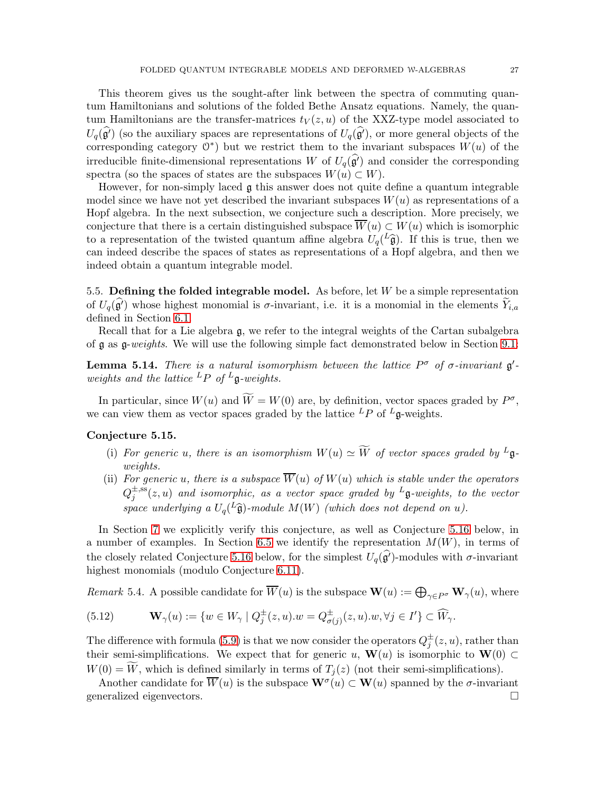This theorem gives us the sought-after link between the spectra of commuting quantum Hamiltonians and solutions of the folded Bethe Ansatz equations. Namely, the quantum Hamiltonians are the transfer-matrices  $t<sub>V</sub>(z, u)$  of the XXZ-type model associated to  $U_q(\hat{\mathfrak{g}}')$  (so the auxiliary spaces are representations of  $U_q(\hat{\mathfrak{g}}')$ , or more general objects of the corresponding category  $0^*$ ) but we restrict them to the invariant subspaces  $W(u)$  of the irreducible finite-dimensional representations W of  $U_q(\mathfrak{g}^i)$  and consider the corresponding spectra (so the spaces of states are the subspaces  $W(u) \subset W$ ).

However, for non-simply laced  $\boldsymbol{g}$  this answer does not quite define a quantum integrable model since we have not yet described the invariant subspaces  $W(u)$  as representations of a Hopf algebra. In the next subsection, we conjecture such a description. More precisely, we conjecture that there is a certain distinguished subspace  $\overline{W}(u) \subset W(u)$  which is isomorphic to a representation of the twisted quantum affine algebra  $U_q(\widehat{L}^2)$ . If this is true, then we can indeed describe the spaces of states as representations of a Hopf algebra, and then we indeed obtain a quantum integrable model.

5.5. Defining the folded integrable model. As before, let  $W$  be a simple representation of  $U_q(\hat{g}')$  whose highest monomial is  $\sigma$ -invariant, i.e. it is a monomial in the elements  $\widetilde{Y}_{i,a}$ defined in Section [6.1.](#page-33-1)

Recall that for a Lie algebra g, we refer to the integral weights of the Cartan subalgebra of g as g-weights. We will use the following simple fact demonstrated below in Section [9.1:](#page-52-1)

<span id="page-26-1"></span>**Lemma 5.14.** There is a natural isomorphism between the lattice  $P^{\sigma}$  of  $\sigma$ -invariant  $\mathfrak{g}'$ weights and the lattice  ${}^L P$  of  ${}^L \mathfrak{q}$ -weights.

In particular, since  $W(u)$  and  $\overline{W} = W(0)$  are, by definition, vector spaces graded by  $P^{\sigma}$ , we can view them as vector spaces graded by the lattice  ${}^L P$  of  ${}^L \mathfrak{g}$ -weights.

# <span id="page-26-0"></span>Conjecture 5.15.

- (i) For generic u, there is an isomorphism  $W(u) \simeq \widetilde{W}$  of vector spaces graded by  $^L$ **g**weights.
- (ii) For generic u, there is a subspace  $\overline{W}(u)$  of  $W(u)$  which is stable under the operators  $Q_i^{\pm,\mathrm{ss}}$  $j^{\pm, \rm ss}(z,u)$  and isomorphic, as a vector space graded by  ${}^L \frak g$ -weights, to the vector space underlying a  $U_q$ <sup>( $L$ </sup> $\widehat{\mathfrak{g}}$ )-module  $M(W)$  (which does not depend on u).

In Section [7](#page-42-0) we explicitly verify this conjecture, as well as Conjecture [5.16](#page-27-0) below, in a number of examples. In Section [6.5](#page-40-0) we identify the representation  $M(W)$ , in terms of the closely related Conjecture [5.16](#page-27-0) below, for the simplest  $U_q(\mathfrak{g}')$ -modules with  $\sigma$ -invariant highest monomials (modulo Conjecture [6.11\)](#page-42-1).

<span id="page-26-2"></span>Remark 5.4. A possible candidate for  $\overline{W}(u)$  is the subspace  $\mathbf{W}(u) := \bigoplus_{\gamma \in P^{\sigma}} \mathbf{W}_{\gamma}(u)$ , where

(5.12) 
$$
\mathbf{W}_{\gamma}(u) := \{ w \in W_{\gamma} \mid Q_j^{\pm}(z, u) . w = Q_{\sigma(j)}^{\pm}(z, u) . w, \forall j \in I' \} \subset \widehat{W}_{\gamma}.
$$

The difference with formula [\(5.9\)](#page-24-3) is that we now consider the operators  $Q_j^{\pm}(z, u)$ , rather than their semi-simplifications. We expect that for generic u,  $\mathbf{W}(u)$  is isomorphic to  $\mathbf{W}(0) \subset$  $W(0) = \widetilde{W}$ , which is defined similarly in terms of  $T_i(z)$  (not their semi-simplifications).

Another candidate for  $\overline{W}(u)$  is the subspace  $\mathbf{W}^{\sigma}(u) \subset \mathbf{W}(u)$  spanned by the  $\sigma$ -invariant generalized eigenvectors.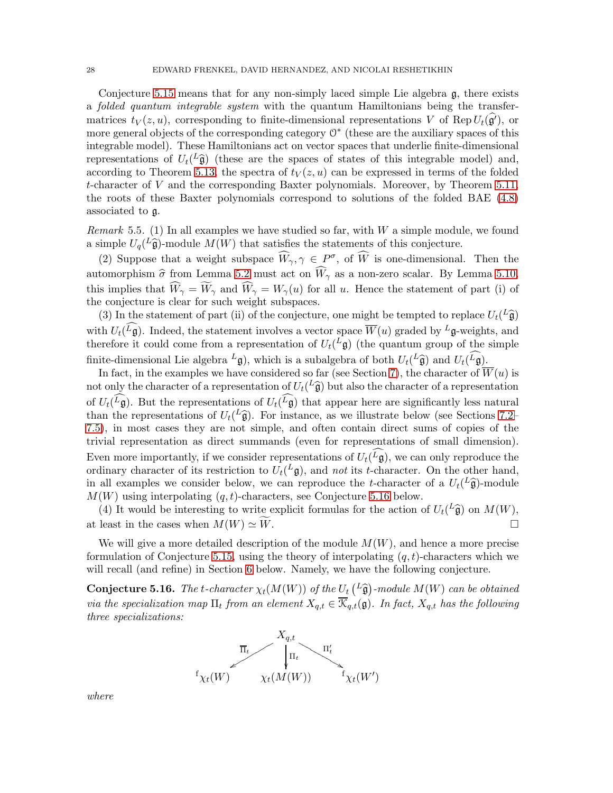Conjecture [5.15](#page-26-0) means that for any non-simply laced simple Lie algebra g, there exists a folded quantum integrable system with the quantum Hamiltonians being the transfermatrices  $t_V(z, u)$ , corresponding to finite-dimensional representations V of Rep  $U_t(\hat{\mathfrak{g}}')$ , or more general objects of the corresponding category  $\mathbb{O}^*$  (these are the auxiliary spaces of this integrable model). These Hamiltonians act on vector spaces that underlie finite-dimensional representations of  $U_t({}^L\hat{\mathfrak{g}})$  (these are the spaces of states of this integrable model) and, according to Theorem [5.13,](#page-25-1) the spectra of  $t<sub>V</sub>(z, u)$  can be expressed in terms of the folded t-character of V and the corresponding Baxter polynomials. Moreover, by Theorem [5.11,](#page-25-2) the roots of these Baxter polynomials correspond to solutions of the folded BAE [\(4.8\)](#page-19-1) associated to g.

<span id="page-27-1"></span>Remark 5.5. (1) In all examples we have studied so far, with  $W$  a simple module, we found a simple  $U_q(L\hat{\mathfrak{g}})$ -module  $M(W)$  that satisfies the statements of this conjecture.

(2) Suppose that a weight subspace  $\widetilde{W}_{\gamma}, \gamma \in P^{\sigma}$ , of  $\widetilde{W}$  is one-dimensional. Then the automorphism  $\hat{\sigma}$  from Lemma [5.2](#page-21-1) must act on  $\widehat{W}_{\gamma}$  as a non-zero scalar. By Lemma [5.10,](#page-24-4) this implies that  $\widehat{W}_{\gamma} = \widetilde{W}_{\gamma}$  and  $\widehat{W}_{\gamma} = W_{\gamma}(u)$  for all u. Hence the statement of part (i) of the conjecture is clear for such weight subspaces.

(3) In the statement of part (ii) of the conjecture, one might be tempted to replace  $U_t({}^L\hat{\mathfrak{g}})$ with  $U_t({}^L\mathfrak{g})$ . Indeed, the statement involves a vector space  $\overline{W}(u)$  graded by  ${}^L\mathfrak{g}$ -weights, and therefore it could come from a representation of  $U_t({}^L\mathfrak{g})$  (the quantum group of the simple finite-dimensional Lie algebra  $^L$ **g**), which is a subalgebra of both  $U_t({}^L \hat{\mathfrak{g}})$  and  $U_t({}^L \mathfrak{g})$ .

In fact, in the examples we have considered so far (see Section [7\)](#page-42-0), the character of  $\overline{W}(u)$  is not only the character of a representation of  $U_t({}^L\hat{\mathfrak{g}})$  but also the character of a representation of  $U_t(L\mathfrak{g})$ . But the representations of  $U_t(L\mathfrak{g})$  that appear here are significantly less natural than the representations of  $U_t({}^L\hat{\mathfrak{g}})$ . For instance, as we illustrate below (see Sections [7.2–](#page-43-0) [7.5\)](#page-48-0), in most cases they are not simple, and often contain direct sums of copies of the trivial representation as direct summands (even for representations of small dimension). Even more importantly, if we consider representations of  $U_t({}^L\mathfrak{g})$ , we can only reproduce the ordinary character of its restriction to  $U_t({}^L\mathfrak{g})$ , and not its t-character. On the other hand, in all examples we consider below, we can reproduce the t-character of a  $U_t(L\hat{\mathfrak{g}})$ -module  $M(W)$  using interpolating  $(q, t)$ -characters, see Conjecture [5.16](#page-27-0) below.

(4) It would be interesting to write explicit formulas for the action of  $U_t({}^L\hat{\mathfrak{g}})$  on  $M(W)$ , at least in the cases when  $M(W) \simeq \widetilde{W}$ .

We will give a more detailed description of the module  $M(W)$ , and hence a more precise formulation of Conjecture [5.15,](#page-26-0) using the theory of interpolating  $(q, t)$ -characters which we will recall (and refine) in Section [6](#page-33-0) below. Namely, we have the following conjecture.

<span id="page-27-0"></span>**Conjecture 5.16.** The t-character  $\chi_t(M(W))$  of the  $U_t(L\hat{\mathfrak{g}})$ -module  $M(W)$  can be obtained via the specialization map  $\Pi_t$  from an element  $X_{q,t} \in \overline{\mathcal{K}}_{q,t}(\mathfrak{g})$ . In fact,  $X_{q,t}$  has the following three specializations:



where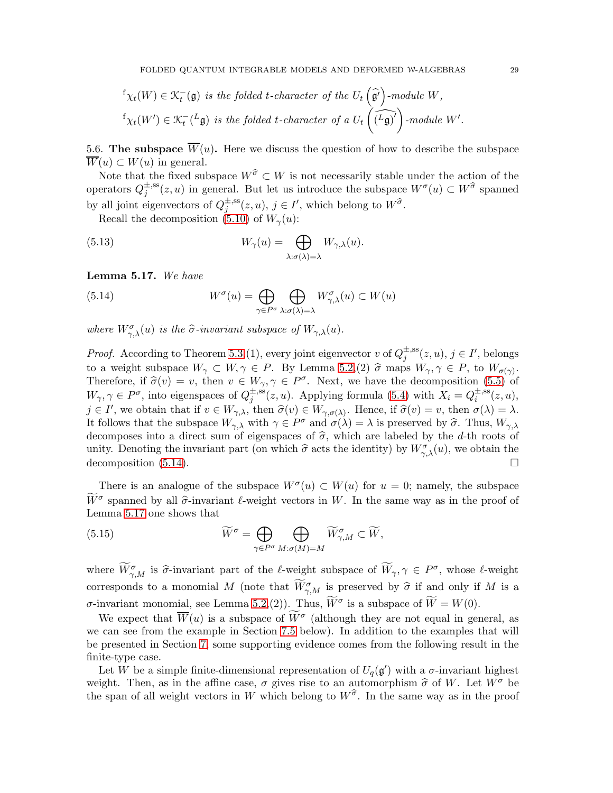$$
f_{\chi_t}(W) \in \mathfrak{K}_t^-(\mathfrak{g}) \text{ is the folded t-character of the } U_t\left(\widehat{\mathfrak{g}}'\right)\text{-module } W,
$$
  

$$
f_{\chi_t}(W') \in \mathfrak{K}_t^-(L\mathfrak{g}) \text{ is the folded t-character of a } U_t\left(\widehat{L\mathfrak{g}}'\right)\text{-module } W'.
$$

<span id="page-28-2"></span>5.6. The subspace  $\overline{W}(u)$ . Here we discuss the question of how to describe the subspace  $\overline{W}(u) \subset W(u)$  in general.

Note that the fixed subspace  $W^{\hat{\sigma}} \subset W$  is not necessarily stable under the action of the operators  $Q_i^{\pm,ss}$  $j^{\pm,ss}(z,u)$  in general. But let us introduce the subspace  $W^{\sigma}(u) \subset W^{\widehat{\sigma}}$  spanned by all joint eigenvectors of  $Q_i^{\pm,ss}$  $j^{\pm,ss}(z,u), j \in I'$ , which belong to  $W^{\widehat{\sigma}}$ .

Recall the decomposition [\(5.10\)](#page-24-5) of  $W_\gamma(u)$ :

(5.13) 
$$
W_{\gamma}(u) = \bigoplus_{\lambda: \sigma(\lambda) = \lambda} W_{\gamma,\lambda}(u).
$$

<span id="page-28-1"></span>Lemma 5.17. We have

<span id="page-28-0"></span>(5.14) 
$$
W^{\sigma}(u) = \bigoplus_{\gamma \in P^{\sigma}} \bigoplus_{\lambda: \sigma(\lambda) = \lambda} W^{\sigma}_{\gamma,\lambda}(u) \subset W(u)
$$

where  $W_{\gamma,\lambda}^{\sigma}(u)$  is the  $\widehat{\sigma}$ -invariant subspace of  $W_{\gamma,\lambda}(u)$ .

*Proof.* According to Theorem [5.3,](#page-22-0) (1), every joint eigenvector v of  $Q_i^{\pm,ss}$  $j^{\pm,ss}(z,u), j \in I'$ , belongs to a weight subspace  $W_{\gamma} \subset W, \gamma \in P$ . By Lemma [5.2,](#page-21-1)(2)  $\hat{\sigma}$  maps  $W_{\gamma}, \gamma \in P$ , to  $W_{\sigma(\gamma)}$ . Therefore, if  $\hat{\sigma}(v) = v$ , then  $v \in W_{\gamma}, \gamma \in P^{\sigma}$ . Next, we have the decomposition [\(5.5\)](#page-22-2) of  $W_{\gamma}, \gamma \in P^{\sigma}$ , into eigenspaces of  $Q_j^{\pm, ss}$  $j^{\pm,ss}(z,u)$ . Applying formula [\(5.4\)](#page-21-3) with  $X_i = Q_i^{\pm,ss}$  $\overline{z}^{\text{,ss}}(z,u),$  $j \in I'$ , we obtain that if  $v \in W_{\gamma,\lambda}$ , then  $\widehat{\sigma}(v) \in W_{\gamma,\sigma(\lambda)}$ . Hence, if  $\widehat{\sigma}(v) = v$ , then  $\sigma(\lambda) = \lambda$ . It follows that the subspace  $W_{\gamma,\lambda}$  with  $\gamma \in P^{\sigma}$  and  $\sigma(\lambda) = \lambda$  is preserved by  $\widehat{\sigma}$ . Thus,  $W_{\gamma,\lambda}$ decomposes into a direct sum of eigenspaces of  $\hat{\sigma}$ , which are labeled by the d-th roots of unity. Denoting the invariant part (on which  $\hat{\sigma}$  acts the identity) by  $W_{\gamma,\lambda}^{\sigma}(u)$ , we obtain the decomposition  $(5.14)$ .

There is an analogue of the subspace  $W^{\sigma}(u) \subset W(u)$  for  $u = 0$ ; namely, the subspace  $\widetilde{W}^{\sigma}$  spanned by all  $\widehat{\sigma}$ -invariant  $\ell$ -weight vectors in W. In the same way as in the proof of Lemma [5.17](#page-28-1) one shows that

(5.15) 
$$
\widetilde{W}^{\sigma} = \bigoplus_{\gamma \in P^{\sigma}} \bigoplus_{M: \sigma(M) = M} \widetilde{W}^{\sigma}_{\gamma,M} \subset \widetilde{W},
$$

where  $\overline{W}_{\gamma,M}^{\sigma}$  is  $\widehat{\sigma}$ -invariant part of the  $\ell$ -weight subspace of  $\overline{W}_{\gamma}, \gamma \in P^{\sigma}$ , whose  $\ell$ -weight corresponds to a monomial M (note that  $\widetilde{W}^{\sigma}_{\gamma,M}$  is preserved by  $\widehat{\sigma}$  if and only if M is a *σ*-invariant monomial, see Lemma [5.2,](#page-21-1)(2)). Thus,  $\widetilde{W}^{\sigma}$  is a subspace of  $\widetilde{W} = W(0)$ .

We expect that  $\overline{W}(u)$  is a subspace of  $\overline{W}^{\sigma}$  (although they are not equal in general, as we can see from the example in Section [7.5](#page-48-0) below). In addition to the examples that will be presented in Section [7,](#page-42-0) some supporting evidence comes from the following result in the finite-type case.

Let W be a simple finite-dimensional representation of  $U_q(\mathfrak{g}')$  with a  $\sigma$ -invariant highest weight. Then, as in the affine case,  $\sigma$  gives rise to an automorphism  $\hat{\sigma}$  of W. Let  $W^{\sigma}$  be the span of all weight vectors in W which belong to  $W^{\hat{\sigma}}$ . In the same way as in the proof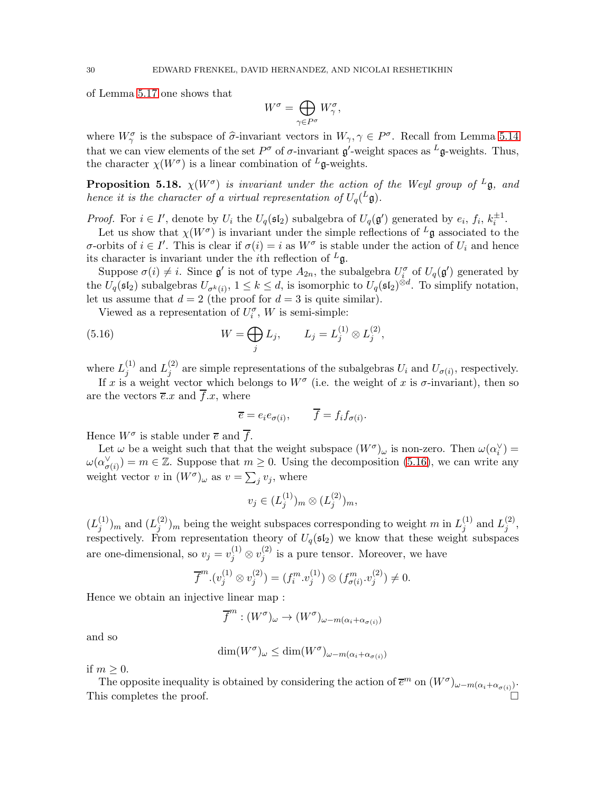of Lemma [5.17](#page-28-1) one shows that

$$
W^{\sigma}=\bigoplus_{\gamma\in P^{\sigma}}W^{\sigma}_{\gamma},
$$

where  $W^{\sigma}_{\gamma}$  is the subspace of  $\hat{\sigma}$ -invariant vectors in  $W_{\gamma}, \gamma \in P^{\sigma}$ . Recall from Lemma [5.14](#page-26-1) that we can view elements of the set  $P^{\sigma}$  of  $\sigma$ -invariant  $\mathfrak{g}'$ -weight spaces as  $^L\mathfrak{g}$ -weights. Thus, the character  $\chi(W^{\sigma})$  is a linear combination of  $^L$ **g**-weights.

<span id="page-29-1"></span>**Proposition 5.18.**  $\chi(W^{\sigma})$  is invariant under the action of the Weyl group of <sup>L</sup>g, and hence it is the character of a virtual representation of  $U_q$  $(L\mathfrak{g})$ .

*Proof.* For  $i \in I'$ , denote by  $U_i$  the  $U_q(\mathfrak{sl}_2)$  subalgebra of  $U_q(\mathfrak{g}')$  generated by  $e_i, f_i, k_i^{\pm 1}$ .

Let us show that  $\chi(W^{\sigma})$  is invariant under the simple reflections of  $^L\mathfrak{g}$  associated to the σ-orbits of *i* ∈ *I'*. This is clear if  $\sigma(i) = i$  as  $W^{\sigma}$  is stable under the action of  $U_i$  and hence its character is invariant under the *i*th reflection of  $L_{\mathfrak{g}}$ .

Suppose  $\sigma(i) \neq i$ . Since  $\mathfrak{g}'$  is not of type  $A_{2n}$ , the subalgebra  $U_i^{\sigma}$  of  $U_q(\mathfrak{g}')$  generated by the  $U_q(\mathfrak{sl}_2)$  subalgebras  $U_{\sigma^k(i)}$ ,  $1 \leq k \leq d$ , is isomorphic to  $U_q(\mathfrak{sl}_2)^{\otimes d}$ . To simplify notation, let us assume that  $d = 2$  (the proof for  $d = 3$  is quite similar).

Viewed as a representation of  $U_i^{\sigma}$ , W is semi-simple:

(5.16) 
$$
W = \bigoplus_{j} L_{j}, \qquad L_{j} = L_{j}^{(1)} \otimes L_{j}^{(2)},
$$

where  $L_i^{(1)}$  $j^{(1)}$  and  $L_j^{(2)}$  $j^{(2)}$  are simple representations of the subalgebras  $U_i$  and  $U_{\sigma(i)}$ , respectively.

If x is a weight vector which belongs to  $W^{\sigma}$  (i.e. the weight of x is  $\sigma$ -invariant), then so are the vectors  $\overline{e} \cdot x$  and  $\overline{f} \cdot x$ , where

<span id="page-29-0"></span>
$$
\overline{e} = e_i e_{\sigma(i)}, \qquad \overline{f} = f_i f_{\sigma(i)}.
$$

Hence  $W^{\sigma}$  is stable under  $\overline{e}$  and  $\overline{f}$ .

Let  $\omega$  be a weight such that that the weight subspace  $(W^{\sigma})_{\omega}$  is non-zero. Then  $\omega(\alpha_i^{\vee}) =$  $\omega(\alpha_{\sigma(i)}^{\vee}) = m \in \mathbb{Z}$ . Suppose that  $m \geq 0$ . Using the decomposition [\(5.16\)](#page-29-0), we can write any weight vector v in  $(W^{\sigma})_{\omega}$  as  $v = \sum_j v_j$ , where

$$
v_j \in (L_j^{(1)})_m \otimes (L_j^{(2)})_m,
$$

 $(L_i^{(1)}$  $j^{(1)}$ <sub>*j*</sub> and  $(L_j^{(2)}$  $j^{(2)}_{j}$ <sub>n</sub> being the weight subspaces corresponding to weight m in  $L_j^{(1)}$  $j^{(1)}$  and  $L_j^{(2)}$  $\stackrel{(2)}{j}$ respectively. From representation theory of  $U_q(\mathfrak{sl}_2)$  we know that these weight subspaces are one-dimensional, so  $v_j = v_j^{(1)} \otimes v_j^{(2)}$  $j_j^{(2)}$  is a pure tensor. Moreover, we have

$$
\overline{f}^m.(v_j^{(1)} \otimes v_j^{(2)}) = (f_i^m.v_j^{(1)}) \otimes (f_{\sigma(i)}^m.v_j^{(2)}) \neq 0.
$$

Hence we obtain an injective linear map :

$$
\overline{f}^m : (W^{\sigma})_{\omega} \to (W^{\sigma})_{\omega - m(\alpha_i + \alpha_{\sigma(i)})}
$$

and so

$$
\dim(W^{\sigma})_{\omega} \le \dim(W^{\sigma})_{\omega - m(\alpha_i + \alpha_{\sigma(i)})}
$$

if  $m \geq 0$ .

The opposite inequality is obtained by considering the action of  $\bar{e}^m$  on  $(W^{\sigma})_{\omega-m(\alpha_i+\alpha_{\sigma(i)})}$ . This completes the proof.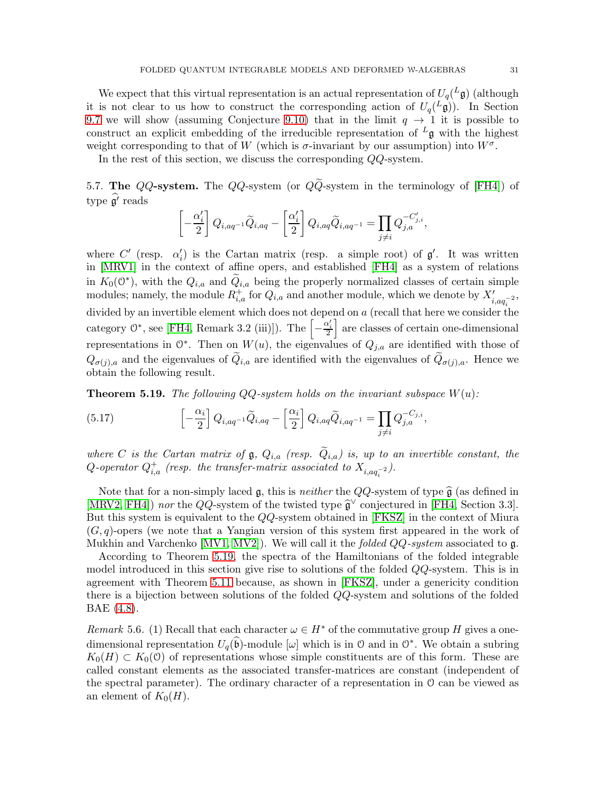We expect that this virtual representation is an actual representation of  $U_q({}^L\mathfrak{g})$  (although it is not clear to us how to construct the corresponding action of  $U_q^L(\mathfrak{g})$ . In Section [9.7](#page-60-0) we will show (assuming Conjecture [9.10\)](#page-61-0) that in the limit  $q \to 1$  it is possible to construct an explicit embedding of the irreducible representation of  $L_g$  with the highest weight corresponding to that of W (which is  $\sigma$ -invariant by our assumption) into  $W^{\sigma}$ .

In the rest of this section, we discuss the corresponding QQ-system.

5.7. The QQ-system. The QQ-system (or  $Q\widetilde{Q}$ -system in the terminology of [\[FH4\]](#page-67-3)) of type  $\mathfrak{g}'$  reads

$$
\left[-\frac{\alpha_i'}{2}\right]Q_{i,aq^{-1}}\widetilde{Q}_{i,aq} - \left[\frac{\alpha_i'}{2}\right]Q_{i,aq}\widetilde{Q}_{i,aq^{-1}} = \prod_{j\neq i}Q_{j,a}^{-C'_{j,i}},
$$

where C' (resp.  $\alpha'_i$ ) is the Cartan matrix (resp. a simple root) of  $\mathfrak{g}'$ . It was written in [\[MRV1\]](#page-68-8) in the context of affine opers, and established [\[FH4\]](#page-67-3) as a system of relations in  $K_0(\mathbb{O}^*)$ , with the  $Q_{i,a}$  and  $\widetilde{Q}_{i,a}$  being the properly normalized classes of certain simple modules; namely, the module  $R_{i,a}^+$  for  $Q_{i,a}$  and another module, which we denote by  $X'_{i,aq_i^{-2}}$ , divided by an invertible element which does not depend on  $a$  (recall that here we consider the category  $\mathcal{O}^*$ , see [\[FH4,](#page-67-3) Remark 3.2 (iii)]). The  $\left[-\frac{\alpha_i'}{2}\right]$ are classes of certain one-dimensional representations in  $\mathbb{O}^*$ . Then on  $W(u)$ , the eigenvalues of  $Q_{j,a}$  are identified with those of  $Q_{\sigma(j),a}$  and the eigenvalues of  $Q_{i,a}$  are identified with the eigenvalues of  $Q_{\sigma(j),a}$ . Hence we obtain the following result.

<span id="page-30-0"></span>**Theorem 5.19.** The following QQ-system holds on the invariant subspace  $W(u)$ :

<span id="page-30-1"></span>(5.17) 
$$
\left[-\frac{\alpha_i}{2}\right]Q_{i,aq^{-1}}\widetilde{Q}_{i,aq} - \left[\frac{\alpha_i}{2}\right]Q_{i,aq}\widetilde{Q}_{i,aq^{-1}} = \prod_{j\neq i}Q_{j,a}^{-C_{j,i}},
$$

where C is the Cartan matrix of  $\mathfrak{g}, Q_{i,a}$  (resp.  $\widetilde{Q}_{i,a}$ ) is, up to an invertible constant, the  $Q$ -operator  $Q_{i,a}^+$  (resp. the transfer-matrix associated to  $X_{i,aq_i^{-2}}$ ).

Note that for a non-simply laced g, this is *neither* the  $QQ$ -system of type  $\hat{\mathfrak{g}}$  (as defined in [\[MRV2,](#page-68-9) [FH4\]](#page-67-3)) nor the QQ-system of the twisted type  $\hat{\mathfrak{g}}^{\vee}$  conjectured in [\[FH4,](#page-67-3) Section 3.3]. But this system is equivalent to the QQ-system obtained in [\[FKSZ\]](#page-67-5) in the context of Miura  $(G, q)$ -opers (we note that a Yangian version of this system first appeared in the work of Mukhin and Varchenko [\[MV1,](#page-68-4) [MV2\]](#page-68-5)). We will call it the *folded QQ-system* associated to  $\mathfrak{g}$ .

According to Theorem [5.19,](#page-30-0) the spectra of the Hamiltonians of the folded integrable model introduced in this section give rise to solutions of the folded QQ-system. This is in agreement with Theorem [5.11](#page-25-2) because, as shown in [\[FKSZ\]](#page-67-5), under a genericity condition there is a bijection between solutions of the folded QQ-system and solutions of the folded BAE [\(4.8\)](#page-19-1).

Remark 5.6. (1) Recall that each character  $\omega \in H^*$  of the commutative group H gives a onedimensional representation  $U_q(\hat{\mathfrak{b}})$ -module  $[\omega]$  which is in 0 and in  $\mathbb{O}^*$ . We obtain a subring  $K_0(H) \subset K_0(0)$  of representations whose simple constituents are of this form. These are called constant elements as the associated transfer-matrices are constant (independent of the spectral parameter). The ordinary character of a representation in O can be viewed as an element of  $K_0(H)$ .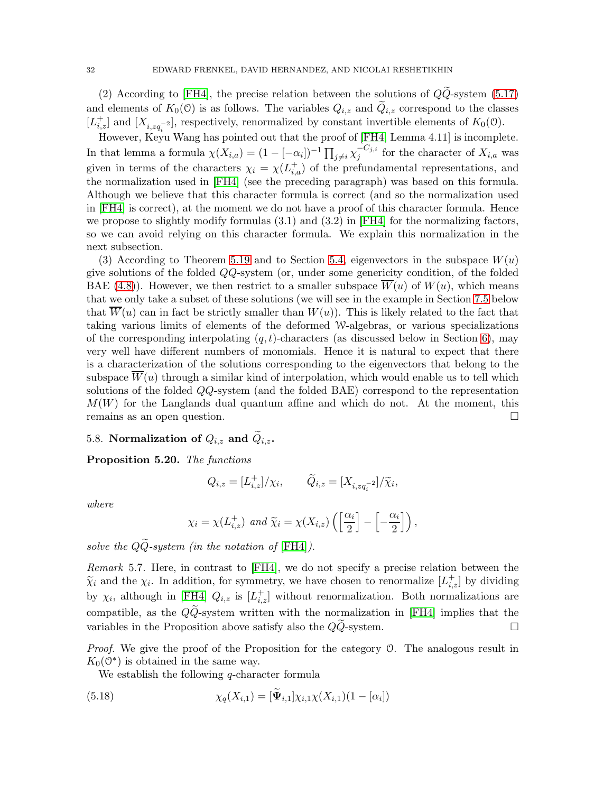(2) According to [\[FH4\]](#page-67-3), the precise relation between the solutions of  $Q\tilde{Q}$ -system [\(5.17\)](#page-30-1) and elements of  $K_0(0)$  is as follows. The variables  $Q_{i,z}$  and  $\tilde{Q}_{i,z}$  correspond to the classes  $[L_{i,z}^+]$  and  $[X_{i,zq_i^{-2}}]$ , respectively, renormalized by constant invertible elements of  $K_0(0)$ .

However, Keyu Wang has pointed out that the proof of [\[FH4,](#page-67-3) Lemma 4.11] is incomplete. In that lemma a formula  $\chi(X_{i,a}) = (1 - [-\alpha_i])^{-1} \prod_{j \neq i} \chi_j^{-C_{j,i}}$  $\int_{j}^{\infty}$  for the character of  $X_{i,a}$  was given in terms of the characters  $\chi_i = \chi(L_{i,a}^+)$  of the prefundamental representations, and the normalization used in [\[FH4\]](#page-67-3) (see the preceding paragraph) was based on this formula. Although we believe that this character formula is correct (and so the normalization used in [\[FH4\]](#page-67-3) is correct), at the moment we do not have a proof of this character formula. Hence we propose to slightly modify formulas  $(3.1)$  and  $(3.2)$  in [\[FH4\]](#page-67-3) for the normalizing factors, so we can avoid relying on this character formula. We explain this normalization in the next subsection.

(3) According to Theorem [5.19](#page-30-0) and to Section [5.4,](#page-25-3) eigenvectors in the subspace  $W(u)$ give solutions of the folded QQ-system (or, under some genericity condition, of the folded BAE [\(4.8\)](#page-19-1)). However, we then restrict to a smaller subspace  $\overline{W}(u)$  of  $W(u)$ , which means that we only take a subset of these solutions (we will see in the example in Section [7.5](#page-48-0) below that  $\overline{W}(u)$  can in fact be strictly smaller than  $W(u)$ . This is likely related to the fact that taking various limits of elements of the deformed W-algebras, or various specializations of the corresponding interpolating  $(q, t)$ -characters (as discussed below in Section [6\)](#page-33-0), may very well have different numbers of monomials. Hence it is natural to expect that there is a characterization of the solutions corresponding to the eigenvectors that belong to the subspace  $\overline{W}(u)$  through a similar kind of interpolation, which would enable us to tell which solutions of the folded QQ-system (and the folded BAE) correspond to the representation  $M(W)$  for the Langlands dual quantum affine and which do not. At the moment, this remains as an open question.

# 5.8. Normalization of  $Q_{i,z}$  and  $\widetilde{Q}_{i,z}$ .

Proposition 5.20. The functions

$$
Q_{i,z} = [L_{i,z}^+]/\chi_i, \qquad \widetilde{Q}_{i,z} = [X_{i,zq_i^{-2}}]/\widetilde{\chi}_i,
$$

where

$$
\chi_i = \chi(L_{i,z}^+)
$$
 and  $\widetilde{\chi}_i = \chi(X_{i,z}) \left( \left[ \frac{\alpha_i}{2} \right] - \left[ -\frac{\alpha_i}{2} \right] \right)$ ,

solve the  $Q\widetilde{Q}$ -system (in the notation of [\[FH4\]](#page-67-3)).

Remark 5.7. Here, in contrast to [\[FH4\]](#page-67-3), we do not specify a precise relation between the  $\widetilde{\chi}_i$  and the  $\chi_i$ . In addition, for symmetry, we have chosen to renormalize  $[L_{i,z}^+]$  by dividing by  $\chi_i$ , although in [\[FH4\]](#page-67-3)  $Q_{i,z}$  is  $[L_{i,z}^+]$  without renormalization. Both normalizations are compatible, as the  $Q\widetilde{Q}$ -system written with the normalization in [\[FH4\]](#page-67-3) implies that the variables in the Proposition above satisfy also the  $QQ$ -system.  $\square$ 

Proof. We give the proof of the Proposition for the category  $\mathcal{O}$ . The analogous result in  $K_0(\mathbb{O}^*)$  is obtained in the same way.

<span id="page-31-0"></span>We establish the following *q*-character formula

(5.18) 
$$
\chi_q(X_{i,1}) = [\Psi_{i,1}] \chi_{i,1} \chi(X_{i,1}) (1 - [\alpha_i])
$$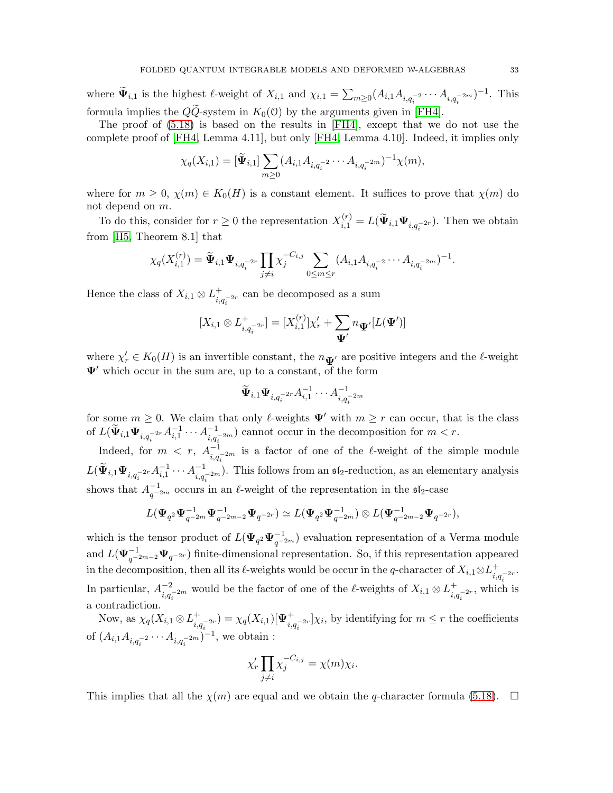where  $\widetilde{\Psi}_{i,1}$  is the highest  $\ell$ -weight of  $X_{i,1}$  and  $\chi_{i,1} = \sum_{m\geq 0} (A_{i,1}A_{i,q_i^{-2}}\cdots A_{i,q_i^{-2m}})^{-1}$ . This formula implies the  $QQ$ -system in  $K_0(0)$  by the arguments given in [\[FH4\]](#page-67-3).

The proof of [\(5.18\)](#page-31-0) is based on the results in [\[FH4\]](#page-67-3), except that we do not use the complete proof of [\[FH4,](#page-67-3) Lemma 4.11], but only [\[FH4,](#page-67-3) Lemma 4.10]. Indeed, it implies only

$$
\chi_q(X_{i,1}) = [\tilde{\mathbf{\Psi}}_{i,1}] \sum_{m \geq 0} (A_{i,1} A_{i,q_i^{-2}} \cdots A_{i,q_i^{-2m}})^{-1} \chi(m),
$$

where for  $m \geq 0$ ,  $\chi(m) \in K_0(H)$  is a constant element. It suffices to prove that  $\chi(m)$  do not depend on m.

To do this, consider for  $r \geq 0$  the representation  $X_{i,1}^{(r)} = L(\tilde{\Psi}_{i,1} \Psi_{i,q_i^{-2r}})$ . Then we obtain from [\[H5,](#page-67-25) Theorem 8.1] that

$$
\chi_q(X_{i,1}^{(r)}) = \widetilde{\Psi}_{i,1} \Psi_{i,q_i^{-2r}} \prod_{j \neq i} \chi_j^{-C_{i,j}} \sum_{0 \leq m \leq r} (A_{i,1} A_{i,q_i^{-2}} \cdots A_{i,q_i^{-2m}})^{-1}.
$$

Hence the class of  $X_{i,1} \otimes L_{i,q_i^{-2r}}^+$  can be decomposed as a sum

$$
[X_{i,1} \otimes L_{i,q_i^{-2r}}^+] = [X_{i,1}^{(r)}] \chi'_r + \sum_{\mathbf{\Psi}'} n_{\mathbf{\Psi}'} [L(\mathbf{\Psi}')]
$$

where  $\chi'_r \in K_0(H)$  is an invertible constant, the  $n_{\mathbf{\Psi}'}$  are positive integers and the  $\ell$ -weight  $\Psi'$  which occur in the sum are, up to a constant, of the form

$$
\widetilde{\Psi}_{i,1}\Psi_{i,q_i^{-2r}}A_{i,1}^{-1}\cdots A_{i,q_i^{-2m}}^{-1}
$$

for some  $m \geq 0$ . We claim that only  $\ell$ -weights  $\Psi'$  with  $m \geq r$  can occur, that is the class of  $L(\widetilde{\Psi}_{i,1} \Psi_{i,q_i^{-2r}} A_{i,1}^{-1} \cdots A_{i,q_i^{-2m}}^{-1})$  cannot occur in the decomposition for  $m < r$ .

Indeed, for  $m \leq r$ ,  $A^{-1}_{i,q_i^{-2m}}$  is a factor of one of the  $\ell$ -weight of the simple module  $L(\widetilde{\Psi}_{i,1}\Psi_{i,q_i^{-2r}}A_{i,1}^{-1}\cdots A_{i,q_i^{-2m}}^{-1})$ . This follows from an  $\mathfrak{sl}_2$ -reduction, as an elementary analysis shows that  $A_{q^{-2m}}^{-1}$  occurs in an  $\ell$ -weight of the representation in the  $\mathfrak{sl}_2$ -case

$$
L(\Psi_{q^2}\Psi_{q^{-2m}}^{-1}\Psi_{q^{-2m-2}}^{-1}\Psi_{q^{-2r}})\simeq L(\Psi_{q^2}\Psi_{q^{-2m}}^{-1})\otimes L(\Psi_{q^{-2m-2}}^{-1}\Psi_{q^{-2r}}),
$$

which is the tensor product of  $L(\Psi_{q^2}\Psi_{q^{-2m}}^{-1})$  evaluation representation of a Verma module and  $L(\Psi_{q^{-2m-2}}^{-1}\Psi_{q^{-2r}})$  finite-dimensional representation. So, if this representation appeared in the decomposition, then all its  $\ell$ -weights would be occur in the q-character of  $X_{i,1} \otimes L^+_{i,q_i^{-2r}}$ . In particular,  $A_{i,q_i^{-2m}}^{-2}$  would be the factor of one of the  $\ell$ -weights of  $X_{i,1} \otimes L_{i,q_i^{-2r}}^+$ , which is a contradiction.

Now, as  $\chi_q(X_{i,1}\otimes L_{i,q_i^{-2r}}^+) = \chi_q(X_{i,1})[\Psi_{i,q_i^{-2r}}^+] \chi_i$ , by identifying for  $m \leq r$  the coefficients of  $(A_{i,1}A_{i,q_i^{-2}}\cdots A_{i,q_i^{-2m}})^{-1}$ , we obtain :

$$
\chi'_r \prod_{j \neq i} \chi_j^{-C_{i,j}} = \chi(m) \chi_i.
$$

This implies that all the  $\chi(m)$  are equal and we obtain the q-character formula [\(5.18\)](#page-31-0).  $\Box$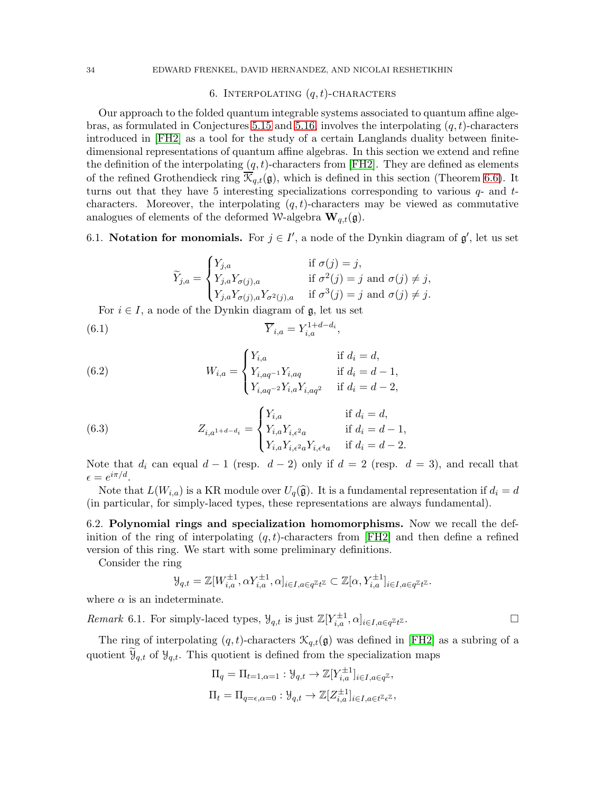# 6. INTERPOLATING  $(q, t)$ -CHARACTERS

<span id="page-33-0"></span>Our approach to the folded quantum integrable systems associated to quantum affine alge-bras, as formulated in Conjectures [5.15](#page-26-0) and [5.16,](#page-27-0) involves the interpolating  $(q, t)$ -characters introduced in [\[FH2\]](#page-67-13) as a tool for the study of a certain Langlands duality between finitedimensional representations of quantum affine algebras. In this section we extend and refine the definition of the interpolating  $(q, t)$ -characters from [\[FH2\]](#page-67-13). They are defined as elements of the refined Grothendieck ring  $\overline{\mathcal{K}}_{q,t}(\mathfrak{g})$ , which is defined in this section (Theorem [6.6\)](#page-37-0). It turns out that they have 5 interesting specializations corresponding to various  $q$ - and  $t$ characters. Moreover, the interpolating  $(q, t)$ -characters may be viewed as commutative analogues of elements of the deformed W-algebra  $\mathbf{W}_{q,t}(\mathfrak{g})$ .

<span id="page-33-1"></span>6.1. Notation for monomials. For  $j \in I'$ , a node of the Dynkin diagram of  $\mathfrak{g}'$ , let us set

<span id="page-33-2"></span>
$$
\widetilde{Y}_{j,a} = \begin{cases}\nY_{j,a} & \text{if } \sigma(j) = j, \\
Y_{j,a}Y_{\sigma(j),a} & \text{if } \sigma^2(j) = j \text{ and } \sigma(j) \neq j, \\
Y_{j,a}Y_{\sigma(j),a}Y_{\sigma^2(j),a} & \text{if } \sigma^3(j) = j \text{ and } \sigma(j) \neq j.\n\end{cases}
$$

For  $i \in I$ , a node of the Dynkin diagram of  $\mathfrak{g}$ , let us set

(6.1) 
$$
\overline{Y}_{i,a} = Y_{i,a}^{1+d-d_i},
$$

(6.2) 
$$
W_{i,a} = \begin{cases} Y_{i,a} & \text{if } d_i = d, \\ Y_{i,aq^{-1}} Y_{i,aq} & \text{if } d_i = d - 1, \\ Y_{i,aq^{-2}} Y_{i,a} Y_{i,aq^{2}} & \text{if } d_i = d - 2, \end{cases}
$$

(6.3) 
$$
Z_{i,a^{1+d-d_i}} = \begin{cases} Y_{i,a} & \text{if } d_i = d, \\ Y_{i,a} Y_{i,\epsilon^2 a} & \text{if } d_i = d-1, \\ Y_{i,a} Y_{i,\epsilon^2 a} Y_{i,\epsilon^4 a} & \text{if } d_i = d-2. \end{cases}
$$

Note that  $d_i$  can equal  $d-1$  (resp.  $d-2$ ) only if  $d = 2$  (resp.  $d = 3$ ), and recall that  $\epsilon = e^{i\pi/d}$ .

Note that  $L(W_{i,a})$  is a KR module over  $U_q(\hat{\mathfrak{g}})$ . It is a fundamental representation if  $d_i = d$ (in particular, for simply-laced types, these representations are always fundamental).

6.2. Polynomial rings and specialization homomorphisms. Now we recall the definition of the ring of interpolating  $(q, t)$ -characters from [\[FH2\]](#page-67-13) and then define a refined version of this ring. We start with some preliminary definitions.

Consider the ring

$$
\mathcal{Y}_{q,t} = \mathbb{Z}[W_{i,a}^{\pm 1}, \alpha Y_{i,a}^{\pm 1}, \alpha]_{i \in I, a \in q^{\mathbb{Z}} t^{\mathbb{Z}}} \subset \mathbb{Z}[\alpha, Y_{i,a}^{\pm 1}]_{i \in I, a \in q^{\mathbb{Z}} t^{\mathbb{Z}}}.
$$

where  $\alpha$  is an indeterminate.

*Remark* 6.1. For simply-laced types,  $\mathcal{Y}_{q,t}$  is just  $\mathbb{Z}[Y_{i,a}^{\pm 1}, \alpha]_{i \in I, a \in q^{\mathbb{Z}}t}$ 

The ring of interpolating  $(q, t)$ -characters  $\mathcal{K}_{q,t}(\mathfrak{g})$  was defined in [\[FH2\]](#page-67-13) as a subring of a quotient  $\mathcal{Y}_{q,t}$  of  $\mathcal{Y}_{q,t}$ . This quotient is defined from the specialization maps

$$
\Pi_q = \Pi_{t=1,\alpha=1} : \mathcal{Y}_{q,t} \to \mathbb{Z}[Y_{i,a}^{\pm 1}]_{i \in I, a \in q^{\mathbb{Z}}},
$$
  

$$
\Pi_t = \Pi_{q=\epsilon,\alpha=0} : \mathcal{Y}_{q,t} \to \mathbb{Z}[Z_{i,a}^{\pm 1}]_{i \in I, a \in t^{\mathbb{Z}} \in \mathbb{Z}},
$$

 $\mathbb Z$  .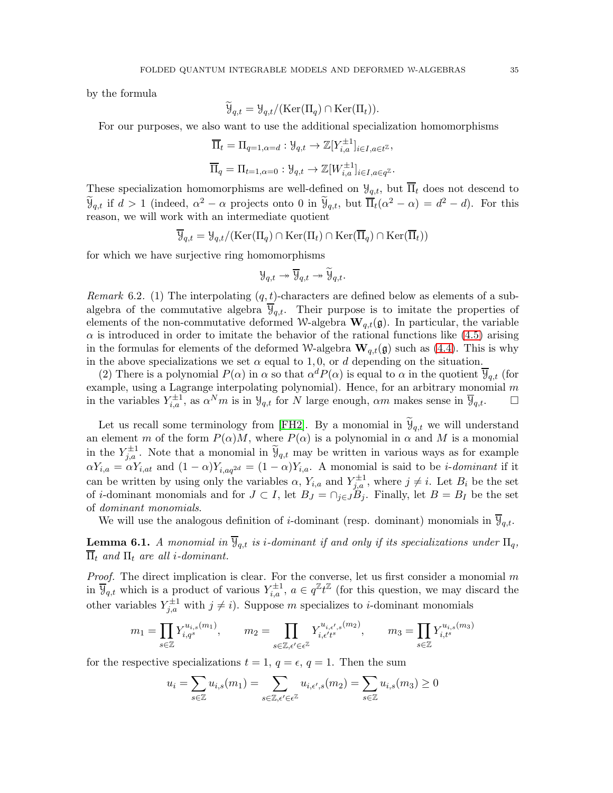by the formula

$$
\widetilde{\mathcal{Y}}_{q,t} = \mathcal{Y}_{q,t}/(\text{Ker}(\Pi_q) \cap \text{Ker}(\Pi_t)).
$$

For our purposes, we also want to use the additional specialization homomorphisms

$$
\overline{\Pi}_t = \Pi_{q=1,\alpha=d} : \mathcal{Y}_{q,t} \to \mathbb{Z}[Y_{i,a}^{\pm 1}]_{i \in I, a \in t^{\mathbb{Z}}},
$$
  

$$
\overline{\Pi}_q = \Pi_{t=1,\alpha=0} : \mathcal{Y}_{q,t} \to \mathbb{Z}[W_{i,a}^{\pm 1}]_{i \in I, a \in q^{\mathbb{Z}}}.
$$

These specialization homomorphisms are well-defined on  $\mathcal{Y}_{q,t}$ , but  $\overline{\Pi}_t$  does not descend to  $\widetilde{\Psi}_{q,t}$  if  $d > 1$  (indeed,  $\alpha^2 - \alpha$  projects onto 0 in  $\widetilde{\Psi}_{q,t}$ , but  $\overline{\Pi}_t(\alpha^2 - \alpha) = d^2 - d$ ). For this reason, we will work with an intermediate quotient

$$
\overline{\mathcal{Y}}_{q,t} = \mathcal{Y}_{q,t}/(\text{Ker}(\Pi_q) \cap \text{Ker}(\Pi_t) \cap \text{Ker}(\overline{\Pi}_q) \cap \text{Ker}(\overline{\Pi}_t))
$$

for which we have surjective ring homomorphisms

$$
\mathcal{Y}_{q,t}\twoheadrightarrow \overline{\mathcal{Y}}_{q,t}\twoheadrightarrow \widetilde{\mathcal{Y}}_{q,t}.
$$

<span id="page-34-1"></span>Remark 6.2. (1) The interpolating  $(q, t)$ -characters are defined below as elements of a subalgebra of the commutative algebra  $\mathcal{Y}_{q,t}$ . Their purpose is to imitate the properties of elements of the non-commutative deformed W-algebra  $\mathbf{W}_{q,t}(\mathfrak{g})$ . In particular, the variable  $\alpha$  is introduced in order to imitate the behavior of the rational functions like  $(4.5)$  arising in the formulas for elements of the deformed W-algebra  $\mathbf{W}_{q,t}(\mathfrak{g})$  such as [\(4.4\)](#page-17-0). This is why in the above specializations we set  $\alpha$  equal to 1,0, or d depending on the situation.

(2) There is a polynomial  $P(\alpha)$  in  $\alpha$  so that  $\alpha^d P(\alpha)$  is equal to  $\alpha$  in the quotient  $\overline{\Psi}_{q,t}$  (for example, using a Lagrange interpolating polynomial). Hence, for an arbitrary monomial  $m$ in the variables  $Y_{i,a}^{\pm 1}$ , as  $\alpha^N m$  is in  $\mathcal{Y}_{q,t}$  for N large enough,  $\alpha m$  makes sense in  $\overline{\mathcal{Y}}_{q,t}$ .  $\Box$ 

Let us recall some terminology from [\[FH2\]](#page-67-13). By a monomial in  $\mathcal{Y}_{q,t}$  we will understand an element m of the form  $P(\alpha)M$ , where  $P(\alpha)$  is a polynomial in  $\alpha$  and M is a monomial in the  $Y_{j,a}^{\pm 1}$ . Note that a monomial in  $\tilde{y}_{q,t}$  may be written in various ways as for example  $\alpha Y_{i,a} = \alpha Y_{i,at}$  and  $(1-\alpha)Y_{i,aq^{2d}} = (1-\alpha)Y_{i,a}$ . A monomial is said to be *i*-dominant if it can be written by using only the variables  $\alpha$ ,  $Y_{i,a}$  and  $Y_{j,a}^{\pm 1}$ , where  $j \neq i$ . Let  $B_i$  be the set of *i*-dominant monomials and for  $J \subset I$ , let  $B_J = \cap_{j \in J} B_j$ . Finally, let  $B = B_I$  be the set of dominant monomials.

We will use the analogous definition of *i*-dominant (resp. dominant) monomials in  $\overline{Y}_{a,t}$ .

<span id="page-34-0"></span>**Lemma 6.1.** A monomial in  $\overline{\mathcal{Y}}_{q,t}$  is *i*-dominant if and only if its specializations under  $\Pi_q$ ,  $\overline{\Pi}_t$  and  $\Pi_t$  are all *i*-dominant.

*Proof.* The direct implication is clear. For the converse, let us first consider a monomial  $m$ in  $\overline{\mathcal{Y}}_{q,t}$  which is a product of various  $Y_{i,a}^{\pm 1}$ ,  $a \in q^{\mathbb{Z}} t^{\mathbb{Z}}$  (for this question, we may discard the other variables  $Y_{j,a}^{\pm 1}$  with  $j \neq i$ ). Suppose m specializes to *i*-dominant monomials

$$
m_1 = \prod_{s \in \mathbb{Z}} Y_{i,q^s}^{u_{i,s}(m_1)}, \qquad m_2 = \prod_{s \in \mathbb{Z}, \epsilon' \in \epsilon^{\mathbb{Z}}} Y_{i,\epsilon' t^s}^{u_{i,\epsilon',s}(m_2)}, \qquad m_3 = \prod_{s \in \mathbb{Z}} Y_{i,t^s}^{u_{i,s}(m_3)}
$$

for the respective specializations  $t = 1, q = \epsilon, q = 1$ . Then the sum

$$
u_i = \sum_{s \in \mathbb{Z}} u_{i,s}(m_1) = \sum_{s \in \mathbb{Z}, \epsilon' \in \epsilon^{\mathbb{Z}}} u_{i,\epsilon',s}(m_2) = \sum_{s \in \mathbb{Z}} u_{i,s}(m_3) \ge 0
$$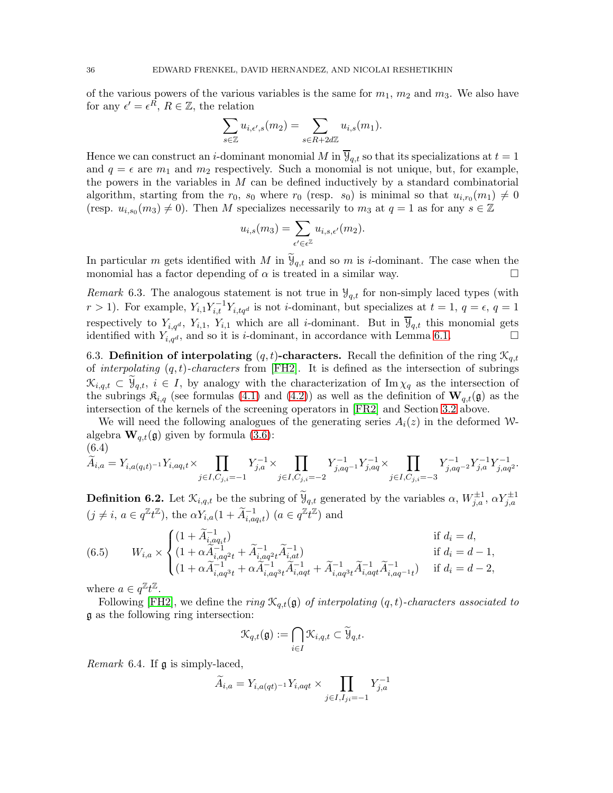of the various powers of the various variables is the same for  $m_1$ ,  $m_2$  and  $m_3$ . We also have for any  $\epsilon' = \epsilon^R$ ,  $R \in \mathbb{Z}$ , the relation

$$
\sum_{s \in \mathbb{Z}} u_{i,\epsilon',s}(m_2) = \sum_{s \in R + 2d\mathbb{Z}} u_{i,s}(m_1).
$$

Hence we can construct an *i*-dominant monomial M in  $\overline{Y}_{q,t}$  so that its specializations at  $t = 1$ and  $q = \epsilon$  are  $m_1$  and  $m_2$  respectively. Such a monomial is not unique, but, for example, the powers in the variables in  $M$  can be defined inductively by a standard combinatorial algorithm, starting from the  $r_0$ ,  $s_0$  where  $r_0$  (resp.  $s_0$ ) is minimal so that  $u_{i,r_0}(m_1) \neq 0$ (resp.  $u_{i,s_0}(m_3) \neq 0$ ). Then M specializes necessarily to  $m_3$  at  $q = 1$  as for any  $s \in \mathbb{Z}$ 

$$
u_{i,s}(m_3) = \sum_{\epsilon' \in \epsilon^{\mathbb{Z}}} u_{i,s,\epsilon'}(m_2).
$$

In particular m gets identified with M in  $\mathcal{Y}_{q,t}$  and so m is *i*-dominant. The case when the monomial has a factor depending of  $\alpha$  is treated in a similar way.

*Remark* 6.3. The analogous statement is not true in  $\mathcal{Y}_{q,t}$  for non-simply laced types (with  $r > 1$ ). For example,  $Y_{i,1}Y_{i,t}^{-1}Y_{i,tq}$  is not *i*-dominant, but specializes at  $t = 1, q = \epsilon, q = 1$ respectively to  $Y_{i,q,d}$ ,  $Y_{i,1}$ ,  $Y_{i,1}$  which are all *i*-dominant. But in  $\overline{\mathcal{Y}}_{q,t}$  this monomial gets identified with  $Y_{i,q^d}$ , and so it is *i*-dominant, in accordance with Lemma [6.1.](#page-34-0)

6.3. Definition of interpolating  $(q, t)$ -characters. Recall the definition of the ring  $\mathcal{K}_{q,t}$ of interpolating  $(q, t)$ -characters from [\[FH2\]](#page-67-13). It is defined as the intersection of subrings  $\mathcal{K}_{i,q,t} \subset \mathcal{Y}_{q,t}, i \in I$ , by analogy with the characterization of Im  $\chi_q$  as the intersection of the subrings  $\mathfrak{K}_{i,q}$  (see formulas [\(4.1\)](#page-15-2) and [\(4.2\)](#page-15-3)) as well as the definition of  $\mathbf{W}_{q,t}(\mathfrak{g})$  as the intersection of the kernels of the screening operators in [\[FR2\]](#page-67-9) and Section [3.2](#page-11-2) above.

We will need the following analogues of the generating series  $A_i(z)$  in the deformed Walgebra  $\mathbf{W}_{q,t}(\mathfrak{g})$  given by formula [\(3.6\)](#page-10-2): (6.4)

<span id="page-35-1"></span>
$$
\widetilde{A}_{i,a} = Y_{i,a(q_it)^{-1}} Y_{i,aq_it} \times \prod_{j \in I, C_{j,i} = -1} Y_{j,a}^{-1} \times \prod_{j \in I, C_{j,i} = -2} Y_{j,aq^{-1}}^{-1} Y_{j,aq}^{-1} \times \prod_{j \in I, C_{j,i} = -3} Y_{j,aq^{-2}}^{-1} Y_{j,a}^{-1} Y_{j,aq^{2}}^{-1}.
$$

**Definition 6.2.** Let  $\mathcal{K}_{i,q,t}$  be the subring of  $\widetilde{\Psi}_{q,t}$  generated by the variables  $\alpha$ ,  $W_{j,a}^{\pm 1}$ ,  $\alpha Y_{j,a}^{\pm 1}$  $(j \neq i, a \in q^{\mathbb{Z}} t^{\mathbb{Z}})$ , the  $\alpha Y_{i,a}(1 + \tilde{A}_{i,aq_i t}^{-1})$   $(a \in q^{\mathbb{Z}} t^{\mathbb{Z}})$  and

(6.5) 
$$
W_{i,a} \times \begin{cases} (1 + \widetilde{A}_{i,aq;t}^{-1}) & \text{if } d_i = d, \\ (1 + \alpha \widetilde{A}_{i,aq^2t}^{-1} + \widetilde{A}_{i,aq^2t}^{-1} \widetilde{A}_{i,at}^{-1}) & \text{if } d_i = d - 1, \\ (1 + \alpha \widetilde{A}_{i,aq^3t}^{-1} + \alpha \widetilde{A}_{i,aq^3t}^{-1} \widetilde{A}_{i,aqt}^{-1} + \widetilde{A}_{i,aq^3t}^{-1} \widetilde{A}_{i,aq^4t}^{-1}) & \text{if } d_i = d - 2, \end{cases}
$$

where  $a \in q^{\mathbb{Z}} t^{\mathbb{Z}}$ .

Following [\[FH2\]](#page-67-13), we define the ring  $\mathcal{K}_{q,t}(\mathfrak{g})$  of interpolating  $(q,t)$ -characters associated to g as the following ring intersection:

$$
\mathcal{K}_{q,t}(\mathfrak{g}):=\bigcap_{i\in I}\mathcal{K}_{i,q,t}\subset \widetilde{\mathcal{Y}}_{q,t}.
$$

<span id="page-35-0"></span>Remark 6.4. If g is simply-laced,

$$
\widetilde{A}_{i,a} = Y_{i,a(qt)^{-1}}Y_{i,aqt} \times \prod_{j \in I, I_{ji}=-1} Y_{j,a}^{-1}
$$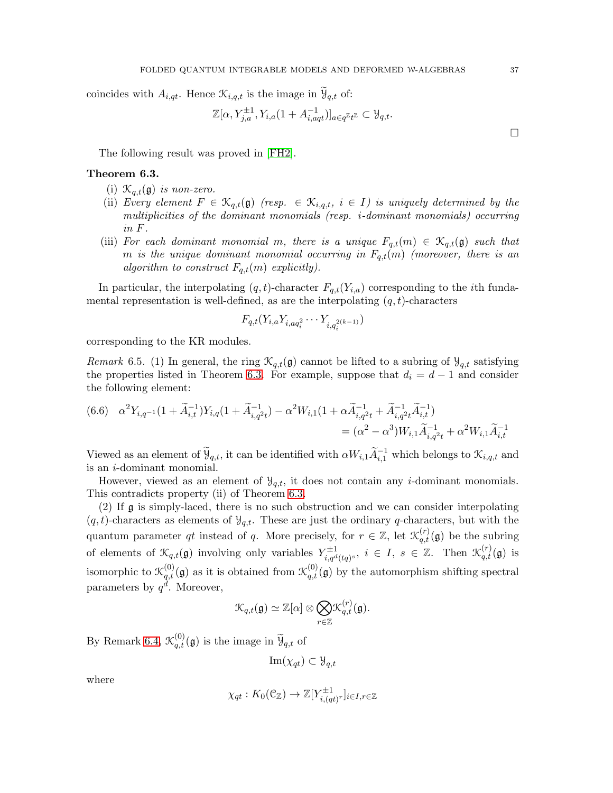coincides with  $A_{i,qt}$ . Hence  $\mathcal{K}_{i,q,t}$  is the image in  $\mathcal{Y}_{q,t}$  of:

$$
\mathbb{Z}[\alpha, Y_{j,a}^{\pm 1}, Y_{i,a}(1+A_{i,aqt}^{-1})]_{a\in q^{\mathbb{Z}}t^{\mathbb{Z}}}\subset \mathcal{Y}_{q,t}.
$$

The following result was proved in [\[FH2\]](#page-67-13).

#### <span id="page-36-0"></span>Theorem 6.3.

- (i)  $\mathcal{K}_{q,t}(\mathfrak{g})$  is non-zero.
- (ii) Every element  $F \in \mathcal{K}_{q,t}(\mathfrak{g})$  (resp.  $\in \mathcal{K}_{i,q,t}, i \in I$ ) is uniquely determined by the multiplicities of the dominant monomials (resp. i-dominant monomials) occurring in F.
- (iii) For each dominant monomial m, there is a unique  $F_{q,t}(m) \in \mathcal{K}_{q,t}(\mathfrak{g})$  such that m is the unique dominant monomial occurring in  $F_{q,t}(m)$  (moreover, there is an algorithm to construct  $F_{q,t}(m)$  explicitly).

In particular, the interpolating  $(q, t)$ -character  $F_{q,t}(Y_{i,a})$  corresponding to the *i*th fundamental representation is well-defined, as are the interpolating  $(q, t)$ -characters

$$
F_{q,t}(Y_{i,a}Y_{i,aq_i^2}\cdots Y_{i,q_i^{2(k-1)}})
$$

corresponding to the KR modules.

<span id="page-36-1"></span>Remark 6.5. (1) In general, the ring  $\mathcal{K}_{q,t}(\mathfrak{g})$  cannot be lifted to a subring of  $\mathcal{Y}_{q,t}$  satisfying the properties listed in Theorem [6.3.](#page-36-0) For example, suppose that  $d_i = d - 1$  and consider the following element:

<span id="page-36-2"></span>
$$
(6.6) \quad \alpha^2 Y_{i,q^{-1}}(1+\widetilde{A}_{i,t}^{-1})Y_{i,q}(1+\widetilde{A}_{i,q^2t}^{-1}) - \alpha^2 W_{i,1}(1+\alpha \widetilde{A}_{i,q^2t}^{-1} + \widetilde{A}_{i,q^2t}^{-1} \widetilde{A}_{i,t}^{-1})
$$
  
= 
$$
(\alpha^2 - \alpha^3)W_{i,1} \widetilde{A}_{i,q^2t}^{-1} + \alpha^2 W_{i,1} \widetilde{A}_{i,t}^{-1}
$$

Viewed as an element of  $\widetilde{\Psi}_{q,t}$ , it can be identified with  $\alpha W_{i,1}\widetilde{A}_{i,1}^{-1}$  which belongs to  $\mathcal{K}_{i,q,t}$  and is an i-dominant monomial.

However, viewed as an element of  $\mathcal{Y}_{q,t}$ , it does not contain any *i*-dominant monomials. This contradicts property (ii) of Theorem [6.3.](#page-36-0)

(2) If g is simply-laced, there is no such obstruction and we can consider interpolating  $(q, t)$ -characters as elements of  $\mathcal{Y}_{q,t}$ . These are just the ordinary q-characters, but with the quantum parameter qt instead of q. More precisely, for  $r \in \mathbb{Z}$ , let  $\mathcal{K}^{(r)}_{q,t}(\mathfrak{g})$  be the subring of elements of  $\mathcal{K}_{q,t}(\mathfrak{g})$  involving only variables  $Y_{i,qd}^{\pm 1}$  $\widetilde{\mathcal{X}}_{i,q^d(tq)^s}^{\pm 1}, i \in I, s \in \mathbb{Z}$ . Then  $\mathcal{K}_{q,t}^{(r)}(\mathfrak{g})$  is isomorphic to  $\mathcal{K}_{q,t}^{(0)}(\mathfrak{g})$  as it is obtained from  $\mathcal{K}_{q,t}^{(0)}(\mathfrak{g})$  by the automorphism shifting spectral parameters by  $q^d$ . Moreover,

$$
\mathcal{K}_{q,t}(\mathfrak{g})\simeq \mathbb{Z}[\alpha]\otimes \bigotimes_{r\in\mathbb{Z}}\mathcal{K}^{(r)}_{q,t}(\mathfrak{g}).
$$

By Remark [6.4,](#page-35-0)  $\mathcal{K}_{q,t}^{(0)}(\mathfrak{g})$  is the image in  $\widetilde{\mathcal{Y}}_{q,t}$  of

$$
\mathrm{Im}(\chi_{qt})\subset \mathcal{Y}_{q,t}
$$

where

$$
\chi_{qt}: K_0(\mathcal{C}_{\mathbb{Z}}) \to \mathbb{Z}[Y_{i,(qt)^r}^{\pm 1}]_{i \in I, r \in \mathbb{Z}}
$$

 $\Box$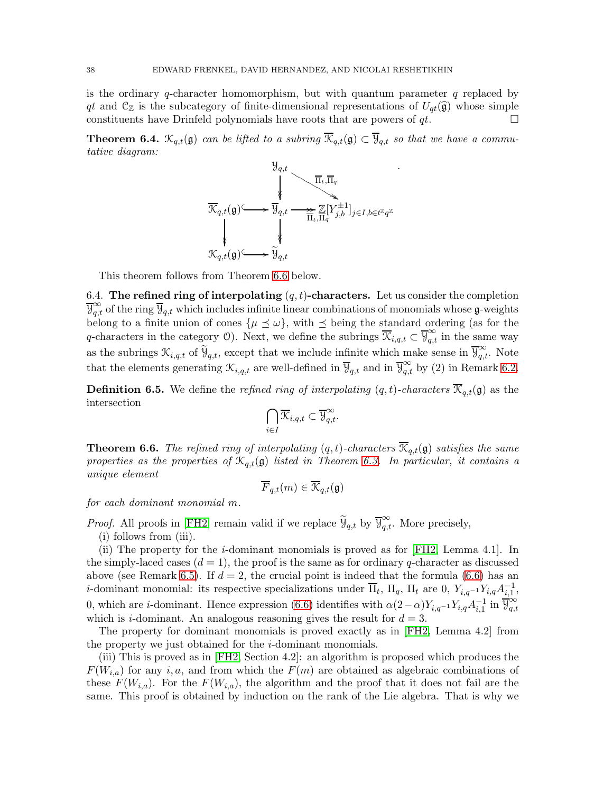is the ordinary  $q$ -character homomorphism, but with quantum parameter  $q$  replaced by qt and  $C_{\mathbb{Z}}$  is the subcategory of finite-dimensional representations of  $U_{qt}(\hat{\mathfrak{g}})$  whose simple constituents have Drinfeld polynomials have roots that are powers of  $at$ . constituents have Drinfeld polynomials have roots that are powers of qt.

**Theorem 6.4.**  $\mathcal{K}_{q,t}(\mathfrak{g})$  can be lifted to a subring  $\overline{\mathcal{K}}_{q,t}(\mathfrak{g}) \subset \overline{\mathcal{Y}}_{q,t}$  so that we have a commutative diagram:



This theorem follows from Theorem [6.6](#page-37-0) below.

6.4. The refined ring of interpolating  $(q, t)$ -characters. Let us consider the completion  $\overline{\Psi}_{q,t}^{\infty}$  of the ring  $\overline{\Psi}_{q,t}$  which includes infinite linear combinations of monomials whose  $\mathfrak{g}$ -weights belong to a finite union of cones  $\{\mu \leq \omega\}$ , with  $\leq$  being the standard ordering (as for the q-characters in the category O). Next, we define the subrings  $\overline{\mathcal{K}}_{i,q,t} \subset \overline{\mathcal{Y}}_{q,t}^{\infty}$  in the same way as the subrings  $\mathcal{K}_{i,q,t}$  of  $\widetilde{\mathcal{Y}}_{q,t}$ , except that we include infinite which make sense in  $\overline{\mathcal{Y}}_{q,t}^{\infty}$ . Note that the elements generating  $\mathcal{K}_{i,q,t}$  are well-defined in  $\overline{\mathcal{Y}}_{q,t}$  and in  $\overline{\mathcal{Y}}_{q,t}^{\infty}$  by (2) in Remark [6.2.](#page-34-1)

**Definition 6.5.** We define the *refined ring of interpolating*  $(q, t)$ -*characters*  $\overline{\mathcal{K}}_{q,t}(\mathfrak{g})$  as the intersection

$$
\bigcap_{i\in I}\overline{\mathcal{K}}_{i,q,t}\subset\overline{\mathcal{Y}}_{q,t}^{\infty}.
$$

<span id="page-37-0"></span>**Theorem 6.6.** The refined ring of interpolating  $(q, t)$ -characters  $\overline{\mathcal{K}}_{q,t}(\mathfrak{g})$  satisfies the same properties as the properties of  $\mathcal{K}_{q,t}(\mathfrak{g})$  listed in Theorem [6.3.](#page-36-0) In particular, it contains a unique element

$$
\overline{F}_{q,t}(m) \in \overline{\mathcal{K}}_{q,t}(\mathfrak{g})
$$

for each dominant monomial m.

*Proof.* All proofs in [\[FH2\]](#page-67-13) remain valid if we replace  $\widetilde{\Psi}_{q,t}$  by  $\overline{\Psi}_{q,t}^{\infty}$ . More precisely,

(i) follows from (iii).

(ii) The property for the i-dominant monomials is proved as for [\[FH2,](#page-67-13) Lemma 4.1]. In the simply-laced cases  $(d = 1)$ , the proof is the same as for ordinary q-character as discussed above (see Remark [6.5\)](#page-36-1). If  $d = 2$ , the crucial point is indeed that the formula [\(6.6\)](#page-36-2) has an *i*-dominant monomial: its respective specializations under  $\overline{\Pi}_t$ ,  $\Pi_q$ ,  $\Pi_t$  are 0,  $Y_{i,q^{-1}}Y_{i,q}A_{i,1}^{-1}$ , 0, which are *i*-dominant. Hence expression [\(6.6\)](#page-36-2) identifies with  $\alpha(2-\alpha)Y_{i,q^{-1}}Y_{i,q}A_{i,1}^{-1}$  in  $\overline{\mathcal{Y}}_{q,t}^{\infty}$  $q,t$ which is *i*-dominant. An analogous reasoning gives the result for  $d = 3$ .

The property for dominant monomials is proved exactly as in [\[FH2,](#page-67-13) Lemma 4.2] from the property we just obtained for the i-dominant monomials.

(iii) This is proved as in [\[FH2,](#page-67-13) Section 4.2]: an algorithm is proposed which produces the  $F(W_{i,a})$  for any i, a, and from which the  $F(m)$  are obtained as algebraic combinations of these  $F(W_{i,a})$ . For the  $F(W_{i,a})$ , the algorithm and the proof that it does not fail are the same. This proof is obtained by induction on the rank of the Lie algebra. That is why we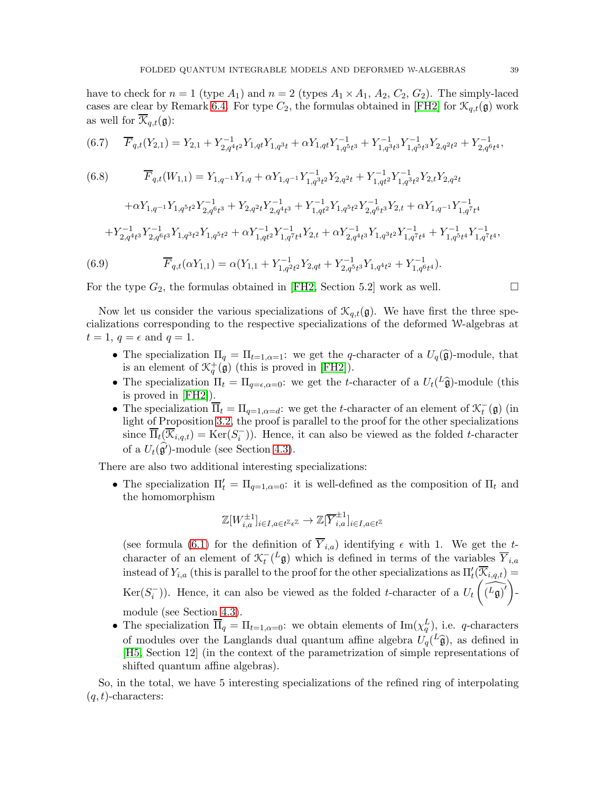have to check for  $n = 1$  (type  $A_1$ ) and  $n = 2$  (types  $A_1 \times A_1$ ,  $A_2$ ,  $C_2$ ,  $G_2$ ). The simply-laced cases are clear by Remark [6.4.](#page-35-0) For type  $C_2$ , the formulas obtained in [\[FH2\]](#page-67-13) for  $\mathcal{K}_{q,t}(\mathfrak{g})$  work as well for  $\overline{\mathcal{K}}_{q,t}(\mathfrak{g})$ :

<span id="page-38-0"></span>
$$
(6.7) \qquad \overline{F}_{q,t}(Y_{2,1})=Y_{2,1}+Y_{2,q^4t^2}^{-1}Y_{1,qt}Y_{1,q^3t}+\alpha Y_{1,qt}Y_{1,q^5t^3}^{-1}+Y_{1,q^3t^3}^{-1}Y_{1,q^5t^3}^{-1}Y_{2,q^2t^2}+Y_{2,q^6t^4}^{-1},
$$

<span id="page-38-1"></span>(6.8) 
$$
\overline{F}_{q,t}(W_{1,1}) = Y_{1,q^{-1}}Y_{1,q} + \alpha Y_{1,q^{-1}}Y_{1,q^{3}t^{2}}^{-1}Y_{2,q^{2}t} + Y_{1,q^{4}t}^{-1}Y_{1,q^{3}t^{2}}^{-1}Y_{2,t}Y_{2,q^{2}t}
$$

$$
+ \alpha Y_{1,q^{-1}}Y_{1,q^{5}t^{2}}Y_{2,q^{6}t^{3}}^{-1} + Y_{2,q^{2}t}Y_{2,q^{4}t^{3}}^{-1} + Y_{1,q^{t^{2}}}^{-1}Y_{1,q^{5}t^{2}}Y_{2,q^{6}t^{3}}^{-1}Y_{2,t} + \alpha Y_{1,q^{-1}}Y_{1,q^{7}t^{4}}^{-1}
$$

$$
+ Y_{2,q^{4}t^{3}}^{-1}Y_{2,q^{6}t^{3}}^{-1}Y_{1,q^{3}t^{2}}Y_{1,q^{5}t^{2}} + \alpha Y_{1,q^{4}t}^{-1}Y_{1,q^{7}t^{4}}^{-1}Y_{2,t} + \alpha Y_{2,q^{4}t^{3}}^{-1}Y_{1,q^{3}t^{2}}Y_{1,q^{7}t^{4}}^{-1} + Y_{1,q^{5}t^{4}}^{-1}Y_{1,q^{7}t^{4}}^{-1},
$$
  
(6.9) 
$$
\overline{F}_{q,t}(\alpha Y_{1,1}) = \alpha(Y_{1,1} + Y_{1,q^{2}t^{2}}^{-1}Y_{2,qt} + Y_{2,q^{5}t^{3}}^{-1}Y_{1,q^{4}t^{2}} + Y_{1,q^{6}t^{4}}^{-1}).
$$

<span id="page-38-2"></span>For the type  $G_2$ , the formulas obtained in [\[FH2,](#page-67-13) Section 5.2] work as well.  $\Box$ 

Now let us consider the various specializations of  $\mathcal{K}_{q,t}(\mathfrak{g})$ . We have first the three specializations corresponding to the respective specializations of the deformed W-algebras at  $t = 1$ ,  $q = \epsilon$  and  $q = 1$ .

- The specialization  $\Pi_q = \Pi_{t=1,\alpha=1}$ : we get the q-character of a  $U_q(\widehat{\mathfrak{g}})$ -module, that is an element of  $\mathcal{K}_q^+(\mathfrak{g})$  (this is proved in [\[FH2\]](#page-67-13)).
- The specialization  $\Pi_t = \Pi_{q=\epsilon,\alpha=0}$ : we get the *t*-character of a  $U_t({}^L\hat{\mathfrak{g}})$ -module (this is proved in [\[FH2\]](#page-67-13)).
- The specialization  $\overline{\Pi}_t = \Pi_{q=1,\alpha=d}$ : we get the t-character of an element of  $\mathcal{K}_t^-(\mathfrak{g})$  (in light of Proposition [3.2,](#page-13-1) the proof is parallel to the proof for the other specializations since  $\overline{\Pi}_t(\overline{\mathcal{K}}_{i,q,t}) = \text{Ker}(S_i^-)$ ). Hence, it can also be viewed as the folded t-character of a  $U_t(\hat{\mathfrak{g}}')$ -module (see Section [4.3\)](#page-16-0).

There are also two additional interesting specializations:

• The specialization  $\Pi'_t = \Pi_{q=1,\alpha=0}$ : it is well-defined as the composition of  $\Pi_t$  and the homomorphism

$$
\mathbb{Z}[W_{i,a}^{\pm 1}]_{i\in I, a\in t^{\mathbb{Z}}\epsilon^{\mathbb{Z}}}\to \mathbb{Z}[\overline{Y}_{i,a}^{\pm 1}]_{i\in I, a\in t^{\mathbb{Z}}}
$$

(see formula [\(6.1\)](#page-33-2) for the definition of  $\overline{Y}_{i,a}$ ) identifying  $\epsilon$  with 1. We get the tcharacter of an element of  $\mathcal{K}_t^{-1}(\mathcal{L}_{\mathfrak{g}})$  which is defined in terms of the variables  $\overline{Y}_{i,a}$ instead of  $Y_{i,a}$  (this is parallel to the proof for the other specializations as  $\Pi'_t(\overline{X}_{i,q,t}) =$  $\text{Ker}(S_i^-)$ ). Hence, it can also be viewed as the folded t-character of a  $U_t$  $\left(\widehat{L_{\mathfrak{g}}\right)^{\prime}}\right)$  module (see Section [4.3\)](#page-16-0).

• The specialization  $\overline{\Pi}_q = \Pi_{t=1,\alpha=0}$ : we obtain elements of  $\text{Im}(\chi_q^L)$ , i.e. q-characters of modules over the Langlands dual quantum affine algebra  $U_q^L(\hat{\mathfrak{g}})$ , as defined in [\[H5,](#page-67-25) Section 12] (in the context of the parametrization of simple representations of shifted quantum affine algebras).

So, in the total, we have 5 interesting specializations of the refined ring of interpolating  $(q, t)$ -characters: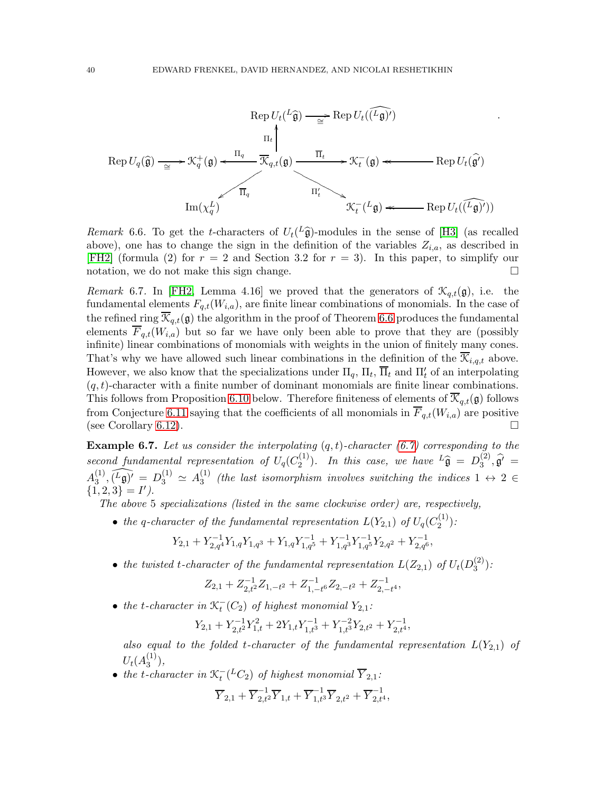

Remark 6.6. To get the *t*-characters of  $U_t(L\hat{g})$ -modules in the sense of [\[H3\]](#page-67-22) (as recalled above), one has to change the sign in the definition of the variables  $Z_{i,a}$ , as described in [\[FH2\]](#page-67-13) (formula (2) for  $r = 2$  and Section 3.2 for  $r = 3$ ). In this paper, to simplify our notation, we do not make this sign change.  $\Box$ 

Remark 6.7. In [\[FH2,](#page-67-13) Lemma 4.16] we proved that the generators of  $\mathcal{K}_{q,t}(\mathfrak{g})$ , i.e. the fundamental elements  $F_{q,t}(W_{i,q})$ , are finite linear combinations of monomials. In the case of the refined ring  $\overline{\mathcal{K}}_{q,t}(\mathfrak{g})$  the algorithm in the proof of Theorem [6.6](#page-37-0) produces the fundamental elements  $\overline{F}_{q,t}(W_{i,a})$  but so far we have only been able to prove that they are (possibly infinite) linear combinations of monomials with weights in the union of finitely many cones. That's why we have allowed such linear combinations in the definition of the  $\overline{\mathcal{K}}_{i,q,t}$  above. However, we also know that the specializations under  $\Pi_q$ ,  $\Pi_t$ ,  $\overline{\Pi}_t$  and  $\Pi'_t$  of an interpolating  $(q, t)$ -character with a finite number of dominant monomials are finite linear combinations. This follows from Proposition [6.10](#page-41-0) below. Therefore finiteness of elements of  $\mathcal{K}_{q,t}(\mathfrak{g})$  follows from Conjecture [6.11](#page-42-1) saying that the coefficients of all monomials in  $\overline{F}_{q,t}(W_{i,q})$  are positive (see Corollary [6.12\)](#page-42-2).

<span id="page-39-0"></span>**Example 6.7.** Let us consider the interpolating  $(q, t)$ -character  $(6.7)$  corresponding to the second fundamental representation of  $U_q(C_2^{(1)})$  $2^{(1)}$ ). In this case, we have  $L\hat{\mathfrak{g}} = D_3^{(2)}$  $\mathfrak{g}'^{(2)}$ ,  $\mathfrak{g}' =$  $A_3^{(1)}$  $\widehat{J_3^{(1)}}, \widehat{L_9} = D_3^{(1)} \simeq A_3^{(1)}$  $s_3^{(1)}$  (the last isomorphism involves switching the indices  $1 \leftrightarrow 2 \in$  $\{1,2,3\} = I'$ .

The above 5 specializations (listed in the same clockwise order) are, respectively,

• the q-character of the fundamental representation  $L(Y_{2,1})$  of  $U_q(C_2^{(1)})$  $\binom{1}{2}$ :

$$
Y_{2,1}+Y_{2,q^4}^{-1}Y_{1,q}Y_{1,q^3}+Y_{1,q}Y_{1,q^5}^{-1}+Y_{1,q^3}^{-1}Y_{1,q^5}^{-1}Y_{2,q^2}+Y_{2,q^6}^{-1},\\
$$

• the twisted t-character of the fundamental representation  $L(Z_{2,1})$  of  $U_t(D_3^{(2)})$  $\binom{2}{3}$ :

$$
Z_{2,1}+Z_{2,t^2}^{-1}Z_{1,-t^2}+Z_{1,-t^6}^{-1}Z_{2,-t^2}+Z_{2,-t^4}^{-1},
$$

• the t-character in  $\mathcal{K}_t^-(C_2)$  of highest monomial  $Y_{2,1}$ :

$$
Y_{2,1}+Y_{2,t}^{-1}Y_{1,t}^2+2Y_{1,t}Y_{1,t}^{-1}+Y_{1,t^3}^{-2}Y_{2,t^2}+Y_{2,t^4}^{-1},\\
$$

also equal to the folded t-character of the fundamental representation  $L(Y_{2,1})$  of  $U_t(A_3^{(1)}$  $\binom{1}{3}$ ,

• the t-character in  $\mathcal{K}_t^{-}(^L C_2)$  of highest monomial  $\overline{Y}_{2,1}$ :  $\overline{Y}_{2,1}+\overline{Y}_{2,t^2}^{-1}\overline{Y}_{1,t}+\overline{Y}_{1,t^3}^{-1}\overline{Y}_{2,t^2}+\overline{Y}_{2,t^4}^{-1},$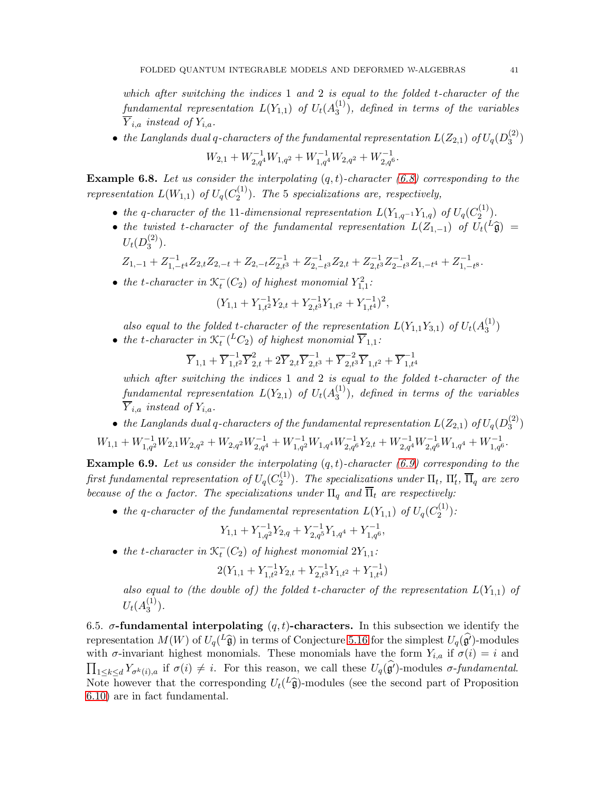which after switching the indices  $1$  and  $2$  is equal to the folded t-character of the  $\emph{fundamental representation} \ \ L(Y_{1,1}) \ \ of \ \ U_{t}(A_{3}^{(1)})$  $\binom{1}{3}$ , defined in terms of the variables  $\overline{Y}_{i,a}$  instead of  $Y_{i,a}$ .

 $\bullet\;$  the Langlands dual q-characters of the fundamental representation  $L(Z_{2,1})$  of  $U_q(D_3^{(2)})$  $\binom{2}{3}$ 

$$
W_{2,1} + W_{2,q^4}^{-1}W_{1,q^2} + W_{1,q^4}^{-1}W_{2,q^2} + W_{2,q^6}^{-1}.
$$

<span id="page-40-1"></span>**Example 6.8.** Let us consider the interpolating  $(q, t)$ -character [\(6.8\)](#page-38-1) corresponding to the representation  $L(W_{1,1})$  of  $U_q(C_2^{(1)})$  $\binom{11}{2}$ . The 5 specializations are, respectively,

- the q-character of the 11-dimensional representation  $L(Y_{1,q^{-1}}Y_{1,q})$  of  $U_q(C_2^{(1)})$  $\binom{1}{2}$ .
- the twisted t-character of the fundamental representation  $L(Z_{1,-1})$  of  $U_t({}^L\hat{\mathfrak{g}})$  =  $U_t(D_3^{(2)}$  $\binom{2}{3}$ .

 $Z_{1,-1}+Z_{1,-}^{-1}$  $\frac{1}{1,-t^4}Z_{2,t}Z_{2,-t}+Z_{2,-t}Z_{2,t^3}^{-1}+Z_{2,-t}^{-1}$  $\frac{Z_{2,-t}^{-1}}{Z_{2,t}^{-1}}Z_{2,t}^{-1}Z_{2-t}^{-1}$  $\frac{-1}{2-t^3}Z_{1,-t^4}+Z_{1,-t^-}^{-1}$  $\frac{1}{1,-t}$ 8 ·

• the t-character in  $\mathcal{K}_t^-(C_2)$  of highest monomial  $Y_{1,1}^2$ :

$$
(Y_{1,1} + Y_{1,t^2}^{-1}Y_{2,t} + Y_{2,t^3}^{-1}Y_{1,t^2} + Y_{1,t^4}^{-1})^2,
$$

also equal to the folded t-character of the representation  $L(Y_{1,1}Y_{3,1})$  of  $U_t(A_3^{(1)})$  $\binom{1}{1}$ 

• the t-character in  $\mathfrak{K}^-_t({}^L C_2)$  of highest monomial  $\overline{Y}_{1,1}$ :

$$
\overline{Y}_{1,1}+\overline{Y}_{1,t^2}^{-1}\overline{Y}_{2,t}^2+2\overline{Y}_{2,t}\overline{Y}_{2,t^3}^{-1}+\overline{Y}_{2,t^3}^{-2}\overline{Y}_{1,t^2}+\overline{Y}_{1,t^4}^{-1}
$$

which after switching the indices 1 and 2 is equal to the folded t-character of the  $\emph{fundamental representation} \ \ L(Y_{2,1}) \ \ of \ \ U_{t}(A_{3}^{(1)})$  $\binom{1}{3}$ , defined in terms of the variables  $\overline{Y}_{i,a}$  instead of  $Y_{i,a}$ .

 $\bullet~$  the Langlands dual q-characters of the fundamental representation  $L(Z_{2,1})$  of  $U_q(D_3^{(2)})$  $\binom{2}{3}$ 

$$
W_{1,1} + W_{1,q^2}^{-1}W_{2,1}W_{2,q^2} + W_{2,q^2}W_{2,q^4}^{-1} + W_{1,q^2}^{-1}W_{1,q^4}W_{2,q^6}^{-1}Y_{2,t} + W_{2,q^4}^{-1}W_{2,q^6}^{-1}W_{1,q^4} + W_{1,q^6}^{-1}
$$

**Example 6.9.** Let us consider the interpolating  $(q, t)$ -character [\(6.9\)](#page-38-2) corresponding to the first fundamental representation of  $U_q(C_2^{(1)}$  $\mathcal{L}_2^{(1)}$ ). The specializations under  $\Pi_t$ ,  $\Pi'_t$ ,  $\overline{\Pi}_q$  are zero because of the  $\alpha$  factor. The specializations under  $\Pi_q$  and  $\overline{\Pi}_t$  are respectively:

• the q-character of the fundamental representation  $L(Y_{1,1})$  of  $U_q(C_2^{(1)})$  $\binom{1}{2}$ :

$$
Y_{1,1} + Y_{1,q^2}^{-1}Y_{2,q} + Y_{2,q^5}^{-1}Y_{1,q^4} + Y_{1,q^6}^{-1},
$$

• the t-character in  $\mathcal{K}_t^-(C_2)$  of highest monomial  $2Y_{1,1}$ :

$$
2(Y_{1,1} + Y_{1,t^2}^{-1}Y_{2,t} + Y_{2,t^3}^{-1}Y_{1,t^2} + Y_{1,t^4}^{-1})
$$

also equal to (the double of) the folded t-character of the representation  $L(Y_{1,1})$  of  $U_{t}(A_{3}^{(1)}% \mathbb{Z}^{m})\cup U_{t}(A_{3}^{(2)}% \mathbb{Z}^{m})$  $\binom{1}{3}$ .

<span id="page-40-0"></span>6.5.  $\sigma$ -fundamental interpolating  $(q, t)$ -characters. In this subsection we identify the representation  $M(W)$  of  $U_q(L\hat{\mathfrak{g}})$  in terms of Conjecture [5.16](#page-27-0) for the simplest  $U_q(\hat{\mathfrak{g}}')$ -modules with  $\sigma$ -invariant highest monomials. These monomials have the form  $Y_{i,a}$  if  $\sigma(i) = i$  and  $\prod_{1 \leq k \leq d} Y_{\sigma^k(i),a}$  if  $\sigma(i) \neq i$ . For this reason, we call these  $U_q(\widehat{g'})$ -modules  $\sigma$ -fundamental. Note however that the corresponding  $U_t({}^L\hat{\mathfrak{g}})$ -modules (see the second part of Proposition [6.10\)](#page-41-0) are in fact fundamental.

.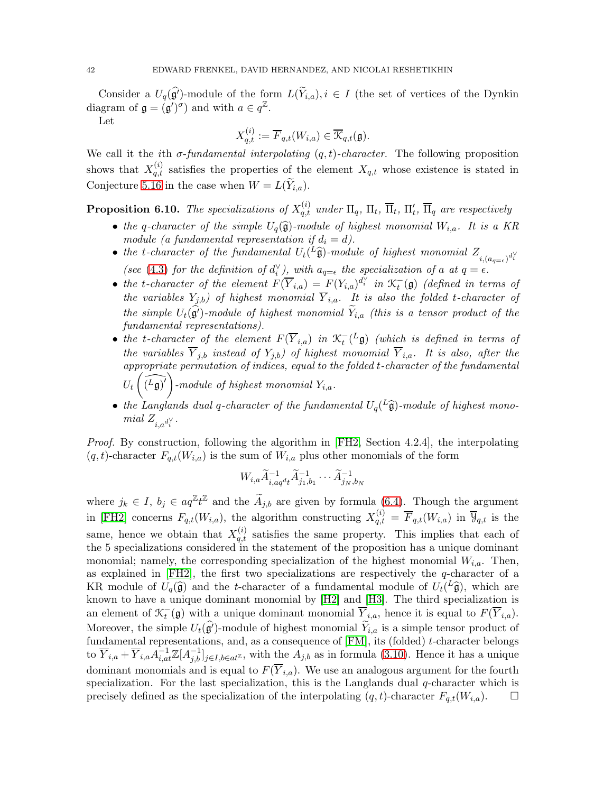Consider a  $U_q(\widehat{\mathfrak{g}}')$ -module of the form  $L(\widetilde{Y}_{i,a}), i \in I$  (the set of vertices of the Dynkin diagram of  $\mathfrak{g} = (\mathfrak{g}')^{\sigma}$  and with  $a \in q^{\mathbb{Z}}$ .

Let

$$
X_{q,t}^{(i)}:=\overline{F}_{q,t}(W_{i,a})\in\overline{\mathcal{K}}_{q,t}(\mathfrak{g}).
$$

We call it the ith  $\sigma$ -fundamental interpolating  $(q, t)$ -character. The following proposition shows that  $X_{q,t}^{(i)}$  satisfies the properties of the element  $X_{q,t}$  whose existence is stated in Conjecture [5.16](#page-27-0) in the case when  $W = L(\widetilde{Y}_{i,a}).$ 

<span id="page-41-0"></span>**Proposition 6.10.** The specializations of  $X_{q,t}^{(i)}$  under  $\Pi_q$ ,  $\Pi_t$ ,  $\overline{\Pi}_t$ ,  $\Pi'_t$ ,  $\overline{\Pi}_q$  are respectively

- the q-character of the simple  $U_q(\hat{g})$ -module of highest monomial  $W_{i,a}$ . It is a KR module (a fundamental representation if  $d_i = d$ ).
- the t-character of the fundamental  $U_t$ ( $^L$ **a**)-module of highest monomial  $Z_{i,(a_{q=\epsilon})^{d_i^{V}}}$ (see [\(4.3\)](#page-16-1) for the definition of  $d_i^{\vee}$ ), with  $a_{q=\epsilon}$  the specialization of a at  $q=\epsilon$ .
- the t-character of the element  $F(\overline{Y}_{i,a}) = F(Y_{i,a})^{d_i^{\gamma}}$  in  $\mathcal{K}_t^-(\mathfrak{g})$  (defined in terms of the variables  $Y_{j,b}$ ) of highest monomial  $Y_{i,a}$ . It is also the folded t-character of the simple  $U_t(\hat{\mathfrak{g}}')$ -module of highest monomial  $Y_{i,a}$  (this is a tensor product of the fundamental representations).
- the t-character of the element  $F(\overline{Y}_{i,a})$  in  $\mathcal{K}_t^{-}(L\mathfrak{g})$  (which is defined in terms of the variables  $Y_{j,b}$  instead of  $Y_{j,b}$ ) of highest monomial  $Y_{i,a}$ . It is also, after the appropriate permutation of indices, equal to the folded t-character of the fundamental  $U_t$  $\left(\widehat{L_{\mathfrak{g}}\rceil'}\right)$ -module of highest monomial  $Y_{i,a}$ .
- the Langlands dual q-character of the fundamental  $U_q(\frac{L\hat{g}}{R})$ -module of highest monomial  $Z_{i, a^{d_i^\vee}}$ .

Proof. By construction, following the algorithm in [\[FH2,](#page-67-13) Section 4.2.4], the interpolating  $(q, t)$ -character  $F_{q,t}(W_{i,a})$  is the sum of  $W_{i,a}$  plus other monomials of the form

$$
W_{i,a}\widetilde{A}_{i,aq^dt}^{-1}\widetilde{A}_{j_1,b_1}^{-1}\cdots\widetilde{A}_{j_N,b_N}^{-1}
$$

where  $j_k \in I$ ,  $b_j \in aq^{\mathbb{Z}}t^{\mathbb{Z}}$  and the  $\widetilde{A}_{j,b}$  are given by formula [\(6.4\)](#page-35-1). Though the argument in [\[FH2\]](#page-67-13) concerns  $F_{q,t}(W_{i,q})$ , the algorithm constructing  $X_{q,t}^{(i)} = \overline{F}_{q,t}(W_{i,q})$  in  $\overline{\mathcal{Y}}_{q,t}$  is the same, hence we obtain that  $X_{q,t}^{(i)}$  satisfies the same property. This implies that each of the 5 specializations considered in the statement of the proposition has a unique dominant monomial; namely, the corresponding specialization of the highest monomial  $W_{i,a}$ . Then, as explained in  $[FH2]$ , the first two specializations are respectively the q-character of a KR module of  $U_q(\hat{\mathfrak{g}})$  and the t-character of a fundamental module of  $U_t({}^L\hat{\mathfrak{g}})$ , which are known to have a unique dominant monomial by [\[H2\]](#page-67-21) and [\[H3\]](#page-67-22). The third specialization is an element of  $\mathcal{K}_t^-(\mathfrak{g})$  with a unique dominant monomial  $\overline{Y}_{i,a}$ , hence it is equal to  $F(\overline{Y}_{i,a})$ . Moreover, the simple  $U_t(\hat{g})$ -module of highest monomial  $\widetilde{Y}_{i,a}$  is a simple tensor product of fundamental representations, and, as a consequence of [\[FM\]](#page-67-18), its (folded) t-character belongs to  $\overline{Y}_{i,a} + \overline{Y}_{i,a} A_{i,at}^{-1} \mathbb{Z}[A_{j,b}^{-1}]_{j\in I, b\in at^{\mathbb{Z}}}$ , with the  $A_{j,b}$  as in formula [\(3.10\)](#page-11-1). Hence it has a unique dominant monomials and is equal to  $F(\overline{Y}_{i,a})$ . We use an analogous argument for the fourth specialization. For the last specialization, this is the Langlands dual q-character which is precisely defined as the specialization of the interpolating  $(q, t)$ -character  $F_{q,t}(W_{i,a})$ .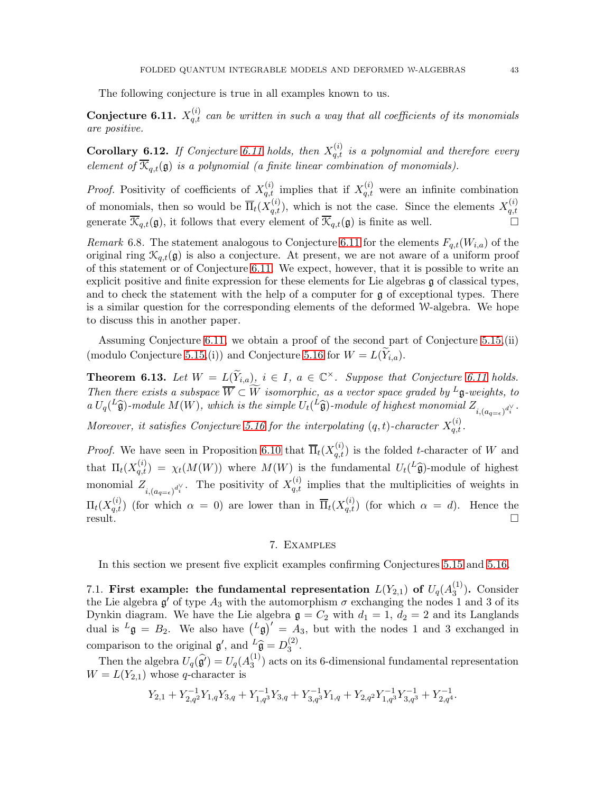The following conjecture is true in all examples known to us.

<span id="page-42-1"></span>**Conjecture 6.11.**  $X_{q,t}^{(i)}$  can be written in such a way that all coefficients of its monomials are positive.

<span id="page-42-2"></span>**Corollary 6.12.** If Conjecture [6.11](#page-42-1) holds, then  $X_{q,t}^{(i)}$  is a polynomial and therefore every element of  $\overline{\mathcal{K}}_{q,t}(\mathfrak{g})$  is a polynomial (a finite linear combination of monomials).

*Proof.* Positivity of coefficients of  $X_{q,t}^{(i)}$  implies that if  $X_{q,t}^{(i)}$  were an infinite combination of monomials, then so would be  $\overline{\Pi}_t(X_{q,t}^{(i)})$ , which is not the case. Since the elements  $X_{q,t}^{(i)}$ q,t generate  $\overline{\mathcal{K}}_{q,t}(\mathfrak{g})$ , it follows that every element of  $\overline{\mathcal{K}}_{q,t}(\mathfrak{g})$  is finite as well.

Remark 6.8. The statement analogous to Conjecture [6.11](#page-42-1) for the elements  $F_{q,t}(W_{i,q})$  of the original ring  $\mathcal{K}_{q,t}(\mathfrak{g})$  is also a conjecture. At present, we are not aware of a uniform proof of this statement or of Conjecture [6.11.](#page-42-1) We expect, however, that it is possible to write an explicit positive and finite expression for these elements for Lie algebras g of classical types, and to check the statement with the help of a computer for  $\mathfrak g$  of exceptional types. There is a similar question for the corresponding elements of the deformed W-algebra. We hope to discuss this in another paper.

Assuming Conjecture [6.11,](#page-42-1) we obtain a proof of the second part of Conjecture [5.15,](#page-26-0)(ii) (modulo Conjecture [5.15,](#page-26-0)(i)) and Conjecture [5.16](#page-27-0) for  $W = L(Y_{i,a})$ .

**Theorem 6.13.** Let  $W = L(\widetilde{Y}_{i,a})$ ,  $i \in I$ ,  $a \in \mathbb{C}^{\times}$ . Suppose that Conjecture [6.11](#page-42-1) holds. Then there exists a subspace  $\overline{W} \subset \widetilde{W}$  isomorphic, as a vector space graded by <sup>L</sup>g-weights, to  $a U_q^L(\widehat{\mathfrak{g}})$ -module  $M(W)$ , which is the simple  $U_t^L(\widehat{\mathfrak{g}})$ -module of highest monomial  $Z_{i,(a_{q=\epsilon})^{d_i^{\vee}}}$ .

Moreover, it satisfies Conjecture [5.16](#page-27-0) for the interpolating  $(q,t)$ -character  $X_{q,t}^{(i)}$ .

*Proof.* We have seen in Proposition [6.10](#page-41-0) that  $\overline{\Pi}_t(X_{q,t}^{(i)})$  is the folded t-character of W and that  $\Pi_t(X_{q,t}^{(i)}) = \chi_t(M(W))$  where  $M(W)$  is the fundamental  $U_t({}^L\hat{\mathfrak{g}})$ -module of highest monomial  $Z_{i,(a_{q=\epsilon})^{d_i^{\vee}}}$ . The positivity of  $X_{q,t}^{(i)}$  implies that the multiplicities of weights in  $\Pi_t(X_{q,t}^{(i)})$  (for which  $\alpha = 0$ ) are lower than in  $\overline{\Pi}_t(X_{q,t}^{(i)})$  (for which  $\alpha = d$ ). Hence the  $result.$ 

### 7. Examples

<span id="page-42-0"></span>In this section we present five explicit examples confirming Conjectures [5.15](#page-26-0) and [5.16.](#page-27-0)

7.1. First example: the fundamental representation  $L(Y_{2,1})$  of  $U_q(A_3^{(1)})$  $_3^{(1)}$ . Consider the Lie algebra  $\mathfrak{g}'$  of type  $A_3$  with the automorphism  $\sigma$  exchanging the nodes 1 and 3 of its Dynkin diagram. We have the Lie algebra  $\mathfrak{g} = C_2$  with  $d_1 = 1, d_2 = 2$  and its Langlands dual is  $L_{\mathfrak{g}} = B_2$ . We also have  $(L_{\mathfrak{g}})' = A_3$ , but with the nodes 1 and 3 exchanged in comparison to the original  $\mathfrak{g}'$ , and  ${}^L\widehat{\mathfrak{g}} = D_3^{(2)}$  $\frac{1}{3}$ .

Then the algebra  $U_q(\widehat{\mathfrak{g}'}) = U_q(A_3^{(1)})$  $\binom{1}{3}$  acts on its 6-dimensional fundamental representation  $W = L(Y_{2,1})$  whose q-character is

$$
Y_{2,1}+Y_{2,q^2}^{-1}Y_{1,q}Y_{3,q}+Y_{1,q^3}^{-1}Y_{3,q}+Y_{3,q^3}^{-1}Y_{1,q}+Y_{2,q^2}Y_{1,q^3}^{-1}Y_{3,q^3}^{-1}+Y_{2,q^4}^{-1}.
$$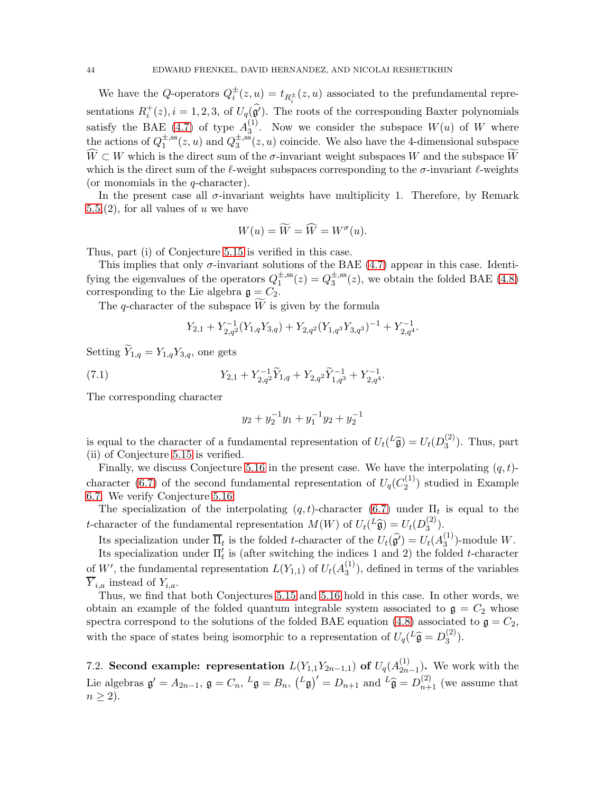We have the Q-operators  $Q_i^{\pm}(z, u) = t_{R_i^{\pm}}(z, u)$  associated to the prefundamental representations  $R_i^+(z)$ ,  $i = 1, 2, 3$ , of  $U_q(\hat{g}')$ . The roots of the corresponding Baxter polynomials satisfy the BAE [\(4.7\)](#page-19-2) of type  $A_3^{(1)}$  $3^{(1)}$ . Now we consider the subspace  $W(u)$  of W where the actions of  $Q_1^{\pm,ss}$  $2^{\pm,\text{ss}}_1(z,u)$  and  $Q_3^{\pm,\text{ss}}$  $\mathbb{R}_3^{\pm,ss}(z,u)$  coincide. We also have the 4-dimensional subspace  $\overline{W} \subset W$  which is the direct sum of the  $\sigma$ -invariant weight subspaces W and the subspace W which is the direct sum of the  $\ell$ -weight subspaces corresponding to the  $\sigma$ -invariant  $\ell$ -weights (or monomials in the q-character).

In the present case all  $\sigma$ -invariant weights have multiplicity 1. Therefore, by Remark  $5.5(2)$ , for all values of u we have

$$
W(u) = \widetilde{W} = \widehat{W} = W^{\sigma}(u).
$$

Thus, part (i) of Conjecture [5.15](#page-26-0) is verified in this case.

This implies that only  $\sigma$ -invariant solutions of the BAE [\(4.7\)](#page-19-2) appear in this case. Identifying the eigenvalues of the operators  $Q_1^{\pm,ss}$  $2^{\pm,ss}_{1}(z) = Q_3^{\pm,ss}$  $\frac{1}{3}$ <sup>SS</sup>(*z*), we obtain the folded BAE [\(4.8\)](#page-19-1) corresponding to the Lie algebra  $\mathfrak{g} = C_2$ .

The q-character of the subspace  $\overline{W}$  is given by the formula

$$
Y_{2,1}+Y_{2,q^2}^{-1}(Y_{1,q}Y_{3,q})+Y_{2,q^2}(Y_{1,q^3}Y_{3,q^3})^{-1}+Y_{2,q^4}^{-1}.
$$

Setting  $\widetilde{Y}_{1,q} = Y_{1,q} Y_{3,q}$ , one gets

(7.1) 
$$
Y_{2,1} + Y_{2,q^2}^{-1} \widetilde{Y}_{1,q} + Y_{2,q^2} \widetilde{Y}_{1,q^3}^{-1} + Y_{2,q^4}^{-1}.
$$

The corresponding character

$$
y_2 + y_2^{-1}y_1 + y_1^{-1}y_2 + y_2^{-1}
$$

is equal to the character of a fundamental representation of  $U_t({}^L\hat{\mathfrak{g}}) = U_t(D_3^{(2)})$  $\binom{2}{3}$ . Thus, part (ii) of Conjecture [5.15](#page-26-0) is verified.

Finally, we discuss Conjecture [5.16](#page-27-0) in the present case. We have the interpolating  $(q, t)$ -character [\(6.7\)](#page-38-0) of the second fundamental representation of  $U_q(C_2^{(1)})$  $2^{(1)}$ ) studied in Example [6.7.](#page-39-0) We verify Conjecture [5.16:](#page-27-0)

The specialization of the interpolating  $(q,t)$ -character  $(6.7)$  under  $\Pi_t$  is equal to the t-character of the fundamental representation  $M(W)$  of  $U_t(L\hat{\mathfrak{g}}) = U_t(D_3^{(2)})$  $\binom{2}{3}$ .

Its specialization under  $\overline{\Pi}_t$  is the folded t-character of the  $U_t(\hat{\mathfrak{g}}') = U_t(A_3^{(1)})$  $_3^{(1)}$ )-module W. Its specialization under  $\Pi'_{t}$  is (after switching the indices 1 and 2) the folded t-character of W', the fundamental representation  $L(Y_{1,1})$  of  $U_t(A_3^{(1)})$  $\binom{1}{3}$ , defined in terms of the variables  $Y_{i,a}$  instead of  $Y_{i,a}$ .

Thus, we find that both Conjectures [5.15](#page-26-0) and [5.16](#page-27-0) hold in this case. In other words, we obtain an example of the folded quantum integrable system associated to  $\mathfrak{g} = C_2$  whose spectra correspond to the solutions of the folded BAE equation [\(4.8\)](#page-19-1) associated to  $\mathfrak{g} = C_2$ , with the space of states being isomorphic to a representation of  $U_q$ <sup>( $L\hat{\mathfrak{g}} = D_3^{(2)}$ )</sup>  $\binom{2}{3}$ .

<span id="page-43-0"></span>7.2. Second example: representation  $L(Y_{1,1}Y_{2n-1,1})$  of  $U_q(A_{2n}^{(1)})$  $\binom{1}{2n-1}$ . We work with the Lie algebras  $\mathfrak{g}' = A_{2n-1}$ ,  $\mathfrak{g} = C_n$ ,  $L\mathfrak{g} = B_n$ ,  $(L\mathfrak{g})' = D_{n+1}$  and  $L\widehat{\mathfrak{g}} = D_{n+1}^{(2)}$  (we assume that  $n \geq 2$ ).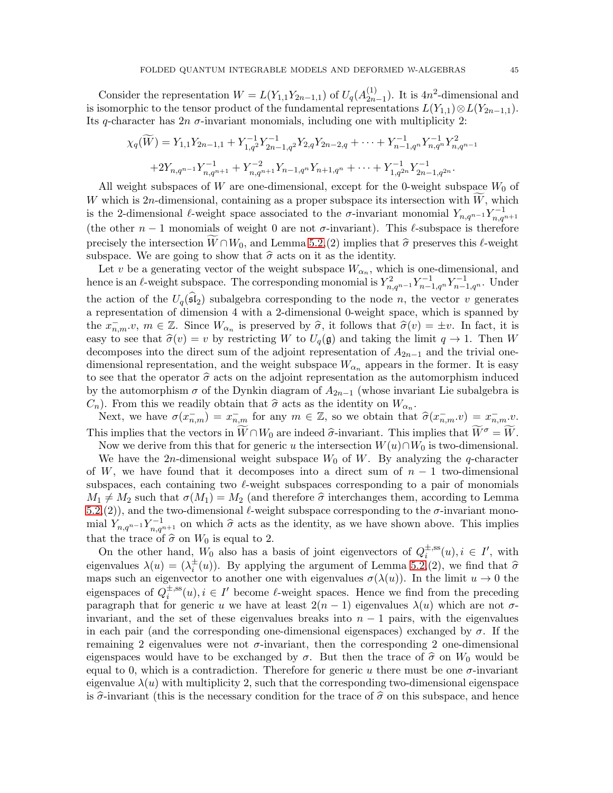Consider the representation  $W = L(Y_{1,1}Y_{2n-1,1})$  of  $U_q(A_{2n}^{(1)})$  $\binom{1}{2n-1}$ . It is 4n<sup>2</sup>-dimensional and is isomorphic to the tensor product of the fundamental representations  $L(Y_{1,1}) \otimes L(Y_{2n-1,1}).$ Its q-character has  $2n \sigma$ -invariant monomials, including one with multiplicity 2:

$$
\chi_q(\widetilde{W}) = Y_{1,1} Y_{2n-1,1} + Y_{1,q^2}^{-1} Y_{2n-1,q^2}^{-1} Y_{2,q} Y_{2n-2,q} + \dots + Y_{n-1,q^n}^{-1} Y_{n,q^n}^{-1} Y_{n,q^{n-1}}^2
$$
  
+2Y\_{n,q^{n-1}} Y\_{n,q^{n+1}}^{-1} + Y\_{n,q^{n+1}}^{-2} Y\_{n-1,q^n} Y\_{n+1,q^n} + \dots + Y\_{1,q^{2n}}^{-1} Y\_{2n-1,q^{2n}}^{-1}.

All weight subspaces of W are one-dimensional, except for the 0-weight subspace  $W_0$  of W which is  $2n$ -dimensional, containing as a proper subspace its intersection with W, which is the 2-dimensional  $\ell$ -weight space associated to the  $\sigma$ -invariant monomial  $Y_{n,q^{n-1}}Y_{n,q^{n+1}}^{-1}$ (the other  $n-1$  monomials of weight 0 are not  $\sigma$ -invariant). This  $\ell$ -subspace is therefore precisely the intersection  $\widetilde{W} \cap W_0$ , and Lemma [5.2,](#page-21-1)(2) implies that  $\widehat{\sigma}$  preserves this  $\ell$ -weight subspace. We are going to show that  $\widehat{\sigma}$  acts on it as the identity. subspace. We are going to show that  $\hat{\sigma}$  acts on it as the identity.

Let v be a generating vector of the weight subspace  $W_{\alpha_n}$ , which is one-dimensional, and hence is an  $\ell$ -weight subspace. The corresponding monomial is  $Y_{n,q^{n-1}}^2 Y_{n-1,q^n}^{-1} Y_{n-1,q^n}^{-1}$ . Under the action of the  $U_q(\mathfrak{sl}_2)$  subalgebra corresponding to the node n, the vector v generates a representation of dimension 4 with a 2-dimensional 0-weight space, which is spanned by the  $x_{n,m}^-, v, m \in \mathbb{Z}$ . Since  $W_{\alpha_n}$  is preserved by  $\hat{\sigma}$ , it follows that  $\hat{\sigma}(v) = \pm v$ . In fact, it is easy to see that  $\hat{\sigma}(v) = v$  by restricting W to  $U_q(\mathfrak{g})$  and taking the limit  $q \to 1$ . Then W decomposes into the direct sum of the adjoint representation of  $A_{2n-1}$  and the trivial onedimensional representation, and the weight subspace  $W_{\alpha_n}$  appears in the former. It is easy to see that the operator  $\hat{\sigma}$  acts on the adjoint representation as the automorphism induced by the automorphism  $\sigma$  of the Dynkin diagram of  $A_{2n-1}$  (whose invariant Lie subalgebra is  $C_n$ ). From this we readily obtain that  $\hat{\sigma}$  acts as the identity on  $W_{\alpha_n}$ .

Next, we have  $\sigma(x_{n,m}^-) = x_{n,m}^-$  for any  $m \in \mathbb{Z}$ , so we obtain that  $\hat{\sigma}(x_{n,m}^- v) = x_{n,m}^- v$ . This implies that the vectors in  $\bar{W} \cap W_0$  are indeed  $\hat{\sigma}$ -invariant. This implies that  $\widetilde{W}^{\sigma} = \widetilde{W}$ .

Now we derive from this that for generic u the intersection  $W(u) \cap W_0$  is two-dimensional.

We have the 2n-dimensional weight subspace  $W_0$  of W. By analyzing the q-character of W, we have found that it decomposes into a direct sum of  $n-1$  two-dimensional subspaces, each containing two  $\ell$ -weight subspaces corresponding to a pair of monomials  $M_1 \neq M_2$  such that  $\sigma(M_1) = M_2$  (and therefore  $\hat{\sigma}$  interchanges them, according to Lemma [5.2,](#page-21-1)(2)), and the two-dimensional  $\ell$ -weight subspace corresponding to the  $\sigma$ -invariant monomial  $Y_{n,q^{n-1}} Y_{n,q^{n+1}}^{-1}$  on which  $\hat{\sigma}$  acts as the identity, as we have shown above. This implies that the trace of  $\hat{\sigma}$  on  $W_0$  is equal to 2.

On the other hand,  $W_0$  also has a basis of joint eigenvectors of  $Q_i^{\pm,ss}$  $i^{\pm,ss}(u), i \in I', \text{ with}$ eigenvalues  $\lambda(u) = (\lambda_i^{\pm}(u))$ . By applying the argument of Lemma [5.2,](#page-21-1)(2), we find that  $\hat{\sigma}$ maps such an eigenvector to another one with eigenvalues  $\sigma(\lambda(u))$ . In the limit  $u \to 0$  the eigenspaces of  $Q_i^{\pm,ss}$  $\psi_i^{\pm,ss}(u), i \in I'$  become  $\ell$ -weight spaces. Hence we find from the preceding paragraph that for generic u we have at least  $2(n - 1)$  eigenvalues  $\lambda(u)$  which are not  $\sigma$ invariant, and the set of these eigenvalues breaks into  $n - 1$  pairs, with the eigenvalues in each pair (and the corresponding one-dimensional eigenspaces) exchanged by  $\sigma$ . If the remaining 2 eigenvalues were not  $\sigma$ -invariant, then the corresponding 2 one-dimensional eigenspaces would have to be exchanged by  $\sigma$ . But then the trace of  $\hat{\sigma}$  on  $W_0$  would be equal to 0, which is a contradiction. Therefore for generic u there must be one  $\sigma$ -invariant eigenvalue  $\lambda(u)$  with multiplicity 2, such that the corresponding two-dimensional eigenspace is  $\hat{\sigma}$ -invariant (this is the necessary condition for the trace of  $\hat{\sigma}$  on this subspace, and hence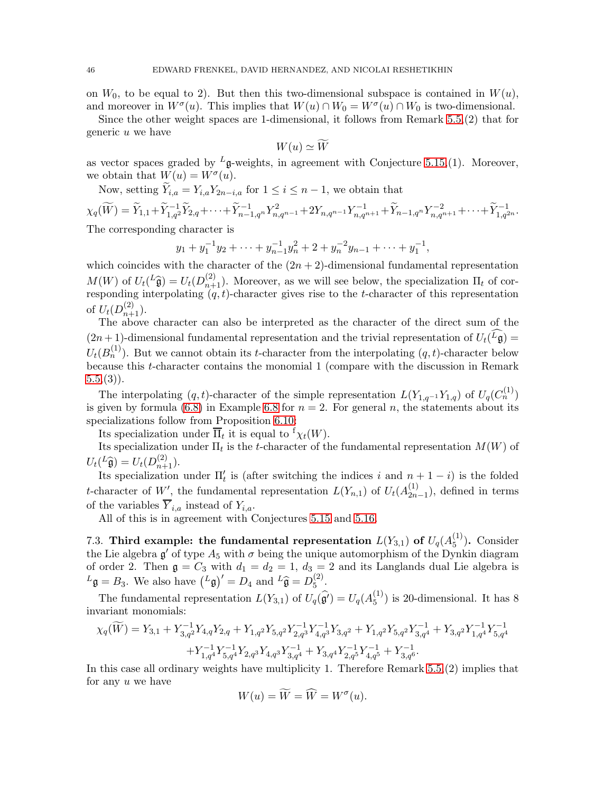on  $W_0$ , to be equal to 2). But then this two-dimensional subspace is contained in  $W(u)$ , and moreover in  $W^{\sigma}(u)$ . This implies that  $W(u) \cap W_0 = W^{\sigma}(u) \cap W_0$  is two-dimensional.

Since the other weight spaces are 1-dimensional, it follows from Remark [5.5,](#page-27-1)(2) that for generic u we have

$$
W(u) \simeq \widetilde{W}
$$

as vector spaces graded by  $^L$ g-weights, in agreement with Conjecture [5.15,](#page-26-0)(1). Moreover, we obtain that  $W(u) = W^{\sigma}(u)$ .

Now, setting  $\widetilde{Y}_{i,a} = Y_{i,a} Y_{2n-i,a}$  for  $1 \leq i \leq n-1$ , we obtain that

$$
\chi_q(\widetilde{W}) = \widetilde{Y}_{1,1} + \widetilde{Y}_{1,q^2}^{-1} \widetilde{Y}_{2,q} + \cdots + \widetilde{Y}_{n-1,q^n}^{-1} Y_{n,q^{n-1}}^2 + 2Y_{n,q^{n-1}} Y_{n,q^{n+1}}^{-1} + \widetilde{Y}_{n-1,q^n} Y_{n,q^{n+1}}^{-2} + \cdots + \widetilde{Y}_{1,q^{2n}}^{-1}.
$$
  
The corresponding dependent is

The corresponding character is

$$
y_1 + y_1^{-1}y_2 + \dots + y_{n-1}^{-1}y_n^2 + 2 + y_n^{-2}y_{n-1} + \dots + y_1^{-1},
$$

which coincides with the character of the  $(2n + 2)$ -dimensional fundamental representation  $M(W)$  of  $U_t(L\widehat{\mathfrak{g}}) = U_t(D_{n+1}^{(2)})$ . Moreover, as we will see below, the specialization  $\Pi_t$  of corresponding interpolating  $(q, t)$ -character gives rise to the t-character of this representation of  $U_t(D_{n+1}^{(2)})$ .

The above character can also be interpreted as the character of the direct sum of the  $(2n+1)$ -dimensional fundamental representation and the trivial representation of  $U_t(L\mathfrak{g}) =$  $U_t(B_n^{(1)})$ . But we cannot obtain its t-character from the interpolating  $(q, t)$ -character below because this t-character contains the monomial 1 (compare with the discussion in Remark  $(5.5,(3)).$  $(5.5,(3)).$  $(5.5,(3)).$ 

The interpolating  $(q, t)$ -character of the simple representation  $L(Y_{1,q^{-1}}Y_{1,q})$  of  $U_q(C_n^{(1)})$ is given by formula [\(6.8\)](#page-38-1) in Example [6.8](#page-40-1) for  $n = 2$ . For general n, the statements about its specializations follow from Proposition [6.10:](#page-41-0)

Its specialization under  $\overline{\Pi}_t$  it is equal to  ${}^{\text{f}}\chi_t(W)$ .

Its specialization under  $\Pi_t$  is the t-character of the fundamental representation  $M(W)$  of  $U_t({}^L\widehat{\mathfrak{g}})=U_t(D_{n+1}^{(2)}).$ 

Its specialization under  $\Pi'_{t}$  is (after switching the indices i and  $n+1-i$ ) is the folded t-character of W', the fundamental representation  $L(Y_{n,1})$  of  $U_t(A_{2n}^{(1)})$  $\binom{1}{2n-1}$ , defined in terms of the variables  $\overline{Y}_{i,a}$  instead of  $Y_{i,a}$ .

All of this is in agreement with Conjectures [5.15](#page-26-0) and [5.16.](#page-27-0)

7.3. Third example: the fundamental representation  $L(Y_{3,1})$  of  $U_q(A_5^{(1)})$  $_{5}^{(1)}$ ). Consider the Lie algebra  $\mathfrak{g}'$  of type  $A_5$  with  $\sigma$  being the unique automorphism of the Dynkin diagram of order 2. Then  $g = C_3$  with  $d_1 = d_2 = 1$ ,  $d_3 = 2$  and its Langlands dual Lie algebra is  $L_{\mathfrak{g}} = B_3$ . We also have  $(L_{\mathfrak{g}})' = D_4$  and  $L_{\widehat{\mathfrak{g}}} = D_5^{(2)}$  $\binom{2}{5}$ .

The fundamental representation  $L(Y_{3,1})$  of  $U_q(\widehat{\mathfrak{g}'}) = U_q(A_5^{(1)})$  $_{5}^{(1)}$ ) is 20-dimensional. It has 8 invariant monomials:

$$
\chi_q(\widetilde{W}) = Y_{3,1} + Y_{3,q^2}^{-1} Y_{4,q} Y_{2,q} + Y_{1,q^2} Y_{5,q^2} Y_{2,q^3}^{-1} Y_{4,q^3}^{-1} Y_{3,q^2} + Y_{1,q^2} Y_{5,q^2} Y_{3,q^4}^{-1} + Y_{3,q^2} Y_{1,q^4}^{-1} Y_{5,q^4}^{-1}
$$
  
+ 
$$
Y_{1,q^4}^{-1} Y_{5,q^4}^{-1} Y_{2,q^3} Y_{4,q^3} Y_{3,q^4}^{-1} + Y_{3,q^4} Y_{2,q^5}^{-1} Y_{4,q^5}^{-1} + Y_{3,q^6}^{-1}.
$$

In this case all ordinary weights have multiplicity 1. Therefore Remark [5.5,](#page-27-1)(2) implies that for any u we have

$$
W(u) = \widetilde{W} = \widehat{W} = W^{\sigma}(u).
$$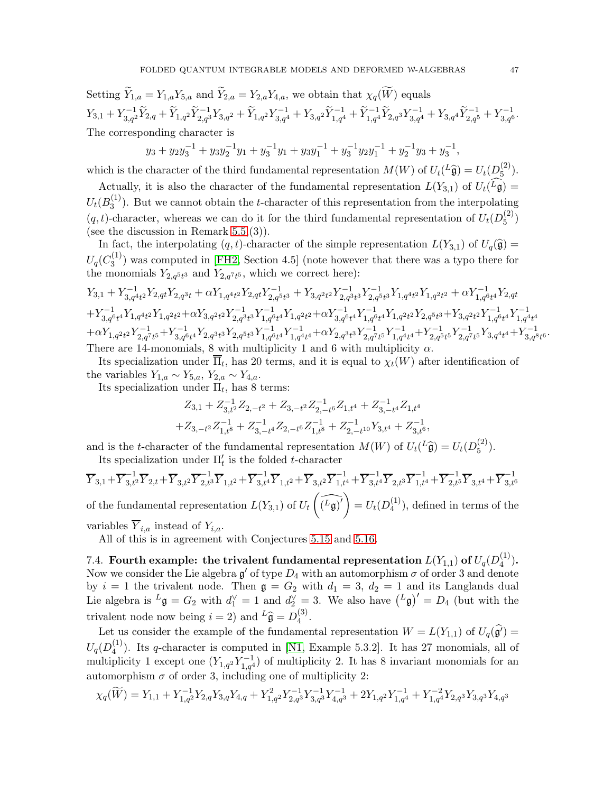Setting  $\widetilde{Y}_{1,a} = Y_{1,a} Y_{5,a}$  and  $\widetilde{Y}_{2,a} = Y_{2,a} Y_{4,a}$ , we obtain that  $\chi_a(\widetilde{W})$  equals  $Y_{3,1}+Y_{3,q^2}^{-1}\widetilde Y_{2,q}+\widetilde Y_{1,q^2}\widetilde Y_{2,q^3}^{-1}Y_{3,q^2}+\widetilde Y_{1,q^2}Y_{3,q^4}^{-1}+Y_{3,q^2}\widetilde Y_{1,q^4}^{-1}+\widetilde Y_{1,q^4}^{-1}\widetilde Y_{2,q^3}Y_{3,q^4}^{-1}+Y_{3,q^4}\widetilde Y_{2,q^5}^{-1}+Y_{3,q^6}^{-1}.$ The corresponding character is

$$
y_3 + y_2y_3^{-1} + y_3y_2^{-1}y_1 + y_3^{-1}y_1 + y_3y_1^{-1} + y_3^{-1}y_2y_1^{-1} + y_2^{-1}y_3 + y_3^{-1},
$$

which is the character of the third fundamental representation  $M(W)$  of  $U_t({}^L\hat{\mathfrak{g}}) = U_t(D_5^{(2)})$  $\binom{2}{5}$ .

Actually, it is also the character of the fundamental representation  $L(Y_{3,1})$  of  $U_t(L\mathfrak{g}) =$  $U_t(B_3^{(1)}$  $3^{(1)}$ ). But we cannot obtain the *t*-character of this representation from the interpolating  $(q, t)$ -character, whereas we can do it for the third fundamental representation of  $U_t(D_5^{(2)})$  $\binom{2}{5}$ (see the discussion in Remark  $5.5(3)$ ).

In fact, the interpolating  $(q, t)$ -character of the simple representation  $L(Y_{3,1})$  of  $U_q(\hat{\mathfrak{g}})$  =  $U_q(C_3^{(1)}$  $3^{(1)}$ ) was computed in [\[FH2,](#page-67-13) Section 4.5] (note however that there was a typo there for the monomials  $Y_{2,q^5t^3}$  and  $Y_{2,q^7t^5}$ , which we correct here):

$$
Y_{3,1} + Y_{3,q^4t^2}^{-1} Y_{2,q^4t} + \alpha Y_{1,q^4t^2} Y_{2,q^4t} Y_{2,q^5t^3}^{-1} + Y_{3,q^2t^2} Y_{2,q^5t^3}^{-1} Y_{2,q^5t^3}^{-1} Y_{1,q^4t^2} Y_{1,q^2t^2} + \alpha Y_{1,q^6t^4}^{-1} Y_{2,qt} + Y_{3,q^6t^4}^{-1} Y_{1,q^4t^2} Y_{1,q^2t^2} + \alpha Y_{3,q^2t^2}^{-1} Y_{2,q^3t^3}^{-1} Y_{1,q^6t^4}^{-1} Y_{1,q^2t^2} + \alpha Y_{3,q^6t^4}^{-1} Y_{1,q^6t^4}^{-1} Y_{1,q^2t^2}^{-1} Y_{2,q^5t^3} + Y_{3,q^2t^2} Y_{1,q^6t^4}^{-1} Y_{1,q^4t^4}^{-1} + \alpha Y_{1,q^2t^2} Y_{2,q^7t^5}^{-1} + Y_{3,q^6t^4}^{-1} Y_{2,q^3t^3}^{-1} Y_{2,q^5t^3}^{-1} Y_{1,q^4t^4}^{-1} + \alpha Y_{2,q^3t^3} Y_{2,q^7t^5}^{-1} Y_{1,q^4t^4}^{-1} + \alpha Y_{2,q^3t^3} Y_{2,q^7t^5}^{-1} Y_{1,q^4t^4}^{-1} + \alpha Y_{2,q^3t^3} Y_{2,q^7t^5}^{-1} Y_{1,q^4t^4}^{-1} + Y_{2,q^5t^5}^{-1} Y_{2,q^7t^5}^{-1} Y_{3,q^4t^4}^{-1} + Y_{3,q^8t^6}^{-1}.
$$
 There are 14-monominals, 8 with multiplicity 1 and 6 with multiplicity  $\alpha$ .

Its specialization under  $\Pi_t$ , has 20 terms, and it is equal to  $\chi_t(W)$  after identification of the variables  $Y_{1,a} \sim Y_{5,a}, Y_{2,a} \sim Y_{4,a}.$ 

Its specialization under  $\Pi_t$ , has 8 terms:

$$
\begin{aligned} Z_{3,1} + Z_{3,t^2}^{-1}Z_{2,-t^2} + Z_{3,-t^2}Z_{2,-t^6}^{-1}Z_{1,t^4} + Z_{3,-t^4}^{-1}Z_{1,t^4} \\ + Z_{3,-t^2}Z_{1,t^8}^{-1} + Z_{3,-t^4}^{-1}Z_{2,-t^6}Z_{1,t^8}^{-1} + Z_{2,-t^{10}}^{-1}Y_{3,t^4} + Z_{3,t^6}^{-1}, \end{aligned}
$$

and is the t-character of the fundamental representation  $M(W)$  of  $U_t({}^L\hat{\mathfrak{g}}) = U_t(D_5^{(2)})$  $\binom{2}{5}$ . Its specialization under  $\Pi'_t$  is the folded *t*-character

$$
\overline{Y}_{3,1} + \overline{Y}_{3,t^2}^{-1} \overline{Y}_{2,t} + \overline{Y}_{3,t^2} \overline{Y}_{2,t^3}^{-1} \overline{Y}_{1,t^2} + \overline{Y}_{3,t^4}^{-1} \overline{Y}_{1,t^2} + \overline{Y}_{3,t^4} \overline{Y}_{1,t^4}^{-1} + \overline{Y}_{3,t^4}^{-1} \overline{Y}_{2,t^3} \overline{Y}_{1,t^4}^{-1} + \overline{Y}_{2,t^5}^{-1} \overline{Y}_{3,t^4} + \overline{Y}_{3,t^6}^{-1}
$$
\nof the fundamental representation  $L(Y_{3,1})$  of  $U_t\left(\widehat{L_{\mathfrak{g}}}'\right) = U_t(D_4^{(1)})$ , defined in terms of the variables  $\overline{Y}_{i,a}$  instead of  $Y_{i,a}$ .

All of this is in agreement with Conjectures [5.15](#page-26-0) and [5.16.](#page-27-0)

7.4. Fourth example: the trivalent fundamental representation  $L(Y_{1,1})$  of  $U_q(D_4^{(1)}$  $_{4}^{(1)}$ ). Now we consider the Lie algebra  $\mathfrak{g}'$  of type  $D_4$  with an automorphism  $\sigma$  of order 3 and denote by  $i = 1$  the trivalent node. Then  $\mathfrak{g} = G_2$  with  $d_1 = 3$ ,  $d_2 = 1$  and its Langlands dual Lie algebra is  $L\mathfrak{g} = G_2$  with  $d_1^{\vee} = 1$  and  $d_2^{\vee} = 3$ . We also have  $(L\mathfrak{g})' = D_4$  (but with the trivalent node now being  $i = 2$ ) and  ${}^L\hat{\mathfrak{g}} = D_4^{(3)}$  $\frac{1}{4}$ .

Let us consider the example of the fundamental representation  $W = L(Y_{1,1})$  of  $U_q(\mathfrak{g}^i) =$  $U_q(D_4^{(1)}$  $\binom{1}{4}$ . Its q-character is computed in [\[N1,](#page-68-19) Example 5.3.2]. It has 27 monomials, all of multiplicity 1 except one  $(Y_{1,q}Y_{1,q}^{-1})$  of multiplicity 2. It has 8 invariant monomials for an automorphism  $\sigma$  of order 3, including one of multiplicity 2:

$$
\chi_q(\widetilde{W}) = Y_{1,1} + Y_{1,q^2}^{-1} Y_{2,q} Y_{3,q} Y_{4,q} + Y_{1,q^2}^2 Y_{2,q^3}^{-1} Y_{3,q^3}^{-1} Y_{4,q^3}^{-1} + 2 Y_{1,q^2} Y_{1,q^4}^{-1} + Y_{1,q^4}^{-2} Y_{2,q^3} Y_{3,q^3} Y_{4,q^3}
$$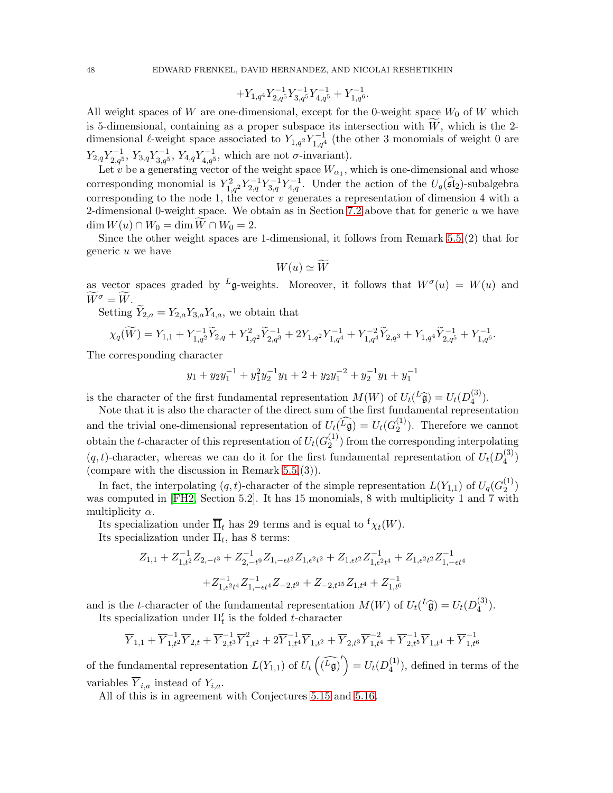$$
+Y_{1,q^4}Y_{2,q^5}^{-1}Y_{3,q^5}^{-1}Y_{4,q^5}^{-1}+Y_{1,q^6}^{-1}.
$$

All weight spaces of W are one-dimensional, except for the 0-weight space  $W_0$  of W which is 5-dimensional, containing as a proper subspace its intersection with  $W$ , which is the 2dimensional  $\ell$ -weight space associated to  $Y_{1,q^2} Y_{1,q^4}^{-1}$  (the other 3 monomials of weight 0 are  $Y_{2,q}Y_{2,q}^{-1}$ ,  $Y_{3,q}Y_{3,q}^{-1}$ ,  $Y_{4,q}Y_{4,q}^{-1}$ , which are not  $\sigma$ -invariant).

Let v be a generating vector of the weight space  $W_{\alpha_1}$ , which is one-dimensional and whose corresponding monomial is  $Y_{1,q^2}^2 Y_{2,q}^{-1} Y_{3,q}^{-1} Y_{4,q}^{-1}$ . Under the action of the  $U_q(\widehat{\mathfrak{sl}}_2)$ -subalgebra corresponding to the node 1, the vector  $v$  generates a representation of dimension 4 with a 2-dimensional 0-weight space. We obtain as in Section [7.2](#page-43-0) above that for generic  $u$  we have  $\dim W(u) \cap W_0 = \dim W \cap W_0 = 2.$ 

Since the other weight spaces are 1-dimensional, it follows from Remark [5.5,](#page-27-1)(2) that for generic u we have

$$
W(u) \simeq \widetilde{W}
$$

as vector spaces graded by <sup>L</sup>g-weights. Moreover, it follows that  $W^{\sigma}(u) = W(u)$  and  $\widetilde{W}^{\sigma} = \widetilde{W}.$ 

Setting  $\widetilde{Y}_{2,a} = Y_{2,a} Y_{3,a} Y_{4,a}$ , we obtain that

$$
\chi_q(\widetilde W)=Y_{1,1}+Y_{1,q^2}^{-1}\widetilde Y_{2,q}+Y_{1,q^2}^2\widetilde Y_{2,q^3}^{-1}+2Y_{1,q^2}Y_{1,q^4}^{-1}+Y_{1,q^4}^{-2}\widetilde Y_{2,q^3}+Y_{1,q^4}\widetilde Y_{2,q^5}^{-1}+Y_{1,q^6}^{-1}.
$$

The corresponding character

$$
y_1 + y_2 y_1^{-1} + y_1^2 y_2^{-1} y_1 + 2 + y_2 y_1^{-2} + y_2^{-1} y_1 + y_1^{-1}
$$

is the character of the first fundamental representation  $M(W)$  of  $U_t(L\hat{\mathfrak{g}}) = U_t(D_4^{(3)})$  $\binom{5}{4}$ .

Note that it is also the character of the direct sum of the first fundamental representation and the trivial one-dimensional representation of  $U_t(\widehat{L}_{\mathfrak{g}}) = U_t(G_2^{(1)})$  $\binom{1}{2}$ . Therefore we cannot obtain the t-character of this representation of  $U_t(G_2^{(1)})$  $\binom{1}{2}$  from the corresponding interpolating  $(q, t)$ -character, whereas we can do it for the first fundamental representation of  $U_t(D_4^{(3)})$  $_{4}^{(5)}$ (compare with the discussion in Remark [5.5,](#page-27-1)(3)).

In fact, the interpolating  $(q, t)$ -character of the simple representation  $L(Y_{1,1})$  of  $U_q(G_2^{(1)})$  $\binom{1}{2}$ was computed in [\[FH2,](#page-67-13) Section 5.2]. It has 15 monomials, 8 with multiplicity 1 and 7 with multiplicity  $\alpha$ .

Its specialization under  $\overline{\Pi}_t$  has 29 terms and is equal to  ${}^{\text{f}}\chi_t(W)$ .

Its specialization under  $\Pi_t$ , has 8 terms:

$$
Z_{1,1} + Z_{1,t^2}^{-1} Z_{2,-t^3} + Z_{2,-t^9}^{-1} Z_{1,-\epsilon t^2} Z_{1,\epsilon^2 t^2} + Z_{1,\epsilon^2 t^2} Z_{1,\epsilon^2 t^4}^{-1} + Z_{1,\epsilon^2 t^2} Z_{1,-\epsilon t^4}^{-1}
$$

$$
+ Z_{1,\epsilon^2 t^4}^{-1} Z_{1,-\epsilon t^4}^{-1} Z_{-2,t^9} + Z_{-2,t^{15}} Z_{1,t^4} + Z_{1,t^6}^{-1}
$$

and is the t-character of the fundamental representation  $M(W)$  of  $U_t(L\hat{\mathfrak{g}}) = U_t(D_4^{(3)})$  $\binom{5}{4}$ . Its specialization under  $\Pi'_t$  is the folded *t*-character

$$
\overline{Y}_{1,1}+\overline{Y}_{1,t^2}^{-1}\overline{Y}_{2,t}+\overline{Y}_{2,t^3}^{-1}\overline{Y}_{1,t^2}^2+2\overline{Y}_{1,t^4}^{-1}\overline{Y}_{1,t^2}+\overline{Y}_{2,t^3}\overline{Y}_{1,t^4}^{-2}+\overline{Y}_{2,t^5}^{-1}\overline{Y}_{1,t^4}+\overline{Y}_{1,t^6}^{-1}
$$

of the fundamental representation  $L(Y_{1,1})$  of  $U_t(\widehat{L_{\mathfrak{g}}})'$  =  $U_t(D_4^{(1)})$  $\binom{1}{4}$ , defined in terms of the variables  $\overline{Y}_{i,a}$  instead of  $Y_{i,a}$ .

All of this is in agreement with Conjectures [5.15](#page-26-0) and [5.16.](#page-27-0)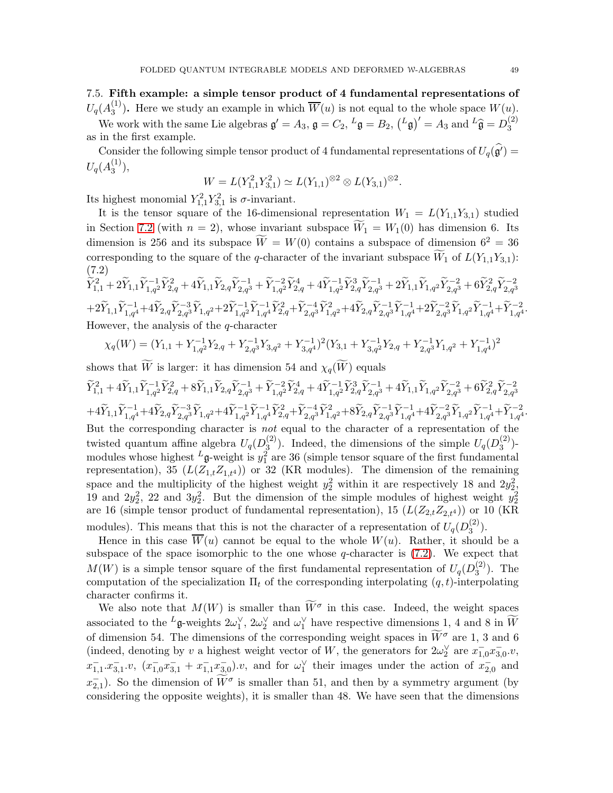<span id="page-48-0"></span>7.5. Fifth example: a simple tensor product of 4 fundamental representations of  $U_q(A_3^{(1)}$  $\binom{1}{3}$ . Here we study an example in which  $W(u)$  is not equal to the whole space  $W(u)$ .

We work with the same Lie algebras  $\mathfrak{g}' = A_3$ ,  $\mathfrak{g} = C_2$ ,  ${}^L \mathfrak{g} = B_2$ ,  $({}^L \mathfrak{g})' = A_3$  and  ${}^L \widehat{\mathfrak{g}} = D_3^{(2)}$ 3 as in the first example.

Consider the following simple tensor product of 4 fundamental representations of  $U_q(\hat{g}) =$  $U_q({A_3^{(1)}}% )\cdot (1)=\alpha _q^{(1)}+...=\alpha _q^{(n)}$  $\binom{1}{3}$ ,

$$
W = L(Y_{1,1}^2 Y_{3,1}^2) \simeq L(Y_{1,1})^{\otimes 2} \otimes L(Y_{3,1})^{\otimes 2}.
$$

Its highest monomial  $Y_{1,1}^2 Y_{3,1}^2$  is  $\sigma$ -invariant.

It is the tensor square of the 16-dimensional representation  $W_1 = L(Y_{1,1}Y_{3,1})$  studied in Section [7.2](#page-43-0) (with  $n = 2$ ), whose invariant subspace  $\widetilde{W}_1 = W_1(0)$  has dimension 6. Its dimension is 256 and its subspace  $\widetilde{W} = W(0)$  contains a subspace of dimension  $6^2 = 36$ corresponding to the square of the q-character of the invariant subspace  $\overline{W}_1$  of  $L(Y_{1,1}Y_{3,1})$ : (7.2)

<span id="page-48-1"></span>
$$
\tilde{Y}_{1,1}^2 + 2\tilde{Y}_{1,1}\tilde{Y}_{1,q}^{-1}\tilde{Y}_{2,q}^2 + 4\tilde{Y}_{1,1}\tilde{Y}_{2,q}\tilde{Y}_{2,q}^{-1} + \tilde{Y}_{1,q}^{-2}\tilde{Y}_{2,q}^4 + 4\tilde{Y}_{1,q}^{-1}\tilde{Y}_{2,q}^3\tilde{Y}_{2,q}^{-1} + 2\tilde{Y}_{1,1}\tilde{Y}_{1,q^2}\tilde{Y}_{2,q}^{-2} + 6\tilde{Y}_{2,q}^2\tilde{Y}_{2,q}^{-2}
$$
\n
$$
+ 2\tilde{Y}_{1,1}\tilde{Y}_{1,q}^{-1} + 4\tilde{Y}_{2,q}\tilde{Y}_{2,q}^{-3}\tilde{Y}_{1,q^2} + 2\tilde{Y}_{1,q^2}^{-1}\tilde{Y}_{1,q^4}^{-1}\tilde{Y}_{2,q}^2 + \tilde{Y}_{2,q^3}^{-4}\tilde{Y}_{1,q^2}^2 + 4\tilde{Y}_{2,q}\tilde{Y}_{2,q^3}^{-1}\tilde{Y}_{1,q^4}^{-1} + 2\tilde{Y}_{2,q^3}^{-2}\tilde{Y}_{1,q^2}\tilde{Y}_{1,q^4}^{-1} + \tilde{Y}_{1,q^4}^{-2}.
$$
\nHowever, the analysis of the *q*-character

$$
\chi_q(W) = (Y_{1,1} + Y_{1,q^2}^{-1}Y_{2,q} + Y_{2,q^3}^{-1}Y_{3,q^2} + Y_{3,q^4}^{-1})^2(Y_{3,1} + Y_{3,q^2}^{-1}Y_{2,q} + Y_{2,q^3}^{-1}Y_{1,q^2} + Y_{1,q^4}^{-1})^2
$$

shows that W is larger: it has dimension 54 and  $\chi_q(W)$  equals  $\widetilde{Y}_{1,1}^2+4\widetilde{Y}_{1,1}\widetilde{Y}_{1,q^2}^{-1}\widetilde{Y}_{2,q}^2+8\widetilde{Y}_{1,1}\widetilde{Y}_{2,q}\widetilde{Y}_{2,q^3}^{-1}+\widetilde{Y}_{1,q^2}^{-2}\widetilde{Y}_{2,q}^4+4\widetilde{Y}_{1,q^2}^{-1}\widetilde{Y}_{2,q^2}^3\widetilde{Y}_{2,q^2}^{-1}+4\widetilde{Y}_{1,1}\widetilde{Y}_{1,q^2}\widetilde{Y}_{2,q^2}^{-2}+6\widetilde{Y}_{2,q}^2\widetilde{Y}_{2,q^$  $+4\widetilde{Y}_{1,1}\widetilde{Y}_{1,q}^{-1}+4\widetilde{Y}_{2,q}\widetilde{Y}_{2,q^3}\widetilde{Y}_{1,q^2}+4\widetilde{Y}_{1,q^2}^{-1}\widetilde{Y}_{1,q^4}^{-1}\widetilde{Y}_{2,q}^2+\widetilde{Y}_{2,q^3}^{-4}\widetilde{Y}_{1,q^2}^2+8\widetilde{Y}_{2,q}\widetilde{Y}_{2,q^3}^{-1}\widetilde{Y}_{1,q^4}^{-1}+4\widetilde{Y}_{2,q^3}^{-2}\widetilde{Y}_{1,q^2}+ \widetilde{Y}_{1,q^4}^{-2}.$ But the corresponding character is *not* equal to the character of a representation of the twisted quantum affine algebra  $U_q(D_3^{(2)})$  $\binom{2}{3}$ . Indeed, the dimensions of the simple  $U_q(D_3^{(2)})$  $\binom{2}{3}$ modules whose highest  $^L$ **g**-weight is  $y_1^2$  are 36 (simple tensor square of the first fundamental representation), 35  $(L(Z_{1,t}Z_{1,t^4}))$  or 32 (KR modules). The dimension of the remaining space and the multiplicity of the highest weight  $y_2^2$  within it are respectively 18 and  $2y_2^2$ , 19 and  $2y_2^2$ , 22 and  $3y_2^2$ . But the dimension of the simple modules of highest weight  $y_2^2$ are 16 (simple tensor product of fundamental representation), 15  $(L(Z_{2,t}Z_{2,t^4}))$  or 10 (KR modules). This means that this is not the character of a representation of  $U_q(D_3^{(2)}$  $\binom{2}{3}$ .

Hence in this case  $\overline{W}(u)$  cannot be equal to the whole  $W(u)$ . Rather, it should be a subspace of the space isomorphic to the one whose  $q$ -character is  $(7.2)$ . We expect that  $M(W)$  is a simple tensor square of the first fundamental representation of  $U_q(D_3^{(2)})$  $3^{(2)}$ ). The computation of the specialization  $\Pi_t$  of the corresponding interpolating  $(q, t)$ -interpolating character confirms it.

We also note that  $M(W)$  is smaller than  $\widetilde{W}^{\sigma}$  in this case. Indeed, the weight spaces associated to the <sup>L</sup><sub>g</sub>-weights  $2\omega_1^{\vee}$ ,  $2\omega_2^{\vee}$  and  $\omega_1^{\vee}$  have respective dimensions 1, 4 and 8 in  $\overline{W}$ of dimension 54. The dimensions of the corresponding weight spaces in  $\widetilde{W}^{\sigma}$  are 1, 3 and 6 (indeed, denoting by v a highest weight vector of W, the generators for  $2\omega_2^{\vee}$  are  $x_{1,0}^-\overline{x_{3,0}}.v$ ,  $x_{1,1}^{-}...x_{3,1}^{-}...$ ,  $(x_{1,0}^{-}x_{3,1}^{-}+x_{1,1}^{-}x_{3,0}^{-})...$ , and for  $\omega_1^{\vee}$  their images under the action of  $x_{2,0}^{-}$  and  $x_{2,1}^{-}$ ). So the dimension of  $\widetilde{W}^{\sigma}$  is smaller than 51, and then by a symmetry argument (by considering the opposite weights), it is smaller than 48. We have seen that the dimensions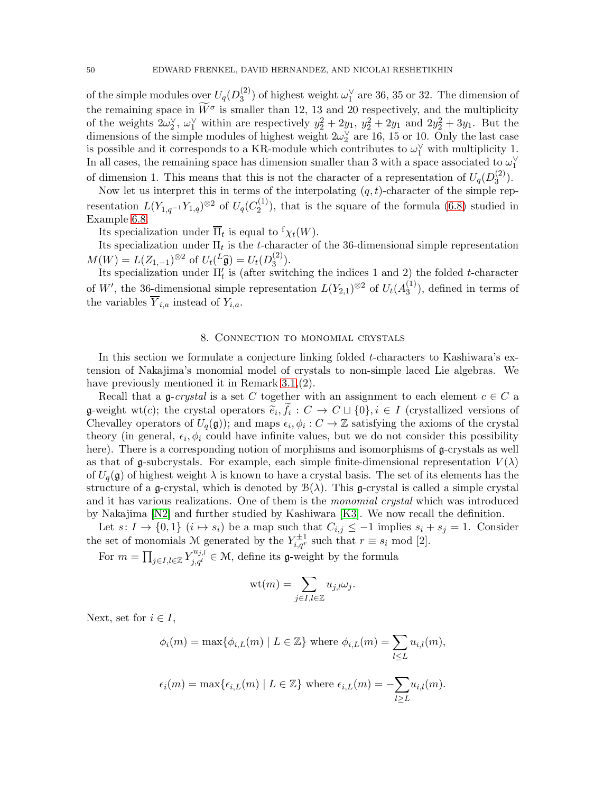of the simple modules over  $U_q(D_3^{(2)})$  $\binom{2}{3}$  of highest weight  $\omega_1^{\vee}$  are 36, 35 or 32. The dimension of the remaining space in  $\overline{W}^{\sigma}$  is smaller than 12, 13 and 20 respectively, and the multiplicity of the weights  $2\omega_2^{\vee}$ ,  $\omega_1^{\vee}$  within are respectively  $y_2^2 + 2y_1$ ,  $y_2^2 + 2y_1$  and  $2y_2^2 + 3y_1$ . But the dimensions of the simple modules of highest weight  $2\omega_2^{\vee}$  are 16, 15 or 10. Only the last case is possible and it corresponds to a KR-module which contributes to  $\omega_1^{\vee}$  with multiplicity 1. In all cases, the remaining space has dimension smaller than 3 with a space associated to  $\omega_1^{\vee}$ 

of dimension 1. This means that this is not the character of a representation of  $U_q(D_3^{(2)})$  $\binom{2}{3}$ .

Now let us interpret this in terms of the interpolating  $(q, t)$ -character of the simple representation  $L(Y_{1,q^{-1}}Y_{1,q})^{\otimes 2}$  of  $U_q(C_2^{(1)})$  $2^{(1)}$ , that is the square of the formula  $(6.8)$  studied in Example [6.8.](#page-40-1)

Its specialization under  $\overline{\Pi}_t$  is equal to  ${}^{\text{f}}\chi_t(W)$ .

Its specialization under  $\Pi_t$  is the *t*-character of the 36-dimensional simple representation  $M(W) = L(Z_{1,-1})^{\otimes 2}$  of  $U_t(L_{{\mathfrak{g}}}) = U_t(D_3^{(2)})$  $\binom{2}{3}$ .

Its specialization under  $\Pi'_{t}$  is (after switching the indices 1 and 2) the folded t-character of W', the 36-dimensional simple representation  $L(Y_{2,1})^{\otimes 2}$  of  $U_t(A_3^{(1)})$  $3^{(1)}$ , defined in terms of the variables  $\overline{Y}_{i,a}$  instead of  $Y_{i,a}$ .

#### 8. Connection to monomial crystals

<span id="page-49-0"></span>In this section we formulate a conjecture linking folded t-characters to Kashiwara's extension of Nakajima's monomial model of crystals to non-simple laced Lie algebras. We have previously mentioned it in Remark [3.1,](#page-11-3)(2).

Recall that a g-crystal is a set C together with an assignment to each element  $c \in C$  a g-weight wt(c); the crystal operators  $\widetilde{e}_i, f_i : C \to C \sqcup \{0\}, i \in I$  (crystallized versions of  $C$  beginning of  $U_i(x)$ ) and we see the  $C \to \mathbb{Z}$  existing the spinne of the spinning Chevalley operators of  $U_q(\mathfrak{g})$ ; and maps  $\epsilon_i, \phi_i : C \to \mathbb{Z}$  satisfying the axioms of the crystal theory (in general,  $\epsilon_i, \phi_i$  could have infinite values, but we do not consider this possibility here). There is a corresponding notion of morphisms and isomorphisms of  $\mathfrak{g}$ -crystals as well as that of g-subcrystals. For example, each simple finite-dimensional representation  $V(\lambda)$ of  $U_q(\mathfrak{g})$  of highest weight  $\lambda$  is known to have a crystal basis. The set of its elements has the structure of a g-crystal, which is denoted by  $\mathcal{B}(\lambda)$ . This g-crystal is called a simple crystal and it has various realizations. One of them is the monomial crystal which was introduced by Nakajima [\[N2\]](#page-68-16) and further studied by Kashiwara [\[K3\]](#page-68-15). We now recall the definition.

Let  $s: I \to \{0,1\}$   $(i \mapsto s_i)$  be a map such that  $C_{i,j} \leq -1$  implies  $s_i + s_j = 1$ . Consider the set of monomials M generated by the  $Y_{i,q^r}^{\pm 1}$  such that  $r \equiv s_i \mod [2]$ .

For  $m = \prod_{j \in I, l \in \mathbb{Z}} Y_{j,q_l}^{u_{j,l}} \in \mathcal{M}$ , define its g-weight by the formula

$$
\mathrm{wt}(m)=\sum_{j\in I,l\in\mathbb{Z}}u_{j,l}\omega_j.
$$

Next, set for  $i \in I$ ,

$$
\phi_i(m) = \max\{\phi_{i,L}(m) \mid L \in \mathbb{Z}\}\text{ where }\phi_{i,L}(m) = \sum_{l \leq L} u_{i,l}(m),
$$

$$
\epsilon_i(m) = \max\{\epsilon_{i,L}(m) \mid L \in \mathbb{Z}\}\text{ where }\epsilon_{i,L}(m) = -\sum_{l \geq L} u_{i,l}(m).
$$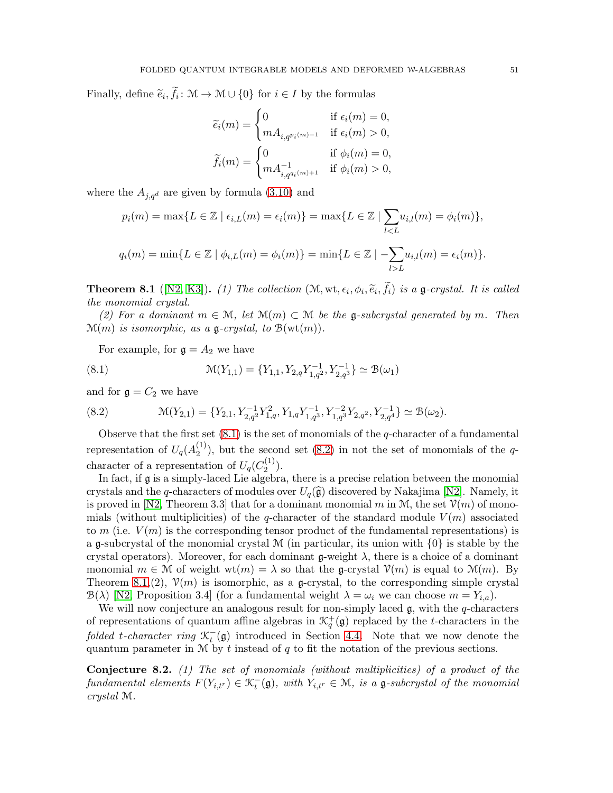Finally, define  $\tilde{e}_i, f_i: \mathcal{M} \to \mathcal{M} \cup \{0\}$  for  $i \in I$  by the formulas

$$
\widetilde{e}_i(m) = \begin{cases}\n0 & \text{if } \epsilon_i(m) = 0, \\
mA_{i,q^{p_i(m)-1}} & \text{if } \epsilon_i(m) > 0, \\
\widetilde{f}_i(m) = \begin{cases}\n0 & \text{if } \phi_i(m) = 0, \\
mA_{i,q^{q_i(m)+1}}^{-1} & \text{if } \phi_i(m) > 0,\n\end{cases}
$$

where the  $A_{j,q^d}$  are given by formula [\(3.10\)](#page-11-1) and

$$
p_i(m) = \max\{L \in \mathbb{Z} \mid \epsilon_{i,L}(m) = \epsilon_i(m)\} = \max\{L \in \mathbb{Z} \mid \sum_{l < L} u_{i,l}(m) = \phi_i(m)\},\
$$
\n
$$
q_i(m) = \min\{L \in \mathbb{Z} \mid \phi_{i,L}(m) = \phi_i(m)\} = \min\{L \in \mathbb{Z} \mid -\sum_{l > L} u_{i,l}(m) = \epsilon_i(m)\}.
$$

<span id="page-50-2"></span>**Theorem 8.1** ([\[N2,](#page-68-16) [K3\]](#page-68-15)). (1) The collection  $(\mathcal{M}, \text{wt}, \epsilon_i, \phi_i, \tilde{e}_i, f_i)$  is a g-crystal. It is called the manumial number the monomial crystal.

(2) For a dominant  $m \in \mathcal{M}$ , let  $\mathcal{M}(m) \subset \mathcal{M}$  be the g-subcrystal generated by m. Then  $\mathcal{M}(m)$  is isomorphic, as a g-crystal, to  $\mathcal{B}(\text{wt}(m))$ .

<span id="page-50-0"></span>For example, for  $\mathfrak{g} = A_2$  we have

(8.1) 
$$
\mathcal{M}(Y_{1,1}) = \{Y_{1,1}, Y_{2,q}Y_{1,q^2}^{-1}, Y_{2,q^3}^{-1}\} \simeq \mathcal{B}(\omega_1)
$$

and for  $\mathfrak{g} = C_2$  we have

<span id="page-50-1"></span>(8.2) 
$$
\mathcal{M}(Y_{2,1}) = \{Y_{2,1}, Y_{2,q}^{-1}Y_{1,q}^2, Y_{1,q}Y_{1,q}^{-1}, Y_{1,q^2}^{-2}Y_{2,q^2}, Y_{2,q^4}^{-1}\} \simeq \mathcal{B}(\omega_2).
$$

Observe that the first set  $(8.1)$  is the set of monomials of the q-character of a fundamental representation of  $U_q(A_2^{(1)}$  $2^{(1)}$ , but the second set [\(8.2\)](#page-50-1) in not the set of monomials of the qcharacter of a representation of  $U_q(C_2^{(1)})$  $\binom{1}{2}$ .

In fact, if g is a simply-laced Lie algebra, there is a precise relation between the monomial crystals and the q-characters of modules over  $U_q(\hat{\mathfrak{g}})$  discovered by Nakajima [\[N2\]](#page-68-16). Namely, it is proved in [\[N2,](#page-68-16) Theorem 3.3] that for a dominant monomial m in M, the set  $\mathcal{V}(m)$  of monomials (without multiplicities) of the q-character of the standard module  $V(m)$  associated to m (i.e.  $V(m)$ ) is the corresponding tensor product of the fundamental representations) is a g-subcrystal of the monomial crystal  $\mathcal M$  (in particular, its union with  $\{0\}$  is stable by the crystal operators). Moreover, for each dominant  $\mathfrak{g}\text{-weight }\lambda$ , there is a choice of a dominant monomial  $m \in \mathcal{M}$  of weight  $wt(m) = \lambda$  so that the g-crystal  $\mathcal{V}(m)$  is equal to  $\mathcal{M}(m)$ . By Theorem [8.1,](#page-50-2)(2),  $\mathcal{V}(m)$  is isomorphic, as a g-crystal, to the corresponding simple crystal  $\mathcal{B}(\lambda)$  [\[N2,](#page-68-16) Proposition 3.4] (for a fundamental weight  $\lambda = \omega_i$  we can choose  $m = Y_{i,a}$ ).

We will now conjecture an analogous result for non-simply laced  $\mathfrak{g}$ , with the q-characters of representations of quantum affine algebras in  $\mathcal{K}_q^+(\mathfrak{g})$  replaced by the t-characters in the folded t-character ring  $\mathcal{K}_t^-(\mathfrak{g})$  introduced in Section [4.4.](#page-18-2) Note that we now denote the quantum parameter in  $M$  by t instead of q to fit the notation of the previous sections.

<span id="page-50-3"></span>Conjecture 8.2. (1) The set of monomials (without multiplicities) of a product of the fundamental elements  $F(Y_{i,t}) \in \mathcal{K}_t^-(\mathfrak{g})$ , with  $Y_{i,t'} \in \mathcal{M}$ , is a  $\mathfrak{g}$ -subcrystal of the monomial crystal M.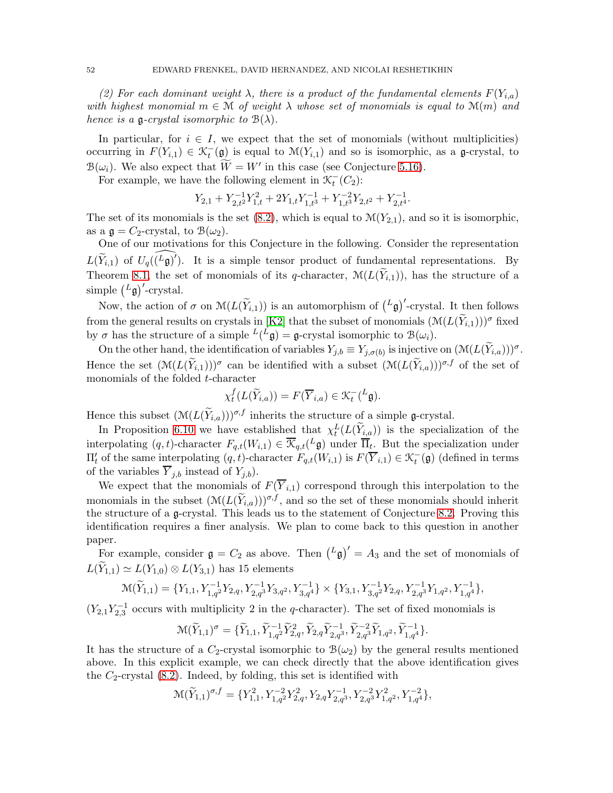(2) For each dominant weight  $\lambda$ , there is a product of the fundamental elements  $F(Y_{i,a})$ with highest monomial  $m \in \mathcal{M}$  of weight  $\lambda$  whose set of monomials is equal to  $\mathcal{M}(m)$  and hence is a g-crystal isomorphic to  $B(\lambda)$ .

In particular, for  $i \in I$ , we expect that the set of monomials (without multiplicities) occurring in  $F(Y_{i,1}) \in \mathcal{K}_t^-(\mathfrak{g})$  is equal to  $\mathcal{M}(Y_{i,1})$  and so is isomorphic, as a  $\mathfrak{g}$ -crystal, to  $B(\omega_i)$ . We also expect that  $\widetilde{W} = W'$  in this case (see Conjecture [5.16\)](#page-27-0).

For example, we have the following element in  $\mathcal{K}_t^-(C_2)$ :

$$
Y_{2,1}+Y_{2,t^2}^{-1}Y_{1,t}^2+2Y_{1,t}Y_{1,t^3}^{-1}+Y_{1,t^3}^{-2}Y_{2,t^2}+Y_{2,t^4}^{-1}.
$$

The set of its monomials is the set  $(8.2)$ , which is equal to  $\mathcal{M}(Y_{2,1})$ , and so it is isomorphic, as a  $\mathfrak{g} = C_2$ -crystal, to  $\mathcal{B}(\omega_2)$ .

One of our motivations for this Conjecture in the following. Consider the representation  $L(\widetilde{Y}_{i,1})$  of  $U_q(\widehat{L_g})'$ ). It is a simple tensor product of fundamental representations. By Theorem [8.1,](#page-50-2) the set of monomials of its q-character,  $\mathcal{M}(L(\widetilde{Y}_{i,1}))$ , has the structure of a simple  $\binom{L}{\mathfrak{g}}'$ -crystal.

Now, the action of  $\sigma$  on  $\mathcal{M}(L(\widetilde{Y}_{i,1}))$  is an automorphism of  $(L\mathfrak{g})'$ -crystal. It then follows from the general results on crystals in [\[K2\]](#page-68-20) that the subset of monomials  $(\mathcal{M}(L(\widetilde{Y}_{i,1})))^{\sigma}$  fixed by  $\sigma$  has the structure of a simple  $L(L\mathfrak{g}) = \mathfrak{g}$ -crystal isomorphic to  $\mathcal{B}(\omega_i)$ .

On the other hand, the identification of variables  $Y_{j,b} \equiv Y_{j,\sigma(b)}$  is injective on  $(\mathcal{M}(L(Y_{i,a})))^{\sigma}$ . Hence the set  $(\mathcal{M}(L(\widetilde{Y}_{i,1})))^{\sigma}$  can be identified with a subset  $(\mathcal{M}(L(\widetilde{Y}_{i,a})))^{\sigma,f}$  of the set of monomials of the folded t-character

$$
\chi_t^f(L(\widetilde{Y}_{i,a})) = F(\overline{Y}_{i,a}) \in \mathcal{K}_t^-(L\mathfrak{g}).
$$

Hence this subset  $(\mathcal{M}(L(\widetilde{Y}_{i,a}))^{\sigma,f}$  inherits the structure of a simple g-crystal.

In Proposition [6.10](#page-41-0) we have established that  $\chi_t^L(L(\tilde{Y}_{i,a}))$  is the specialization of the interpolating  $(q, t)$ -character  $F_{q,t}(W_{i,1}) \in \overline{\mathcal{K}}_{q,t}(L\mathfrak{g})$  under  $\overline{\Pi}_t$ . But the specialization under  $\Pi'_{t}$  of the same interpolating  $(q, t)$ -character  $F_{q,t}(W_{i,1})$  is  $F(\overline{Y}_{i,1}) \in \mathcal{K}_t^-(\mathfrak{g})$  (defined in terms of the variables  $\overline{Y}_{j,b}$  instead of  $Y_{j,b}$ ).

We expect that the monomials of  $F(\overline{Y}_{i,1})$  correspond through this interpolation to the monomials in the subset  $(\mathcal{M}(L(Y_{i,a}))^{\sigma,f}$ , and so the set of these monomials should inherit the structure of a g-crystal. This leads us to the statement of Conjecture [8.2.](#page-50-3) Proving this identification requires a finer analysis. We plan to come back to this question in another paper.

For example, consider  $\mathfrak{g} = C_2$  as above. Then  $\left(\begin{matrix}L_{\mathfrak{g}}\end{matrix}\right)' = A_3$  and the set of monomials of  $L(\widetilde{Y}_{1,1}) \simeq L(Y_{1,0}) \otimes L(Y_{3,1})$  has 15 elements

$$
\mathcal{M}(\widetilde{Y}_{1,1}) = \{Y_{1,1}, Y_{1,q^2}^{-1}Y_{2,q}, Y_{2,q^3}^{-1}Y_{3,q^2}, Y_{3,q^4}^{-1}\} \times \{Y_{3,1}, Y_{3,q^2}^{-1}Y_{2,q}, Y_{2,q^3}^{-1}Y_{1,q^2}, Y_{1,q^4}^{-1}\},
$$

 $(Y_{2,1}Y_{2,3}^{-1}$  occurs with multiplicity 2 in the q-character). The set of fixed monomials is

$$
\mathcal{M}(\widetilde{Y}_{1,1})^{\sigma} = \{ \widetilde{Y}_{1,1}, \widetilde{Y}_{1,q^2}^{-1} \widetilde{Y}_{2,q}^2, \widetilde{Y}_{2,q^2}, \widetilde{Y}_{2,q^3}^{-1}, \widetilde{Y}_{2,q^3}^{-2} \widetilde{Y}_{1,q^2}, \widetilde{Y}_{1,q^4}^{-1} \}.
$$

It has the structure of a  $C_2$ -crystal isomorphic to  $\mathcal{B}(\omega_2)$  by the general results mentioned above. In this explicit example, we can check directly that the above identification gives the  $C_2$ -crystal  $(8.2)$ . Indeed, by folding, this set is identified with

$$
\mathcal{M}(\widetilde{Y}_{1,1})^{\sigma,f} = \{Y_{1,1}^2, Y_{1,q^2}^{-2}Y_{2,q}^2, Y_{2,q}Y_{2,q^3}^{-1}, Y_{2,q^3}^{-2}Y_{1,q^2}^2, Y_{1,q^4}^{-2}\},\
$$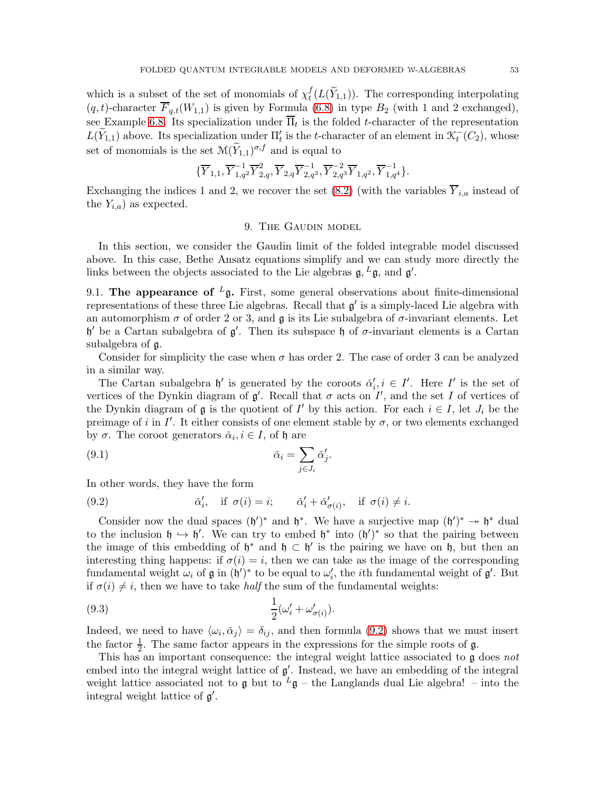which is a subset of the set of monomials of  $\chi_t^f$  $t<sub>t</sub>(L(Y<sub>1,1</sub>)).$  The corresponding interpolating  $(q, t)$ -character  $\overline{F}_{q,t}(W_{1,1})$  is given by Formula [\(6.8\)](#page-38-1) in type  $B_2$  (with 1 and 2 exchanged), see Example [6.8.](#page-40-1) Its specialization under  $\Pi_t$  is the folded t-character of the representation  $L(\widetilde{Y}_{1,1})$  above. Its specialization under  $\Pi'_{t}$  is the t-character of an element in  $\mathcal{K}_{t}^{-}(C_{2})$ , whose set of monomials is the set  $\mathcal{M}(\widetilde{Y}_{1,1})^{\sigma,f}$  and is equal to

$$
\{\overline{Y}_{1,1}, \overline{Y}_{1,q^2}^{-1}\overline{Y}_{2,q}^2, \overline{Y}_{2,q} \overline{Y}_{2,q^3}^{-1}, \overline{Y}_{2,q^3}^{-2}\overline{Y}_{1,q^2}, \overline{Y}_{1,q^4}^{-1}\}.
$$

<span id="page-52-0"></span>Exchanging the indices 1 and 2, we recover the set [\(8.2\)](#page-50-1) (with the variables  $\overline{Y}_{i,a}$  instead of the  $Y_{i,a}$  as expected.

## 9. The Gaudin model

In this section, we consider the Gaudin limit of the folded integrable model discussed above. In this case, Bethe Ansatz equations simplify and we can study more directly the links between the objects associated to the Lie algebras  $\mathfrak{g}, L\mathfrak{g}$ , and  $\mathfrak{g}'$ .

<span id="page-52-1"></span>9.1. The appearance of  $L_{\mathfrak{g}}$ . First, some general observations about finite-dimensional representations of these three Lie algebras. Recall that  $g'$  is a simply-laced Lie algebra with an automorphism  $\sigma$  of order 2 or 3, and  $\mathfrak g$  is its Lie subalgebra of  $\sigma$ -invariant elements. Let  $\mathfrak{h}'$  be a Cartan subalgebra of  $\mathfrak{g}'$ . Then its subspace  $\mathfrak{h}$  of σ-invariant elements is a Cartan subalgebra of g.

Consider for simplicity the case when  $\sigma$  has order 2. The case of order 3 can be analyzed in a similar way.

The Cartan subalgebra  $\mathfrak{h}'$  is generated by the coroots  $\check{\alpha}'_i, i \in I'$ . Here I' is the set of vertices of the Dynkin diagram of  $\mathfrak{g}'$ . Recall that  $\sigma$  acts on  $I'$ , and the set I of vertices of the Dynkin diagram of  $\mathfrak g$  is the quotient of I' by this action. For each  $i \in I$ , let  $J_i$  be the preimage of i in  $I'$ . It either consists of one element stable by  $\sigma$ , or two elements exchanged by  $\sigma$ . The coroot generators  $\check{\alpha}_i, i \in I$ , of  $\mathfrak h$  are

(9.1) 
$$
\check{\alpha}_i = \sum_{j \in J_i} \check{\alpha}'_j.
$$

In other words, they have the form

<span id="page-52-2"></span>(9.2) 
$$
\check{\alpha}'_i, \quad \text{if } \sigma(i) = i; \qquad \check{\alpha}'_i + \check{\alpha}'_{\sigma(i)}, \quad \text{if } \sigma(i) \neq i.
$$

Consider now the dual spaces  $(\mathfrak{h}')^*$  and  $\mathfrak{h}^*$ . We have a surjective map  $(\mathfrak{h}')^* \to \mathfrak{h}^*$  dual to the inclusion  $\mathfrak{h} \hookrightarrow \mathfrak{h}'$ . We can try to embed  $\mathfrak{h}^*$  into  $(\mathfrak{h}')^*$  so that the pairing between the image of this embedding of  $\mathfrak{h}^*$  and  $\mathfrak{h} \subset \mathfrak{h}'$  is the pairing we have on  $\mathfrak{h}$ , but then an interesting thing happens: if  $\sigma(i) = i$ , then we can take as the image of the corresponding fundamental weight  $\omega_i$  of  $\mathfrak g$  in  $(\mathfrak h')^*$  to be equal to  $\omega'_i$ , the *i*th fundamental weight of  $\mathfrak g'$ . But if  $\sigma(i) \neq i$ , then we have to take *half* the sum of the fundamental weights:

<span id="page-52-3"></span>
$$
(9.3)\qquad \qquad \frac{1}{2}(\omega_i' + \omega_{\sigma(i)}').
$$

Indeed, we need to have  $\langle \omega_i, \check{\alpha}_j \rangle = \delta_{ij}$ , and then formula [\(9.2\)](#page-52-2) shows that we must insert the factor  $\frac{1}{2}$ . The same factor appears in the expressions for the simple roots of  $\mathfrak{g}$ .

This has an important consequence: the integral weight lattice associated to  $\mathfrak g$  does not embed into the integral weight lattice of  $g'$ . Instead, we have an embedding of the integral weight lattice associated not to g but to  $L_g$  – the Langlands dual Lie algebra! – into the integral weight lattice of  $\mathfrak{g}'$ .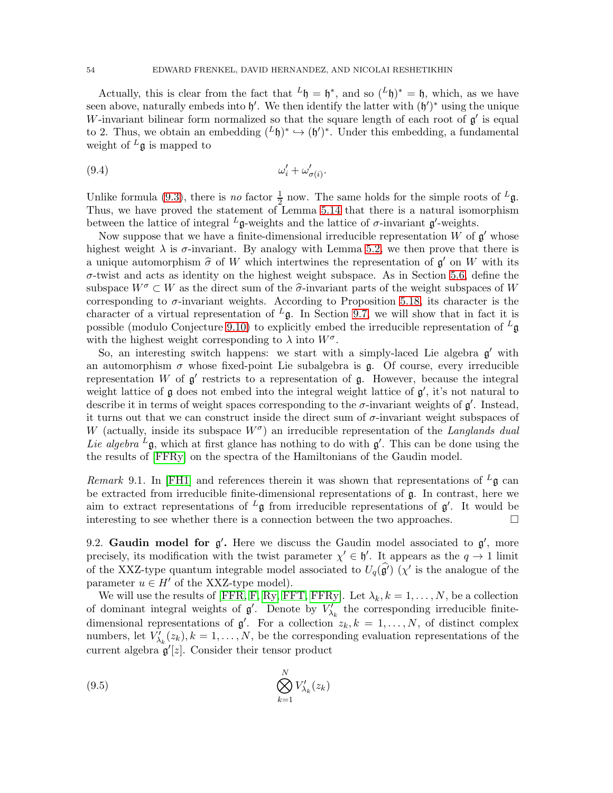Actually, this is clear from the fact that  ${}^L\mathfrak{h} = \mathfrak{h}^*$ , and so  $({}^L\mathfrak{h})^* = \mathfrak{h}$ , which, as we have seen above, naturally embeds into  $\mathfrak{h}'$ . We then identify the latter with  $(\mathfrak{h}')^*$  using the unique W-invariant bilinear form normalized so that the square length of each root of  $\mathfrak{g}'$  is equal to 2. Thus, we obtain an embedding  $({}^L\mathfrak{h})^* \hookrightarrow (\mathfrak{h}')^*$ . Under this embedding, a fundamental weight of  $L_{\mathfrak{g}}$  is mapped to

$$
\omega_i' + \omega_{\sigma(i)}'
$$

Unlike formula [\(9.3\)](#page-52-3), there is *no* factor  $\frac{1}{2}$  now. The same holds for the simple roots of <sup>L</sup>g. Thus, we have proved the statement of Lemma [5.14](#page-26-1) that there is a natural isomorphism between the lattice of integral  $^L$ **g**-weights and the lattice of  $\sigma$ -invariant **g**'-weights.

Now suppose that we have a finite-dimensional irreducible representation  $W$  of  $\mathfrak{g}'$  whose highest weight  $\lambda$  is  $\sigma$ -invariant. By analogy with Lemma [5.2,](#page-21-1) we then prove that there is a unique automorphism  $\hat{\sigma}$  of W which intertwines the representation of  $\mathfrak{g}'$  on W with its  $\sigma$ -twist and acts as identity on the highest weight subspace. As in Section [5.6,](#page-28-2) define the subspace  $W^{\sigma} \subset W$  as the direct sum of the  $\widehat{\sigma}$ -invariant parts of the weight subspaces of W corresponding to  $\sigma$ -invariant weights. According to Proposition [5.18,](#page-29-1) its character is the character of a virtual representation of  $L_{\mathfrak{g}}$ . In Section [9.7,](#page-60-0) we will show that in fact it is possible (modulo Conjecture [9.10\)](#page-61-0) to explicitly embed the irreducible representation of  $<sup>L</sup>$ g</sup> with the highest weight corresponding to  $\lambda$  into  $W^{\sigma}$ .

So, an interesting switch happens: we start with a simply-laced Lie algebra  $g'$  with an automorphism  $\sigma$  whose fixed-point Lie subalgebra is  $\mathfrak{g}$ . Of course, every irreducible representation W of  $g'$  restricts to a representation of  $g$ . However, because the integral weight lattice of  $\mathfrak g$  does not embed into the integral weight lattice of  $\mathfrak g'$ , it's not natural to describe it in terms of weight spaces corresponding to the  $\sigma$ -invariant weights of  $\mathfrak{g}'$ . Instead, it turns out that we can construct inside the direct sum of  $\sigma$ -invariant weight subspaces of W (actually, inside its subspace  $W^{\sigma}$ ) an irreducible representation of the Langlands dual Lie algebra  $^L$ g, which at first glance has nothing to do with g'. This can be done using the the results of [\[FFRy\]](#page-67-17) on the spectra of the Hamiltonians of the Gaudin model.

Remark 9.1. In [\[FH1\]](#page-67-26) and references therein it was shown that representations of  $^L$ g can be extracted from irreducible finite-dimensional representations of g. In contrast, here we aim to extract representations of  $L_{\mathfrak{g}}$  from irreducible representations of  $\mathfrak{g}'$ . It would be interesting to see whether there is a connection between the two approaches.  $\Box$ 

<span id="page-53-1"></span>9.2. Gaudin model for  $g'$ . Here we discuss the Gaudin model associated to  $g'$ , more precisely, its modification with the twist parameter  $\chi' \in \mathfrak{h}'$ . It appears as the  $q \to 1$  limit of the XXZ-type quantum integrable model associated to  $U_q(\hat{g}')$  ( $\chi'$  is the analogue of the parameter  $u \in H'$  of the XXZ-type model).

We will use the results of [\[FFR,](#page-67-14) [F,](#page-67-15) [Ry,](#page-68-14) [FFT,](#page-67-16) [FFRy\]](#page-67-17). Let  $\lambda_k, k = 1, \ldots, N$ , be a collection of dominant integral weights of  $\mathfrak{g}'$ . Denote by  $V'_{\lambda_k}$  the corresponding irreducible finitedimensional representations of  $\mathfrak{g}'$ . For a collection  $z_k, k = 1, \ldots, N$ , of distinct complex numbers, let  $V'_{\lambda_k}(z_k)$ ,  $k = 1, ..., N$ , be the corresponding evaluation representations of the current algebra  $\mathfrak{g}'[z]$ . Consider their tensor product

<span id="page-53-0"></span>
$$
\bigotimes_{k=1}^{N} V'_{\lambda_k}(z_k)
$$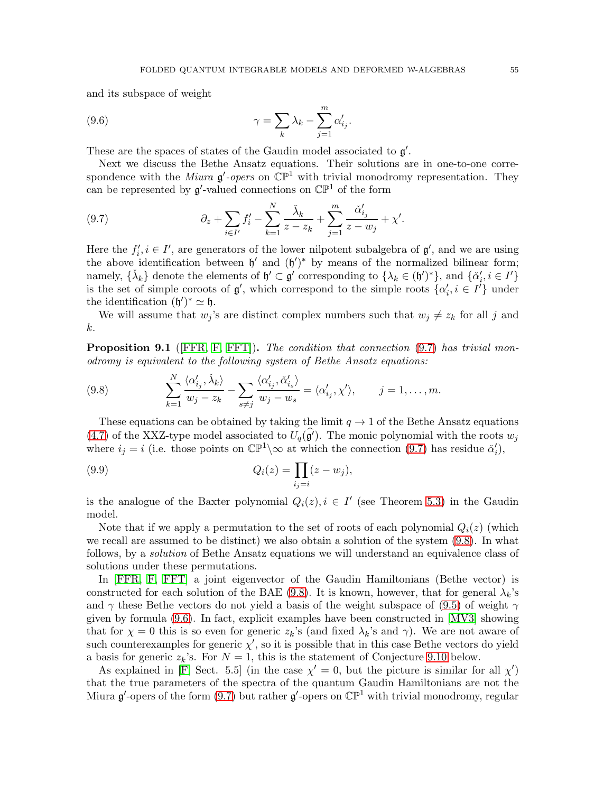and its subspace of weight

<span id="page-54-2"></span>(9.6) 
$$
\gamma = \sum_{k} \lambda_k - \sum_{j=1}^{m} \alpha'_{ij}.
$$

These are the spaces of states of the Gaudin model associated to  $g'$ .

Next we discuss the Bethe Ansatz equations. Their solutions are in one-to-one correspondence with the *Miura*  $\mathfrak{g}'$ -opers on  $\mathbb{CP}^1$  with trivial monodromy representation. They can be represented by  $\mathfrak{g}'$ -valued connections on  $\mathbb{CP}^1$  of the form

<span id="page-54-0"></span>(9.7) 
$$
\partial_z + \sum_{i \in I'} f'_i - \sum_{k=1}^N \frac{\check{\lambda}_k}{z - z_k} + \sum_{j=1}^m \frac{\check{\alpha}'_{i_j}}{z - w_j} + \chi'.
$$

Here the  $f'_i, i \in I'$ , are generators of the lower nilpotent subalgebra of  $\mathfrak{g}'$ , and we are using the above identification between  $\mathfrak{h}'$  and  $(\mathfrak{h}')^*$  by means of the normalized bilinear form; namely,  $\{\check{\lambda}_k\}$  denote the elements of  $\mathfrak{h}' \subset \mathfrak{g}'$  corresponding to  $\{\lambda_k \in (\mathfrak{h}')^*\}$ , and  $\{\check{\alpha}'_i, i \in I'\}$ is the set of simple coroots of  $\mathfrak{g}'$ , which correspond to the simple roots  $\{\alpha'_i, i \in I'\}$  under the identification  $(\mathfrak{h}')^* \simeq \mathfrak{h}$ .

We will assume that  $w_j$ 's are distinct complex numbers such that  $w_j \neq z_k$  for all j and k.

<span id="page-54-3"></span>**Proposition 9.1** ([\[FFR,](#page-67-14) [F,](#page-67-15) [FFT\]](#page-67-16)). The condition that connection [\(9.7\)](#page-54-0) has trivial monodromy is equivalent to the following system of Bethe Ansatz equations:

<span id="page-54-1"></span>(9.8) 
$$
\sum_{k=1}^{N} \frac{\langle \alpha'_{i_j}, \check{\lambda}_k \rangle}{w_j - z_k} - \sum_{s \neq j} \frac{\langle \alpha'_{i_j}, \check{\alpha}'_{i_s} \rangle}{w_j - w_s} = \langle \alpha'_{i_j}, \chi' \rangle, \qquad j = 1, ..., m.
$$

These equations can be obtained by taking the limit  $q \to 1$  of the Bethe Ansatz equations [\(4.7\)](#page-19-2) of the XXZ-type model associated to  $U_q(\hat{g}')$ . The monic polynomial with the roots  $w_j$ where  $i_j = i$  (i.e. those points on  $\mathbb{CP}^1 \setminus \infty$  at which the connection [\(9.7\)](#page-54-0) has residue  $\check{\alpha}'_i$ ),

<span id="page-54-4"></span>(9.9) 
$$
Q_i(z) = \prod_{i_j=i} (z - w_j),
$$

is the analogue of the Baxter polynomial  $Q_i(z)$ ,  $i \in I'$  (see Theorem [5.3\)](#page-22-0) in the Gaudin model.

Note that if we apply a permutation to the set of roots of each polynomial  $Q_i(z)$  (which we recall are assumed to be distinct) we also obtain a solution of the system [\(9.8\)](#page-54-1). In what follows, by a solution of Bethe Ansatz equations we will understand an equivalence class of solutions under these permutations.

In [\[FFR,](#page-67-14) [F,](#page-67-15) [FFT\]](#page-67-16) a joint eigenvector of the Gaudin Hamiltonians (Bethe vector) is constructed for each solution of the BAE [\(9.8\)](#page-54-1). It is known, however, that for general  $\lambda_k$ 's and  $\gamma$  these Bethe vectors do not yield a basis of the weight subspace of [\(9.5\)](#page-53-0) of weight  $\gamma$ given by formula [\(9.6\)](#page-54-2). In fact, explicit examples have been constructed in [\[MV3\]](#page-68-21) showing that for  $\chi = 0$  this is so even for generic  $z_k$ 's (and fixed  $\lambda_k$ 's and  $\gamma$ ). We are not aware of such counterexamples for generic  $\chi'$ , so it is possible that in this case Bethe vectors do yield a basis for generic  $z_k$ 's. For  $N = 1$ , this is the statement of Conjecture [9.10](#page-61-0) below.

As explained in [\[F,](#page-67-15) Sect. 5.5] (in the case  $\chi' = 0$ , but the picture is similar for all  $\chi'$ ) that the true parameters of the spectra of the quantum Gaudin Hamiltonians are not the Miura  $\mathfrak{g}'$ -opers of the form [\(9.7\)](#page-54-0) but rather  $\mathfrak{g}'$ -opers on  $\mathbb{CP}^1$  with trivial monodromy, regular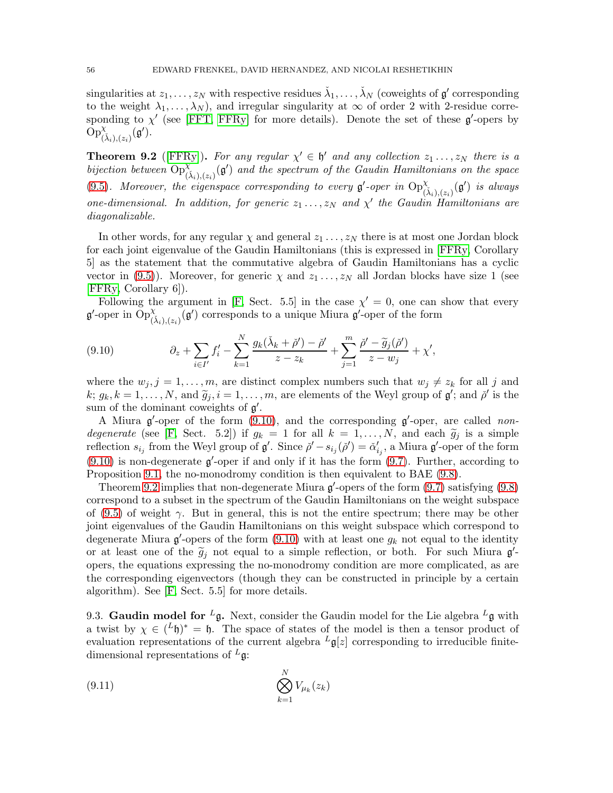$\sin$ gularities at  $z_1, \ldots, z_N$  with respective residues  $\check{\lambda}_1, \ldots, \check{\lambda}_N$  (coweights of  $\mathfrak{g}'$  corresponding to the weight  $\lambda_1, \ldots, \lambda_N$ , and irregular singularity at  $\infty$  of order 2 with 2-residue corresponding to  $\chi'$  (see [\[FFT,](#page-67-16) [FFRy\]](#page-67-17) for more details). Denote the set of these  $\mathfrak{g}'$ -opers by  $\widetilde{\mathrm{Op}}_{(\check{\lambda}_i),(z_i)}^{\chi}(\mathfrak{g}').$ 

<span id="page-55-1"></span>**Theorem 9.2** ([\[FFRy\]](#page-67-17)). For any regular  $\chi' \in \mathfrak{h}'$  and any collection  $z_1 \ldots, z_N$  there is a bijection between  $Op^{\chi}_{(\lambda_i),(z_i)}(\mathfrak{g}')$  and the spectrum of the Gaudin Hamiltonians on the space [\(9.5\)](#page-53-0). Moreover, the eigenspace corresponding to every  $\mathfrak{g}'$ -oper in  $\text{Op}^{\chi}_{(\tilde{\lambda}_i),(z_i)}(\mathfrak{g}')$  is always one-dimensional. In addition, for generic  $z_1 \ldots, z_N$  and  $\chi'$  the Gaudin Hamiltonians are diagonalizable.

In other words, for any regular  $\chi$  and general  $z_1 \ldots, z_N$  there is at most one Jordan block for each joint eigenvalue of the Gaudin Hamiltonians (this is expressed in [\[FFRy,](#page-67-17) Corollary 5] as the statement that the commutative algebra of Gaudin Hamiltonians has a cyclic vector in [\(9.5\)](#page-53-0)). Moreover, for generic  $\chi$  and  $z_1 \ldots, z_N$  all Jordan blocks have size 1 (see [\[FFRy,](#page-67-17) Corollary 6]).

Following the argument in [\[F,](#page-67-15) Sect. 5.5] in the case  $\chi' = 0$ , one can show that every  $\mathfrak{g}'$ -oper in  $\text{Op}^{\chi}_{(\tilde{\lambda}_i),(z_i)}(\mathfrak{g}')$  corresponds to a unique Miura  $\mathfrak{g}'$ -oper of the form

<span id="page-55-0"></span>(9.10) 
$$
\partial_z + \sum_{i \in I'} f'_i - \sum_{k=1}^N \frac{g_k(\check{\lambda}_k + \check{\rho}') - \check{\rho}'}{z - z_k} + \sum_{j=1}^m \frac{\check{\rho}' - \widetilde{g}_j(\check{\rho}')}{z - w_j} + \chi',
$$

where the  $w_j$ ,  $j = 1, \ldots, m$ , are distinct complex numbers such that  $w_j \neq z_k$  for all j and  $k; g_k, k = 1, \ldots, N$ , and  $\widetilde{g}_j, i = 1, \ldots, m$ , are elements of the Weyl group of  $\mathfrak{g}'$ ; and  $\check{\rho}'$  is the sum of the dominant coweights of  $g'$ .

A Miura  $g'$ -oper of the form [\(9.10\)](#page-55-0), and the corresponding  $g'$ -oper, are called non-degenerate (see [\[F,](#page-67-15) Sect. 5.2]) if  $g_k = 1$  for all  $k = 1, ..., N$ , and each  $\tilde{g}_j$  is a simple reflection  $s_{i_j}$  from the Weyl group of  $\mathfrak{g}'$ . Since  $\check{\rho}' - s_{i_j}(\check{\rho}') = \check{\alpha}'_{i_j}$ , a Miura  $\mathfrak{g}'$ -oper of the form  $(9.10)$  is non-degenerate  $\mathfrak{g}'$ -oper if and only if it has the form  $(9.7)$ . Further, according to Proposition [9.1,](#page-54-3) the no-monodromy condition is then equivalent to BAE [\(9.8\)](#page-54-1).

Theorem [9.2](#page-55-1) implies that non-degenerate Miura  $\mathfrak{g}'$ -opers of the form  $(9.7)$  satisfying  $(9.8)$ correspond to a subset in the spectrum of the Gaudin Hamiltonians on the weight subspace of [\(9.5\)](#page-53-0) of weight  $\gamma$ . But in general, this is not the entire spectrum; there may be other joint eigenvalues of the Gaudin Hamiltonians on this weight subspace which correspond to degenerate Miura  $\mathfrak{g}'$ -opers of the form [\(9.10\)](#page-55-0) with at least one  $g_k$  not equal to the identity or at least one of the  $\tilde{g}_j$  not equal to a simple reflection, or both. For such Miura  $g'$ opers, the equations expressing the no-monodromy condition are more complicated, as are the corresponding eigenvectors (though they can be constructed in principle by a certain algorithm). See [\[F,](#page-67-15) Sect. 5.5] for more details.

9.3. Gaudin model for  $^L$ g. Next, consider the Gaudin model for the Lie algebra  $^L$ g with a twist by  $\chi \in ({}^L\mathfrak{h})^* = \mathfrak{h}$ . The space of states of the model is then a tensor product of evaluation representations of the current algebra  $L_g[z]$  corresponding to irreducible finitedimensional representations of  $L_g$ :

<span id="page-55-2"></span>
$$
\bigotimes_{k=1}^{N} V_{\mu_k}(z_k)
$$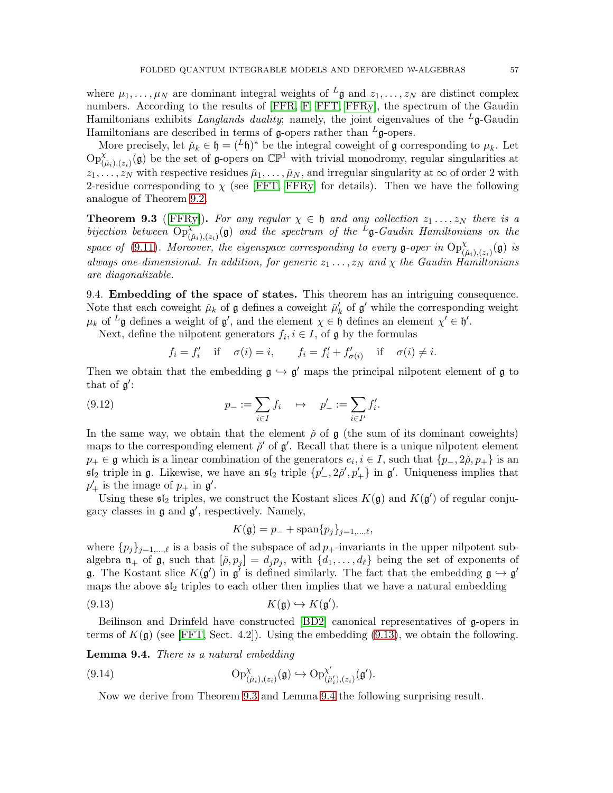where  $\mu_1, \ldots, \mu_N$  are dominant integral weights of  ${}^L\mathfrak{g}$  and  $z_1, \ldots, z_N$  are distinct complex numbers. According to the results of [\[FFR,](#page-67-14) [F,](#page-67-15) [FFT,](#page-67-16) [FFRy\]](#page-67-17), the spectrum of the Gaudin Hamiltonians exhibits Langlands duality; namely, the joint eigenvalues of the  $L_{\mathfrak{g}}$ -Gaudin Hamiltonians are described in terms of g-opers rather than  $L_{\mathfrak{g}}$ -opers.

More precisely, let  $\mu_k \in \mathfrak{h} = (L\mathfrak{h})^*$  be the integral coweight of  $\mathfrak g$  corresponding to  $\mu_k$ . Let  $\text{Op}^{\chi}_{(\tilde{\mu}_i),(z_i)}(\mathfrak{g})$  be the set of g-opers on  $\mathbb{CP}^1$  with trivial monodromy, regular singularities at  $z_1, \ldots, z_N$  with respective residues  $\mu_1, \ldots, \mu_N$ , and irregular singularity at  $\infty$  of order 2 with 2-residue corresponding to  $\chi$  (see [\[FFT,](#page-67-16) [FFRy\]](#page-67-17) for details). Then we have the following analogue of Theorem [9.2.](#page-55-1)

<span id="page-56-1"></span>**Theorem 9.3** ([\[FFRy\]](#page-67-17)). For any regular  $\chi \in \mathfrak{h}$  and any collection  $z_1 \ldots, z_N$  there is a bijection between  $Op^{\chi}_{(\tilde{\mu}_i),(z_i)}(\mathfrak{g})$  and the spectrum of the  $^L \mathfrak{g}$ -Gaudin Hamiltonians on the space of [\(9.11\)](#page-55-2). Moreover, the eigenspace corresponding to every g-oper in  $\text{Op}^{\chi}_{(\tilde{\mu}_i),(z_i)}(\mathfrak{g})$  is always one-dimensional. In addition, for generic  $z_1 \ldots, z_N$  and  $\chi$  the Gaudin Hamiltonians are diagonalizable.

9.4. Embedding of the space of states. This theorem has an intriguing consequence. Note that each coweight  $\mu_k$  of  $\mathfrak g$  defines a coweight  $\mu'_k$  of  $\mathfrak g'$  while the corresponding weight  $\mu_k$  of  $^L$ **g** defines a weight of **g'**, and the element  $\chi \in \mathfrak{h}$  defines an element  $\chi' \in \mathfrak{h}'$ .

Next, define the nilpotent generators  $f_i, i \in I$ , of  $\mathfrak g$  by the formulas

<span id="page-56-4"></span>
$$
f_i = f'_i
$$
 if  $\sigma(i) = i$ ,  $f_i = f'_i + f'_{\sigma(i)}$  if  $\sigma(i) \neq i$ .

Then we obtain that the embedding  $\mathfrak{g} \hookrightarrow \mathfrak{g}'$  maps the principal nilpotent element of  $\mathfrak{g}$  to that of  $\mathfrak{g}'$ :

(9.12) 
$$
p_{-} := \sum_{i \in I} f_i \quad \mapsto \quad p'_{-} := \sum_{i \in I'} f'_i.
$$

In the same way, we obtain that the element  $\rho$  of  $\mathfrak g$  (the sum of its dominant coweights) maps to the corresponding element  $\check{\rho}'$  of  $\mathfrak{g}'$ . Recall that there is a unique nilpotent element  $p_+ \in \mathfrak{g}$  which is a linear combination of the generators  $e_i, i \in I$ , such that  $\{p_-, 2\tilde{\rho}, p_+\}$  is an  $\mathfrak{sl}_2$  triple in  $\mathfrak g$ . Likewise, we have an  $\mathfrak{sl}_2$  triple  $\{p'_-, 2\tilde{\rho}', p'_+\}$  in  $\mathfrak g'$ . Uniqueness implies that  $p'_+$  is the image of  $p_+$  in  $\mathfrak{g}'$ .

Using these  $\mathfrak{sl}_2$  triples, we construct the Kostant slices  $K(\mathfrak{g})$  and  $K(\mathfrak{g}')$  of regular conjugacy classes in  $\mathfrak g$  and  $\mathfrak g'$ , respectively. Namely,

<span id="page-56-0"></span>
$$
K(\mathfrak{g}) = p_- + \mathrm{span}\{p_j\}_{j=1,\ldots,\ell},
$$

where  $\{p_j\}_{j=1,\dots,\ell}$  is a basis of the subspace of ad  $p_+$ -invariants in the upper nilpotent subalgebra  $\mathfrak{n}_+$  of  $\mathfrak{g}$ , such that  $[\check{\rho}, p_j] = d_j p_j$ , with  $\{d_1, \ldots, d_\ell\}$  being the set of exponents of g. The Kostant slice  $K(\mathfrak{g}')$  in  $\mathfrak{g}'$  is defined similarly. The fact that the embedding  $\mathfrak{g} \hookrightarrow \mathfrak{g}'$ maps the above  $\mathfrak{sl}_2$  triples to each other then implies that we have a natural embedding

$$
(9.13) \t K(\mathfrak{g}) \hookrightarrow K(\mathfrak{g}').
$$

Beilinson and Drinfeld have constructed [\[BD2\]](#page-66-4) canonical representatives of g-opers in terms of  $K(\mathfrak{g})$  (see [\[FFT,](#page-67-16) Sect. 4.2]). Using the embedding [\(9.13\)](#page-56-0), we obtain the following.

<span id="page-56-2"></span>Lemma 9.4. There is a natural embedding

(9.14) 
$$
\mathrm{Op}^{\chi}_{(\tilde{\mu}_i),(z_i)}(\mathfrak{g}) \hookrightarrow \mathrm{Op}^{\chi'}_{(\tilde{\mu}'_i),(z_i)}(\mathfrak{g}').
$$

<span id="page-56-3"></span>Now we derive from Theorem [9.3](#page-56-1) and Lemma [9.4](#page-56-2) the following surprising result.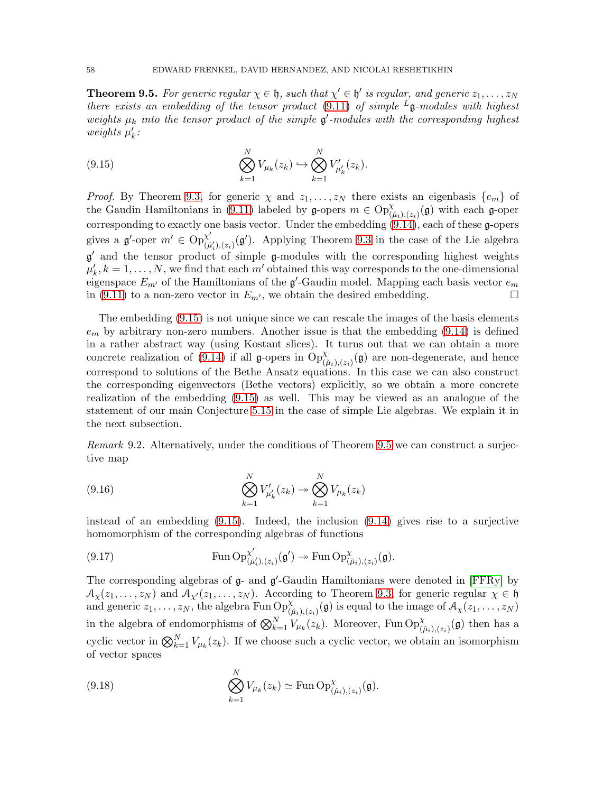<span id="page-57-0"></span>**Theorem 9.5.** For generic regular  $\chi \in \mathfrak{h}$ , such that  $\chi' \in \mathfrak{h}'$  is regular, and generic  $z_1, \ldots, z_N$ there exists an embedding of the tensor product [\(9.11\)](#page-55-2) of simple  $L_{\mathfrak{g}}$ -modules with highest weights  $\mu_k$  into the tensor product of the simple  $\mathfrak{g}'$ -modules with the corresponding highest weights  $\mu'_k$ :

<span id="page-57-1"></span>(9.15) 
$$
\bigotimes_{k=1}^{N} V_{\mu_k}(z_k) \hookrightarrow \bigotimes_{k=1}^{N} V'_{\mu'_k}(z_k).
$$

*Proof.* By Theorem [9.3,](#page-56-1) for generic  $\chi$  and  $z_1, \ldots, z_N$  there exists an eigenbasis  $\{e_m\}$  of the Gaudin Hamiltonians in [\(9.11\)](#page-55-2) labeled by  $\mathfrak{g}$ -opers  $m \in \text{Op}^{\chi}_{(\tilde{\mu}_i),(z_i)}(\mathfrak{g})$  with each  $\mathfrak{g}$ -oper corresponding to exactly one basis vector. Under the embedding [\(9.14\)](#page-56-3), each of these g-opers gives a g'-oper  $m' \in \text{Op}_{G}^{\chi'}$  $\chi'_{(\mu'_i),(z_i)}(\mathfrak{g}')$ . Applying Theorem [9.3](#page-56-1) in the case of the Lie algebra g ′ and the tensor product of simple g-modules with the corresponding highest weights  $\mu'_k, k = 1, \ldots, N$ , we find that each m' obtained this way corresponds to the one-dimensional eigenspace  $E_{m'}$  of the Hamiltonians of the  $\mathfrak{g}'$ -Gaudin model. Mapping each basis vector  $e_m$ in [\(9.11\)](#page-55-2) to a non-zero vector in  $E_{m'}$ , we obtain the desired embedding.

The embedding [\(9.15\)](#page-57-1) is not unique since we can rescale the images of the basis elements  $e<sub>m</sub>$  by arbitrary non-zero numbers. Another issue is that the embedding [\(9.14\)](#page-56-3) is defined in a rather abstract way (using Kostant slices). It turns out that we can obtain a more concrete realization of [\(9.14\)](#page-56-3) if all g-opers in  $Op_{(\tilde{\mu}_i),(z_i)}^{\chi}(\mathfrak{g})$  are non-degenerate, and hence correspond to solutions of the Bethe Ansatz equations. In this case we can also construct the corresponding eigenvectors (Bethe vectors) explicitly, so we obtain a more concrete realization of the embedding [\(9.15\)](#page-57-1) as well. This may be viewed as an analogue of the statement of our main Conjecture [5.15](#page-26-0) in the case of simple Lie algebras. We explain it in the next subsection.

Remark 9.2. Alternatively, under the conditions of Theorem [9.5](#page-57-0) we can construct a surjective map

<span id="page-57-3"></span>(9.16) 
$$
\bigotimes_{k=1}^{N} V'_{\mu'_{k}}(z_{k}) \rightarrow \bigotimes_{k=1}^{N} V_{\mu_{k}}(z_{k})
$$

instead of an embedding [\(9.15\)](#page-57-1). Indeed, the inclusion [\(9.14\)](#page-56-3) gives rise to a surjective homomorphism of the corresponding algebras of functions

<span id="page-57-2"></span>(9.17) 
$$
\operatorname{Fun} \operatorname{Op}_{(\check{\mu}'_i), (z_i)}^{\chi'}(\mathfrak{g}') \twoheadrightarrow \operatorname{Fun} \operatorname{Op}_{(\check{\mu}_i), (z_i)}^{\chi}(\mathfrak{g}).
$$

The corresponding algebras of  $g$ - and  $g'$ -Gaudin Hamiltonians were denoted in [\[FFRy\]](#page-67-17) by  $\mathcal{A}_{\chi}(z_1,\ldots,z_N)$  and  $\mathcal{A}_{\chi'}(z_1,\ldots,z_N)$ . According to Theorem [9.3,](#page-56-1) for generic regular  $\chi \in \mathfrak{h}$ and generic  $z_1, \ldots, z_N$ , the algebra Fun  $\text{Op}^{\chi}_{(\tilde{\mu}_i),(z_i)}(\mathfrak{g})$  is equal to the image of  $\mathcal{A}_{\chi}(z_1, \ldots, z_N)$ in the algebra of endomorphisms of  $\bigotimes_{k=1}^{N} V_{\mu_k}(z_k)$ . Moreover, Fun  $\text{Op}^{\chi}_{(\tilde{\mu}_i),(z_i)}(\mathfrak{g})$  then has a cyclic vector in  $\bigotimes_{k=1}^{N} V_{\mu_k}(z_k)$ . If we choose such a cyclic vector, we obtain an isomorphism of vector spaces

(9.18) 
$$
\bigotimes_{k=1}^{N} V_{\mu_k}(z_k) \simeq \operatorname{Fun} \operatorname{Op}^{\chi}_{(\check{\mu}_i),(z_i)}(\mathfrak{g}).
$$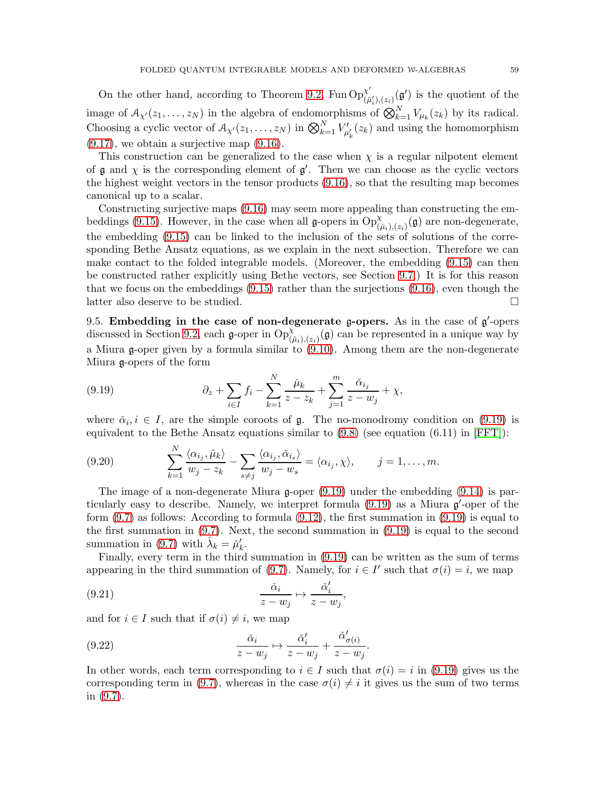On the other hand, according to Theorem [9.2,](#page-55-1) Fun  $Op^{\chi'}_{\alpha\beta}$  $\chi'_{(\mu_i'),(z_i)}(\mathfrak{g}')$  is the quotient of the image of  $\mathcal{A}_{\chi'}(z_1,\ldots,z_N)$  in the algebra of endomorphisms of  $\bigotimes_{k=1}^N V_{\mu_k}(z_k)$  by its radical. Choosing a cyclic vector of  $A_{\chi'}(z_1,\ldots,z_N)$  in  $\bigotimes_{k=1}^N V'_{\mu'_k}(z_k)$  and using the homomorphism  $(9.17)$ , we obtain a surjective map  $(9.16)$ .

This construction can be generalized to the case when  $\chi$  is a regular nilpotent element of  $\mathfrak g$  and  $\chi$  is the corresponding element of  $\mathfrak g'$ . Then we can choose as the cyclic vectors the highest weight vectors in the tensor products [\(9.16\)](#page-57-3), so that the resulting map becomes canonical up to a scalar.

Constructing surjective maps [\(9.16\)](#page-57-3) may seem more appealing than constructing the em-beddings [\(9.15\)](#page-57-1). However, in the case when all g-opers in  $\text{Op}^{\chi}_{(\tilde{\mu}_i),(z_i)}(\mathfrak{g})$  are non-degenerate, the embedding [\(9.15\)](#page-57-1) can be linked to the inclusion of the sets of solutions of the corresponding Bethe Ansatz equations, as we explain in the next subsection. Therefore we can make contact to the folded integrable models. (Moreover, the embedding [\(9.15\)](#page-57-1) can then be constructed rather explicitly using Bethe vectors, see Section [9.7.](#page-60-0)) It is for this reason that we focus on the embeddings [\(9.15\)](#page-57-1) rather than the surjections [\(9.16\)](#page-57-3), even though the latter also deserve to be studied.

9.5. Embedding in the case of non-degenerate g-opers. As in the case of  $g'$ -opers discussed in Section [9.2,](#page-53-1) each g-oper in  $\text{Op}^{\chi}_{(\tilde{\mu}_i),(z_i)}(\mathfrak{g})$  can be represented in a unique way by a Miura g-oper given by a formula similar to [\(9.10\)](#page-55-0). Among them are the non-degenerate Miura g-opers of the form

(9.19) 
$$
\partial_z + \sum_{i \in I} f_i - \sum_{k=1}^N \frac{\check{\mu}_k}{z - z_k} + \sum_{j=1}^m \frac{\check{\alpha}_{i_j}}{z - w_j} + \chi,
$$

where  $\check{\alpha}_i, i \in I$ , are the simple coroots of  $\mathfrak{g}$ . The no-monodromy condition on [\(9.19\)](#page-58-0) is equivalent to the Bethe Ansatz equations similar to  $(9.8)$  (see equation  $(6.11)$  in [\[FFT\]](#page-67-16)):

(9.20) 
$$
\sum_{k=1}^N \frac{\langle \alpha_{i_j}, \check{\mu}_k \rangle}{w_j - z_k} - \sum_{s \neq j} \frac{\langle \alpha_{i_j}, \check{\alpha}_{i_s} \rangle}{w_j - w_s} = \langle \alpha_{i_j}, \chi \rangle, \qquad j = 1, \ldots, m.
$$

The image of a non-degenerate Miura  $\mathfrak{g}\text{-}$ -oper [\(9.19\)](#page-58-0) under the embedding [\(9.14\)](#page-56-3) is particularly easy to describe. Namely, we interpret formula  $(9.19)$  as a Miura  $\mathfrak{g}'$ -oper of the form  $(9.7)$  as follows: According to formula  $(9.12)$ , the first summation in  $(9.19)$  is equal to the first summation in [\(9.7\)](#page-54-0). Next, the second summation in [\(9.19\)](#page-58-0) is equal to the second summation in [\(9.7\)](#page-54-0) with  $\check{\lambda}_k = \check{\mu}'_k$ .

Finally, every term in the third summation in [\(9.19\)](#page-58-0) can be written as the sum of terms appearing in the third summation of [\(9.7\)](#page-54-0). Namely, for  $i \in I'$  such that  $\sigma(i) = i$ , we map

(9.21) 
$$
\frac{\check{\alpha}_i}{z - w_j} \mapsto \frac{\check{\alpha}'_i}{z - w_j},
$$

and for  $i \in I$  such that if  $\sigma(i) \neq i$ , we map

<span id="page-58-2"></span><span id="page-58-0"></span> $\lambda$ r

<span id="page-58-1"></span>(9.22) 
$$
\frac{\check{\alpha}_i}{z - w_j} \mapsto \frac{\check{\alpha}'_i}{z - w_j} + \frac{\check{\alpha}'_{\sigma(i)}}{z - w_j}.
$$

In other words, each term corresponding to  $i \in I$  such that  $\sigma(i) = i$  in [\(9.19\)](#page-58-0) gives us the corresponding term in [\(9.7\)](#page-54-0), whereas in the case  $\sigma(i) \neq i$  it gives us the sum of two terms in [\(9.7\)](#page-54-0).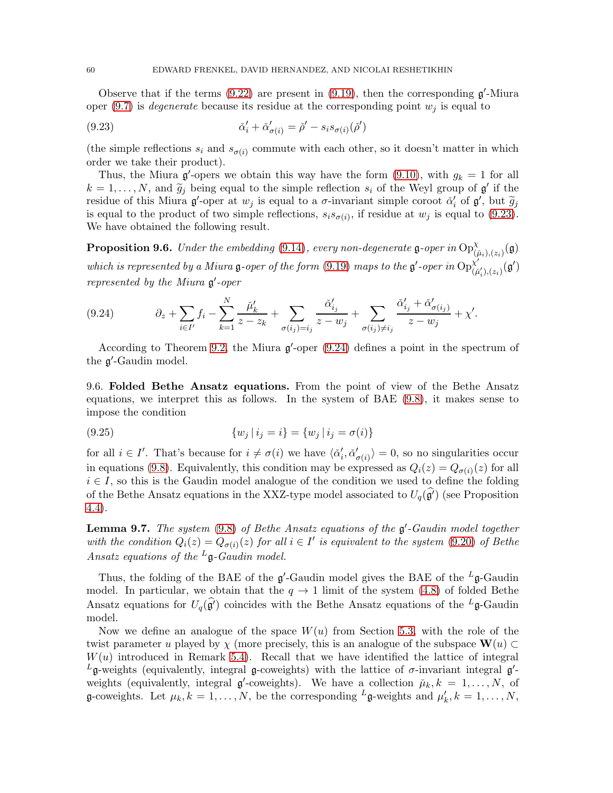Observe that if the terms  $(9.22)$  are present in  $(9.19)$ , then the corresponding  $\mathfrak{g}'$ -Miura oper [\(9.7\)](#page-54-0) is *degenerate* because its residue at the corresponding point  $w_i$  is equal to

<span id="page-59-0"></span>(9.23) 
$$
\check{\alpha}'_i + \check{\alpha}'_{\sigma(i)} = \check{\rho}' - s_i s_{\sigma(i)}(\check{\rho}')
$$

(the simple reflections  $s_i$  and  $s_{\sigma(i)}$  commute with each other, so it doesn't matter in which order we take their product).

Thus, the Miura  $\mathfrak{g}'$ -opers we obtain this way have the form [\(9.10\)](#page-55-0), with  $g_k = 1$  for all  $k = 1, \ldots, N$ , and  $\widetilde{g}_j$  being equal to the simple reflection  $s_i$  of the Weyl group of  $\mathfrak{g}'$  if the residue of this Miura  $\mathfrak{g}'$ -oper at  $w_j$  is equal to a  $\sigma$ -invariant simple coroot  $\check{\alpha}'_i$  of  $\mathfrak{g}'$ , but  $\widetilde{g}_j$ is equal to the product of two simple reflections,  $s_i s_{\sigma(i)}$ , if residue at  $w_j$  is equal to [\(9.23\)](#page-59-0). We have obtained the following result.

<span id="page-59-3"></span>**Proposition 9.6.** Under the embedding [\(9.14\)](#page-56-3), every non-degenerate  $\mathfrak{g}$ -oper in  $\text{Op}^{\chi}_{(\tilde{\mu}_i),(z_i)}(\mathfrak{g})$ which is represented by a Miura g-oper of the form [\(9.19\)](#page-58-0) maps to the g'-oper in  $Op^{\chi'}_{G}$  ${}^{\chi'}_{(\check\mu'_i),(z_i)}(\mathfrak{g}')$ represented by the Miura  $\mathfrak{g}'$ -oper

<span id="page-59-1"></span>
$$
(9.24) \t\t \partial_z + \sum_{i \in I'} f_i - \sum_{k=1}^N \frac{\check{\mu}'_k}{z - z_k} + \sum_{\sigma(i_j) = i_j} \frac{\check{\alpha}'_{i_j}}{z - w_j} + \sum_{\sigma(i_j) \neq i_j} \frac{\check{\alpha}'_{i_j} + \check{\alpha}'_{\sigma(i_j)}}{z - w_j} + \chi'.
$$

According to Theorem [9.2,](#page-55-1) the Miura  $\mathfrak{g}'$ -oper [\(9.24\)](#page-59-1) defines a point in the spectrum of the  $\mathfrak{g}'$ -Gaudin model.

9.6. Folded Bethe Ansatz equations. From the point of view of the Bethe Ansatz equations, we interpret this as follows. In the system of BAE [\(9.8\)](#page-54-1), it makes sense to impose the condition

(9.25) 
$$
\{w_j \mid i_j = i\} = \{w_j \mid i_j = \sigma(i)\}
$$

for all  $i \in I'$ . That's because for  $i \neq \sigma(i)$  we have  $\langle \check{\alpha}'_i, \check{\alpha}'_{\sigma(i)} \rangle = 0$ , so no singularities occur in equations [\(9.8\)](#page-54-1). Equivalently, this condition may be expressed as  $Q_i(z) = Q_{\sigma(i)}(z)$  for all  $i \in I$ , so this is the Gaudin model analogue of the condition we used to define the folding of the Bethe Ansatz equations in the XXZ-type model associated to  $U_q(\mathfrak{g}')$  (see Proposition [4.4\)](#page-20-4).

<span id="page-59-2"></span>**Lemma 9.7.** The system  $(9.8)$  of Bethe Ansatz equations of the  $\mathfrak{g}'$ -Gaudin model together with the condition  $Q_i(z) = Q_{\sigma(i)}(z)$  for all  $i \in I'$  is equivalent to the system [\(9.20\)](#page-58-2) of Bethe Ansatz equations of the  ${}^L\mathfrak{g}$ -Gaudin model.

Thus, the folding of the BAE of the  $\mathfrak{g}'$ -Gaudin model gives the BAE of the  $^L\mathfrak{g}$ -Gaudin model. In particular, we obtain that the  $q \to 1$  limit of the system [\(4.8\)](#page-19-1) of folded Bethe Ansatz equations for  $U_q(\widehat{\mathfrak{g}}')$  coincides with the Bethe Ansatz equations of the <sup>L</sup>g-Gaudin model.

Now we define an analogue of the space  $W(u)$  from Section [5.3,](#page-23-2) with the role of the twist parameter u played by  $\chi$  (more precisely, this is an analogue of the subspace  $\mathbf{W}(u) \subset$  $W(u)$  introduced in Remark [5.4\)](#page-26-2). Recall that we have identified the lattice of integral <sup>L</sup>g-weights (equivalently, integral g-coweights) with the lattice of σ-invariant integral g<sup>'</sup>weights (equivalently, integral  $\mathfrak{g}'$ -coweights). We have a collection  $\mu_k, k = 1, \ldots, N$ , of g-coweights. Let  $\mu_k, k = 1, ..., N$ , be the corresponding  $L$ g-weights and  $\mu'_k, k = 1, ..., N$ ,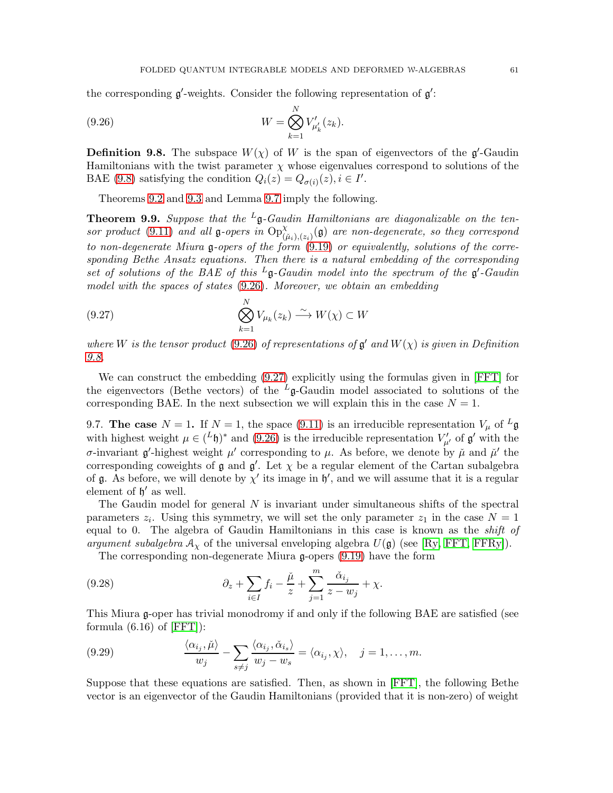the corresponding  $\mathfrak{g}'$ -weights. Consider the following representation of  $\mathfrak{g}'$ :

<span id="page-60-1"></span>(9.26) 
$$
W = \bigotimes_{k=1}^{N} V'_{\mu'_{k}}(z_{k}).
$$

<span id="page-60-2"></span>**Definition 9.8.** The subspace  $W(\chi)$  of W is the span of eigenvectors of the  $\mathfrak{g}'$ -Gaudin Hamiltonians with the twist parameter  $\chi$  whose eigenvalues correspond to solutions of the BAE [\(9.8\)](#page-54-1) satisfying the condition  $Q_i(z) = Q_{\sigma(i)}(z), i \in I'$ .

Theorems [9.2](#page-55-1) and [9.3](#page-56-1) and Lemma [9.7](#page-59-2) imply the following.

**Theorem 9.9.** Suppose that the <sup>L</sup>g-Gaudin Hamiltonians are diagonalizable on the ten-sor product [\(9.11\)](#page-55-2) and all g-opers in  $\text{Op}^{\chi}_{(\tilde{\mu}_i),(z_i)}(\mathfrak{g})$  are non-degenerate, so they correspond to non-degenerate Miura g-opers of the form [\(9.19\)](#page-58-0) or equivalently, solutions of the corresponding Bethe Ansatz equations. Then there is a natural embedding of the corresponding set of solutions of the BAE of this  $^L$ g-Gaudin model into the spectrum of the g'-Gaudin model with the spaces of states [\(9.26\)](#page-60-1). Moreover, we obtain an embedding

<span id="page-60-3"></span>(9.27) 
$$
\bigotimes_{k=1}^{N} V_{\mu_k}(z_k) \xrightarrow{\sim} W(\chi) \subset W
$$

where W is the tensor product [\(9.26\)](#page-60-1) of representations of  $\mathfrak{g}'$  and  $W(\chi)$  is given in Definition [9.8.](#page-60-2)

We can construct the embedding [\(9.27\)](#page-60-3) explicitly using the formulas given in [\[FFT\]](#page-67-16) for the eigenvectors (Bethe vectors) of the  $L_{\mathfrak{g}}$ -Gaudin model associated to solutions of the corresponding BAE. In the next subsection we will explain this in the case  $N = 1$ .

<span id="page-60-0"></span>9.7. The case  $N = 1$ . If  $N = 1$ , the space [\(9.11\)](#page-55-2) is an irreducible representation  $V_{\mu}$  of  ${}^{L}$ g with highest weight  $\mu \in (L^p)^*$  and [\(9.26\)](#page-60-1) is the irreducible representation  $V'_{\mu'}$  of  $\mathfrak{g}'$  with the σ-invariant **g**'-highest weight  $\mu'$  corresponding to  $\mu$ . As before, we denote by  $\tilde{\mu}$  and  $\tilde{\mu}'$  the corresponding coweights of  $\mathfrak g$  and  $\mathfrak g'$ . Let  $\chi$  be a regular element of the Cartan subalgebra of  $\mathfrak g$ . As before, we will denote by  $\chi'$  its image in  $\mathfrak h'$ , and we will assume that it is a regular element of  $\mathfrak{h}'$  as well.

The Gaudin model for general  $N$  is invariant under simultaneous shifts of the spectral parameters  $z_i$ . Using this symmetry, we will set the only parameter  $z_1$  in the case  $N = 1$ equal to 0. The algebra of Gaudin Hamiltonians in this case is known as the shift of argument subalgebra  $A_\chi$  of the universal enveloping algebra  $U(\mathfrak{g})$  (see [\[Ry,](#page-68-14) [FFT,](#page-67-16) [FFRy\]](#page-67-17)).

<span id="page-60-4"></span>The corresponding non-degenerate Miura g-opers [\(9.19\)](#page-58-0) have the form

(9.28) 
$$
\partial_z + \sum_{i \in I} f_i - \frac{\check{\mu}}{z} + \sum_{j=1}^m \frac{\check{\alpha}_{i_j}}{z - w_j} + \chi.
$$

This Miura g-oper has trivial monodromy if and only if the following BAE are satisfied (see formula  $(6.16)$  of  $[FFT]$ :

<span id="page-60-5"></span>(9.29) 
$$
\frac{\langle \alpha_{i_j}, \check{\mu} \rangle}{w_j} - \sum_{s \neq j} \frac{\langle \alpha_{i_j}, \check{\alpha}_{i_s} \rangle}{w_j - w_s} = \langle \alpha_{i_j}, \chi \rangle, \quad j = 1, \dots, m.
$$

Suppose that these equations are satisfied. Then, as shown in [\[FFT\]](#page-67-16), the following Bethe vector is an eigenvector of the Gaudin Hamiltonians (provided that it is non-zero) of weight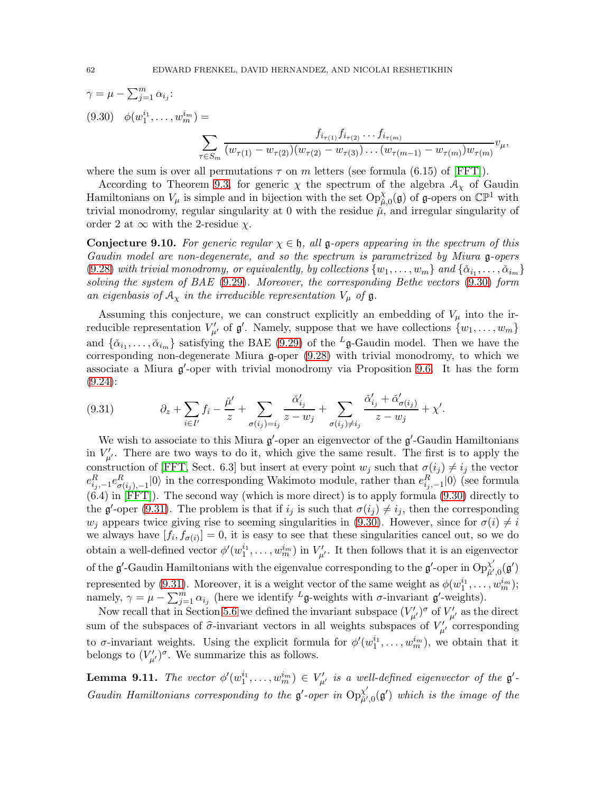<span id="page-61-1"></span>
$$
\gamma = \mu - \sum_{j=1}^{m} \alpha_{i_j}:
$$
  
(9.30)  $\phi(w_1^{i_1}, \dots, w_m^{i_m}) = \sum_{\tau \in S_m} \frac{f_{i_{\tau(1)}} f_{i_{\tau(2)}} \dots f_{i_{\tau(m)}}}{(w_{\tau(1)} - w_{\tau(2)}) (w_{\tau(2)} - w_{\tau(3)}) \dots (w_{\tau(m-1)} - w_{\tau(m)}) w_{\tau(m)}} v_{\mu},$ 

where the sum is over all permutations  $\tau$  on m letters (see formula (6.15) of [\[FFT\]](#page-67-16)).

According to Theorem [9.3,](#page-56-1) for generic  $\chi$  the spectrum of the algebra  $\mathcal{A}_{\chi}$  of Gaudin Hamiltonians on  $V_\mu$  is simple and in bijection with the set  $Op_{\mu,0}^{\chi}(\mathfrak{g})$  of  $\mathfrak{g}$ -opers on  $\mathbb{CP}^1$  with trivial monodromy, regular singularity at 0 with the residue  $\mu$ , and irregular singularity of order 2 at  $\infty$  with the 2-residue  $\chi$ .

<span id="page-61-0"></span>**Conjecture 9.10.** For generic regular  $\chi \in \mathfrak{h}$ , all g-opers appearing in the spectrum of this Gaudin model are non-degenerate, and so the spectrum is parametrized by Miura g-opers [\(9.28\)](#page-60-4) with trivial monodromy, or equivalently, by collections  $\{w_1, \ldots, w_m\}$  and  $\{\check{\alpha}_{i_1}, \ldots, \check{\alpha}_{i_m}\}$ solving the system of BAE [\(9.29\)](#page-60-5). Moreover, the corresponding Bethe vectors [\(9.30\)](#page-61-1) form an eigenbasis of  $A_\chi$  in the irreducible representation  $V_\mu$  of  $\mathfrak{g}$ .

Assuming this conjecture, we can construct explicitly an embedding of  $V_\mu$  into the irreducible representation  $V'_{\mu'}$  of  $\mathfrak{g}'$ . Namely, suppose that we have collections  $\{w_1, \ldots, w_m\}$ and  $\{\check{\alpha}_{i_1},\ldots,\check{\alpha}_{i_m}\}\$  satisfying the BAE [\(9.29\)](#page-60-5) of the <sup>L</sup><sub>g</sub>-Gaudin model. Then we have the corresponding non-degenerate Miura g-oper [\(9.28\)](#page-60-4) with trivial monodromy, to which we associate a Miura  $\mathfrak{g}'$ -oper with trivial monodromy via Proposition [9.6.](#page-59-3) It has the form [\(9.24\)](#page-59-1):

<span id="page-61-2"></span>(9.31) 
$$
\partial_z + \sum_{i \in I'} f_i - \frac{\check{\mu}'}{z} + \sum_{\sigma(i_j) = i_j} \frac{\check{\alpha}'_{i_j}}{z - w_j} + \sum_{\sigma(i_j) \neq i_j} \frac{\check{\alpha}'_{i_j} + \check{\alpha}'_{\sigma(i_j)}}{z - w_j} + \chi'.
$$

We wish to associate to this Miura  $\mathfrak{g}'$ -oper an eigenvector of the  $\mathfrak{g}'$ -Gaudin Hamiltonians in  $V'_{\mu'}$ . There are two ways to do it, which give the same result. The first is to apply the construction of [\[FFT,](#page-67-16) Sect. 6.3] but insert at every point  $w_j$  such that  $\sigma(i_j) \neq i_j$  the vector  $e_{i_j,-1}^R e_{\sigma(i_j),-1}^R |0\rangle$  in the corresponding Wakimoto module, rather than  $e_{i_j,-1}^R |0\rangle$  (see formula  $(6.4)$  in [\[FFT\]](#page-67-16)). The second way (which is more direct) is to apply formula  $(9.30)$  directly to the  $\mathfrak{g}'$ -oper [\(9.31\)](#page-61-2). The problem is that if  $i_j$  is such that  $\sigma(i_j) \neq i_j$ , then the corresponding  $w_j$  appears twice giving rise to seeming singularities in [\(9.30\)](#page-61-1). However, since for  $\sigma(i) \neq i$ we always have  $[f_i, f_{\sigma(i)}] = 0$ , it is easy to see that these singularities cancel out, so we do obtain a well-defined vector  $\phi'(w_1^{i_1}, \ldots, w_m^{i_m})$  in  $V'_{\mu'}$ . It then follows that it is an eigenvector of the  $\mathfrak{g}'$ -Gaudin Hamiltonians with the eigenvalue corresponding to the  $\mathfrak{g}'$ -oper in  $\text{Op}^{\chi'}_{\tilde{\mu}'}$  $_{\check\mu',0}^{\chi'}(\mathfrak{g}')$ represented by [\(9.31\)](#page-61-2). Moreover, it is a weight vector of the same weight as  $\phi(w_1^{i_1}, \ldots, w_m^{i_m})$ ; namely,  $\gamma = \mu - \sum_{j=1}^{m} \alpha_{i_j}$  (here we identify  $L_{\mathfrak{g}\text{-weights}}$  with  $\sigma\text{-invariant } \mathfrak{g}'\text{-weights}$ ).

Now recall that in Section [5.6](#page-28-2) we defined the invariant subspace  $(V'_{\mu'})^{\sigma}$  of  $V'_{\mu'}$  as the direct sum of the subspaces of  $\hat{\sigma}$ -invariant vectors in all weights subspaces of  $V'_{\mu'}$  corresponding to  $\sigma$ -invariant weights. Using the explicit formula for  $\phi'(w_1^{i_1}, \ldots, w_m^{i_m})$ , we obtain that it belongs to  $(V'_{\mu'})^{\sigma}$ . We summarize this as follows.

**Lemma 9.11.** The vector  $\phi'(w_1^{i_1}, \ldots, w_m^{i_m}) \in V'_{\mu'}$  is a well-defined eigenvector of the  $\mathfrak{g}'$ -Gaudin Hamiltonians corresponding to the  $\mathfrak{g}'$ -oper in  $\text{Op}^{\chi'}_{\tilde{n}'}$  $_{\check\mu',0}^{\chi'}({\mathfrak g}')$  which is the image of the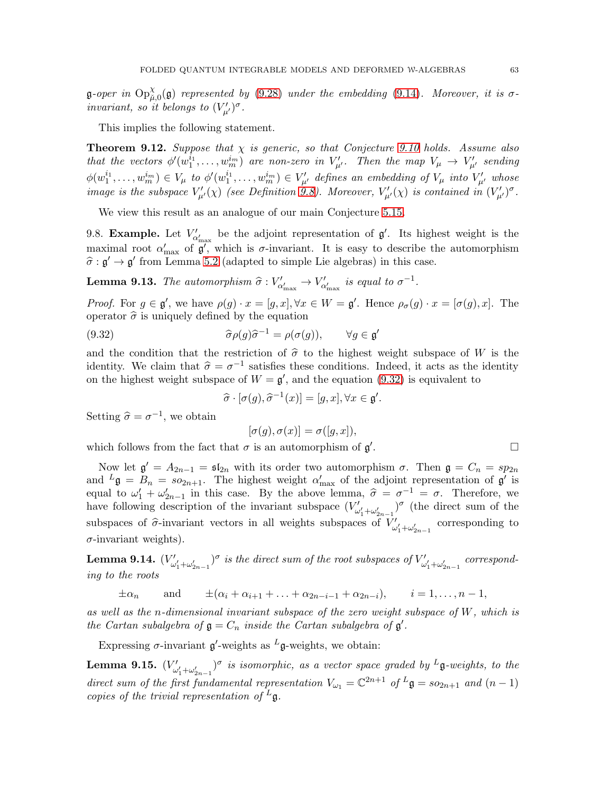**g**-oper in  $\text{Op}^{\chi}_{\mu,0}(\mathfrak{g})$  represented by [\(9.28\)](#page-60-4) under the embedding [\(9.14\)](#page-56-3). Moreover, it is  $\sigma$ invariant, so it belongs to  $(V'_{\mu'})^{\sigma}$ .

This implies the following statement.

<span id="page-62-1"></span>**Theorem 9.12.** Suppose that  $\chi$  is generic, so that Conjecture [9.10](#page-61-0) holds. Assume also that the vectors  $\phi'(w_1^{\tilde{i}_1}, \ldots, w_m^{\tilde{i}_m})$  are non-zero in  $V'_{\mu'}$ . Then the map  $V_{\mu} \to V'_{\mu'}$  sending  $\phi(w_1^{i_1}, \ldots, w_m^{i_m}) \in V_\mu$  to  $\phi'(w_1^{i_1}, \ldots, w_m^{i_m}) \in V'_{\mu'}$  defines an embedding of  $V_\mu$  into  $V'_{\mu'}$  whose image is the subspace  $V'_{\mu'}(\chi)$  (see Definition [9.8\)](#page-60-2). Moreover,  $V'_{\mu'}(\chi)$  is contained in  $(V'_{\mu'})^{\sigma}$ .

We view this result as an analogue of our main Conjecture [5.15.](#page-26-0)

9.8. **Example.** Let  $V'_{\alpha'_{\text{max}}}$  be the adjoint representation of  $\mathfrak{g}'$ . Its highest weight is the maximal root  $\alpha'_{\text{max}}$  of  $\overline{\mathfrak{g}'}$ , which is  $\sigma$ -invariant. It is easy to describe the automorphism  $\hat{\sigma} : \mathfrak{g}' \to \mathfrak{g}'$  from Lemma [5.2](#page-21-1) (adapted to simple Lie algebras) in this case.

**Lemma 9.13.** The automorphism  $\hat{\sigma} : V'_{\alpha'_{\text{max}}} \to V'_{\alpha'_{\text{max}}}$  is equal to  $\sigma^{-1}$ .

*Proof.* For  $g \in \mathfrak{g}'$ , we have  $\rho(g) \cdot x = [g, x], \forall x \in W = \mathfrak{g}'$ . Hence  $\rho_{\sigma}(g) \cdot x = [\sigma(g), x]$ . The operator  $\hat{\sigma}$  is uniquely defined by the equation

(9.32) 
$$
\widehat{\sigma}\rho(g)\widehat{\sigma}^{-1} = \rho(\sigma(g)), \qquad \forall g \in \mathfrak{g}'
$$

and the condition that the restriction of  $\hat{\sigma}$  to the highest weight subspace of W is the identity. We claim that  $\hat{\sigma} = \sigma^{-1}$  satisfies these conditions. Indeed, it acts as the identity on the highest weight subspace of  $W = \mathfrak{g}'$ , and the equation [\(9.32\)](#page-62-0) is equivalent to

<span id="page-62-0"></span>
$$
\widehat{\sigma} \cdot [\sigma(g), \widehat{\sigma}^{-1}(x)] = [g, x], \forall x \in \mathfrak{g}'.
$$

Setting  $\hat{\sigma} = \sigma^{-1}$ , we obtain

$$
[\sigma(g), \sigma(x)] = \sigma([g, x]),
$$

which follows from the fact that  $\sigma$  is an automorphism of  $\mathfrak{g}'$ . В последните последните и последните и последните и последните и последните и последните и последните и посл<br>В последните и последните и последните и последните и последните и последните и последните и последните и посл

Now let  $\mathfrak{g}' = A_{2n-1} = \mathfrak{sl}_{2n}$  with its order two automorphism  $\sigma$ . Then  $\mathfrak{g} = C_n = sp_{2n}$ and  $^L\mathfrak{g} = B_n = so_{2n+1}$ . The highest weight  $\alpha'_{\text{max}}$  of the adjoint representation of  $\mathfrak{g}'$  is equal to  $\omega'_1 + \omega'_{2n-1}$  in this case. By the above lemma,  $\hat{\sigma} = \sigma^{-1} = \sigma$ . Therefore, we have following description of the invariant subspace  $(V'_{\omega'_1+\omega'_{2n-1}})^\sigma$  (the direct sum of the subspaces of  $\hat{\sigma}$ -invariant vectors in all weights subspaces of  $V'_{\omega'_1+\omega'_{2n-1}}$  corresponding to  $\sigma$ -invariant weights).

**Lemma 9.14.**  $(V'_{\omega'_1+\omega'_{2n-1}})^\sigma$  is the direct sum of the root subspaces of  $V'_{\omega'_1+\omega'_{2n-1}}$  corresponding to the roots

 $\pm \alpha_n$  and  $\pm(\alpha_i + \alpha_{i+1} + \ldots + \alpha_{2n-i-1} + \alpha_{2n-i}),$   $i = 1, \ldots, n-1,$ 

as well as the n-dimensional invariant subspace of the zero weight subspace of W, which is the Cartan subalgebra of  $\mathfrak{g} = C_n$  inside the Cartan subalgebra of  $\mathfrak{g}'$ .

Expressing  $\sigma$ -invariant  $\mathfrak{g}'$ -weights as  $^L\mathfrak{g}$ -weights, we obtain:

**Lemma 9.15.**  $(V'_{\omega'_1+\omega'_{2n-1}})^\sigma$  is isomorphic, as a vector space graded by  $^L$ **g**-weights, to the direct sum of the first fundamental representation  $V_{\omega_1} = \mathbb{C}^{2n+1}$  of  $L\mathfrak{g} = so_{2n+1}$  and  $(n-1)$ copies of the trivial representation of  $^L$ **g**.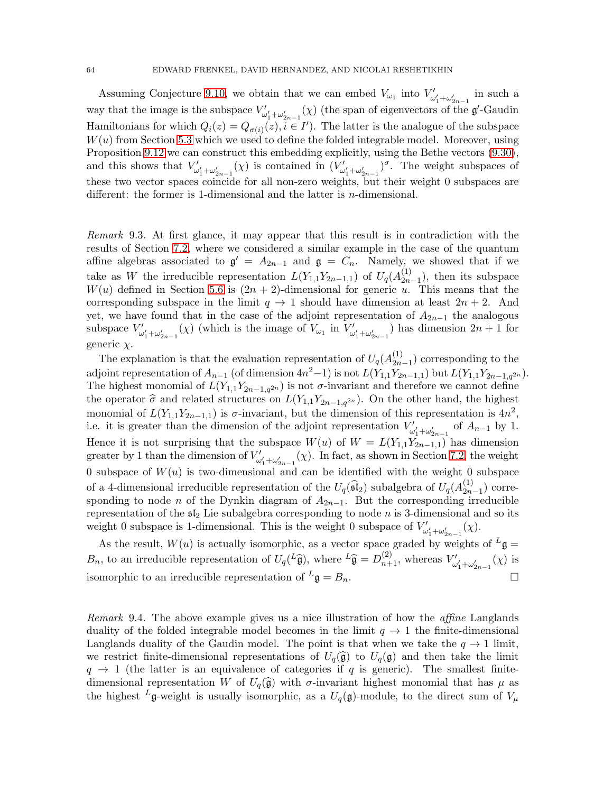Assuming Conjecture [9.10,](#page-61-0) we obtain that we can embed  $V_{\omega_1}$  into  $V'_{\omega'_1+\omega'_{2n-1}}$  in such a way that the image is the subspace  $V'_{\omega'_1+\omega'_{2n-1}}(\chi)$  (the span of eigenvectors of the  $\mathfrak{g}'$ -Gaudin Hamiltonians for which  $Q_i(z) = Q_{\sigma(i)}(z), i \in I'$ . The latter is the analogue of the subspace  $W(u)$  from Section [5.3](#page-23-2) which we used to define the folded integrable model. Moreover, using Proposition [9.12](#page-62-1) we can construct this embedding explicitly, using the Bethe vectors [\(9.30\)](#page-61-1), and this shows that  $V'_{\omega'_1+\omega'_{2n-1}}(\chi)$  is contained in  $(V'_{\omega'_1+\omega'_{2n-1}})^\sigma$ . The weight subspaces of these two vector spaces coincide for all non-zero weights, but their weight 0 subspaces are different: the former is 1-dimensional and the latter is n-dimensional.

Remark 9.3. At first glance, it may appear that this result is in contradiction with the results of Section [7.2,](#page-43-0) where we considered a similar example in the case of the quantum affine algebras associated to  $\mathfrak{g}' = A_{2n-1}$  and  $\mathfrak{g} = C_n$ . Namely, we showed that if we take as W the irreducible representation  $L(Y_{1,1}Y_{2n-1,1})$  of  $U_q(A_{2n}^{(1)})$  $\binom{1}{2n-1}$ , then its subspace  $W(u)$  defined in Section [5.6](#page-28-2) is  $(2n + 2)$ -dimensional for generic u. This means that the corresponding subspace in the limit  $q \to 1$  should have dimension at least  $2n + 2$ . And yet, we have found that in the case of the adjoint representation of  $A_{2n-1}$  the analogous subspace  $V'_{\omega'_1+\omega'_{2n-1}}(\chi)$  (which is the image of  $V_{\omega_1}$  in  $V'_{\omega'_1+\omega'_{2n-1}}$ ) has dimension  $2n+1$  for generic  $\chi$ .

The explanation is that the evaluation representation of  $U_q(A_{2n}^{(1)})$  $\binom{1}{2n-1}$  corresponding to the adjoint representation of  $A_{n-1}$  (of dimension  $4n^2-1$ ) is not  $L(Y_{1,1}Y_{2n-1,1})$  but  $L(Y_{1,1}Y_{2n-1,q^{2n}})$ . The highest monomial of  $L(Y_{1,1}Y_{2n-1,q^{2n}})$  is not  $\sigma$ -invariant and therefore we cannot define the operator  $\hat{\sigma}$  and related structures on  $L(Y_{1,1}Y_{2n-1,q^{2n}})$ . On the other hand, the highest monomial of  $L(Y_{1,1}Y_{2n-1,1})$  is  $\sigma$ -invariant, but the dimension of this representation is  $4n^2$ , i.e. it is greater than the dimension of the adjoint representation  $V'_{\omega'_1+\omega'_{2n-1}}$  of  $A_{n-1}$  by 1. Hence it is not surprising that the subspace  $W(u)$  of  $W = L(Y_{1,1}Y_{2n-1,1})$  has dimension greater by 1 than the dimension of  $V'_{\omega'_1+\omega'_{2n-1}}(\chi)$ . In fact, as shown in Section [7.2,](#page-43-0) the weight 0 subspace of  $W(u)$  is two-dimensional and can be identified with the weight 0 subspace of a 4-dimensional irreducible representation of the  $U_q(\widehat{\mathfrak{sl}}_2)$  subalgebra of  $U_q(A_{2n}^{(1)})$  $\binom{1}{2n-1}$  corresponding to node *n* of the Dynkin diagram of  $A_{2n-1}$ . But the corresponding irreducible representation of the  $\mathfrak{sl}_2$  Lie subalgebra corresponding to node n is 3-dimensional and so its weight 0 subspace of  $V'_{\omega'_1+\omega'_{2n-1}}(\chi)$ .<br>This is the weight 0 subspace of  $V'_{\omega'_1+\omega'_{2n-1}}(\chi)$ .

As the result,  $W(u)$  is actually isomorphic, as a vector space graded by weights of  ${}^L\mathfrak{g} =$  $B_n$ , to an irreducible representation of  $U_q(L\hat{\mathfrak{g}})$ , where  $L\hat{\mathfrak{g}} = D_{n+1}^{(2)}$ , whereas  $V'_{\omega'_1+\omega'_{2n-1}}(\chi)$  is isomorphic to an irreducible representation of  $L\mathfrak{g} = B_n$ .

Remark 9.4. The above example gives us a nice illustration of how the affine Langlands duality of the folded integrable model becomes in the limit  $q \to 1$  the finite-dimensional Langlands duality of the Gaudin model. The point is that when we take the  $q \to 1$  limit, we restrict finite-dimensional representations of  $U_q(\hat{\mathfrak{g}})$  to  $U_q(\hat{\mathfrak{g}})$  and then take the limit  $q \rightarrow 1$  (the latter is an equivalence of categories if q is generic). The smallest finitedimensional representation W of  $U_q(\hat{\mathfrak{g}})$  with  $\sigma$ -invariant highest monomial that has  $\mu$  as the highest <sup>L</sup>g-weight is usually isomorphic, as a  $U_q(\mathfrak{g})$ -module, to the direct sum of  $V_\mu$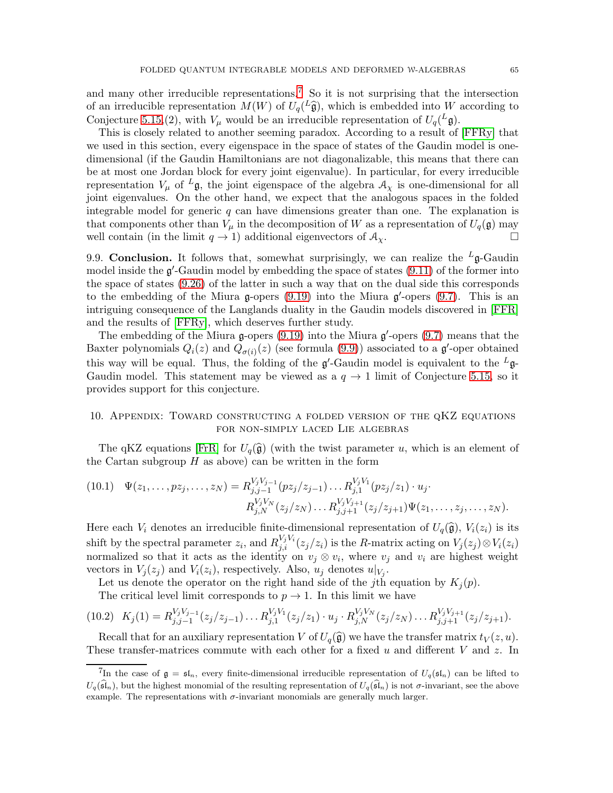and many other irreducible representations.<sup>[7](#page-64-1)</sup> So it is not surprising that the intersection of an irreducible representation  $M(W)$  of  $U_q(\tilde{\mathfrak{g}})$ , which is embedded into W according to Conjecture [5.15,](#page-26-0) (2), with  $V_{\mu}$  would be an irreducible representation of  $U_q^L(\mathfrak{g})$ .

This is closely related to another seeming paradox. According to a result of [\[FFRy\]](#page-67-17) that we used in this section, every eigenspace in the space of states of the Gaudin model is onedimensional (if the Gaudin Hamiltonians are not diagonalizable, this means that there can be at most one Jordan block for every joint eigenvalue). In particular, for every irreducible representation  $V_\mu$  of  $^L\mathfrak{g}$ , the joint eigenspace of the algebra  $\mathcal{A}_\chi$  is one-dimensional for all joint eigenvalues. On the other hand, we expect that the analogous spaces in the folded integrable model for generic  $q$  can have dimensions greater than one. The explanation is that components other than  $V_\mu$  in the decomposition of W as a representation of  $U_q(\mathfrak{g})$  may well contain (in the limit  $q \to 1$ ) additional eigenvectors of  $A_\chi$ .

9.9. **Conclusion.** It follows that, somewhat surprisingly, we can realize the  $L_g$ -Gaudin model inside the  $g'$ -Gaudin model by embedding the space of states  $(9.11)$  of the former into the space of states [\(9.26\)](#page-60-1) of the latter in such a way that on the dual side this corresponds to the embedding of the Miura  $g$ -opers [\(9.19\)](#page-58-0) into the Miura  $g'$ -opers [\(9.7\)](#page-54-0). This is an intriguing consequence of the Langlands duality in the Gaudin models discovered in [\[FFR\]](#page-67-14) and the results of [\[FFRy\]](#page-67-17), which deserves further study.

The embedding of the Miura  $\mathfrak{g}$ -opers [\(9.19\)](#page-58-0) into the Miura  $\mathfrak{g}'$ -opers [\(9.7\)](#page-54-0) means that the Baxter polynomials  $Q_i(z)$  and  $Q_{\sigma(i)}(z)$  (see formula [\(9.9\)](#page-54-4)) associated to a  $\mathfrak{g}'$ -oper obtained this way will be equal. Thus, the folding of the  $\mathfrak{g}'$ -Gaudin model is equivalent to the  ${}^L\mathfrak{g}$ -Gaudin model. This statement may be viewed as a  $q \to 1$  limit of Conjecture [5.15,](#page-26-0) so it provides support for this conjecture.

# <span id="page-64-0"></span>10. Appendix: Toward constructing a folded version of the qKZ equations for non-simply laced Lie algebras

The qKZ equations [\[FrR\]](#page-67-27) for  $U_q(\hat{\mathfrak{g}})$  (with the twist parameter u, which is an element of the Cartan subgroup  $H$  as above) can be written in the form

<span id="page-64-2"></span>
$$
(10.1) \quad \Psi(z_1,\ldots,pz_j,\ldots,z_N) = R^{V_jV_{j-1}}_{j,j-1}(pz_j/z_{j-1})\ldots R^{V_jV_1}_{j,1}(pz_j/z_1)\cdot u_j.
$$

$$
R^{V_jV_N}_{j,N}(z_j/z_N)\ldots R^{V_jV_{j+1}}_{j,j+1}(z_j/z_{j+1})\Psi(z_1,\ldots,z_j,\ldots,z_N).
$$

Here each  $V_i$  denotes an irreducible finite-dimensional representation of  $U_q(\hat{\mathfrak{g}})$ ,  $V_i(z_i)$  is its shift by the spectral parameter  $z_i$ , and  $R_{j,i}^{V_jV_i}(z_j/z_i)$  is the R-matrix acting on  $V_j(z_j) \otimes V_i(z_i)$ normalized so that it acts as the identity on  $v_j \otimes v_i$ , where  $v_j$  and  $v_i$  are highest weight vectors in  $V_j(z_j)$  and  $V_i(z_i)$ , respectively. Also,  $u_j$  denotes  $u|_{V_j}$ .

Let us denote the operator on the right hand side of the jth equation by  $K_i(p)$ .

<span id="page-64-3"></span>The critical level limit corresponds to  $p \to 1$ . In this limit we have

$$
(10.2) \quad K_j(1) = R_{j,j-1}^{V_j V_{j-1}}(z_j/z_{j-1}) \dots R_{j,1}^{V_j V_1}(z_j/z_1) \cdot u_j \cdot R_{j,N}^{V_j V_N}(z_j/z_N) \dots R_{j,j+1}^{V_j V_{j+1}}(z_j/z_{j+1}).
$$

Recall that for an auxiliary representation V of  $U_q(\hat{\mathfrak{g}})$  we have the transfer matrix  $t_V(z, u)$ . These transfer-matrices commute with each other for a fixed u and different V and z. In

<span id="page-64-1"></span><sup>&</sup>lt;sup>7</sup>In the case of  $\mathfrak{g} = \mathfrak{sl}_n$ , every finite-dimensional irreducible representation of  $U_q(\mathfrak{sl}_n)$  can be lifted to  $U_q(\widehat{\mathfrak{sl}}_n)$ , but the highest monomial of the resulting representation of  $U_q(\widehat{\mathfrak{sl}}_n)$  is not  $\sigma$ -invariant, see the above example. The representations with  $\sigma$ -invariant monomials are generally much larger.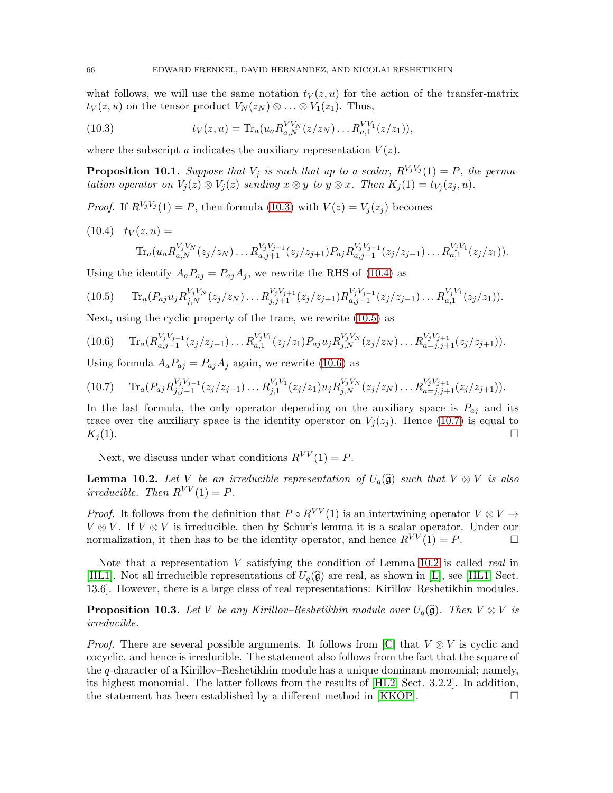what follows, we will use the same notation  $t<sub>V</sub>(z, u)$  for the action of the transfer-matrix  $t_V(z, u)$  on the tensor product  $V_N(z_N) \otimes \ldots \otimes V_1(z_1)$ . Thus,

<span id="page-65-1"></span>(10.3) 
$$
t_V(z, u) = \text{Tr}_a(u_a R_{a,N}^{VV_N}(z/z_N) \dots R_{a,1}^{VV_1}(z/z_1)),
$$

where the subscript a indicates the auxiliary representation  $V(z)$ .

<span id="page-65-0"></span>**Proposition 10.1.** Suppose that  $V_j$  is such that up to a scalar,  $R^{V_jV_j}(1) = P$ , the permutation operator on  $V_j(z) \otimes V_j(z)$  sending  $x \otimes y$  to  $y \otimes x$ . Then  $K_j(1) = t_{V_j}(z_j, u)$ .

*Proof.* If  $R^{V_j V_j}(1) = P$ , then formula [\(10.3\)](#page-65-1) with  $V(z) = V_j(z_j)$  becomes

<span id="page-65-2"></span>
$$
(10.4) \t t_V(z, u) =
$$
  
\t
$$
\text{Tr}_a(u_a R_{a,N}^{V_j V_N}(z_j/z_N) \dots R_{a,j+1}^{V_j V_{j+1}}(z_j/z_{j+1}) P_{aj} R_{a,j-1}^{V_j V_{j-1}}(z_j/z_{j-1}) \dots R_{a,1}^{V_j V_1}(z_j/z_1)).
$$

Using the identify  $A_a P_{aj} = P_{aj} A_j$ , we rewrite the RHS of [\(10.4\)](#page-65-2) as

<span id="page-65-3"></span>
$$
(10.5) \t\t Tr_a(P_{aj}u_j R_{j,N}^{V_jV_N}(z_j/z_N)\dots R_{j,j+1}^{V_jV_{j+1}}(z_j/z_{j+1})R_{a,j-1}^{V_jV_{j-1}}(z_j/z_{j-1})\dots R_{a,1}^{V_jV_1}(z_j/z_1)).
$$

Next, using the cyclic property of the trace, we rewrite [\(10.5\)](#page-65-3) as

<span id="page-65-4"></span>
$$
(10.6) \tTr_a(R_{a,j-1}^{V_jV_{j-1}}(z_j/z_{j-1})\ldots R_{a,1}^{V_jV_1}(z_j/z_1)P_{aj}u_jR_{j,N}^{V_jV_N}(z_j/z_N)\ldots R_{a=j,j+1}^{V_jV_{j+1}}(z_j/z_{j+1})).
$$

Using formula  $A_a P_{aj} = P_{aj} A_j$  again, we rewrite [\(10.6\)](#page-65-4) as

<span id="page-65-5"></span>
$$
(10.7) \t\t Tr_a(P_{aj}R_{j,j-1}^{V_jV_{j-1}}(z_j/z_{j-1})\ldots R_{j,1}^{V_jV_1}(z_j/z_1)u_jR_{j,N}^{V_jV_N}(z_j/z_N)\ldots R_{a=j,j+1}^{V_jV_{j+1}}(z_j/z_{j+1})).
$$

In the last formula, the only operator depending on the auxiliary space is  $P_{aj}$  and its trace over the auxiliary space is the identity operator on  $V_i(z_i)$ . Hence [\(10.7\)](#page-65-5) is equal to  $K_j(1).$ 

Next, we discuss under what conditions  $R^{VV}(1) = P$ .

<span id="page-65-6"></span>**Lemma 10.2.** Let V be an irreducible representation of  $U_q(\hat{\mathfrak{g}})$  such that  $V \otimes V$  is also irreducible. Then  $R^{VV}(1) = P$ .

*Proof.* It follows from the definition that  $P \circ R^{VV}(1)$  is an intertwining operator  $V \otimes V \rightarrow$  $V \otimes V$ . If  $V \otimes V$  is irreducible, then by Schur's lemma it is a scalar operator. Under our normalization, it then has to be the identity operator, and hence  $R^{VV}(1) = P$ .

Note that a representation  $V$  satisfying the condition of Lemma [10.2](#page-65-6) is called *real* in [\[HL1\]](#page-68-22). Not all irreducible representations of  $U_q(\hat{\mathfrak{g}})$  are real, as shown in [\[L\]](#page-68-23), see [\[HL1,](#page-68-22) Sect. 13.6]. However, there is a large class of real representations: Kirillov–Reshetikhin modules.

**Proposition 10.3.** Let V be any Kirillov–Reshetikhin module over  $U_q(\hat{\mathfrak{g}})$ . Then  $V \otimes V$  is irreducible.

*Proof.* There are several possible arguments. It follows from [\[C\]](#page-66-5) that  $V \otimes V$  is cyclic and cocyclic, and hence is irreducible. The statement also follows from the fact that the square of the q-character of a Kirillov–Reshetikhin module has a unique dominant monomial; namely, its highest monomial. The latter follows from the results of [\[HL2,](#page-68-24) Sect. 3.2.2]. In addition, the statement has been established by a different method in [\[KKOP\]](#page-68-25).  $\Box$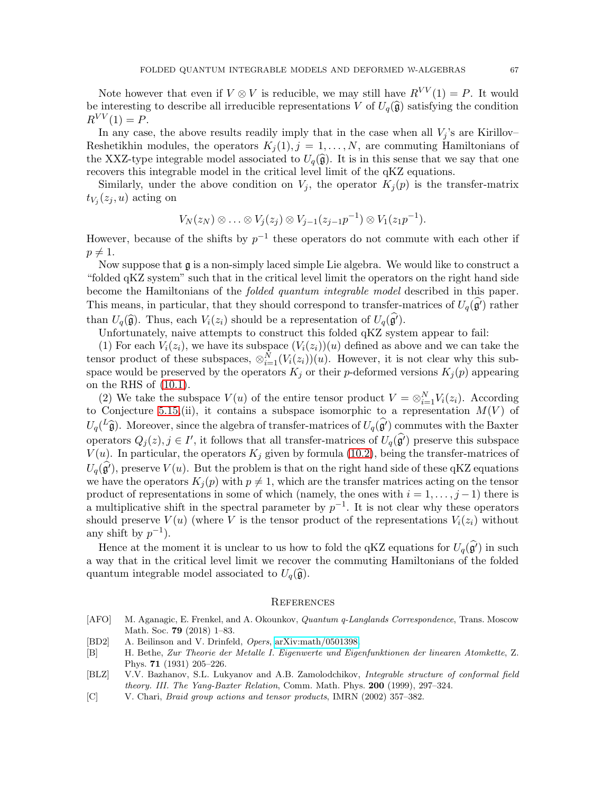Note however that even if  $V \otimes V$  is reducible, we may still have  $R^{VV}(1) = P$ . It would be interesting to describe all irreducible representations V of  $U_q(\hat{\mathfrak{g}})$  satisfying the condition  $R^{VV}(1) = P$ .

In any case, the above results readily imply that in the case when all  $V_i$ 's are Kirillov– Reshetikhin modules, the operators  $K_i(1), j = 1, \ldots, N$ , are commuting Hamiltonians of the XXZ-type integrable model associated to  $U_q(\hat{\mathfrak{g}})$ . It is in this sense that we say that one recovers this integrable model in the critical level limit of the qKZ equations.

Similarly, under the above condition on  $V_j$ , the operator  $K_j(p)$  is the transfer-matrix  $t_{V_j}(z_j, u)$  acting on

$$
V_N(z_N)\otimes\ldots\otimes V_j(z_j)\otimes V_{j-1}(z_{j-1}p^{-1})\otimes V_1(z_1p^{-1}).
$$

However, because of the shifts by  $p^{-1}$  these operators do not commute with each other if  $p \neq 1$ .

Now suppose that  $\frak g$  is a non-simply laced simple Lie algebra. We would like to construct a "folded qKZ system" such that in the critical level limit the operators on the right hand side become the Hamiltonians of the folded quantum integrable model described in this paper. This means, in particular, that they should correspond to transfer-matrices of  $U_q(\mathfrak{g}')$  rather than  $U_q(\hat{\mathfrak{g}})$ . Thus, each  $V_i(z_i)$  should be a representation of  $U_q(\mathfrak{g}')$ .

Unfortunately, naive attempts to construct this folded qKZ system appear to fail:

(1) For each  $V_i(z_i)$ , we have its subspace  $(V_i(z_i))(u)$  defined as above and we can take the tensor product of these subspaces,  $\otimes_{i=1}^{N} (V_i(z_i))(u)$ . However, it is not clear why this subspace would be preserved by the operators  $K_j$  or their p-deformed versions  $K_j(p)$  appearing on the RHS of [\(10.1\)](#page-64-2).

(2) We take the subspace  $V(u)$  of the entire tensor product  $V = \otimes_{i=1}^{N} V_i(z_i)$ . According to Conjecture [5.15,](#page-26-0)(ii), it contains a subspace isomorphic to a representation  $M(V)$  of  $U_q(\hat{L} \hat{\mathfrak{g}})$ . Moreover, since the algebra of transfer-matrices of  $U_q(\hat{\mathfrak{g}'})$  commutes with the Baxter operators  $Q_j(z)$ ,  $j \in I'$ , it follows that all transfer-matrices of  $U_q(\hat{g}')$  preserve this subspace  $V(u)$ . In particular, the operators  $K_j$  given by formula [\(10.2\)](#page-64-3), being the transfer-matrices of  $U_q(\hat{g}$ , preserve  $V(u)$ . But the problem is that on the right hand side of these qKZ equations we have the operators  $K_i(p)$  with  $p \neq 1$ , which are the transfer matrices acting on the tensor product of representations in some of which (namely, the ones with  $i = 1, \ldots, j - 1$ ) there is a multiplicative shift in the spectral parameter by  $p^{-1}$ . It is not clear why these operators should preserve  $V(u)$  (where V is the tensor product of the representations  $V_i(z_i)$  without any shift by  $p^{-1}$ ).

Hence at the moment it is unclear to us how to fold the qKZ equations for  $U_q(\mathfrak{g}')$  in such a way that in the critical level limit we recover the commuting Hamiltonians of the folded quantum integrable model associated to  $U_q(\hat{\mathfrak{g}})$ .

### <span id="page-66-0"></span>**REFERENCES**

- <span id="page-66-3"></span>[AFO] M. Aganagic, E. Frenkel, and A. Okounkov, Quantum q-Langlands Correspondence, Trans. Moscow Math. Soc. 79 (2018) 1–83.
- <span id="page-66-4"></span>[BD2] A. Beilinson and V. Drinfeld, Opers, [arXiv:math/0501398.](http://arxiv.org/abs/math/0501398)
- <span id="page-66-1"></span>[B] H. Bethe, Zur Theorie der Metalle I. Eigenwerte und Eigenfunktionen der linearen Atomkette, Z. Phys. 71 (1931) 205–226.
- <span id="page-66-2"></span>[BLZ] V.V. Bazhanov, S.L. Lukyanov and A.B. Zamolodchikov, *Integrable structure of conformal field* theory. III. The Yang-Baxter Relation, Comm. Math. Phys. 200 (1999), 297–324.
- <span id="page-66-5"></span>[C] V. Chari, Braid group actions and tensor products, IMRN (2002) 357–382.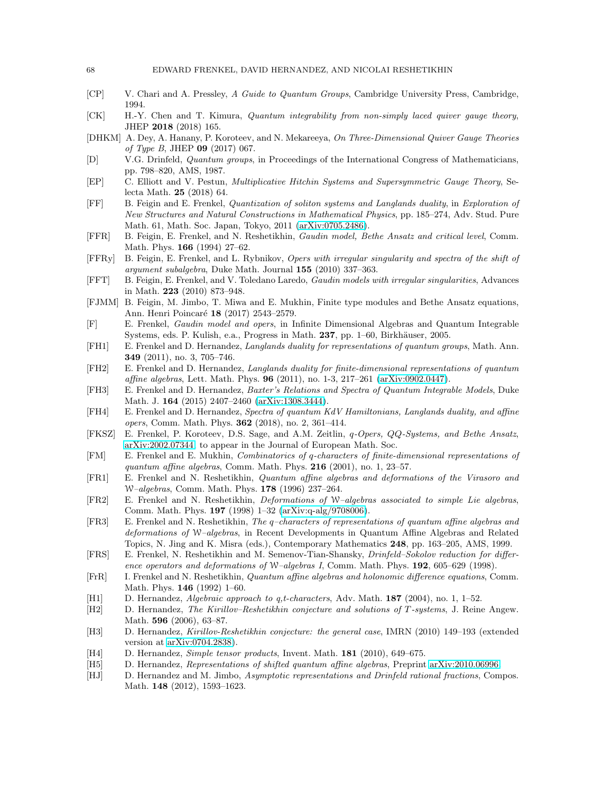- <span id="page-67-20"></span>[CP] V. Chari and A. Pressley, A Guide to Quantum Groups, Cambridge University Press, Cambridge, 1994.
- <span id="page-67-7"></span>[CK] H.-Y. Chen and T. Kimura, Quantum integrability from non-simply laced quiver gauge theory, JHEP 2018 (2018) 165.
- <span id="page-67-6"></span>[DHKM] A. Dey, A. Hanany, P. Koroteev, and N. Mekareeya, On Three-Dimensional Quiver Gauge Theories of Type B, JHEP 09 (2017) 067.
- <span id="page-67-23"></span>[D] V.G. Drinfeld, Quantum groups, in Proceedings of the International Congress of Mathematicians, pp. 798–820, AMS, 1987.
- <span id="page-67-10"></span>[EP] C. Elliott and V. Pestun, Multiplicative Hitchin Systems and Supersymmetric Gauge Theory, Selecta Math. 25 (2018) 64.
- <span id="page-67-8"></span>[FF] B. Feigin and E. Frenkel, Quantization of soliton systems and Langlands duality, in Exploration of New Structures and Natural Constructions in Mathematical Physics, pp. 185–274, Adv. Stud. Pure Math. 61, Math. Soc. Japan, Tokyo, 2011 [\(arXiv:0705.2486\)](http://arxiv.org/abs/0705.2486).
- <span id="page-67-14"></span>[FFR] B. Feigin, E. Frenkel, and N. Reshetikhin, Gaudin model, Bethe Ansatz and critical level, Comm. Math. Phys. 166 (1994) 27–62.
- <span id="page-67-17"></span>[FFRy] B. Feigin, E. Frenkel, and L. Rybnikov, Opers with irregular singularity and spectra of the shift of argument subalgebra, Duke Math. Journal 155 (2010) 337–363.
- <span id="page-67-16"></span>[FFT] B. Feigin, E. Frenkel, and V. Toledano Laredo, Gaudin models with irregular singularities, Advances in Math. 223 (2010) 873–948.
- <span id="page-67-4"></span>[FJMM] B. Feigin, M. Jimbo, T. Miwa and E. Mukhin, Finite type modules and Bethe Ansatz equations, Ann. Henri Poincaré 18 (2017) 2543-2579.
- <span id="page-67-15"></span>[F] E. Frenkel, Gaudin model and opers, in Infinite Dimensional Algebras and Quantum Integrable Systems, eds. P. Kulish, e.a., Progress in Math. 237, pp. 1–60, Birkhäuser, 2005.
- <span id="page-67-26"></span>[FH1] E. Frenkel and D. Hernandez, Langlands duality for representations of quantum groups, Math. Ann. 349 (2011), no. 3, 705–746.
- <span id="page-67-13"></span>[FH2] E. Frenkel and D. Hernandez, Langlands duality for finite-dimensional representations of quantum affine algebras, Lett. Math. Phys. 96 (2011), no. 1-3, 217–261 [\(arXiv:0902.0447\)](http://arxiv.org/abs/0902.0447).
- <span id="page-67-1"></span>[FH3] E. Frenkel and D. Hernandez, Baxter's Relations and Spectra of Quantum Integrable Models, Duke Math. J. 164 (2015) 2407–2460 [\(arXiv:1308.3444\)](http://arxiv.org/abs/1308.3444).
- <span id="page-67-3"></span>[FH4] E. Frenkel and D. Hernandez, Spectra of quantum KdV Hamiltonians, Langlands duality, and affine opers, Comm. Math. Phys. 362 (2018), no. 2, 361–414.
- <span id="page-67-5"></span>[FKSZ] E. Frenkel, P. Koroteev, D.S. Sage, and A.M. Zeitlin, q-Opers, QQ-Systems, and Bethe Ansatz, [arXiv:2002.07344,](http://arxiv.org/abs/2002.07344) to appear in the Journal of European Math. Soc.
- <span id="page-67-18"></span>[FM] E. Frenkel and E. Mukhin, Combinatorics of q-characters of finite-dimensional representations of quantum affine algebras, Comm. Math. Phys. 216 (2001), no. 1, 23–57.
- <span id="page-67-11"></span>[FR1] E. Frenkel and N. Reshetikhin, Quantum affine algebras and deformations of the Virasoro and W–algebras, Comm. Math. Phys. 178 (1996) 237–264.
- <span id="page-67-9"></span>[FR2] E. Frenkel and N. Reshetikhin, Deformations of W–algebras associated to simple Lie algebras, Comm. Math. Phys. 197 (1998) 1–32 [\(arXiv:q-alg/9708006\)](http://arxiv.org/abs/q-alg/9708006).
- <span id="page-67-0"></span>[FR3] E. Frenkel and N. Reshetikhin, The q–characters of representations of quantum affine algebras and deformations of W–algebras, in Recent Developments in Quantum Affine Algebras and Related Topics, N. Jing and K. Misra (eds.), Contemporary Mathematics 248, pp. 163–205, AMS, 1999.
- <span id="page-67-12"></span>[FRS] E. Frenkel, N. Reshetikhin and M. Semenov-Tian-Shansky, Drinfeld–Sokolov reduction for difference operators and deformations of W–algebras I, Comm. Math. Phys. **192**, 605–629 (1998).
- <span id="page-67-27"></span>[FrR] I. Frenkel and N. Reshetikhin, Quantum affine algebras and holonomic difference equations, Comm. Math. Phys. 146 (1992) 1–60.
- <span id="page-67-19"></span>[H1] D. Hernandez, Algebraic approach to q,t-characters, Adv. Math. 187 (2004), no. 1, 1–52.
- <span id="page-67-21"></span>[H2] D. Hernandez, The Kirillov–Reshetikhin conjecture and solutions of T -systems, J. Reine Angew. Math. **596** (2006), 63-87.
- <span id="page-67-22"></span>[H3] D. Hernandez, Kirillov-Reshetikhin conjecture: the general case, IMRN (2010) 149–193 (extended version at [arXiv:0704.2838\)](http://arxiv.org/abs/0704.2838).
- <span id="page-67-24"></span>[H4] D. Hernandez, Simple tensor products, Invent. Math. 181 (2010), 649–675.
- <span id="page-67-25"></span>[H5] D. Hernandez, Representations of shifted quantum affine algebras, Preprint [arXiv:2010.06996.](http://arxiv.org/abs/2010.06996)
- <span id="page-67-2"></span>[HJ] D. Hernandez and M. Jimbo, Asymptotic representations and Drinfeld rational fractions, Compos. Math. 148 (2012), 1593–1623.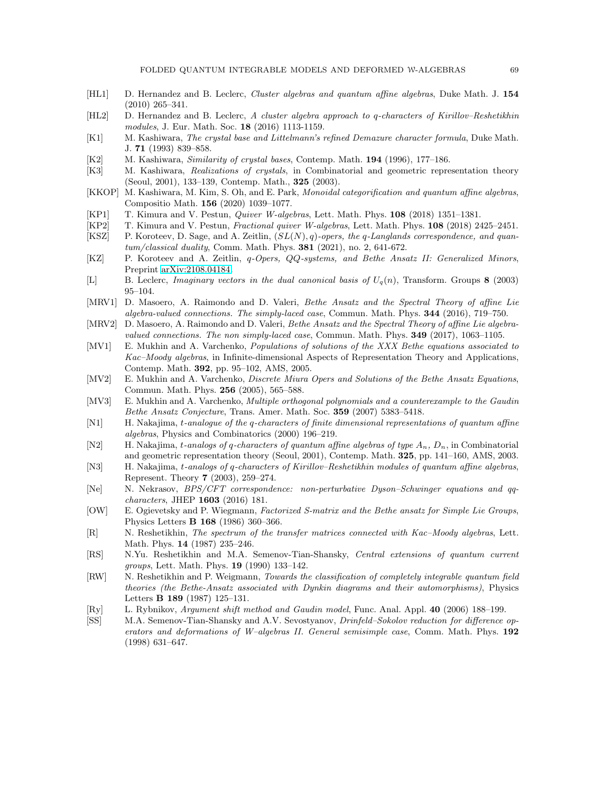- <span id="page-68-22"></span>[HL1] D. Hernandez and B. Leclerc, *Cluster algebras and quantum affine algebras*, Duke Math. J. 154 (2010) 265–341.
- <span id="page-68-24"></span>[HL2] D. Hernandez and B. Leclerc, A cluster algebra approach to q-characters of Kirillov–Reshetikhin modules, J. Eur. Math. Soc. 18 (2016) 1113-1159.
- <span id="page-68-17"></span>[K1] M. Kashiwara, The crystal base and Littelmann's refined Demazure character formula, Duke Math. J. 71 (1993) 839–858.
- <span id="page-68-20"></span>[K2] M. Kashiwara, Similarity of crystal bases, Contemp. Math. 194 (1996), 177–186.
- <span id="page-68-15"></span>[K3] M. Kashiwara, Realizations of crystals, in Combinatorial and geometric representation theory (Seoul, 2001), 133–139, Contemp. Math., 325 (2003).
- <span id="page-68-25"></span>[KKOP] M. Kashiwara, M. Kim, S. Oh, and E. Park, Monoidal categorification and quantum affine algebras, Compositio Math. 156 (2020) 1039–1077.
- <span id="page-68-11"></span>[KP1] T. Kimura and V. Pestun, Quiver W-algebras, Lett. Math. Phys. 108 (2018) 1351–1381.
- <span id="page-68-7"></span>[KP2] T. Kimura and V. Pestun, Fractional quiver W-algebras, Lett. Math. Phys. 108 (2018) 2425–2451.
- <span id="page-68-3"></span>[KSZ] P. Koroteev, D. Sage, and A. Zeitlin,  $(SL(N), q)$ -opers, the q-Langlands correspondence, and quantum/classical duality, Comm. Math. Phys. 381 (2021), no. 2, 641-672.
- <span id="page-68-6"></span>[KZ] P. Koroteev and A. Zeitlin, q-Opers, QQ-systems, and Bethe Ansatz II: Generalized Minors, Preprint [arXiv:2108.04184.](http://arxiv.org/abs/2108.04184)
- <span id="page-68-23"></span>[L] B. Leclerc, *Imaginary vectors in the dual canonical basis of*  $U_q(n)$ , Transform. Groups 8 (2003) 95–104.
- <span id="page-68-8"></span>[MRV1] D. Masoero, A. Raimondo and D. Valeri, Bethe Ansatz and the Spectral Theory of affine Lie algebra-valued connections. The simply-laced case, Commun. Math. Phys. 344 (2016), 719–750.
- <span id="page-68-9"></span>[MRV2] D. Masoero, A. Raimondo and D. Valeri, Bethe Ansatz and the Spectral Theory of affine Lie algebravalued connections. The non simply-laced case, Commun. Math. Phys. 349 (2017), 1063–1105.
- <span id="page-68-4"></span>[MV1] E. Mukhin and A. Varchenko, *Populations of solutions of the XXX Bethe equations associated to* Kac–Moody algebras, in Infinite-dimensional Aspects of Representation Theory and Applications, Contemp. Math. 392, pp. 95–102, AMS, 2005.
- <span id="page-68-5"></span>[MV2] E. Mukhin and A. Varchenko, Discrete Miura Opers and Solutions of the Bethe Ansatz Equations, Commun. Math. Phys. 256 (2005), 565–588.
- <span id="page-68-21"></span>[MV3] E. Mukhin and A. Varchenko, *Multiple orthogonal polynomials and a counterexample to the Gaudin* Bethe Ansatz Conjecture, Trans. Amer. Math. Soc. 359 (2007) 5383–5418.
- <span id="page-68-19"></span>[N1] H. Nakajima, t-analogue of the q-characters of finite dimensional representations of quantum affine algebras, Physics and Combinatorics (2000) 196–219.
- <span id="page-68-16"></span>[N2] H. Nakajima, t-analogs of q-characters of quantum affine algebras of type  $A_n$ ,  $D_n$ , in Combinatorial and geometric representation theory (Seoul, 2001), Contemp. Math. 325, pp. 141–160, AMS, 2003.
- <span id="page-68-18"></span>[N3] H. Nakajima, t-analogs of q-characters of Kirillov–Reshetikhin modules of quantum affine algebras, Represent. Theory 7 (2003), 259–274.
- <span id="page-68-10"></span>[Ne] N. Nekrasov, BPS/CFT correspondence: non-perturbative Dyson–Schwinger equations and qqcharacters, JHEP 1603 (2016) 181.
- <span id="page-68-0"></span>[OW] E. Ogievetsky and P. Wiegmann, Factorized S-matrix and the Bethe ansatz for Simple Lie Groups, Physics Letters B 168 (1986) 360–366.
- <span id="page-68-2"></span>[R] N. Reshetikhin, The spectrum of the transfer matrices connected with Kac–Moody algebras, Lett. Math. Phys. 14 (1987) 235–246.
- <span id="page-68-12"></span>[RS] N.Yu. Reshetikhin and M.A. Semenov-Tian-Shansky, Central extensions of quantum current groups, Lett. Math. Phys. 19 (1990) 133–142.
- <span id="page-68-1"></span>[RW] N. Reshetikhin and P. Weigmann, Towards the classification of completely integrable quantum field theories (the Bethe-Ansatz associated with Dynkin diagrams and their automorphisms), Physics Letters B 189 (1987) 125–131.
- <span id="page-68-14"></span>[Ry] L. Rybnikov, Argument shift method and Gaudin model, Func. Anal. Appl. 40 (2006) 188–199.
- <span id="page-68-13"></span>[SS] M.A. Semenov-Tian-Shansky and A.V. Sevostyanov, Drinfeld–Sokolov reduction for difference operators and deformations of W–algebras II. General semisimple case, Comm. Math. Phys. 192 (1998) 631–647.